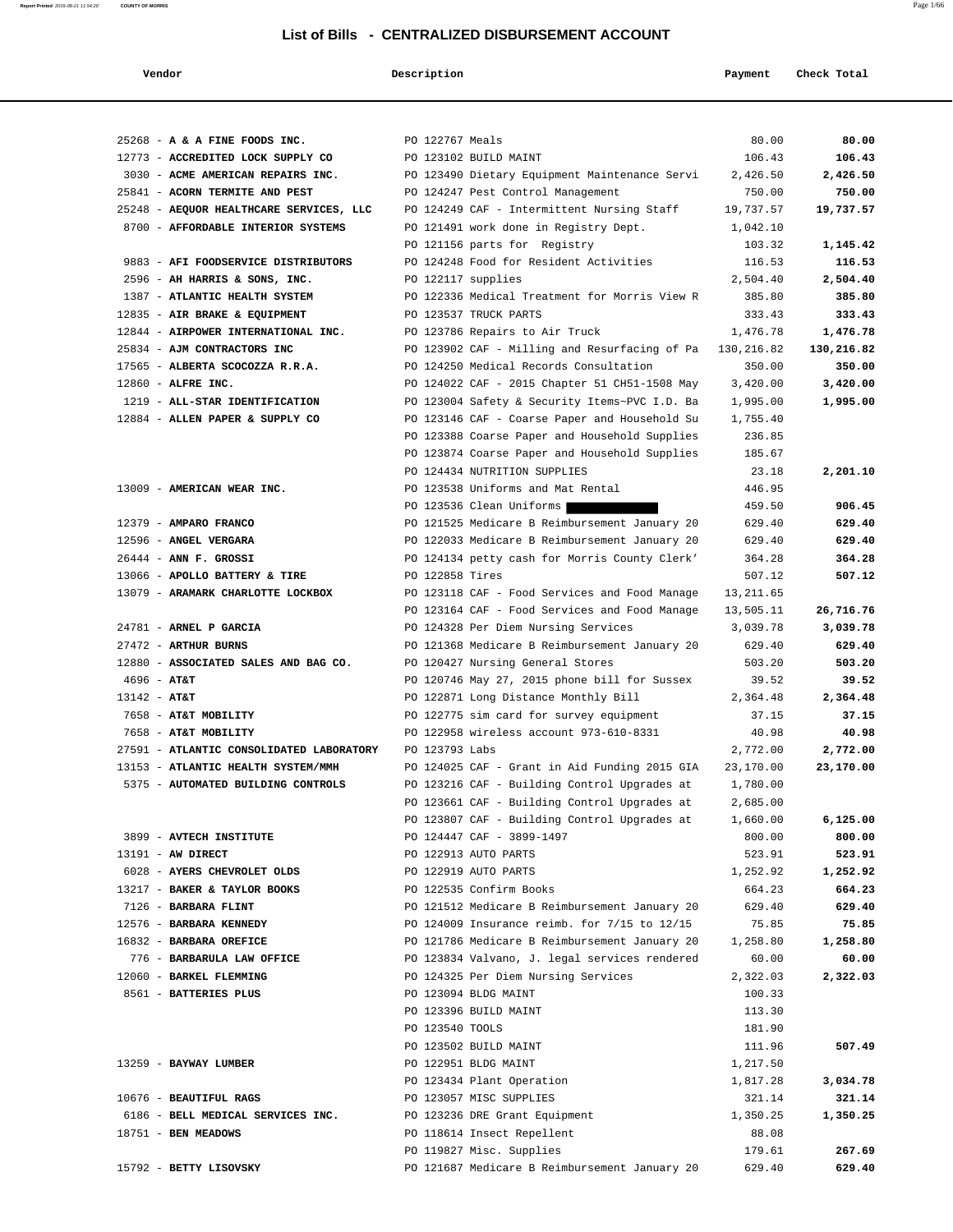| Vendor                                   | Description        |                                               | Payment    | Check Total |
|------------------------------------------|--------------------|-----------------------------------------------|------------|-------------|
|                                          |                    |                                               |            |             |
| 25268 - A & A FINE FOODS INC.            | PO 122767 Meals    |                                               | 80.00      | 80.00       |
| 12773 - ACCREDITED LOCK SUPPLY CO        |                    | PO 123102 BUILD MAINT                         | 106.43     | 106.43      |
| 3030 - ACME AMERICAN REPAIRS INC.        |                    | PO 123490 Dietary Equipment Maintenance Servi | 2,426.50   | 2,426.50    |
| 25841 - ACORN TERMITE AND PEST           |                    | PO 124247 Pest Control Management             | 750.00     | 750.00      |
| 25248 - AEQUOR HEALTHCARE SERVICES, LLC  |                    | PO 124249 CAF - Intermittent Nursing Staff    | 19,737.57  | 19,737.57   |
| 8700 - AFFORDABLE INTERIOR SYSTEMS       |                    | PO 121491 work done in Registry Dept.         | 1,042.10   |             |
|                                          |                    | PO 121156 parts for Registry                  | 103.32     | 1,145.42    |
| 9883 - AFI FOODSERVICE DISTRIBUTORS      |                    | PO 124248 Food for Resident Activities        | 116.53     | 116.53      |
| 2596 - AH HARRIS & SONS, INC.            | PO 122117 supplies |                                               | 2,504.40   | 2,504.40    |
|                                          |                    | PO 122336 Medical Treatment for Morris View R | 385.80     | 385.80      |
| 1387 - ATLANTIC HEALTH SYSTEM            |                    | PO 123537 TRUCK PARTS                         | 333.43     | 333.43      |
| 12835 - AIR BRAKE & EQUIPMENT            |                    |                                               |            |             |
| 12844 - AIRPOWER INTERNATIONAL INC.      |                    | PO 123786 Repairs to Air Truck                | 1,476.78   | 1,476.78    |
| 25834 - AJM CONTRACTORS INC              |                    | PO 123902 CAF - Milling and Resurfacing of Pa | 130,216.82 | 130,216.82  |
| 17565 - ALBERTA SCOCOZZA R.R.A.          |                    | PO 124250 Medical Records Consultation        | 350.00     | 350.00      |
| 12860 - ALFRE INC.                       |                    | PO 124022 CAF - 2015 Chapter 51 CH51-1508 May | 3,420.00   | 3,420.00    |
| 1219 - ALL-STAR IDENTIFICATION           |                    | PO 123004 Safety & Security Items~PVC I.D. Ba | 1,995.00   | 1,995.00    |
| 12884 - ALLEN PAPER & SUPPLY CO          |                    | PO 123146 CAF - Coarse Paper and Household Su | 1,755.40   |             |
|                                          |                    | PO 123388 Coarse Paper and Household Supplies | 236.85     |             |
|                                          |                    | PO 123874 Coarse Paper and Household Supplies | 185.67     |             |
|                                          |                    | PO 124434 NUTRITION SUPPLIES                  | 23.18      | 2,201.10    |
| 13009 - AMERICAN WEAR INC.               |                    | PO 123538 Uniforms and Mat Rental             | 446.95     |             |
|                                          |                    | PO 123536 Clean Uniforms                      | 459.50     | 906.45      |
| 12379 - AMPARO FRANCO                    |                    | PO 121525 Medicare B Reimbursement January 20 | 629.40     | 629.40      |
| 12596 - ANGEL VERGARA                    |                    | PO 122033 Medicare B Reimbursement January 20 | 629.40     | 629.40      |
| $26444$ - ANN F. GROSSI                  |                    | PO 124134 petty cash for Morris County Clerk' | 364.28     | 364.28      |
| 13066 - APOLLO BATTERY & TIRE            | PO 122858 Tires    |                                               | 507.12     | 507.12      |
| 13079 - ARAMARK CHARLOTTE LOCKBOX        |                    | PO 123118 CAF - Food Services and Food Manage | 13, 211.65 |             |
|                                          |                    | PO 123164 CAF - Food Services and Food Manage | 13,505.11  | 26,716.76   |
| 24781 - ARNEL P GARCIA                   |                    | PO 124328 Per Diem Nursing Services           | 3,039.78   | 3,039.78    |
| 27472 - ARTHUR BURNS                     |                    | PO 121368 Medicare B Reimbursement January 20 | 629.40     | 629.40      |
| 12880 - ASSOCIATED SALES AND BAG CO.     |                    | PO 120427 Nursing General Stores              | 503.20     | 503.20      |
| $4696 - AT&T$                            |                    | PO 120746 May 27, 2015 phone bill for Sussex  | 39.52      | 39.52       |
| $13142 - AT&T$                           |                    | PO 122871 Long Distance Monthly Bill          | 2,364.48   | 2,364.48    |
| 7658 - AT&T MOBILITY                     |                    | PO 122775 sim card for survey equipment       | 37.15      | 37.15       |
| 7658 - AT&T MOBILITY                     |                    | PO 122958 wireless account 973-610-8331       | 40.98      | 40.98       |
| 27591 - ATLANTIC CONSOLIDATED LABORATORY | PO 123793 Labs     |                                               | 2,772.00   | 2,772.00    |
| 13153 - ATLANTIC HEALTH SYSTEM/MMH       |                    | PO 124025 CAF - Grant in Aid Funding 2015 GIA | 23,170.00  | 23,170.00   |
| 5375 - AUTOMATED BUILDING CONTROLS       |                    | PO 123216 CAF - Building Control Upgrades at  | 1,780.00   |             |
|                                          |                    | PO 123661 CAF - Building Control Upgrades at  | 2,685.00   |             |
|                                          |                    | PO 123807 CAF - Building Control Upgrades at  | 1,660.00   | 6,125.00    |
| 3899 - AVTECH INSTITUTE                  |                    | PO 124447 CAF - 3899-1497                     | 800.00     | 800.00      |
| 13191 - AW DIRECT                        |                    | PO 122913 AUTO PARTS                          | 523.91     | 523.91      |
| 6028 - AYERS CHEVROLET OLDS              |                    | PO 122919 AUTO PARTS                          | 1,252.92   | 1,252.92    |
| 13217 - BAKER & TAYLOR BOOKS             |                    | PO 122535 Confirm Books                       | 664.23     | 664.23      |
| 7126 - BARBARA FLINT                     |                    | PO 121512 Medicare B Reimbursement January 20 | 629.40     | 629.40      |
| 12576 - BARBARA KENNEDY                  |                    | PO 124009 Insurance reimb. for 7/15 to 12/15  | 75.85      | 75.85       |
| 16832 - BARBARA OREFICE                  |                    | PO 121786 Medicare B Reimbursement January 20 | 1,258.80   | 1,258.80    |
| 776 - BARBARULA LAW OFFICE               |                    | PO 123834 Valvano, J. legal services rendered | 60.00      | 60.00       |
| 12060 - BARKEL FLEMMING                  |                    | PO 124325 Per Diem Nursing Services           | 2,322.03   | 2,322.03    |
| 8561 - BATTERIES PLUS                    |                    | PO 123094 BLDG MAINT                          | 100.33     |             |
|                                          |                    | PO 123396 BUILD MAINT                         | 113.30     |             |
|                                          | PO 123540 TOOLS    |                                               | 181.90     |             |
|                                          |                    | PO 123502 BUILD MAINT                         | 111.96     | 507.49      |
| 13259 - BAYWAY LUMBER                    |                    | PO 122951 BLDG MAINT                          | 1,217.50   |             |
|                                          |                    | PO 123434 Plant Operation                     | 1,817.28   | 3,034.78    |
| 10676 - BEAUTIFUL RAGS                   |                    | PO 123057 MISC SUPPLIES                       | 321.14     | 321.14      |
| 6186 - BELL MEDICAL SERVICES INC.        |                    | PO 123236 DRE Grant Equipment                 | 1,350.25   | 1,350.25    |
| 18751 - BEN MEADOWS                      |                    | PO 118614 Insect Repellent                    | 88.08      |             |
|                                          |                    | PO 119827 Misc. Supplies                      | 179.61     | 267.69      |
| 15792 - BETTY LISOVSKY                   |                    | PO 121687 Medicare B Reimbursement January 20 | 629.40     | 629.40      |
|                                          |                    |                                               |            |             |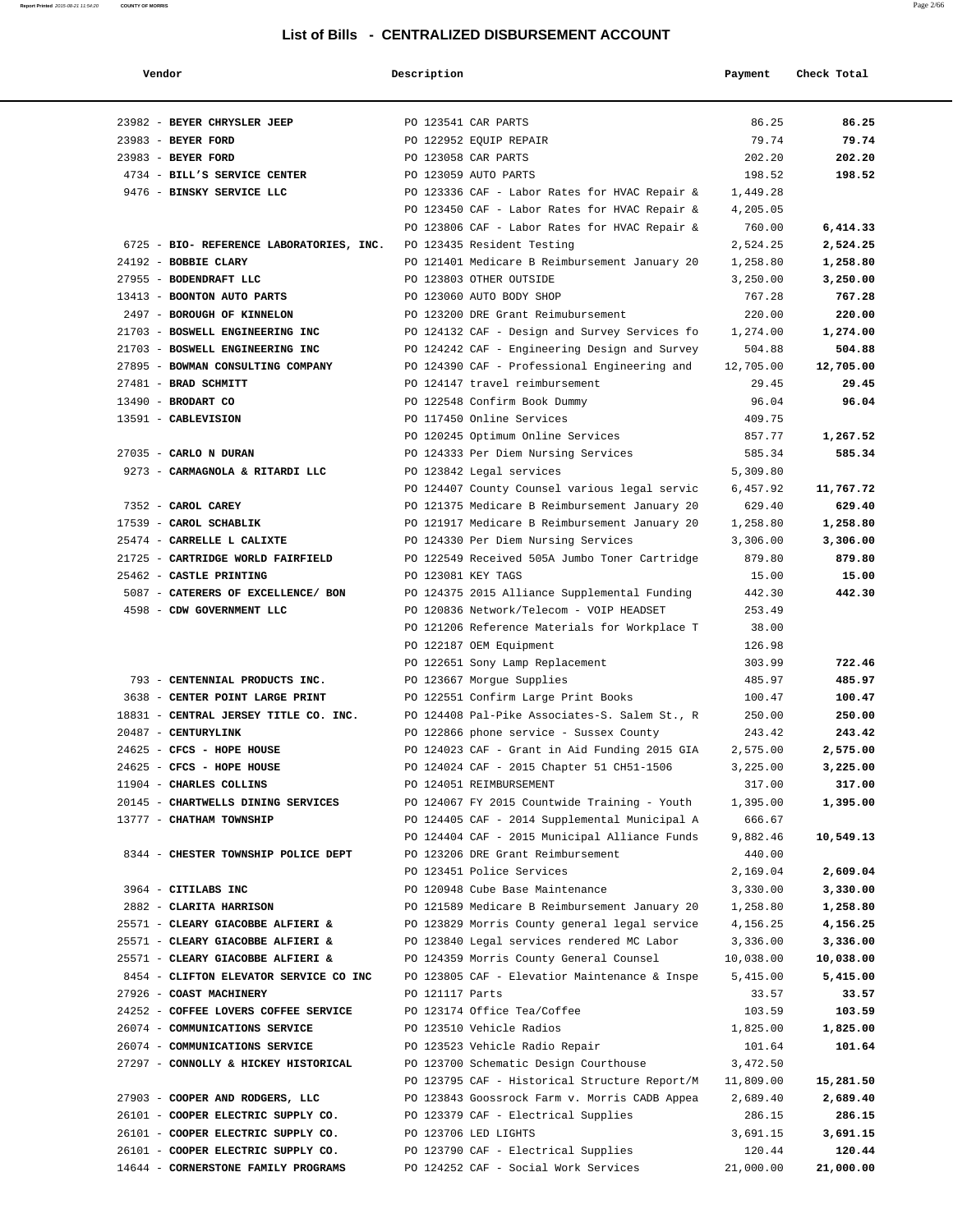| Vendor                                   | Description                     |                                               | Payment   | Check Total |
|------------------------------------------|---------------------------------|-----------------------------------------------|-----------|-------------|
| 23982 - BEYER CHRYSLER JEEP              | PO 123541 CAR PARTS             |                                               | 86.25     | 86.25       |
| 23983 - BEYER FORD                       | PO 122952 EQUIP REPAIR          |                                               | 79.74     | 79.74       |
| 23983 - BEYER FORD                       | PO 123058 CAR PARTS             |                                               | 202.20    | 202.20      |
| 4734 - BILL'S SERVICE CENTER             | PO 123059 AUTO PARTS            |                                               | 198.52    | 198.52      |
| 9476 - BINSKY SERVICE LLC                |                                 | PO 123336 CAF - Labor Rates for HVAC Repair & | 1,449.28  |             |
|                                          |                                 | PO 123450 CAF - Labor Rates for HVAC Repair & | 4,205.05  |             |
|                                          |                                 | PO 123806 CAF - Labor Rates for HVAC Repair & | 760.00    | 6,414.33    |
| 6725 - BIO- REFERENCE LABORATORIES, INC. | PO 123435 Resident Testing      |                                               | 2,524.25  | 2,524.25    |
| 24192 - BOBBIE CLARY                     |                                 | PO 121401 Medicare B Reimbursement January 20 | 1,258.80  | 1,258.80    |
| 27955 - BODENDRAFT LLC                   | PO 123803 OTHER OUTSIDE         |                                               | 3,250.00  | 3,250.00    |
| 13413 - BOONTON AUTO PARTS               | PO 123060 AUTO BODY SHOP        |                                               | 767.28    | 767.28      |
| 2497 - BOROUGH OF KINNELON               |                                 | PO 123200 DRE Grant Reimubursement            | 220.00    | 220.00      |
| 21703 - BOSWELL ENGINEERING INC          |                                 | PO 124132 CAF - Design and Survey Services fo | 1,274.00  | 1,274.00    |
| 21703 - BOSWELL ENGINEERING INC          |                                 | PO 124242 CAF - Engineering Design and Survey | 504.88    | 504.88      |
| 27895 - BOWMAN CONSULTING COMPANY        |                                 | PO 124390 CAF - Professional Engineering and  | 12,705.00 | 12,705.00   |
| 27481 - BRAD SCHMITT                     | PO 124147 travel reimbursement  |                                               | 29.45     | 29.45       |
| 13490 - BRODART CO                       | PO 122548 Confirm Book Dummy    |                                               | 96.04     | 96.04       |
| 13591 - CABLEVISION                      | PO 117450 Online Services       |                                               | 409.75    |             |
|                                          |                                 | PO 120245 Optimum Online Services             | 857.77    | 1,267.52    |
| 27035 - CARLO N DURAN                    |                                 | PO 124333 Per Diem Nursing Services           | 585.34    | 585.34      |
| 9273 - CARMAGNOLA & RITARDI LLC          | PO 123842 Legal services        |                                               | 5,309.80  |             |
|                                          |                                 | PO 124407 County Counsel various legal servic | 6,457.92  | 11,767.72   |
| 7352 - CAROL CAREY                       |                                 | PO 121375 Medicare B Reimbursement January 20 | 629.40    | 629.40      |
| 17539 - CAROL SCHABLIK                   |                                 | PO 121917 Medicare B Reimbursement January 20 | 1,258.80  | 1,258.80    |
| 25474 - CARRELLE L CALIXTE               |                                 | PO 124330 Per Diem Nursing Services           | 3,306.00  | 3,306.00    |
| 21725 - CARTRIDGE WORLD FAIRFIELD        |                                 | PO 122549 Received 505A Jumbo Toner Cartridge | 879.80    | 879.80      |
| 25462 - CASTLE PRINTING                  | PO 123081 KEY TAGS              |                                               | 15.00     | 15.00       |
| 5087 - CATERERS OF EXCELLENCE/ BON       |                                 | PO 124375 2015 Alliance Supplemental Funding  | 442.30    | 442.30      |
| 4598 - CDW GOVERNMENT LLC                |                                 | PO 120836 Network/Telecom - VOIP HEADSET      | 253.49    |             |
|                                          |                                 | PO 121206 Reference Materials for Workplace T | 38.00     |             |
|                                          | PO 122187 OEM Equipment         |                                               | 126.98    |             |
|                                          | PO 122651 Sony Lamp Replacement |                                               | 303.99    | 722.46      |
| 793 - CENTENNIAL PRODUCTS INC.           | PO 123667 Morgue Supplies       |                                               | 485.97    | 485.97      |
| 3638 - CENTER POINT LARGE PRINT          |                                 | PO 122551 Confirm Large Print Books           | 100.47    | 100.47      |
| 18831 - CENTRAL JERSEY TITLE CO. INC.    |                                 | PO 124408 Pal-Pike Associates-S. Salem St., R | 250.00    | 250.00      |
| 20487 - CENTURYLINK                      |                                 | PO 122866 phone service - Sussex County       | 243.42    | 243.42      |
| 24625 - CFCS - HOPE HOUSE                |                                 | PO 124023 CAF - Grant in Aid Funding 2015 GIA | 2,575.00  | 2,575.00    |
| 24625 - CFCS - HOPE HOUSE                |                                 | PO 124024 CAF - 2015 Chapter 51 CH51-1506     | 3,225.00  | 3,225.00    |
| 11904 - CHARLES COLLINS                  | PO 124051 REIMBURSEMENT         |                                               | 317.00    | 317.00      |
| 20145 - CHARTWELLS DINING SERVICES       |                                 | PO 124067 FY 2015 Countwide Training - Youth  | 1,395.00  | 1,395.00    |
| 13777 - CHATHAM TOWNSHIP                 |                                 | PO 124405 CAF - 2014 Supplemental Municipal A | 666.67    |             |
|                                          |                                 | PO 124404 CAF - 2015 Municipal Alliance Funds | 9,882.46  | 10,549.13   |
| 8344 - CHESTER TOWNSHIP POLICE DEPT      |                                 | PO 123206 DRE Grant Reimbursement             | 440.00    |             |
|                                          | PO 123451 Police Services       |                                               | 2,169.04  | 2,609.04    |
| 3964 - CITILABS INC                      | PO 120948 Cube Base Maintenance |                                               | 3,330.00  | 3,330.00    |
| 2882 - CLARITA HARRISON                  |                                 | PO 121589 Medicare B Reimbursement January 20 | 1,258.80  | 1,258.80    |
| 25571 - CLEARY GIACOBBE ALFIERI &        |                                 | PO 123829 Morris County general legal service | 4,156.25  | 4,156.25    |
| 25571 - CLEARY GIACOBBE ALFIERI &        |                                 | PO 123840 Legal services rendered MC Labor    | 3,336.00  | 3,336.00    |
| 25571 - CLEARY GIACOBBE ALFIERI &        |                                 | PO 124359 Morris County General Counsel       | 10,038.00 | 10,038.00   |
| 8454 - CLIFTON ELEVATOR SERVICE CO INC   |                                 | PO 123805 CAF - Elevatior Maintenance & Inspe | 5,415.00  | 5,415.00    |
| 27926 - COAST MACHINERY                  | PO 121117 Parts                 |                                               | 33.57     | 33.57       |
| 24252 - COFFEE LOVERS COFFEE SERVICE     | PO 123174 Office Tea/Coffee     |                                               | 103.59    | 103.59      |
| 26074 - COMMUNICATIONS SERVICE           | PO 123510 Vehicle Radios        |                                               | 1,825.00  | 1,825.00    |
| 26074 - COMMUNICATIONS SERVICE           | PO 123523 Vehicle Radio Repair  |                                               | 101.64    | 101.64      |
| 27297 - CONNOLLY & HICKEY HISTORICAL     |                                 | PO 123700 Schematic Design Courthouse         | 3,472.50  |             |
|                                          |                                 | PO 123795 CAF - Historical Structure Report/M | 11,809.00 | 15,281.50   |
| 27903 - COOPER AND RODGERS, LLC          |                                 | PO 123843 Goossrock Farm v. Morris CADB Appea | 2,689.40  | 2,689.40    |
| 26101 - COOPER ELECTRIC SUPPLY CO.       |                                 | PO 123379 CAF - Electrical Supplies           | 286.15    | 286.15      |
| 26101 - COOPER ELECTRIC SUPPLY CO.       | PO 123706 LED LIGHTS            |                                               | 3,691.15  | 3,691.15    |
| 26101 - COOPER ELECTRIC SUPPLY CO.       |                                 | PO 123790 CAF - Electrical Supplies           | 120.44    | 120.44      |
| 14644 - CORNERSTONE FAMILY PROGRAMS      |                                 | PO 124252 CAF - Social Work Services          | 21,000.00 | 21,000.00   |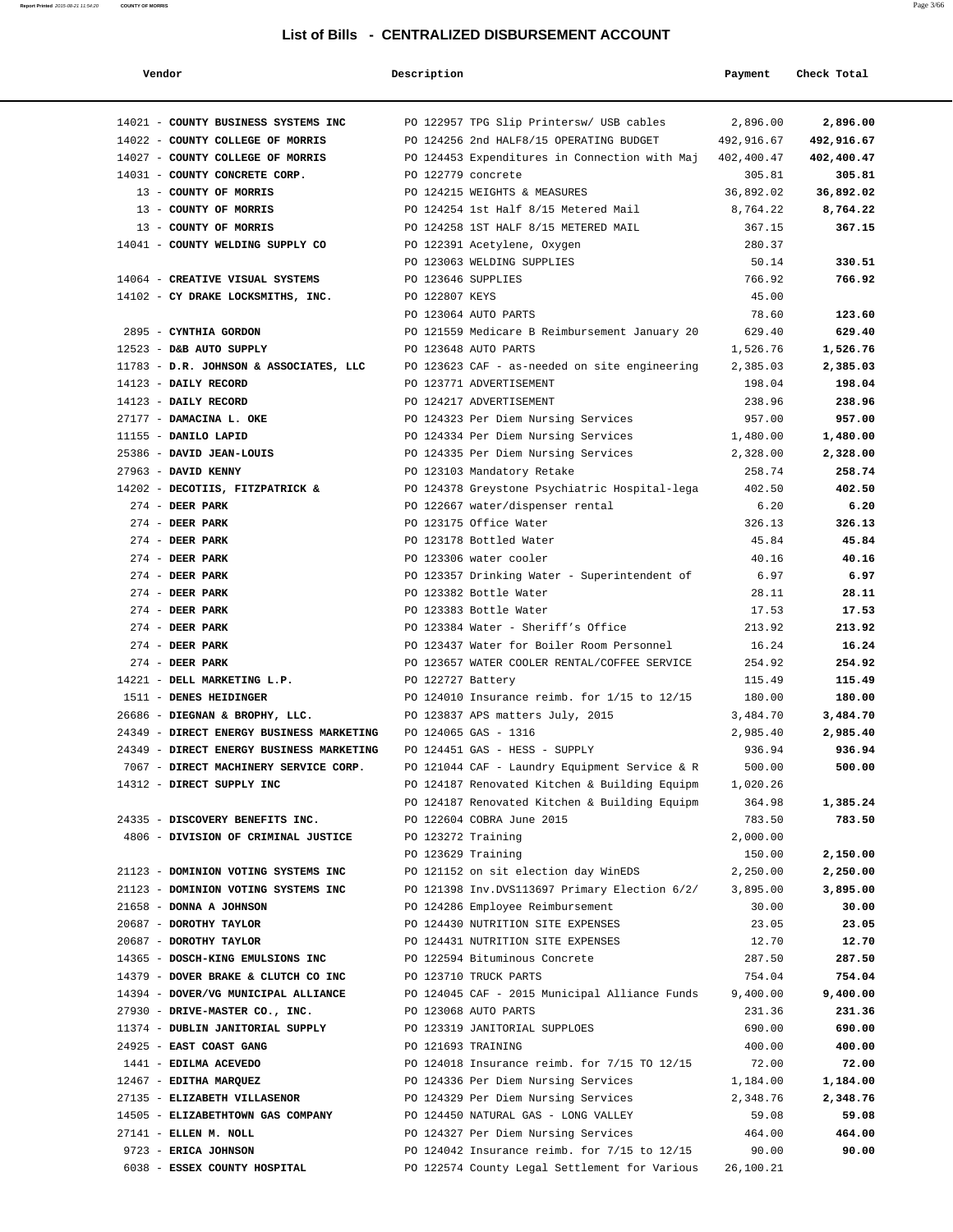| Vendor                                                                               | Description        |                                                                                | Payment            | Check Total |
|--------------------------------------------------------------------------------------|--------------------|--------------------------------------------------------------------------------|--------------------|-------------|
| 14021 - COUNTY BUSINESS SYSTEMS INC                                                  |                    | PO 122957 TPG Slip Printersw/ USB cables                                       | 2,896.00           | 2,896.00    |
| 14022 - COUNTY COLLEGE OF MORRIS                                                     |                    | PO 124256 2nd HALF8/15 OPERATING BUDGET                                        | 492,916.67         | 492,916.67  |
| 14027 - COUNTY COLLEGE OF MORRIS                                                     |                    | PO 124453 Expenditures in Connection with Maj                                  | 402,400.47         | 402,400.47  |
| 14031 - COUNTY CONCRETE CORP.                                                        | PO 122779 concrete |                                                                                | 305.81             | 305.81      |
| 13 - COUNTY OF MORRIS                                                                |                    | PO 124215 WEIGHTS & MEASURES                                                   | 36,892.02          | 36,892.02   |
| 13 - COUNTY OF MORRIS                                                                |                    | PO 124254 1st Half 8/15 Metered Mail                                           | 8,764.22           | 8,764.22    |
| 13 - COUNTY OF MORRIS                                                                |                    | PO 124258 1ST HALF 8/15 METERED MAIL                                           | 367.15             | 367.15      |
| 14041 - COUNTY WELDING SUPPLY CO                                                     |                    | PO 122391 Acetylene, Oxygen                                                    | 280.37             |             |
|                                                                                      |                    | PO 123063 WELDING SUPPLIES                                                     | 50.14              | 330.51      |
| 14064 - CREATIVE VISUAL SYSTEMS                                                      | PO 123646 SUPPLIES |                                                                                | 766.92             | 766.92      |
| 14102 - CY DRAKE LOCKSMITHS, INC.                                                    | PO 122807 KEYS     |                                                                                | 45.00              |             |
|                                                                                      |                    | PO 123064 AUTO PARTS                                                           | 78.60              | 123.60      |
| 2895 - CYNTHIA GORDON                                                                |                    | PO 121559 Medicare B Reimbursement January 20                                  | 629.40             | 629.40      |
| 12523 - D&B AUTO SUPPLY                                                              |                    | PO 123648 AUTO PARTS                                                           | 1,526.76           | 1,526.76    |
| 11783 - D.R. JOHNSON & ASSOCIATES, LLC PO 123623 CAF - as-needed on site engineering |                    |                                                                                | 2,385.03           | 2,385.03    |
| 14123 - DAILY RECORD                                                                 |                    | PO 123771 ADVERTISEMENT                                                        | 198.04             | 198.04      |
| 14123 - DAILY RECORD                                                                 |                    | PO 124217 ADVERTISEMENT                                                        | 238.96             | 238.96      |
| 27177 - DAMACINA L. OKE                                                              |                    | PO 124323 Per Diem Nursing Services                                            | 957.00             | 957.00      |
| 11155 - DANILO LAPID                                                                 |                    | PO 124334 Per Diem Nursing Services                                            | 1,480.00           | 1,480.00    |
| 25386 - DAVID JEAN-LOUIS                                                             |                    | PO 124335 Per Diem Nursing Services                                            | 2,328.00           | 2,328.00    |
| 27963 - DAVID KENNY                                                                  |                    | PO 123103 Mandatory Retake                                                     | 258.74             | 258.74      |
| 14202 - DECOTIIS, FITZPATRICK &                                                      |                    | PO 124378 Greystone Psychiatric Hospital-lega                                  | 402.50             | 402.50      |
| $274$ - DEER PARK                                                                    |                    | PO 122667 water/dispenser rental                                               | 6.20               | 6.20        |
| $274$ - DEER PARK                                                                    |                    | PO 123175 Office Water                                                         | 326.13             | 326.13      |
| $274$ - DEER PARK                                                                    |                    | PO 123178 Bottled Water                                                        | 45.84              | 45.84       |
| $274$ - DEER PARK                                                                    |                    | PO 123306 water cooler                                                         | 40.16              | 40.16       |
| $274$ - DEER PARK                                                                    |                    | PO 123357 Drinking Water - Superintendent of                                   | 6.97               | 6.97        |
| 274 - DEER PARK                                                                      |                    | PO 123382 Bottle Water                                                         | 28.11              | 28.11       |
| $274$ - DEER PARK                                                                    |                    | PO 123383 Bottle Water                                                         | 17.53              | 17.53       |
| $274$ - DEER PARK                                                                    |                    | PO 123384 Water - Sheriff's Office                                             | 213.92             | 213.92      |
| $274$ - DEER PARK                                                                    |                    | PO 123437 Water for Boiler Room Personnel                                      | 16.24              | 16.24       |
| $274$ - DEER PARK                                                                    |                    | PO 123657 WATER COOLER RENTAL/COFFEE SERVICE                                   | 254.92             | 254.92      |
| 14221 - DELL MARKETING L.P.                                                          | PO 122727 Battery  |                                                                                | 115.49             | 115.49      |
| 1511 - DENES HEIDINGER                                                               |                    | PO 124010 Insurance reimb. for 1/15 to 12/15                                   | 180.00             | 180.00      |
| 26686 - DIEGNAN & BROPHY, LLC.                                                       |                    | PO 123837 APS matters July, 2015                                               | 3,484.70           | 3,484.70    |
| 24349 - DIRECT ENERGY BUSINESS MARKETING                                             |                    | PO 124065 GAS - 1316                                                           | 2,985.40           | 2,985.40    |
| 24349 - DIRECT ENERGY BUSINESS MARKETING                                             |                    | PO 124451 GAS - HESS - SUPPLY<br>PO 121044 CAF - Laundry Equipment Service & R | 936.94             | 936.94      |
| 7067 - DIRECT MACHINERY SERVICE CORP.<br>14312 - DIRECT SUPPLY INC                   |                    | PO 124187 Renovated Kitchen & Building Equipm                                  | 500.00<br>1,020.26 | 500.00      |
|                                                                                      |                    | PO 124187 Renovated Kitchen & Building Equipm                                  | 364.98             | 1,385.24    |
| 24335 - DISCOVERY BENEFITS INC.                                                      |                    | PO 122604 COBRA June 2015                                                      | 783.50             | 783.50      |
| 4806 - DIVISION OF CRIMINAL JUSTICE                                                  | PO 123272 Training |                                                                                | 2,000.00           |             |
|                                                                                      | PO 123629 Training |                                                                                | 150.00             | 2,150.00    |
| 21123 - DOMINION VOTING SYSTEMS INC                                                  |                    | PO 121152 on sit election day WinEDS                                           | 2,250.00           | 2,250.00    |
| 21123 - DOMINION VOTING SYSTEMS INC                                                  |                    | PO 121398 Inv.DVS113697 Primary Election 6/2/                                  | 3,895.00           | 3,895.00    |
| 21658 - DONNA A JOHNSON                                                              |                    | PO 124286 Employee Reimbursement                                               | 30.00              | 30.00       |
| 20687 - DOROTHY TAYLOR                                                               |                    | PO 124430 NUTRITION SITE EXPENSES                                              | 23.05              | 23.05       |
| 20687 - DOROTHY TAYLOR                                                               |                    | PO 124431 NUTRITION SITE EXPENSES                                              | 12.70              | 12.70       |
| 14365 - DOSCH-KING EMULSIONS INC                                                     |                    | PO 122594 Bituminous Concrete                                                  | 287.50             | 287.50      |
| 14379 - DOVER BRAKE & CLUTCH CO INC                                                  |                    | PO 123710 TRUCK PARTS                                                          | 754.04             | 754.04      |
| 14394 - DOVER/VG MUNICIPAL ALLIANCE                                                  |                    | PO 124045 CAF - 2015 Municipal Alliance Funds                                  | 9,400.00           | 9,400.00    |
| 27930 - DRIVE-MASTER CO., INC.                                                       |                    | PO 123068 AUTO PARTS                                                           | 231.36             | 231.36      |
| 11374 - DUBLIN JANITORIAL SUPPLY                                                     |                    | PO 123319 JANITORIAL SUPPLOES                                                  | 690.00             | 690.00      |
| 24925 - EAST COAST GANG                                                              | PO 121693 TRAINING |                                                                                | 400.00             | 400.00      |
| 1441 - EDILMA ACEVEDO                                                                |                    | PO 124018 Insurance reimb. for 7/15 TO 12/15                                   | 72.00              | 72.00       |
| 12467 - EDITHA MARQUEZ                                                               |                    | PO 124336 Per Diem Nursing Services                                            | 1,184.00           | 1,184.00    |
| 27135 - ELIZABETH VILLASENOR                                                         |                    | PO 124329 Per Diem Nursing Services                                            | 2,348.76           | 2,348.76    |
| 14505 - ELIZABETHTOWN GAS COMPANY                                                    |                    | PO 124450 NATURAL GAS - LONG VALLEY                                            | 59.08              | 59.08       |
| 27141 - ELLEN M. NOLL                                                                |                    | PO 124327 Per Diem Nursing Services                                            | 464.00             | 464.00      |
| 9723 - ERICA JOHNSON                                                                 |                    | PO 124042 Insurance reimb. for 7/15 to 12/15                                   | 90.00              | 90.00       |
| 6038 - ESSEX COUNTY HOSPITAL                                                         |                    | PO 122574 County Legal Settlement for Various                                  | 26,100.21          |             |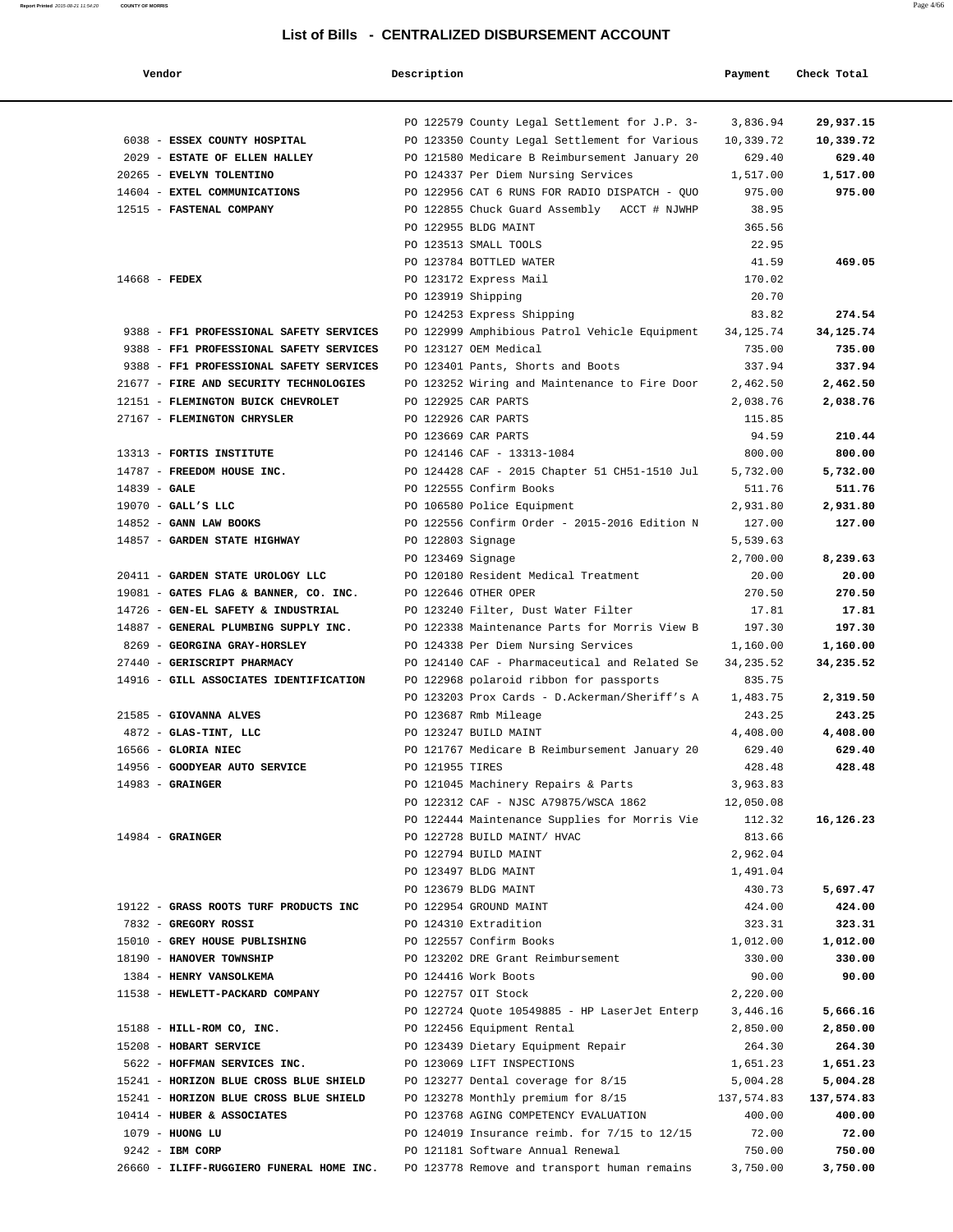| Vendor                                                               | Description        |                                                                                       | Payment              | Check Total     |
|----------------------------------------------------------------------|--------------------|---------------------------------------------------------------------------------------|----------------------|-----------------|
|                                                                      |                    | PO 122579 County Legal Settlement for J.P. 3-                                         | 3,836.94             | 29,937.15       |
| 6038 - ESSEX COUNTY HOSPITAL                                         |                    | PO 123350 County Legal Settlement for Various                                         | 10,339.72            | 10,339.72       |
| 2029 - ESTATE OF ELLEN HALLEY                                        |                    | PO 121580 Medicare B Reimbursement January 20                                         | 629.40               | 629.40          |
| 20265 - EVELYN TOLENTINO                                             |                    | PO 124337 Per Diem Nursing Services                                                   | 1,517.00             | 1,517.00        |
| 14604 - EXTEL COMMUNICATIONS                                         |                    | PO 122956 CAT 6 RUNS FOR RADIO DISPATCH - QUO                                         | 975.00               | 975.00          |
| 12515 - FASTENAL COMPANY                                             |                    | PO 122855 Chuck Guard Assembly ACCT # NJWHP                                           | 38.95                |                 |
|                                                                      |                    | PO 122955 BLDG MAINT                                                                  | 365.56               |                 |
|                                                                      |                    | PO 123513 SMALL TOOLS                                                                 | 22.95                |                 |
|                                                                      |                    | PO 123784 BOTTLED WATER                                                               | 41.59                | 469.05          |
| $14668$ - FEDEX                                                      |                    | PO 123172 Express Mail                                                                | 170.02               |                 |
|                                                                      | PO 123919 Shipping |                                                                                       | 20.70                |                 |
|                                                                      |                    | PO 124253 Express Shipping                                                            | 83.82                | 274.54          |
| 9388 - FF1 PROFESSIONAL SAFETY SERVICES                              |                    | PO 122999 Amphibious Patrol Vehicle Equipment                                         | 34, 125. 74          | 34, 125. 74     |
| 9388 - FF1 PROFESSIONAL SAFETY SERVICES                              |                    | PO 123127 OEM Medical                                                                 | 735.00               | 735.00          |
| 9388 - FF1 PROFESSIONAL SAFETY SERVICES                              |                    | PO 123401 Pants, Shorts and Boots                                                     | 337.94               | 337.94          |
| 21677 - FIRE AND SECURITY TECHNOLOGIES                               |                    | PO 123252 Wiring and Maintenance to Fire Door                                         | 2,462.50             | 2,462.50        |
| 12151 - FLEMINGTON BUICK CHEVROLET                                   |                    | PO 122925 CAR PARTS                                                                   | 2,038.76             | 2,038.76        |
| 27167 - FLEMINGTON CHRYSLER                                          |                    | PO 122926 CAR PARTS                                                                   | 115.85               |                 |
|                                                                      |                    | PO 123669 CAR PARTS                                                                   | 94.59                | 210.44          |
| 13313 - FORTIS INSTITUTE                                             |                    | PO 124146 CAF - 13313-1084                                                            | 800.00               | 800.00          |
| 14787 - FREEDOM HOUSE INC.                                           |                    | PO 124428 CAF - 2015 Chapter 51 CH51-1510 Jul                                         | 5,732.00             | 5,732.00        |
| $14839 - GALE$                                                       |                    | PO 122555 Confirm Books                                                               | 511.76               | 511.76          |
| $19070$ - GALL'S LLC                                                 |                    | PO 106580 Police Equipment                                                            | 2,931.80             | 2,931.80        |
| 14852 - GANN LAW BOOKS                                               |                    | PO 122556 Confirm Order - 2015-2016 Edition N                                         | 127.00               | 127.00          |
| 14857 - GARDEN STATE HIGHWAY                                         | PO 122803 Signage  |                                                                                       | 5,539.63<br>2,700.00 | 8,239.63        |
| 20411 - GARDEN STATE UROLOGY LLC                                     | PO 123469 Signage  | PO 120180 Resident Medical Treatment                                                  | 20.00                | 20.00           |
| 19081 - GATES FLAG & BANNER, CO. INC.                                |                    | PO 122646 OTHER OPER                                                                  | 270.50               | 270.50          |
| 14726 - GEN-EL SAFETY & INDUSTRIAL                                   |                    | PO 123240 Filter, Dust Water Filter                                                   | 17.81                | 17.81           |
| 14887 - GENERAL PLUMBING SUPPLY INC.                                 |                    | PO 122338 Maintenance Parts for Morris View B                                         | 197.30               | 197.30          |
| 8269 - GEORGINA GRAY-HORSLEY                                         |                    | PO 124338 Per Diem Nursing Services                                                   | 1,160.00             | 1,160.00        |
| 27440 - GERISCRIPT PHARMACY                                          |                    | PO 124140 CAF - Pharmaceutical and Related Se                                         | 34, 235.52           | 34,235.52       |
| 14916 - GILL ASSOCIATES IDENTIFICATION                               |                    | PO 122968 polaroid ribbon for passports                                               | 835.75               |                 |
|                                                                      |                    | PO 123203 Prox Cards - D.Ackerman/Sheriff's A                                         | 1,483.75             | 2,319.50        |
| 21585 - GIOVANNA ALVES                                               |                    | PO 123687 Rmb Mileage                                                                 | 243.25               | 243.25          |
| 4872 - GLAS-TINT, LLC                                                |                    | PO 123247 BUILD MAINT                                                                 | 4,408.00             | 4,408.00        |
| 16566 - GLORIA NIEC                                                  |                    | PO 121767 Medicare B Reimbursement January 20                                         | 629.40               | 629.40          |
| 14956 - GOODYEAR AUTO SERVICE                                        | PO 121955 TIRES    |                                                                                       | 428.48               | 428.48          |
| $14983$ - GRAINGER                                                   |                    | PO 121045 Machinery Repairs & Parts                                                   | 3,963.83             |                 |
|                                                                      |                    | PO 122312 CAF - NJSC A79875/WSCA 1862                                                 | 12,050.08            |                 |
|                                                                      |                    | PO 122444 Maintenance Supplies for Morris Vie                                         | 112.32               | 16,126.23       |
| $14984$ - GRAINGER                                                   |                    | PO 122728 BUILD MAINT/ HVAC                                                           | 813.66               |                 |
|                                                                      |                    | PO 122794 BUILD MAINT                                                                 | 2,962.04             |                 |
|                                                                      |                    | PO 123497 BLDG MAINT                                                                  | 1,491.04             |                 |
|                                                                      |                    | PO 123679 BLDG MAINT                                                                  | 430.73               | 5,697.47        |
| 19122 - GRASS ROOTS TURF PRODUCTS INC                                |                    | PO 122954 GROUND MAINT                                                                | 424.00               | 424.00          |
| 7832 - GREGORY ROSSI                                                 |                    | PO 124310 Extradition                                                                 | 323.31               | 323.31          |
| 15010 - GREY HOUSE PUBLISHING                                        |                    | PO 122557 Confirm Books                                                               | 1,012.00             | 1,012.00        |
| 18190 - HANOVER TOWNSHIP                                             |                    | PO 123202 DRE Grant Reimbursement                                                     | 330.00               | 330.00          |
| 1384 - HENRY VANSOLKEMA                                              |                    | PO 124416 Work Boots                                                                  | 90.00                | 90.00           |
| 11538 - HEWLETT-PACKARD COMPANY                                      |                    | PO 122757 OIT Stock                                                                   | 2,220.00             |                 |
|                                                                      |                    | PO 122724 Quote 10549885 - HP LaserJet Enterp                                         | 3,446.16             | 5,666.16        |
| 15188 - HILL-ROM CO, INC.                                            |                    | PO 122456 Equipment Rental                                                            | 2,850.00             | 2,850.00        |
| 15208 - HOBART SERVICE                                               |                    | PO 123439 Dietary Equipment Repair                                                    | 264.30               | 264.30          |
| 5622 - HOFFMAN SERVICES INC.                                         |                    | PO 123069 LIFT INSPECTIONS                                                            | 1,651.23             | 1,651.23        |
| 15241 - HORIZON BLUE CROSS BLUE SHIELD                               |                    | PO 123277 Dental coverage for 8/15                                                    | 5,004.28             | 5,004.28        |
| 15241 - HORIZON BLUE CROSS BLUE SHIELD<br>10414 - HUBER & ASSOCIATES |                    | PO 123278 Monthly premium for 8/15                                                    | 137,574.83           | 137,574.83      |
| $1079$ - HUONG LU                                                    |                    | PO 123768 AGING COMPETENCY EVALUATION<br>PO 124019 Insurance reimb. for 7/15 to 12/15 | 400.00<br>72.00      | 400.00<br>72.00 |
| 9242 - IBM CORP                                                      |                    | PO 121181 Software Annual Renewal                                                     | 750.00               | 750.00          |
| 26660 - ILIFF-RUGGIERO FUNERAL HOME INC.                             |                    | PO 123778 Remove and transport human remains                                          | 3,750.00             | 3,750.00        |
|                                                                      |                    |                                                                                       |                      |                 |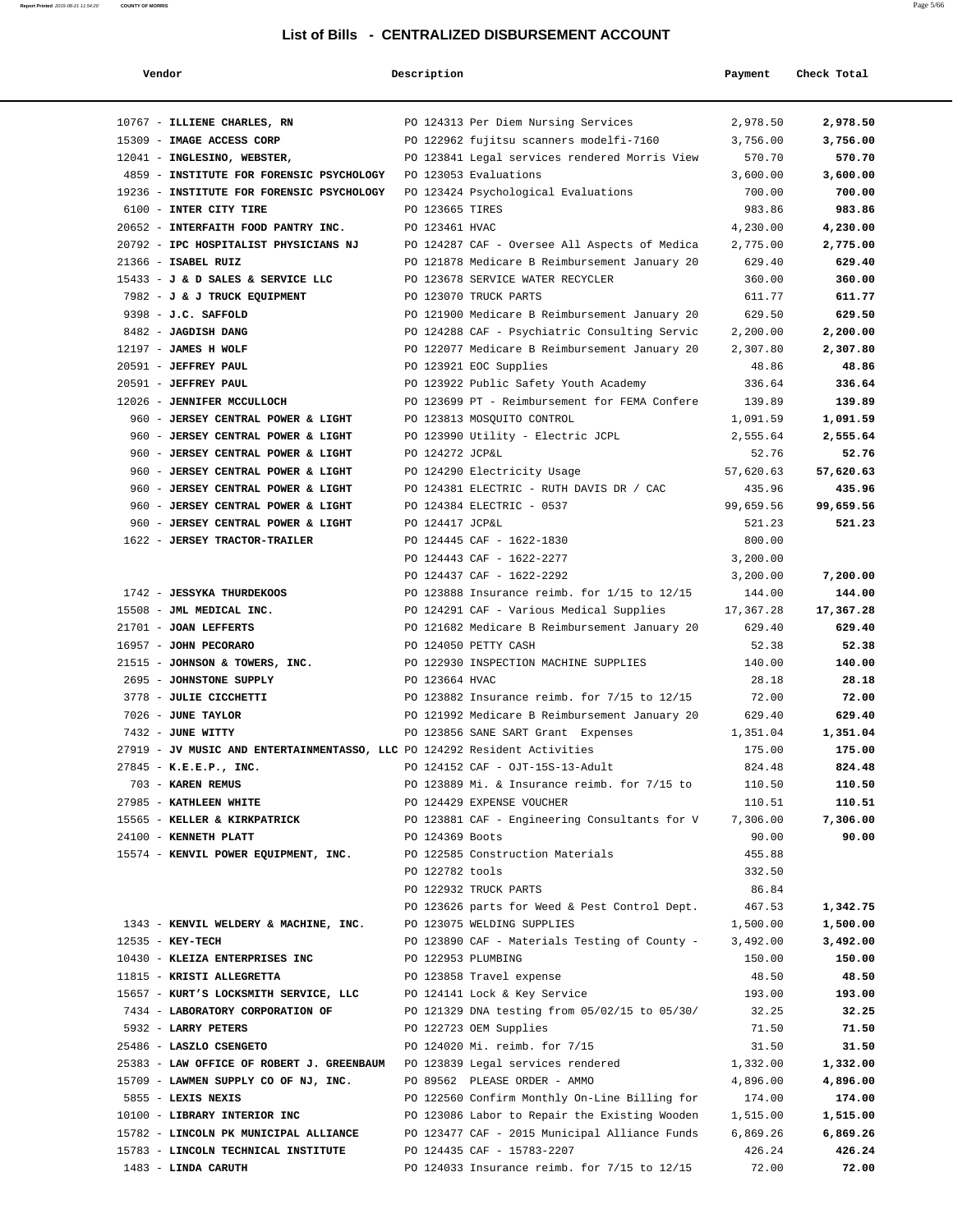| Vendor                                                                      | Description        |                                                                           | Payment          | Check Total      |
|-----------------------------------------------------------------------------|--------------------|---------------------------------------------------------------------------|------------------|------------------|
| 10767 - ILLIENE CHARLES, RN                                                 |                    | PO 124313 Per Diem Nursing Services                                       | 2,978.50         | 2,978.50         |
| 15309 - IMAGE ACCESS CORP                                                   |                    | PO 122962 fujitsu scanners modelfi-7160                                   | 3,756.00         | 3,756.00         |
| 12041 - INGLESINO, WEBSTER,                                                 |                    | PO 123841 Legal services rendered Morris View                             | 570.70           | 570.70           |
| 4859 - INSTITUTE FOR FORENSIC PSYCHOLOGY                                    |                    | PO 123053 Evaluations                                                     | 3,600.00         | 3,600.00         |
| 19236 - INSTITUTE FOR FORENSIC PSYCHOLOGY                                   |                    | PO 123424 Psychological Evaluations                                       | 700.00           | 700.00           |
| 6100 - INTER CITY TIRE                                                      | PO 123665 TIRES    |                                                                           | 983.86           | 983.86           |
| 20652 - INTERFAITH FOOD PANTRY INC.                                         | PO 123461 HVAC     |                                                                           | 4,230.00         | 4,230.00         |
| 20792 - IPC HOSPITALIST PHYSICIANS NJ                                       |                    | PO 124287 CAF - Oversee All Aspects of Medica                             | 2,775.00         | 2,775.00         |
| 21366 - ISABEL RUIZ                                                         |                    | PO 121878 Medicare B Reimbursement January 20                             | 629.40           | 629.40           |
| 15433 - J & D SALES & SERVICE LLC                                           |                    | PO 123678 SERVICE WATER RECYCLER                                          | 360.00           | 360.00           |
| 7982 - J & J TRUCK EQUIPMENT                                                |                    | PO 123070 TRUCK PARTS                                                     | 611.77           | 611.77           |
| 9398 - J.C. SAFFOLD                                                         |                    | PO 121900 Medicare B Reimbursement January 20                             | 629.50           | 629.50           |
| 8482 - JAGDISH DANG                                                         |                    | PO 124288 CAF - Psychiatric Consulting Servic                             | 2,200.00         | 2,200.00         |
| 12197 - JAMES H WOLF                                                        |                    | PO 122077 Medicare B Reimbursement January 20                             | 2,307.80         | 2,307.80         |
| 20591 - JEFFREY PAUL                                                        |                    | PO 123921 EOC Supplies                                                    | 48.86            | 48.86            |
| 20591 - JEFFREY PAUL                                                        |                    | PO 123922 Public Safety Youth Academy                                     | 336.64           | 336.64           |
| 12026 - JENNIFER MCCULLOCH                                                  |                    | PO 123699 PT - Reimbursement for FEMA Confere                             | 139.89           | 139.89           |
| 960 - JERSEY CENTRAL POWER & LIGHT                                          |                    | PO 123813 MOSQUITO CONTROL                                                | 1,091.59         | 1,091.59         |
| 960 - JERSEY CENTRAL POWER & LIGHT                                          |                    | PO 123990 Utility - Electric JCPL                                         | 2,555.64         | 2,555.64         |
| 960 - JERSEY CENTRAL POWER & LIGHT                                          | PO 124272 JCP&L    |                                                                           | 52.76            | 52.76            |
| 960 - JERSEY CENTRAL POWER & LIGHT                                          |                    | PO 124290 Electricity Usage                                               | 57,620.63        | 57,620.63        |
| 960 - JERSEY CENTRAL POWER & LIGHT                                          |                    | PO 124381 ELECTRIC - RUTH DAVIS DR / CAC                                  | 435.96           | 435.96           |
| 960 - JERSEY CENTRAL POWER & LIGHT                                          |                    | PO 124384 ELECTRIC - 0537                                                 | 99,659.56        | 99,659.56        |
| 960 - JERSEY CENTRAL POWER & LIGHT                                          | PO 124417 JCP&L    |                                                                           | 521.23           | 521.23           |
| 1622 - JERSEY TRACTOR-TRAILER                                               |                    | PO 124445 CAF - 1622-1830                                                 | 800.00           |                  |
|                                                                             |                    | PO 124443 CAF - 1622-2277                                                 | 3,200.00         |                  |
|                                                                             |                    | PO 124437 CAF - 1622-2292                                                 | 3,200.00         | 7,200.00         |
| 1742 - JESSYKA THURDEKOOS                                                   |                    | PO 123888 Insurance reimb. for 1/15 to 12/15                              | 144.00           | 144.00           |
| 15508 - JML MEDICAL INC.                                                    |                    | PO 124291 CAF - Various Medical Supplies                                  | 17,367.28        | 17,367.28        |
| 21701 - JOAN LEFFERTS                                                       |                    | PO 121682 Medicare B Reimbursement January 20                             | 629.40           | 629.40           |
| 16957 - JOHN PECORARO                                                       |                    | PO 124050 PETTY CASH                                                      | 52.38            | 52.38            |
| 21515 - JOHNSON & TOWERS, INC.                                              |                    | PO 122930 INSPECTION MACHINE SUPPLIES                                     | 140.00           | 140.00           |
| 2695 - JOHNSTONE SUPPLY                                                     | PO 123664 HVAC     |                                                                           | 28.18            | 28.18            |
| 3778 - JULIE CICCHETTI                                                      |                    | PO 123882 Insurance reimb. for 7/15 to 12/15                              | 72.00            | 72.00            |
| 7026 - JUNE TAYLOR                                                          |                    | PO 121992 Medicare B Reimbursement January 20                             | 629.40           | 629.40           |
| 7432 - JUNE WITTY                                                           |                    | PO 123856 SANE SART Grant Expenses                                        | 1,351.04         | 1,351.04         |
| 27919 - JV MUSIC AND ENTERTAINMENTASSO, LLC PO 124292 Resident Activities   |                    |                                                                           | 175.00           | 175.00           |
| $27845 - K.E.E.P., INC.$<br>703 - KAREN REMUS                               |                    | PO 124152 CAF - OJT-15S-13-Adult                                          | 824.48           | 824.48           |
| 27985 - KATHLEEN WHITE                                                      |                    | PO 123889 Mi. & Insurance reimb. for 7/15 to<br>PO 124429 EXPENSE VOUCHER | 110.50<br>110.51 | 110.50<br>110.51 |
| 15565 - KELLER & KIRKPATRICK                                                |                    | PO 123881 CAF - Engineering Consultants for V                             | 7,306.00         | 7,306.00         |
| 24100 - KENNETH PLATT                                                       | PO 124369 Boots    |                                                                           | 90.00            | 90.00            |
| 15574 - KENVIL POWER EQUIPMENT, INC.                                        |                    | PO 122585 Construction Materials                                          | 455.88           |                  |
|                                                                             | PO 122782 tools    |                                                                           | 332.50           |                  |
|                                                                             |                    | PO 122932 TRUCK PARTS                                                     | 86.84            |                  |
|                                                                             |                    | PO 123626 parts for Weed & Pest Control Dept.                             | 467.53           | 1,342.75         |
| 1343 - KENVIL WELDERY & MACHINE, INC.                                       |                    | PO 123075 WELDING SUPPLIES                                                | 1,500.00         | 1,500.00         |
| $12535 - KEY-TECH$                                                          |                    | PO 123890 CAF - Materials Testing of County -                             | 3,492.00         | 3,492.00         |
| 10430 - KLEIZA ENTERPRISES INC                                              | PO 122953 PLUMBING |                                                                           | 150.00           | 150.00           |
| 11815 - KRISTI ALLEGRETTA                                                   |                    | PO 123858 Travel expense                                                  | 48.50            | 48.50            |
| 15657 - KURT'S LOCKSMITH SERVICE, LLC                                       |                    | PO 124141 Lock & Key Service                                              | 193.00           | 193.00           |
| 7434 - LABORATORY CORPORATION OF                                            |                    | PO 121329 DNA testing from 05/02/15 to 05/30/                             | 32.25            | 32.25            |
| 5932 - LARRY PETERS                                                         |                    | PO 122723 OEM Supplies                                                    | 71.50            | 71.50            |
| 25486 - LASZLO CSENGETO                                                     |                    | PO 124020 Mi. reimb. for 7/15                                             | 31.50            | 31.50            |
| 25383 - LAW OFFICE OF ROBERT J. GREENBAUM PO 123839 Legal services rendered |                    |                                                                           | 1,332.00         | 1,332.00         |
| 15709 - LAWMEN SUPPLY CO OF NJ, INC.                                        |                    | PO 89562 PLEASE ORDER - AMMO                                              | 4,896.00         | 4,896.00         |
| 5855 - LEXIS NEXIS                                                          |                    | PO 122560 Confirm Monthly On-Line Billing for                             | 174.00           | 174.00           |
| 10100 - LIBRARY INTERIOR INC                                                |                    | PO 123086 Labor to Repair the Existing Wooden                             | 1,515.00         | 1,515.00         |
| 15782 - LINCOLN PK MUNICIPAL ALLIANCE                                       |                    | PO 123477 CAF - 2015 Municipal Alliance Funds                             | 6,869.26         | 6,869.26         |
| 15783 - LINCOLN TECHNICAL INSTITUTE                                         |                    | PO 124435 CAF - 15783-2207                                                | 426.24           | 426.24           |
| 1483 - LINDA CARUTH                                                         |                    | PO 124033 Insurance reimb. for 7/15 to 12/15                              | 72.00            | 72.00            |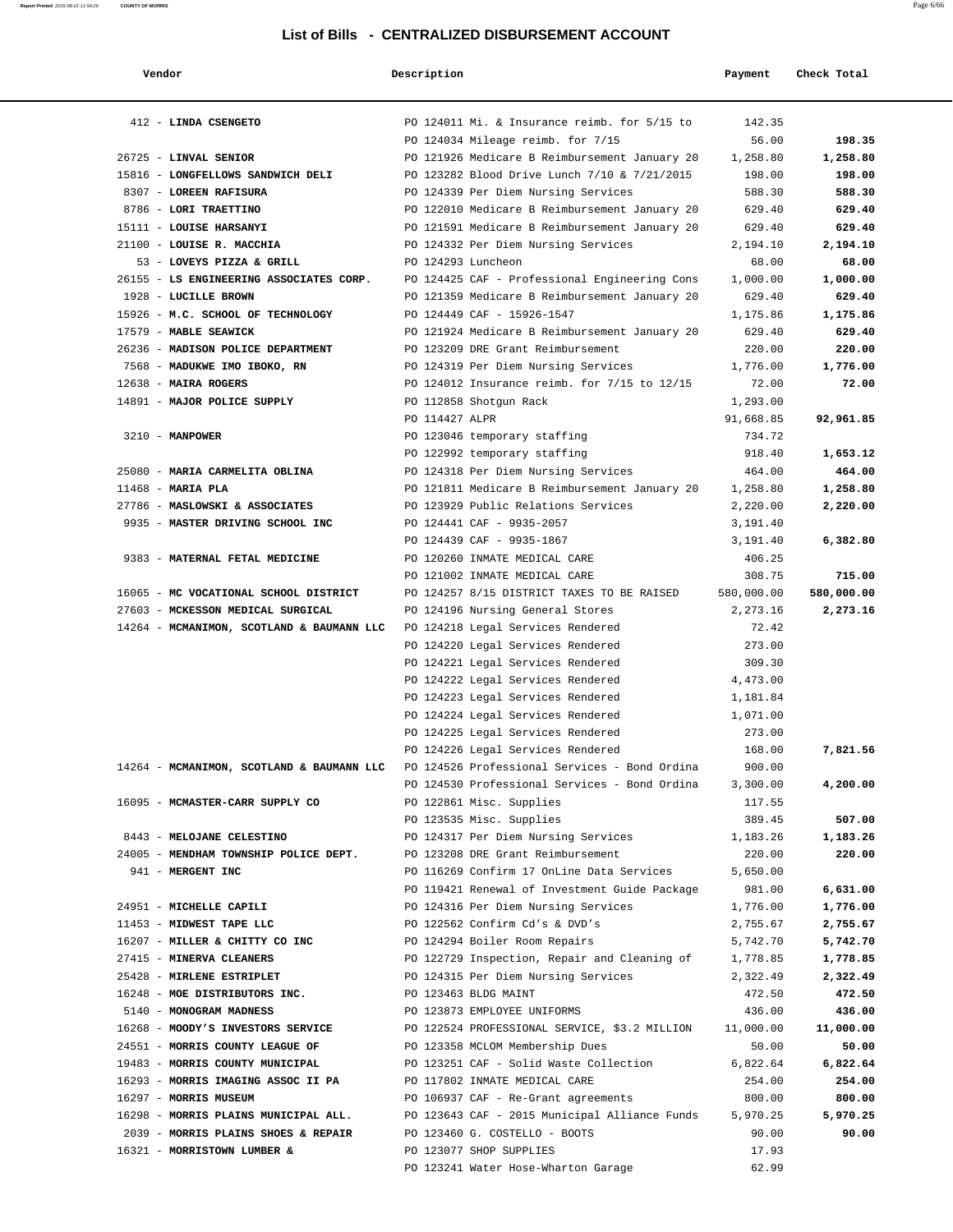| Vendor                                                                                              | Description          |                                                        | Payment            | Check Total        |
|-----------------------------------------------------------------------------------------------------|----------------------|--------------------------------------------------------|--------------------|--------------------|
| 412 - LINDA CSENGETO                                                                                |                      | PO 124011 Mi. & Insurance reimb. for 5/15 to           | 142.35             |                    |
|                                                                                                     |                      | PO 124034 Mileage reimb. for 7/15                      | 56.00              | 198.35             |
| 26725 - LINVAL SENIOR                                                                               |                      | PO 121926 Medicare B Reimbursement January 20          | 1,258.80           | 1,258.80           |
| 15816 - LONGFELLOWS SANDWICH DELI                                                                   |                      | PO 123282 Blood Drive Lunch 7/10 & 7/21/2015           | 198.00             | 198.00             |
| 8307 - LOREEN RAFISURA                                                                              |                      | PO 124339 Per Diem Nursing Services                    | 588.30             | 588.30             |
| 8786 - LORI TRAETTINO                                                                               |                      | PO 122010 Medicare B Reimbursement January 20          | 629.40             | 629.40             |
| 15111 - LOUISE HARSANYI                                                                             |                      | PO 121591 Medicare B Reimbursement January 20          | 629.40             | 629.40             |
| 21100 - LOUISE R. MACCHIA                                                                           |                      | PO 124332 Per Diem Nursing Services                    | 2,194.10           | 2,194.10           |
| 53 - LOVEYS PIZZA & GRILL                                                                           | PO 124293 Luncheon   |                                                        | 68.00              | 68.00              |
| 26155 - LS ENGINEERING ASSOCIATES CORP.                                                             |                      | PO 124425 CAF - Professional Engineering Cons          | 1,000.00           | 1,000.00           |
| 1928 - LUCILLE BROWN                                                                                |                      | PO 121359 Medicare B Reimbursement January 20          | 629.40             | 629.40             |
| 15926 - M.C. SCHOOL OF TECHNOLOGY                                                                   |                      | PO 124449 CAF - 15926-1547                             | 1,175.86           | 1,175.86           |
| 17579 - MABLE SEAWICK                                                                               |                      | PO 121924 Medicare B Reimbursement January 20          | 629.40             | 629.40             |
| 26236 - MADISON POLICE DEPARTMENT                                                                   |                      | PO 123209 DRE Grant Reimbursement                      | 220.00             | 220.00             |
| 7568 - MADUKWE IMO IBOKO, RN                                                                        |                      | PO 124319 Per Diem Nursing Services                    | 1,776.00           | 1,776.00           |
| 12638 - MAIRA ROGERS                                                                                |                      | PO 124012 Insurance reimb. for 7/15 to 12/15           | 72.00              | 72.00              |
| 14891 - MAJOR POLICE SUPPLY                                                                         |                      | PO 112858 Shotgun Rack                                 | 1,293.00           |                    |
|                                                                                                     | PO 114427 ALPR       |                                                        | 91,668.85          | 92,961.85          |
| $3210 - MANPOWER$                                                                                   |                      | PO 123046 temporary staffing                           | 734.72             |                    |
|                                                                                                     |                      | PO 122992 temporary staffing                           | 918.40             | 1,653.12           |
| 25080 - MARIA CARMELITA OBLINA                                                                      |                      | PO 124318 Per Diem Nursing Services                    | 464.00             | 464.00             |
| 11468 - MARIA PLA                                                                                   |                      | PO 121811 Medicare B Reimbursement January 20          | 1,258.80           | 1,258.80           |
| 27786 - MASLOWSKI & ASSOCIATES<br>9935 - MASTER DRIVING SCHOOL INC                                  |                      | PO 123929 Public Relations Services                    | 2,220.00           | 2,220.00           |
|                                                                                                     |                      | PO 124441 CAF - 9935-2057<br>PO 124439 CAF - 9935-1867 | 3,191.40           |                    |
| 9383 - MATERNAL FETAL MEDICINE                                                                      |                      | PO 120260 INMATE MEDICAL CARE                          | 3,191.40<br>406.25 | 6,382.80           |
|                                                                                                     |                      | PO 121002 INMATE MEDICAL CARE                          | 308.75             | 715.00             |
| 16065 - MC VOCATIONAL SCHOOL DISTRICT                                                               |                      | PO 124257 8/15 DISTRICT TAXES TO BE RAISED             | 580,000.00         | 580,000.00         |
| 27603 - MCKESSON MEDICAL SURGICAL                                                                   |                      | PO 124196 Nursing General Stores                       | 2,273.16           | 2,273.16           |
| 14264 - MCMANIMON, SCOTLAND & BAUMANN LLC                                                           |                      | PO 124218 Legal Services Rendered                      | 72.42              |                    |
|                                                                                                     |                      | PO 124220 Legal Services Rendered                      | 273.00             |                    |
|                                                                                                     |                      | PO 124221 Legal Services Rendered                      | 309.30             |                    |
|                                                                                                     |                      | PO 124222 Legal Services Rendered                      | 4,473.00           |                    |
|                                                                                                     |                      | PO 124223 Legal Services Rendered                      | 1,181.84           |                    |
|                                                                                                     |                      | PO 124224 Legal Services Rendered                      | 1,071.00           |                    |
|                                                                                                     |                      | PO 124225 Legal Services Rendered                      | 273.00             |                    |
|                                                                                                     |                      | PO 124226 Legal Services Rendered                      | 168.00             | 7,821.56           |
| 14264 - MCMANIMON, SCOTLAND & BAUMANN LLC PO 124526 Professional Services - Bond Ordina             |                      |                                                        | 900.00             |                    |
|                                                                                                     |                      | PO 124530 Professional Services - Bond Ordina          | 3,300.00           | 4,200.00           |
| 16095 - MCMASTER-CARR SUPPLY CO                                                                     |                      | PO 122861 Misc. Supplies                               | 117.55             |                    |
|                                                                                                     |                      | PO 123535 Misc. Supplies                               | 389.45             | 507.00             |
| 8443 - MELOJANE CELESTINO                                                                           |                      | PO 124317 Per Diem Nursing Services                    | 1,183.26           | 1,183.26           |
| 24005 - MENDHAM TOWNSHIP POLICE DEPT.                                                               |                      | PO 123208 DRE Grant Reimbursement                      | 220.00             | 220.00             |
| 941 - MERGENT INC                                                                                   |                      | PO 116269 Confirm 17 OnLine Data Services              | 5,650.00           |                    |
|                                                                                                     |                      | PO 119421 Renewal of Investment Guide Package          | 981.00             | 6,631.00           |
| 24951 - MICHELLE CAPILI                                                                             |                      | PO 124316 Per Diem Nursing Services                    | 1,776.00           | 1,776.00           |
| 11453 - MIDWEST TAPE LLC                                                                            |                      | PO 122562 Confirm Cd's & DVD's                         | 2,755.67           | 2,755.67           |
| 16207 - MILLER & CHITTY CO INC                                                                      |                      | PO 124294 Boiler Room Repairs                          | 5,742.70           | 5,742.70           |
| 27415 - MINERVA CLEANERS                                                                            |                      | PO 122729 Inspection, Repair and Cleaning of           | 1,778.85           | 1,778.85           |
| 25428 - MIRLENE ESTRIPLET                                                                           |                      | PO 124315 Per Diem Nursing Services                    | 2,322.49           | 2,322.49           |
| 16248 - MOE DISTRIBUTORS INC.                                                                       | PO 123463 BLDG MAINT |                                                        | 472.50             | 472.50             |
| 5140 - MONOGRAM MADNESS                                                                             |                      | PO 123873 EMPLOYEE UNIFORMS                            | 436.00             | 436.00             |
| 16268 - MOODY'S INVESTORS SERVICE                                                                   |                      | PO 122524 PROFESSIONAL SERVICE, \$3.2 MILLION          | 11,000.00          | 11,000.00          |
| 24551 - MORRIS COUNTY LEAGUE OF                                                                     |                      | PO 123358 MCLOM Membership Dues                        | 50.00              | 50.00              |
| 19483 - MORRIS COUNTY MUNICIPAL<br>16293 - MORRIS IMAGING ASSOC II PA PO 117802 INMATE MEDICAL CARE |                      | PO 123251 CAF - Solid Waste Collection                 | 6,822.64<br>254.00 | 6,822.64<br>254.00 |
| 16297 - MORRIS MUSEUM                                                                               |                      | PO 106937 CAF - Re-Grant agreements                    | 800.00             | 800.00             |
| 16298 - MORRIS PLAINS MUNICIPAL ALL.                                                                |                      | PO 123643 CAF - 2015 Municipal Alliance Funds          | 5,970.25           | 5,970.25           |
| 2039 - MORRIS PLAINS SHOES & REPAIR                                                                 |                      | PO 123460 G. COSTELLO - BOOTS                          | 90.00              | 90.00              |
| 16321 - MORRISTOWN LUMBER &                                                                         |                      | PO 123077 SHOP SUPPLIES                                | 17.93              |                    |
|                                                                                                     |                      | PO 123241 Water Hose-Wharton Garage                    | 62.99              |                    |
|                                                                                                     |                      |                                                        |                    |                    |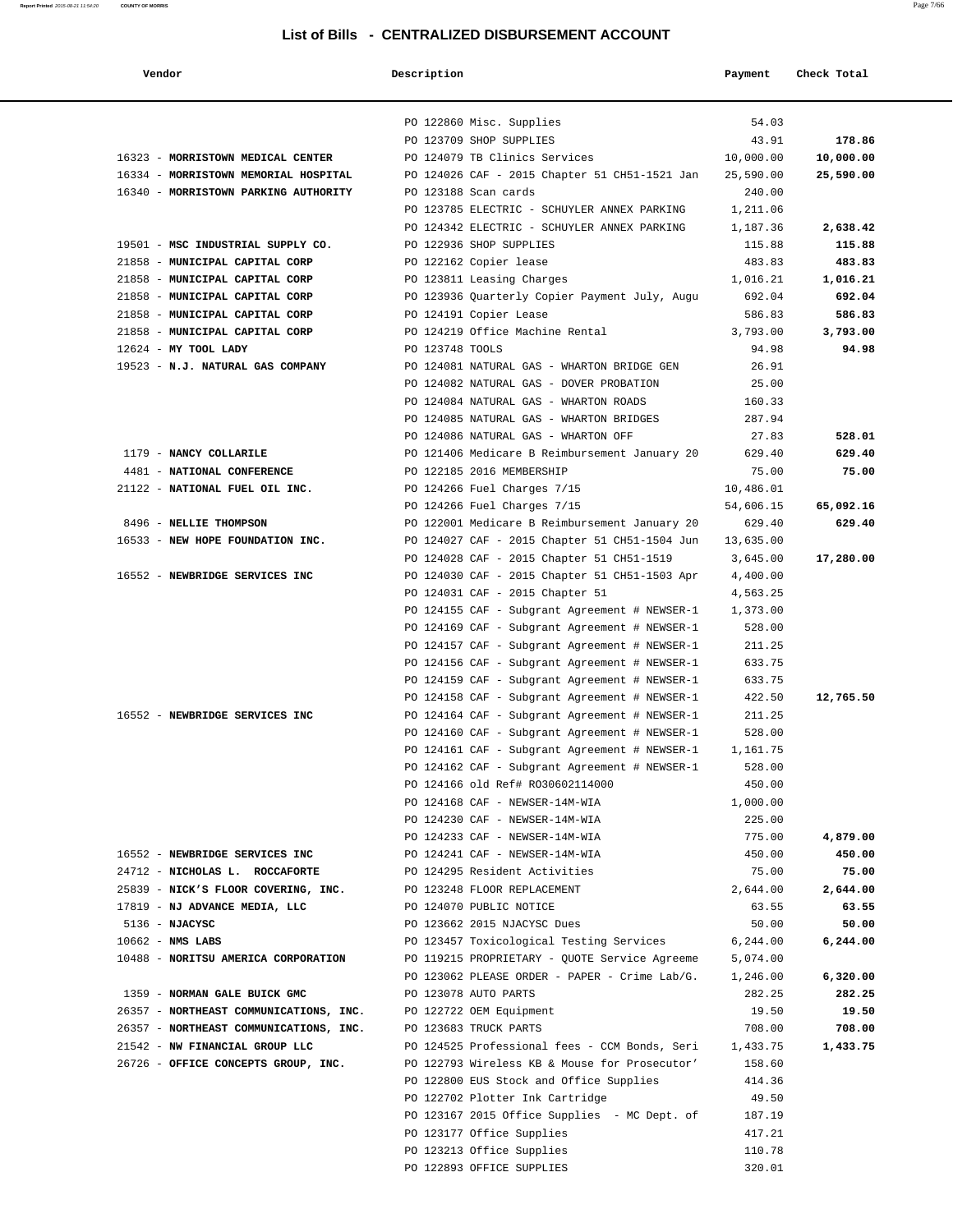| Vendor                                 | Description     |                                                                                                | Payment            | Check Total |
|----------------------------------------|-----------------|------------------------------------------------------------------------------------------------|--------------------|-------------|
|                                        |                 | PO 122860 Misc. Supplies                                                                       | 54.03              |             |
|                                        |                 | PO 123709 SHOP SUPPLIES                                                                        | 43.91              | 178.86      |
| 16323 - MORRISTOWN MEDICAL CENTER      |                 | PO 124079 TB Clinics Services                                                                  | 10,000.00          | 10,000.00   |
| 16334 - MORRISTOWN MEMORIAL HOSPITAL   |                 | PO 124026 CAF - 2015 Chapter 51 CH51-1521 Jan                                                  | 25,590.00          | 25,590.00   |
| 16340 - MORRISTOWN PARKING AUTHORITY   |                 | PO 123188 Scan cards                                                                           | 240.00             |             |
|                                        |                 | PO 123785 ELECTRIC - SCHUYLER ANNEX PARKING                                                    | 1,211.06           |             |
|                                        |                 | PO 124342 ELECTRIC - SCHUYLER ANNEX PARKING                                                    | 1,187.36           | 2,638.42    |
| 19501 - MSC INDUSTRIAL SUPPLY CO.      |                 | PO 122936 SHOP SUPPLIES                                                                        | 115.88             | 115.88      |
| 21858 - MUNICIPAL CAPITAL CORP         |                 | PO 122162 Copier lease                                                                         | 483.83             | 483.83      |
| 21858 - MUNICIPAL CAPITAL CORP         |                 | PO 123811 Leasing Charges                                                                      | 1,016.21           | 1,016.21    |
| 21858 - MUNICIPAL CAPITAL CORP         |                 | PO 123936 Quarterly Copier Payment July, Augu                                                  | 692.04             | 692.04      |
| 21858 - MUNICIPAL CAPITAL CORP         |                 | PO 124191 Copier Lease                                                                         | 586.83             | 586.83      |
| 21858 - MUNICIPAL CAPITAL CORP         |                 | PO 124219 Office Machine Rental                                                                | 3,793.00           | 3,793.00    |
| 12624 - MY TOOL LADY                   | PO 123748 TOOLS |                                                                                                | 94.98              | 94.98       |
| 19523 - N.J. NATURAL GAS COMPANY       |                 | PO 124081 NATURAL GAS - WHARTON BRIDGE GEN                                                     | 26.91              |             |
|                                        |                 | PO 124082 NATURAL GAS - DOVER PROBATION                                                        | 25.00              |             |
|                                        |                 | PO 124084 NATURAL GAS - WHARTON ROADS                                                          | 160.33             |             |
|                                        |                 | PO 124085 NATURAL GAS - WHARTON BRIDGES                                                        | 287.94             |             |
|                                        |                 | PO 124086 NATURAL GAS - WHARTON OFF                                                            | 27.83              | 528.01      |
| 1179 - NANCY COLLARILE                 |                 | PO 121406 Medicare B Reimbursement January 20                                                  | 629.40             | 629.40      |
| 4481 - NATIONAL CONFERENCE             |                 | PO 122185 2016 MEMBERSHIP                                                                      | 75.00              | 75.00       |
| 21122 - NATIONAL FUEL OIL INC.         |                 | PO 124266 Fuel Charges 7/15                                                                    | 10,486.01          |             |
|                                        |                 | PO 124266 Fuel Charges 7/15                                                                    | 54,606.15          | 65,092.16   |
| 8496 - NELLIE THOMPSON                 |                 | PO 122001 Medicare B Reimbursement January 20                                                  | 629.40             | 629.40      |
| 16533 - NEW HOPE FOUNDATION INC.       |                 | PO 124027 CAF - 2015 Chapter 51 CH51-1504 Jun                                                  | 13,635.00          |             |
|                                        |                 | PO 124028 CAF - 2015 Chapter 51 CH51-1519                                                      | 3,645.00           | 17,280.00   |
| 16552 - NEWBRIDGE SERVICES INC         |                 | PO 124030 CAF - 2015 Chapter 51 CH51-1503 Apr                                                  | 4,400.00           |             |
|                                        |                 | PO 124031 CAF - 2015 Chapter 51                                                                | 4,563.25           |             |
|                                        |                 | PO 124155 CAF - Subgrant Agreement # NEWSER-1                                                  | 1,373.00           |             |
|                                        |                 | PO 124169 CAF - Subgrant Agreement # NEWSER-1                                                  | 528.00             |             |
|                                        |                 | PO 124157 CAF - Subgrant Agreement # NEWSER-1                                                  | 211.25             |             |
|                                        |                 | PO 124156 CAF - Subgrant Agreement # NEWSER-1                                                  | 633.75             |             |
|                                        |                 | PO 124159 CAF - Subgrant Agreement # NEWSER-1                                                  | 633.75             |             |
| 16552 - NEWBRIDGE SERVICES INC         |                 | PO 124158 CAF - Subgrant Agreement # NEWSER-1                                                  | 422.50             | 12,765.50   |
|                                        |                 | PO 124164 CAF - Subgrant Agreement # NEWSER-1                                                  | 211.25             |             |
|                                        |                 | PO 124160 CAF - Subgrant Agreement # NEWSER-1                                                  | 528.00             |             |
|                                        |                 | PO 124161 CAF - Subgrant Agreement # NEWSER-1<br>PO 124162 CAF - Subgrant Agreement # NEWSER-1 | 1,161.75<br>528.00 |             |
|                                        |                 | PO 124166 old Ref# RO30602114000                                                               | 450.00             |             |
|                                        |                 | PO 124168 CAF - NEWSER-14M-WIA                                                                 | 1,000.00           |             |
|                                        |                 | PO 124230 CAF - NEWSER-14M-WIA                                                                 | 225.00             |             |
|                                        |                 | PO 124233 CAF - NEWSER-14M-WIA                                                                 | 775.00             | 4,879.00    |
| 16552 - NEWBRIDGE SERVICES INC         |                 | PO 124241 CAF - NEWSER-14M-WIA                                                                 | 450.00             | 450.00      |
| 24712 - NICHOLAS L. ROCCAFORTE         |                 | PO 124295 Resident Activities                                                                  | 75.00              | 75.00       |
| 25839 - NICK'S FLOOR COVERING, INC.    |                 | PO 123248 FLOOR REPLACEMENT                                                                    | 2,644.00           | 2,644.00    |
| 17819 - NJ ADVANCE MEDIA, LLC          |                 | PO 124070 PUBLIC NOTICE                                                                        | 63.55              | 63.55       |
| 5136 - NJACYSC                         |                 | PO 123662 2015 NJACYSC Dues                                                                    | 50.00              | 50.00       |
| $10662$ - NMS LABS                     |                 | PO 123457 Toxicological Testing Services                                                       | 6,244.00           | 6,244.00    |
| 10488 - NORITSU AMERICA CORPORATION    |                 | PO 119215 PROPRIETARY - QUOTE Service Agreeme                                                  | 5,074.00           |             |
|                                        |                 | PO 123062 PLEASE ORDER - PAPER - Crime Lab/G.                                                  | 1,246.00           | 6,320.00    |
| 1359 - NORMAN GALE BUICK GMC           |                 | PO 123078 AUTO PARTS                                                                           | 282.25             | 282.25      |
| 26357 - NORTHEAST COMMUNICATIONS, INC. |                 | PO 122722 OEM Equipment                                                                        | 19.50              | 19.50       |
| 26357 - NORTHEAST COMMUNICATIONS, INC. |                 | PO 123683 TRUCK PARTS                                                                          | 708.00             | 708.00      |
| 21542 - NW FINANCIAL GROUP LLC         |                 | PO 124525 Professional fees - CCM Bonds, Seri                                                  | 1,433.75           | 1,433.75    |
| 26726 - OFFICE CONCEPTS GROUP, INC.    |                 | PO 122793 Wireless KB & Mouse for Prosecutor'                                                  | 158.60             |             |
|                                        |                 | PO 122800 EUS Stock and Office Supplies                                                        | 414.36             |             |
|                                        |                 | PO 122702 Plotter Ink Cartridge                                                                | 49.50              |             |
|                                        |                 | PO 123167 2015 Office Supplies - MC Dept. of                                                   | 187.19             |             |
|                                        |                 | PO 123177 Office Supplies                                                                      | 417.21             |             |
|                                        |                 | PO 123213 Office Supplies                                                                      | 110.78             |             |
|                                        |                 | PO 122893 OFFICE SUPPLIES                                                                      | 320.01             |             |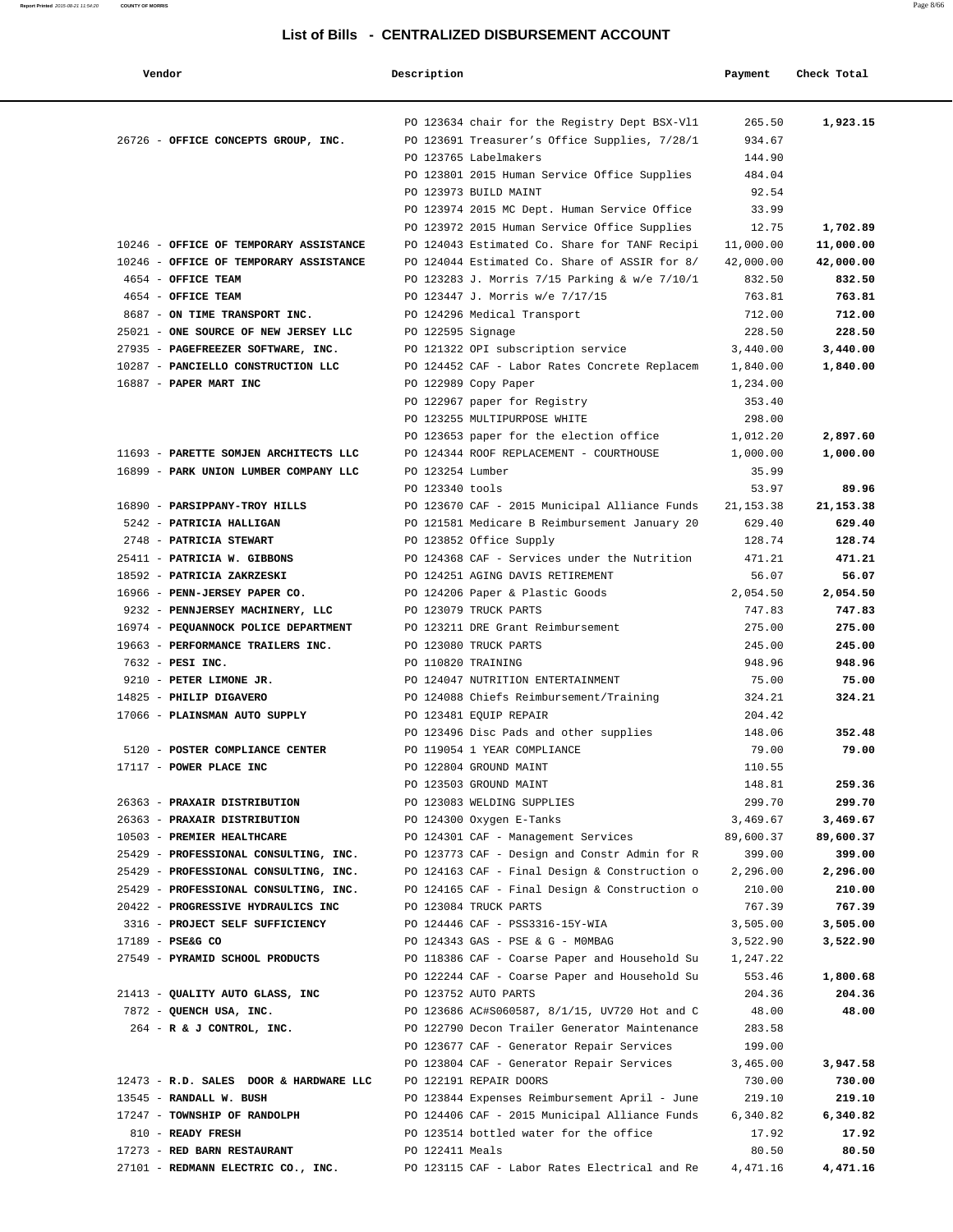| Vendor                                                                    | Description        |                                                                       | Payment            | Check Total        |
|---------------------------------------------------------------------------|--------------------|-----------------------------------------------------------------------|--------------------|--------------------|
|                                                                           |                    | PO 123634 chair for the Registry Dept BSX-Vl1                         | 265.50             | 1,923.15           |
| 26726 - OFFICE CONCEPTS GROUP, INC.                                       |                    | PO 123691 Treasurer's Office Supplies, 7/28/1                         | 934.67             |                    |
|                                                                           |                    | PO 123765 Labelmakers                                                 | 144.90             |                    |
|                                                                           |                    | PO 123801 2015 Human Service Office Supplies<br>PO 123973 BUILD MAINT | 484.04<br>92.54    |                    |
|                                                                           |                    | PO 123974 2015 MC Dept. Human Service Office                          | 33.99              |                    |
|                                                                           |                    | PO 123972 2015 Human Service Office Supplies                          | 12.75              | 1,702.89           |
| 10246 - OFFICE OF TEMPORARY ASSISTANCE                                    |                    | PO 124043 Estimated Co. Share for TANF Recipi                         | 11,000.00          | 11,000.00          |
| 10246 - OFFICE OF TEMPORARY ASSISTANCE                                    |                    | PO 124044 Estimated Co. Share of ASSIR for 8/                         | 42,000.00          | 42,000.00          |
| 4654 - OFFICE TEAM                                                        |                    | PO 123283 J. Morris 7/15 Parking & w/e 7/10/1                         | 832.50             | 832.50             |
| 4654 - OFFICE TEAM                                                        |                    | PO 123447 J. Morris w/e 7/17/15                                       | 763.81             | 763.81             |
| 8687 - ON TIME TRANSPORT INC.                                             |                    | PO 124296 Medical Transport                                           | 712.00             | 712.00             |
| 25021 - ONE SOURCE OF NEW JERSEY LLC                                      | PO 122595 Signage  |                                                                       | 228.50             | 228.50             |
| 27935 - PAGEFREEZER SOFTWARE, INC.                                        |                    | PO 121322 OPI subscription service                                    | 3,440.00           | 3,440.00           |
| 10287 - PANCIELLO CONSTRUCTION LLC                                        |                    | PO 124452 CAF - Labor Rates Concrete Replacem                         | 1,840.00           | 1,840.00           |
| 16887 - PAPER MART INC                                                    |                    | PO 122989 Copy Paper                                                  | 1,234.00           |                    |
|                                                                           |                    | PO 122967 paper for Registry                                          | 353.40             |                    |
|                                                                           |                    | PO 123255 MULTIPURPOSE WHITE                                          | 298.00             |                    |
|                                                                           |                    | PO 123653 paper for the election office                               | 1,012.20           | 2,897.60           |
| 11693 - PARETTE SOMJEN ARCHITECTS LLC                                     |                    | PO 124344 ROOF REPLACEMENT - COURTHOUSE                               | 1,000.00           | 1,000.00           |
| 16899 - PARK UNION LUMBER COMPANY LLC                                     | PO 123254 Lumber   |                                                                       | 35.99              |                    |
|                                                                           | PO 123340 tools    |                                                                       | 53.97              | 89.96              |
| 16890 - PARSIPPANY-TROY HILLS                                             |                    | PO 123670 CAF - 2015 Municipal Alliance Funds                         | 21, 153.38         | 21, 153.38         |
| 5242 - PATRICIA HALLIGAN                                                  |                    | PO 121581 Medicare B Reimbursement January 20                         | 629.40             | 629.40             |
| 2748 - PATRICIA STEWART                                                   |                    | PO 123852 Office Supply                                               | 128.74             | 128.74             |
| 25411 - PATRICIA W. GIBBONS                                               |                    | PO 124368 CAF - Services under the Nutrition                          | 471.21             | 471.21             |
| 18592 - PATRICIA ZAKRZESKI                                                |                    | PO 124251 AGING DAVIS RETIREMENT                                      | 56.07              | 56.07              |
| 16966 - PENN-JERSEY PAPER CO.                                             |                    | PO 124206 Paper & Plastic Goods                                       | 2,054.50           | 2,054.50           |
| 9232 - PENNJERSEY MACHINERY, LLC                                          |                    | PO 123079 TRUCK PARTS                                                 | 747.83             | 747.83             |
| 16974 - PEQUANNOCK POLICE DEPARTMENT<br>19663 - PERFORMANCE TRAILERS INC. |                    | PO 123211 DRE Grant Reimbursement                                     | 275.00<br>245.00   | 275.00<br>245.00   |
| 7632 - PESI INC.                                                          | PO 110820 TRAINING | PO 123080 TRUCK PARTS                                                 | 948.96             | 948.96             |
| 9210 - PETER LIMONE JR.                                                   |                    | PO 124047 NUTRITION ENTERTAINMENT                                     | 75.00              | 75.00              |
| 14825 - PHILIP DIGAVERO                                                   |                    | PO 124088 Chiefs Reimbursement/Training                               | 324.21             | 324.21             |
| 17066 - PLAINSMAN AUTO SUPPLY                                             |                    | PO 123481 EQUIP REPAIR                                                | 204.42             |                    |
|                                                                           |                    | PO 123496 Disc Pads and other supplies                                | 148.06             | 352.48             |
| 5120 - POSTER COMPLIANCE CENTER                                           |                    | PO 119054 1 YEAR COMPLIANCE                                           | 79.00              | 79.00              |
| 17117 - POWER PLACE INC                                                   |                    | PO 122804 GROUND MAINT                                                | 110.55             |                    |
|                                                                           |                    | PO 123503 GROUND MAINT                                                | 148.81             | 259.36             |
| 26363 - PRAXAIR DISTRIBUTION                                              |                    | PO 123083 WELDING SUPPLIES                                            | 299.70             | 299.70             |
| 26363 - PRAXAIR DISTRIBUTION                                              |                    | PO 124300 Oxygen E-Tanks                                              | 3,469.67           | 3,469.67           |
| 10503 - PREMIER HEALTHCARE                                                |                    | PO 124301 CAF - Management Services                                   | 89,600.37          | 89,600.37          |
| 25429 - PROFESSIONAL CONSULTING, INC.                                     |                    | PO 123773 CAF - Design and Constr Admin for R                         | 399.00             | 399.00             |
| 25429 - PROFESSIONAL CONSULTING, INC.                                     |                    | PO 124163 CAF - Final Design & Construction o                         | 2,296.00           | 2,296.00           |
| 25429 - PROFESSIONAL CONSULTING, INC.                                     |                    | PO 124165 CAF - Final Design & Construction o                         | 210.00             | 210.00             |
| 20422 - PROGRESSIVE HYDRAULICS INC                                        |                    | PO 123084 TRUCK PARTS                                                 | 767.39             | 767.39             |
| 3316 - PROJECT SELF SUFFICIENCY                                           |                    | PO 124446 CAF - PSS3316-15Y-WIA                                       | 3,505.00           | 3,505.00           |
| 17189 - PSE&G CO                                                          |                    | PO 124343 GAS - PSE & G - MOMBAG                                      | 3,522.90           | 3,522.90           |
| 27549 - PYRAMID SCHOOL PRODUCTS                                           |                    | PO 118386 CAF - Coarse Paper and Household Su                         | 1,247.22           |                    |
|                                                                           |                    | PO 122244 CAF - Coarse Paper and Household Su                         | 553.46             | 1,800.68           |
| 21413 - QUALITY AUTO GLASS, INC                                           |                    | PO 123752 AUTO PARTS                                                  | 204.36             | 204.36             |
| 7872 - QUENCH USA, INC.                                                   |                    | PO 123686 AC#S060587, 8/1/15, UV720 Hot and C                         | 48.00              | 48.00              |
| $264$ - R & J CONTROL, INC.                                               |                    | PO 122790 Decon Trailer Generator Maintenance                         | 283.58             |                    |
|                                                                           |                    | PO 123677 CAF - Generator Repair Services                             | 199.00<br>3,465.00 |                    |
| 12473 - R.D. SALES DOOR & HARDWARE LLC                                    |                    | PO 123804 CAF - Generator Repair Services<br>PO 122191 REPAIR DOORS   | 730.00             | 3,947.58<br>730.00 |
| 13545 - RANDALL W. BUSH                                                   |                    | PO 123844 Expenses Reimbursement April - June                         | 219.10             | 219.10             |
| 17247 - TOWNSHIP OF RANDOLPH                                              |                    | PO 124406 CAF - 2015 Municipal Alliance Funds                         | 6,340.82           | 6,340.82           |
| 810 - READY FRESH                                                         |                    | PO 123514 bottled water for the office                                | 17.92              | 17.92              |
| 17273 - RED BARN RESTAURANT                                               | PO 122411 Meals    |                                                                       | 80.50              | 80.50              |
| 27101 - REDMANN ELECTRIC CO., INC.                                        |                    | PO 123115 CAF - Labor Rates Electrical and Re                         | 4,471.16           | 4,471.16           |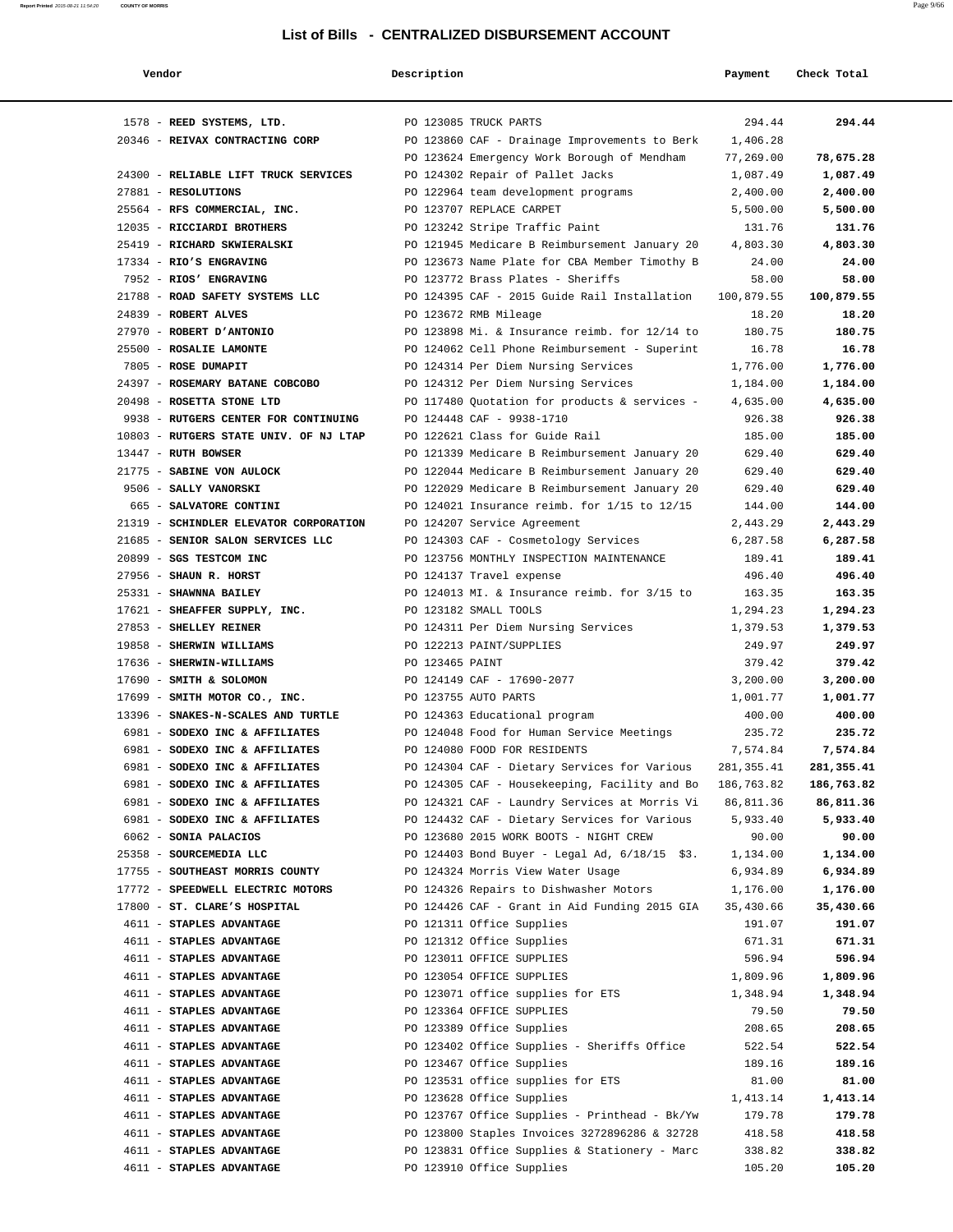| Vendor                                                       | Description     |                                                                                               | Payment            | Check Total          |
|--------------------------------------------------------------|-----------------|-----------------------------------------------------------------------------------------------|--------------------|----------------------|
| 1578 - REED SYSTEMS, LTD.                                    |                 | PO 123085 TRUCK PARTS                                                                         | 294.44             | 294.44               |
| 20346 - REIVAX CONTRACTING CORP                              |                 | PO 123860 CAF - Drainage Improvements to Berk                                                 | 1,406.28           |                      |
|                                                              |                 | PO 123624 Emergency Work Borough of Mendham                                                   | 77,269.00          | 78,675.28            |
| 24300 - RELIABLE LIFT TRUCK SERVICES                         |                 | PO 124302 Repair of Pallet Jacks                                                              | 1,087.49           | 1,087.49             |
| 27881 - RESOLUTIONS                                          |                 | PO 122964 team development programs                                                           | 2,400.00           | 2,400.00             |
| 25564 - RFS COMMERCIAL, INC.                                 |                 | PO 123707 REPLACE CARPET                                                                      | 5,500.00           | 5,500.00             |
| 12035 - RICCIARDI BROTHERS                                   |                 | PO 123242 Stripe Traffic Paint                                                                | 131.76             | 131.76               |
| 25419 - RICHARD SKWIERALSKI                                  |                 | PO 121945 Medicare B Reimbursement January 20                                                 | 4,803.30           | 4,803.30             |
| 17334 - RIO'S ENGRAVING                                      |                 | PO 123673 Name Plate for CBA Member Timothy B                                                 | 24.00              | 24.00                |
| 7952 - RIOS' ENGRAVING                                       |                 | PO 123772 Brass Plates - Sheriffs                                                             | 58.00              | 58.00                |
| 21788 - ROAD SAFETY SYSTEMS LLC                              |                 | PO 124395 CAF - 2015 Guide Rail Installation                                                  | 100,879.55         | 100,879.55           |
| 24839 - ROBERT ALVES                                         |                 | PO 123672 RMB Mileage                                                                         | 18.20              | 18.20                |
| 27970 - ROBERT D'ANTONIO                                     |                 | PO 123898 Mi. & Insurance reimb. for 12/14 to                                                 | 180.75             | 180.75               |
| 25500 - ROSALIE LAMONTE                                      |                 | PO 124062 Cell Phone Reimbursement - Superint                                                 | 16.78              | 16.78                |
| 7805 - ROSE DUMAPIT                                          |                 | PO 124314 Per Diem Nursing Services                                                           | 1,776.00           | 1,776.00             |
| 24397 - ROSEMARY BATANE COBCOBO<br>20498 - ROSETTA STONE LTD |                 | PO 124312 Per Diem Nursing Services                                                           | 1,184.00           | 1,184.00<br>4,635.00 |
| 9938 - RUTGERS CENTER FOR CONTINUING                         |                 | PO 117480 Quotation for products & services -<br>PO 124448 CAF - 9938-1710                    | 4,635.00<br>926.38 | 926.38               |
| 10803 - RUTGERS STATE UNIV. OF NJ LTAP                       |                 | PO 122621 Class for Guide Rail                                                                | 185.00             | 185.00               |
| 13447 - RUTH BOWSER                                          |                 | PO 121339 Medicare B Reimbursement January 20                                                 | 629.40             | 629.40               |
| 21775 - SABINE VON AULOCK                                    |                 | PO 122044 Medicare B Reimbursement January 20                                                 | 629.40             | 629.40               |
| 9506 - SALLY VANORSKI                                        |                 | PO 122029 Medicare B Reimbursement January 20                                                 | 629.40             | 629.40               |
| 665 - SALVATORE CONTINI                                      |                 | PO 124021 Insurance reimb. for $1/15$ to $12/15$                                              | 144.00             | 144.00               |
| 21319 - SCHINDLER ELEVATOR CORPORATION                       |                 | PO 124207 Service Agreement                                                                   | 2,443.29           | 2,443.29             |
| 21685 - SENIOR SALON SERVICES LLC                            |                 | PO 124303 CAF - Cosmetology Services                                                          | 6,287.58           | 6,287.58             |
| 20899 - SGS TESTCOM INC                                      |                 | PO 123756 MONTHLY INSPECTION MAINTENANCE                                                      | 189.41             | 189.41               |
| 27956 - SHAUN R. HORST                                       |                 | PO 124137 Travel expense                                                                      | 496.40             | 496.40               |
| 25331 - SHAWNNA BAILEY                                       |                 | PO 124013 MI. & Insurance reimb. for 3/15 to                                                  | 163.35             | 163.35               |
| 17621 - SHEAFFER SUPPLY, INC.                                |                 | PO 123182 SMALL TOOLS                                                                         | 1,294.23           | 1,294.23             |
| 27853 - SHELLEY REINER                                       |                 | PO 124311 Per Diem Nursing Services                                                           | 1,379.53           | 1,379.53             |
| 19858 - SHERWIN WILLIAMS                                     |                 | PO 122213 PAINT/SUPPLIES                                                                      | 249.97             | 249.97               |
| 17636 - SHERWIN-WILLIAMS                                     | PO 123465 PAINT |                                                                                               | 379.42             | 379.42               |
| 17690 - SMITH & SOLOMON                                      |                 | PO 124149 CAF - 17690-2077                                                                    | 3,200.00           | 3,200.00             |
| 17699 - SMITH MOTOR CO., INC.                                |                 | PO 123755 AUTO PARTS                                                                          | 1,001.77           | 1,001.77             |
| 13396 - SNAKES-N-SCALES AND TURTLE                           |                 | PO 124363 Educational program                                                                 | 400.00             | 400.00               |
| 6981 - SODEXO INC & AFFILIATES                               |                 | PO 124048 Food for Human Service Meetings                                                     | 235.72             | 235.72               |
| 6981 - SODEXO INC & AFFILIATES                               |                 | PO 124080 FOOD FOR RESIDENTS                                                                  | 7,574.84           | 7,574.84             |
| 6981 - SODEXO INC & AFFILIATES                               |                 | PO 124304 CAF - Dietary Services for Various                                                  | 281, 355.41        | 281,355.41           |
| 6981 - SODEXO INC & AFFILIATES                               |                 | PO 124305 CAF - Housekeeping, Facility and Bo                                                 | 186,763.82         | 186,763.82           |
| 6981 - SODEXO INC & AFFILIATES                               |                 | PO 124321 CAF - Laundry Services at Morris Vi<br>PO 124432 CAF - Dietary Services for Various | 86,811.36          | 86,811.36            |
| 6981 - SODEXO INC & AFFILIATES<br>6062 - SONIA PALACIOS      |                 | PO 123680 2015 WORK BOOTS - NIGHT CREW                                                        | 5,933.40<br>90.00  | 5,933.40<br>90.00    |
| 25358 - SOURCEMEDIA LLC                                      |                 | PO 124403 Bond Buyer - Legal Ad, 6/18/15 \$3.                                                 | 1,134.00           | 1,134.00             |
| 17755 - SOUTHEAST MORRIS COUNTY                              |                 | PO 124324 Morris View Water Usage                                                             | 6,934.89           | 6,934.89             |
| 17772 - SPEEDWELL ELECTRIC MOTORS                            |                 | PO 124326 Repairs to Dishwasher Motors                                                        | 1,176.00           | 1,176.00             |
| 17800 - ST. CLARE'S HOSPITAL                                 |                 | PO 124426 CAF - Grant in Aid Funding 2015 GIA                                                 | 35,430.66          | 35,430.66            |
| 4611 - STAPLES ADVANTAGE                                     |                 | PO 121311 Office Supplies                                                                     | 191.07             | 191.07               |
| 4611 - STAPLES ADVANTAGE                                     |                 | PO 121312 Office Supplies                                                                     | 671.31             | 671.31               |
| 4611 - STAPLES ADVANTAGE                                     |                 | PO 123011 OFFICE SUPPLIES                                                                     | 596.94             | 596.94               |
| 4611 - STAPLES ADVANTAGE                                     |                 | PO 123054 OFFICE SUPPLIES                                                                     | 1,809.96           | 1,809.96             |
| 4611 - STAPLES ADVANTAGE                                     |                 | PO 123071 office supplies for ETS                                                             | 1,348.94           | 1,348.94             |
| 4611 - STAPLES ADVANTAGE                                     |                 | PO 123364 OFFICE SUPPLIES                                                                     | 79.50              | 79.50                |
| 4611 - STAPLES ADVANTAGE                                     |                 | PO 123389 Office Supplies                                                                     | 208.65             | 208.65               |
| 4611 - STAPLES ADVANTAGE                                     |                 | PO 123402 Office Supplies - Sheriffs Office                                                   | 522.54             | 522.54               |
| 4611 - STAPLES ADVANTAGE                                     |                 | PO 123467 Office Supplies                                                                     | 189.16             | 189.16               |
| 4611 - STAPLES ADVANTAGE                                     |                 | PO 123531 office supplies for ETS                                                             | 81.00              | 81.00                |
| 4611 - STAPLES ADVANTAGE                                     |                 | PO 123628 Office Supplies                                                                     | 1,413.14           | 1,413.14             |
| 4611 - STAPLES ADVANTAGE                                     |                 | PO 123767 Office Supplies - Printhead - Bk/Yw                                                 | 179.78             | 179.78               |
| 4611 - STAPLES ADVANTAGE                                     |                 | PO 123800 Staples Invoices 3272896286 & 32728                                                 | 418.58             | 418.58               |
| 4611 - STAPLES ADVANTAGE                                     |                 | PO 123831 Office Supplies & Stationery - Marc                                                 | 338.82             | 338.82               |
| 4611 - STAPLES ADVANTAGE                                     |                 | PO 123910 Office Supplies                                                                     | 105.20             | 105.20               |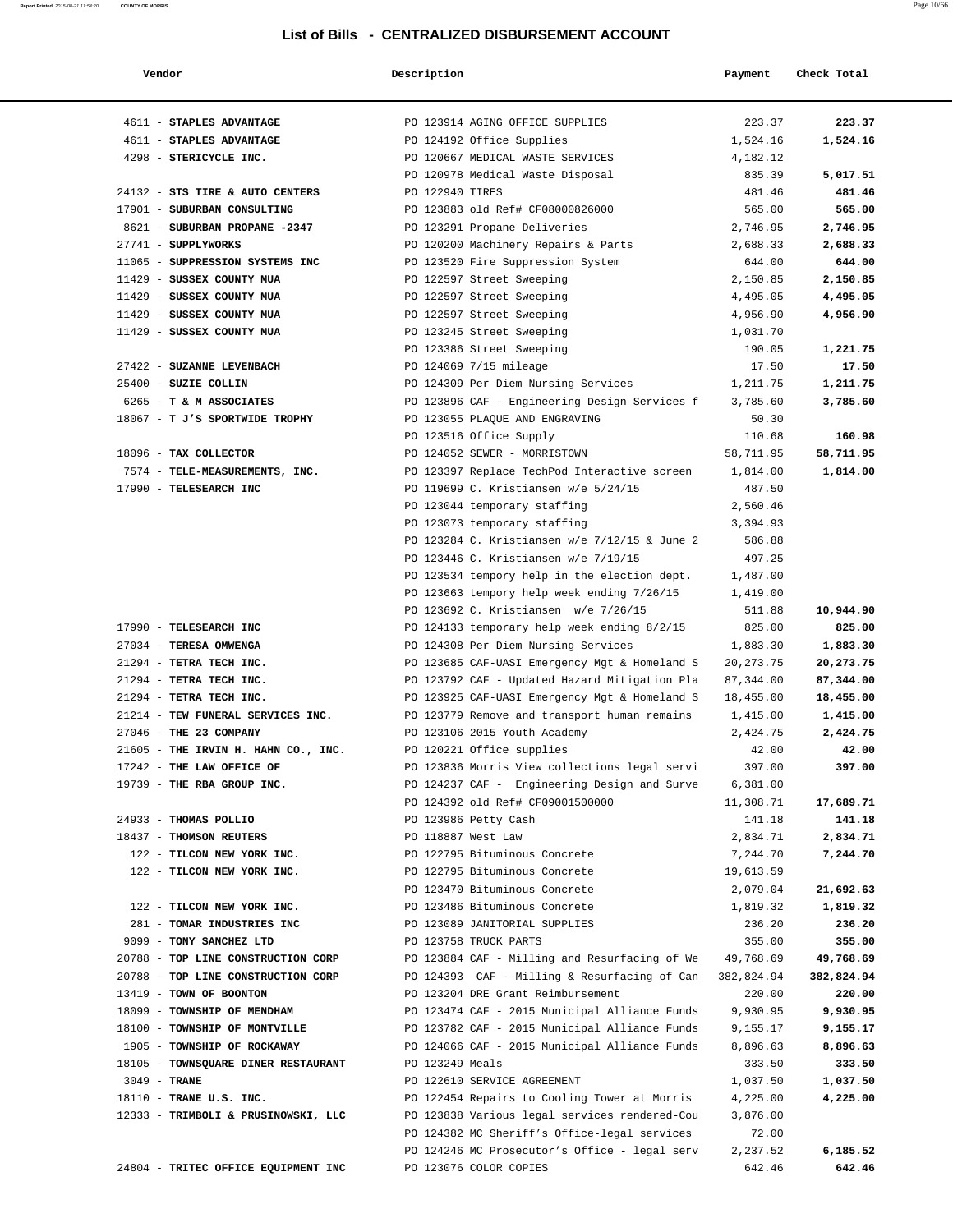| Vendor                              | Description        |                                               | Payment     | Check Total |
|-------------------------------------|--------------------|-----------------------------------------------|-------------|-------------|
| 4611 - STAPLES ADVANTAGE            |                    | PO 123914 AGING OFFICE SUPPLIES               | 223.37      | 223.37      |
| 4611 - STAPLES ADVANTAGE            |                    | PO 124192 Office Supplies                     | 1,524.16    | 1,524.16    |
| 4298 - STERICYCLE INC.              |                    | PO 120667 MEDICAL WASTE SERVICES              | 4,182.12    |             |
|                                     |                    | PO 120978 Medical Waste Disposal              | 835.39      | 5,017.51    |
| 24132 - STS TIRE & AUTO CENTERS     | PO 122940 TIRES    |                                               | 481.46      | 481.46      |
| 17901 - SUBURBAN CONSULTING         |                    | PO 123883 old Ref# CF08000826000              | 565.00      | 565.00      |
| 8621 - SUBURBAN PROPANE -2347       |                    | PO 123291 Propane Deliveries                  | 2,746.95    | 2,746.95    |
| 27741 - SUPPLYWORKS                 |                    | PO 120200 Machinery Repairs & Parts           | 2,688.33    | 2,688.33    |
| 11065 - SUPPRESSION SYSTEMS INC     |                    | PO 123520 Fire Suppression System             | 644.00      | 644.00      |
| 11429 - SUSSEX COUNTY MUA           |                    | PO 122597 Street Sweeping                     | 2,150.85    | 2,150.85    |
| 11429 - SUSSEX COUNTY MUA           |                    | PO 122597 Street Sweeping                     | 4,495.05    | 4,495.05    |
| 11429 - SUSSEX COUNTY MUA           |                    | PO 122597 Street Sweeping                     | 4,956.90    | 4,956.90    |
| 11429 - SUSSEX COUNTY MUA           |                    | PO 123245 Street Sweeping                     | 1,031.70    |             |
|                                     |                    | PO 123386 Street Sweeping                     | 190.05      | 1,221.75    |
| 27422 - SUZANNE LEVENBACH           |                    | PO 124069 7/15 mileage                        | 17.50       | 17.50       |
| 25400 - SUZIE COLLIN                |                    | PO 124309 Per Diem Nursing Services           | 1,211.75    | 1,211.75    |
| 6265 - T & M ASSOCIATES             |                    | PO 123896 CAF - Engineering Design Services f | 3,785.60    | 3,785.60    |
| 18067 - T J'S SPORTWIDE TROPHY      |                    | PO 123055 PLAQUE AND ENGRAVING                | 50.30       |             |
|                                     |                    | PO 123516 Office Supply                       | 110.68      | 160.98      |
| 18096 - TAX COLLECTOR               |                    | PO 124052 SEWER - MORRISTOWN                  | 58,711.95   | 58,711.95   |
| 7574 - TELE-MEASUREMENTS, INC.      |                    | PO 123397 Replace TechPod Interactive screen  | 1,814.00    | 1,814.00    |
| 17990 - TELESEARCH INC              |                    | PO 119699 C. Kristiansen w/e 5/24/15          | 487.50      |             |
|                                     |                    | PO 123044 temporary staffing                  | 2,560.46    |             |
|                                     |                    | PO 123073 temporary staffing                  | 3,394.93    |             |
|                                     |                    | PO 123284 C. Kristiansen w/e 7/12/15 & June 2 | 586.88      |             |
|                                     |                    | PO 123446 C. Kristiansen w/e 7/19/15          | 497.25      |             |
|                                     |                    | PO 123534 tempory help in the election dept.  | 1,487.00    |             |
|                                     |                    | PO 123663 tempory help week ending 7/26/15    | 1,419.00    |             |
|                                     |                    | PO 123692 C. Kristiansen w/e 7/26/15          | 511.88      | 10,944.90   |
| 17990 - TELESEARCH INC              |                    | PO 124133 temporary help week ending 8/2/15   | 825.00      | 825.00      |
| 27034 - TERESA OMWENGA              |                    | PO 124308 Per Diem Nursing Services           | 1,883.30    | 1,883.30    |
| 21294 - TETRA TECH INC.             |                    | PO 123685 CAF-UASI Emergency Mgt & Homeland S | 20, 273. 75 | 20,273.75   |
| 21294 - TETRA TECH INC.             |                    | PO 123792 CAF - Updated Hazard Mitigation Pla | 87,344.00   | 87,344.00   |
| 21294 - TETRA TECH INC.             |                    | PO 123925 CAF-UASI Emergency Mgt & Homeland S | 18,455.00   | 18,455.00   |
| 21214 - TEW FUNERAL SERVICES INC.   |                    | PO 123779 Remove and transport human remains  | 1,415.00    | 1,415.00    |
| 27046 - THE 23 COMPANY              |                    | PO 123106 2015 Youth Academy                  | 2,424.75    | 2,424.75    |
| 21605 - THE IRVIN H. HAHN CO., INC. |                    | PO 120221 Office supplies                     | 42.00       | 42.00       |
| 17242 - THE LAW OFFICE OF           |                    | PO 123836 Morris View collections legal servi | 397.00      | 397.00      |
| 19739 - THE RBA GROUP INC.          |                    | PO 124237 CAF - Engineering Design and Surve  | 6,381.00    |             |
|                                     |                    | PO 124392 old Ref# CF09001500000              | 11,308.71   | 17,689.71   |
| 24933 - THOMAS POLLIO               |                    | PO 123986 Petty Cash                          | 141.18      | 141.18      |
| 18437 - THOMSON REUTERS             | PO 118887 West Law |                                               | 2,834.71    | 2,834.71    |
| 122 - TILCON NEW YORK INC.          |                    | PO 122795 Bituminous Concrete                 | 7,244.70    | 7,244.70    |
| 122 - TILCON NEW YORK INC.          |                    | PO 122795 Bituminous Concrete                 | 19,613.59   |             |
|                                     |                    | PO 123470 Bituminous Concrete                 | 2,079.04    | 21,692.63   |
| 122 - TILCON NEW YORK INC.          |                    | PO 123486 Bituminous Concrete                 | 1,819.32    | 1,819.32    |
| 281 - TOMAR INDUSTRIES INC          |                    | PO 123089 JANITORIAL SUPPLIES                 | 236.20      | 236.20      |
| 9099 - TONY SANCHEZ LTD             |                    | PO 123758 TRUCK PARTS                         | 355.00      | 355.00      |
| 20788 - TOP LINE CONSTRUCTION CORP  |                    | PO 123884 CAF - Milling and Resurfacing of We | 49,768.69   | 49,768.69   |
| 20788 - TOP LINE CONSTRUCTION CORP  |                    | PO 124393 CAF - Milling & Resurfacing of Can  | 382,824.94  | 382,824.94  |
| 13419 - TOWN OF BOONTON             |                    | PO 123204 DRE Grant Reimbursement             | 220.00      | 220.00      |
| 18099 - TOWNSHIP OF MENDHAM         |                    | PO 123474 CAF - 2015 Municipal Alliance Funds | 9,930.95    | 9,930.95    |
| 18100 - TOWNSHIP OF MONTVILLE       |                    | PO 123782 CAF - 2015 Municipal Alliance Funds | 9,155.17    | 9,155.17    |
| 1905 - TOWNSHIP OF ROCKAWAY         |                    | PO 124066 CAF - 2015 Municipal Alliance Funds | 8,896.63    | 8,896.63    |
| 18105 - TOWNSQUARE DINER RESTAURANT | PO 123249 Meals    |                                               | 333.50      | 333.50      |
| $3049$ - TRANE                      |                    | PO 122610 SERVICE AGREEMENT                   | 1,037.50    | 1,037.50    |
| 18110 - TRANE U.S. INC.             |                    | PO 122454 Repairs to Cooling Tower at Morris  | 4,225.00    | 4,225.00    |
| 12333 - TRIMBOLI & PRUSINOWSKI, LLC |                    | PO 123838 Various legal services rendered-Cou | 3,876.00    |             |
|                                     |                    | PO 124382 MC Sheriff's Office-legal services  | 72.00       |             |
|                                     |                    | PO 124246 MC Prosecutor's Office - legal serv | 2,237.52    | 6,185.52    |
| 24804 - TRITEC OFFICE EQUIPMENT INC |                    | PO 123076 COLOR COPIES                        | 642.46      | 642.46      |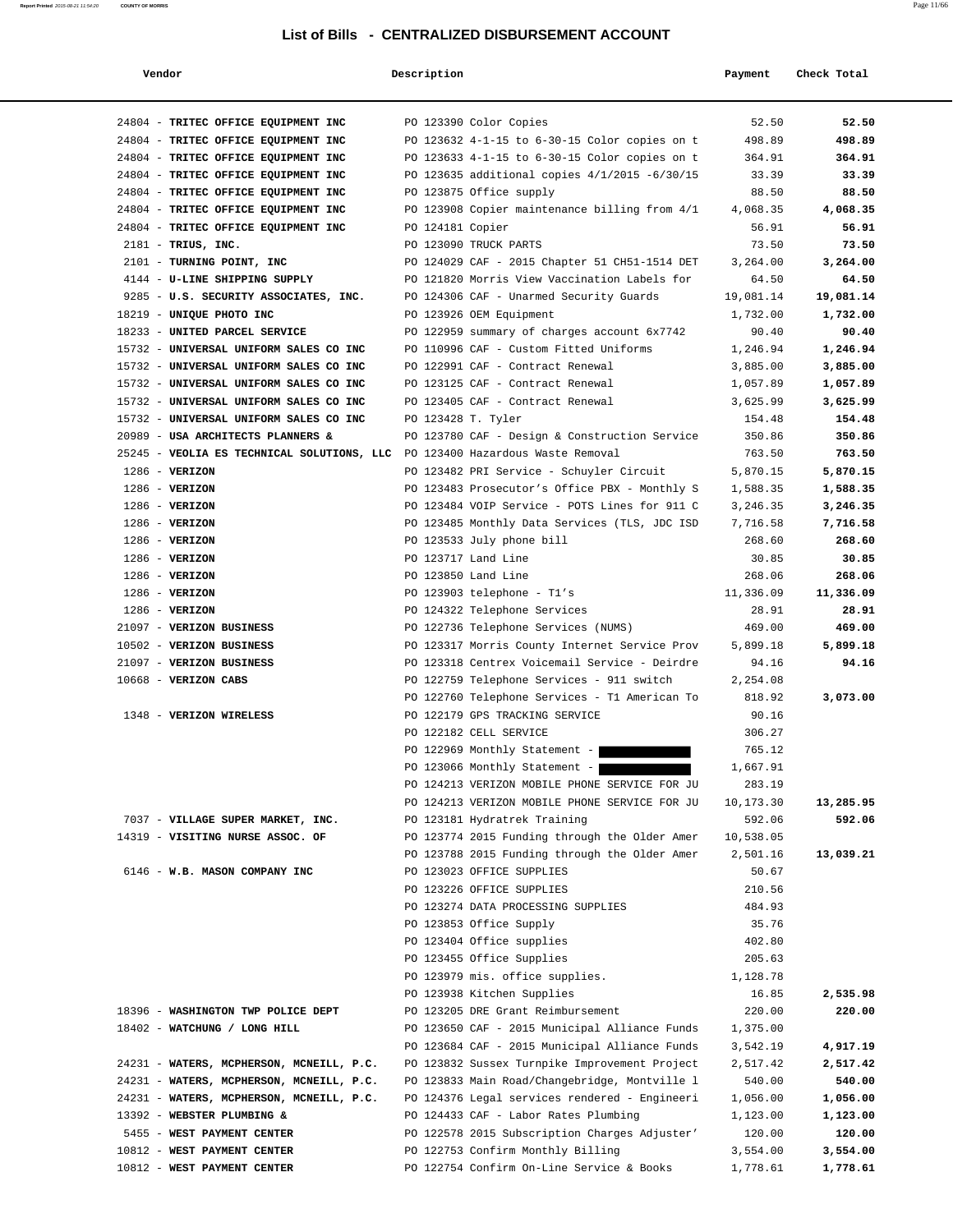#### **Report Printed** 2015-08-21 11:54:20 **COUNTY OF MORRIS** Page 11/66

| Vendor                                                                       | Description        |                                               | Payment   | Check Total |
|------------------------------------------------------------------------------|--------------------|-----------------------------------------------|-----------|-------------|
| 24804 - TRITEC OFFICE EQUIPMENT INC                                          |                    | PO 123390 Color Copies                        | 52.50     | 52.50       |
| 24804 - TRITEC OFFICE EQUIPMENT INC                                          |                    | PO 123632 4-1-15 to 6-30-15 Color copies on t | 498.89    | 498.89      |
| 24804 - TRITEC OFFICE EQUIPMENT INC                                          |                    | PO 123633 4-1-15 to 6-30-15 Color copies on t | 364.91    | 364.91      |
| 24804 - TRITEC OFFICE EQUIPMENT INC                                          |                    | PO 123635 additional copies 4/1/2015 -6/30/15 | 33.39     | 33.39       |
| 24804 - TRITEC OFFICE EQUIPMENT INC                                          |                    | PO 123875 Office supply                       | 88.50     | 88.50       |
| 24804 - TRITEC OFFICE EQUIPMENT INC                                          |                    | PO 123908 Copier maintenance billing from 4/1 | 4,068.35  | 4,068.35    |
| 24804 - TRITEC OFFICE EQUIPMENT INC                                          | PO 124181 Copier   |                                               | 56.91     | 56.91       |
| 2181 - TRIUS, INC.                                                           |                    | PO 123090 TRUCK PARTS                         | 73.50     | 73.50       |
| 2101 - TURNING POINT, INC                                                    |                    | PO 124029 CAF - 2015 Chapter 51 CH51-1514 DET | 3,264.00  | 3,264.00    |
| 4144 - U-LINE SHIPPING SUPPLY                                                |                    | PO 121820 Morris View Vaccination Labels for  | 64.50     | 64.50       |
| 9285 - U.S. SECURITY ASSOCIATES, INC.                                        |                    | PO 124306 CAF - Unarmed Security Guards       | 19,081.14 | 19,081.14   |
| 18219 - UNIQUE PHOTO INC                                                     |                    | PO 123926 OEM Equipment                       | 1,732.00  | 1,732.00    |
| 18233 - UNITED PARCEL SERVICE                                                |                    | PO 122959 summary of charges account 6x7742   | 90.40     | 90.40       |
| 15732 - UNIVERSAL UNIFORM SALES CO INC                                       |                    | PO 110996 CAF - Custom Fitted Uniforms        | 1,246.94  | 1,246.94    |
| 15732 - UNIVERSAL UNIFORM SALES CO INC                                       |                    | PO 122991 CAF - Contract Renewal              | 3,885.00  | 3,885.00    |
| 15732 - UNIVERSAL UNIFORM SALES CO INC                                       |                    | PO 123125 CAF - Contract Renewal              | 1,057.89  | 1,057.89    |
| 15732 - UNIVERSAL UNIFORM SALES CO INC                                       |                    | PO 123405 CAF - Contract Renewal              | 3,625.99  | 3,625.99    |
| 15732 - UNIVERSAL UNIFORM SALES CO INC                                       | PO 123428 T. Tyler |                                               | 154.48    | 154.48      |
| 20989 - USA ARCHITECTS PLANNERS &                                            |                    | PO 123780 CAF - Design & Construction Service | 350.86    | 350.86      |
| 25245 - VEOLIA ES TECHNICAL SOLUTIONS, LLC PO 123400 Hazardous Waste Removal |                    |                                               | 763.50    | 763.50      |
| $1286$ - VERIZON                                                             |                    | PO 123482 PRI Service - Schuyler Circuit      | 5,870.15  | 5,870.15    |
| $1286$ - VERIZON                                                             |                    | PO 123483 Prosecutor's Office PBX - Monthly S | 1,588.35  | 1,588.35    |
| $1286$ - VERIZON                                                             |                    | PO 123484 VOIP Service - POTS Lines for 911 C | 3,246.35  | 3,246.35    |
| $1286$ - VERIZON                                                             |                    | PO 123485 Monthly Data Services (TLS, JDC ISD | 7,716.58  | 7,716.58    |
| $1286$ - VERIZON                                                             |                    | PO 123533 July phone bill                     | 268.60    | 268.60      |
| $1286$ - VERIZON                                                             |                    | PO 123717 Land Line                           | 30.85     | 30.85       |
| $1286$ - VERIZON                                                             |                    | PO 123850 Land Line                           | 268.06    | 268.06      |
| $1286$ - VERIZON                                                             |                    | PO 123903 telephone - T1's                    | 11,336.09 | 11,336.09   |
| $1286$ - VERIZON                                                             |                    | PO 124322 Telephone Services                  | 28.91     | 28.91       |
| 21097 - VERIZON BUSINESS                                                     |                    | PO 122736 Telephone Services (NUMS)           | 469.00    | 469.00      |
| 10502 - VERIZON BUSINESS                                                     |                    | PO 123317 Morris County Internet Service Prov | 5,899.18  | 5,899.18    |
| 21097 - VERIZON BUSINESS                                                     |                    | PO 123318 Centrex Voicemail Service - Deirdre | 94.16     | 94.16       |
| 10668 - VERIZON CABS                                                         |                    | PO 122759 Telephone Services - 911 switch     | 2,254.08  |             |
|                                                                              |                    | PO 122760 Telephone Services - T1 American To | 818.92    | 3,073.00    |
| 1348 - VERIZON WIRELESS                                                      |                    | PO 122179 GPS TRACKING SERVICE                | 90.16     |             |
|                                                                              |                    | PO 122182 CELL SERVICE                        | 306.27    |             |
|                                                                              |                    | PO 122969 Monthly Statement -                 | 765.12    |             |
|                                                                              |                    | PO 123066 Monthly Statement -                 | 1,667.91  |             |
|                                                                              |                    | PO 124213 VERIZON MOBILE PHONE SERVICE FOR JU | 283.19    |             |
|                                                                              |                    | PO 124213 VERIZON MOBILE PHONE SERVICE FOR JU | 10,173.30 | 13,285.95   |
| 7037 - VILLAGE SUPER MARKET, INC.                                            |                    | PO 123181 Hydratrek Training                  | 592.06    | 592.06      |
| 14319 - VISITING NURSE ASSOC. OF                                             |                    | PO 123774 2015 Funding through the Older Amer | 10,538.05 |             |
|                                                                              |                    | PO 123788 2015 Funding through the Older Amer | 2,501.16  | 13,039.21   |
| 6146 - W.B. MASON COMPANY INC                                                |                    | PO 123023 OFFICE SUPPLIES                     | 50.67     |             |
|                                                                              |                    | PO 123226 OFFICE SUPPLIES                     | 210.56    |             |
|                                                                              |                    | PO 123274 DATA PROCESSING SUPPLIES            | 484.93    |             |
|                                                                              |                    | PO 123853 Office Supply                       | 35.76     |             |
|                                                                              |                    | PO 123404 Office supplies                     | 402.80    |             |
|                                                                              |                    | PO 123455 Office Supplies                     | 205.63    |             |
|                                                                              |                    | PO 123979 mis. office supplies.               | 1,128.78  |             |
|                                                                              |                    | PO 123938 Kitchen Supplies                    | 16.85     | 2,535.98    |
| 18396 - WASHINGTON TWP POLICE DEPT                                           |                    | PO 123205 DRE Grant Reimbursement             | 220.00    | 220.00      |
| 18402 - WATCHUNG / LONG HILL                                                 |                    | PO 123650 CAF - 2015 Municipal Alliance Funds | 1,375.00  |             |
|                                                                              |                    | PO 123684 CAF - 2015 Municipal Alliance Funds | 3,542.19  | 4,917.19    |
| 24231 - WATERS, MCPHERSON, MCNEILL, P.C.                                     |                    | PO 123832 Sussex Turnpike Improvement Project | 2,517.42  | 2,517.42    |
| 24231 - WATERS, MCPHERSON, MCNEILL, P.C.                                     |                    | PO 123833 Main Road/Changebridge, Montville 1 | 540.00    | 540.00      |
| 24231 - WATERS, MCPHERSON, MCNEILL, P.C.                                     |                    | PO 124376 Legal services rendered - Engineeri | 1,056.00  | 1,056.00    |
| 13392 - WEBSTER PLUMBING &                                                   |                    | PO 124433 CAF - Labor Rates Plumbing          | 1,123.00  | 1,123.00    |
| 5455 - WEST PAYMENT CENTER                                                   |                    | PO 122578 2015 Subscription Charges Adjuster' | 120.00    | 120.00      |
| 10812 - WEST PAYMENT CENTER                                                  |                    | PO 122753 Confirm Monthly Billing             | 3,554.00  | 3,554.00    |
| 10812 - WEST PAYMENT CENTER                                                  |                    | PO 122754 Confirm On-Line Service & Books     | 1,778.61  | 1,778.61    |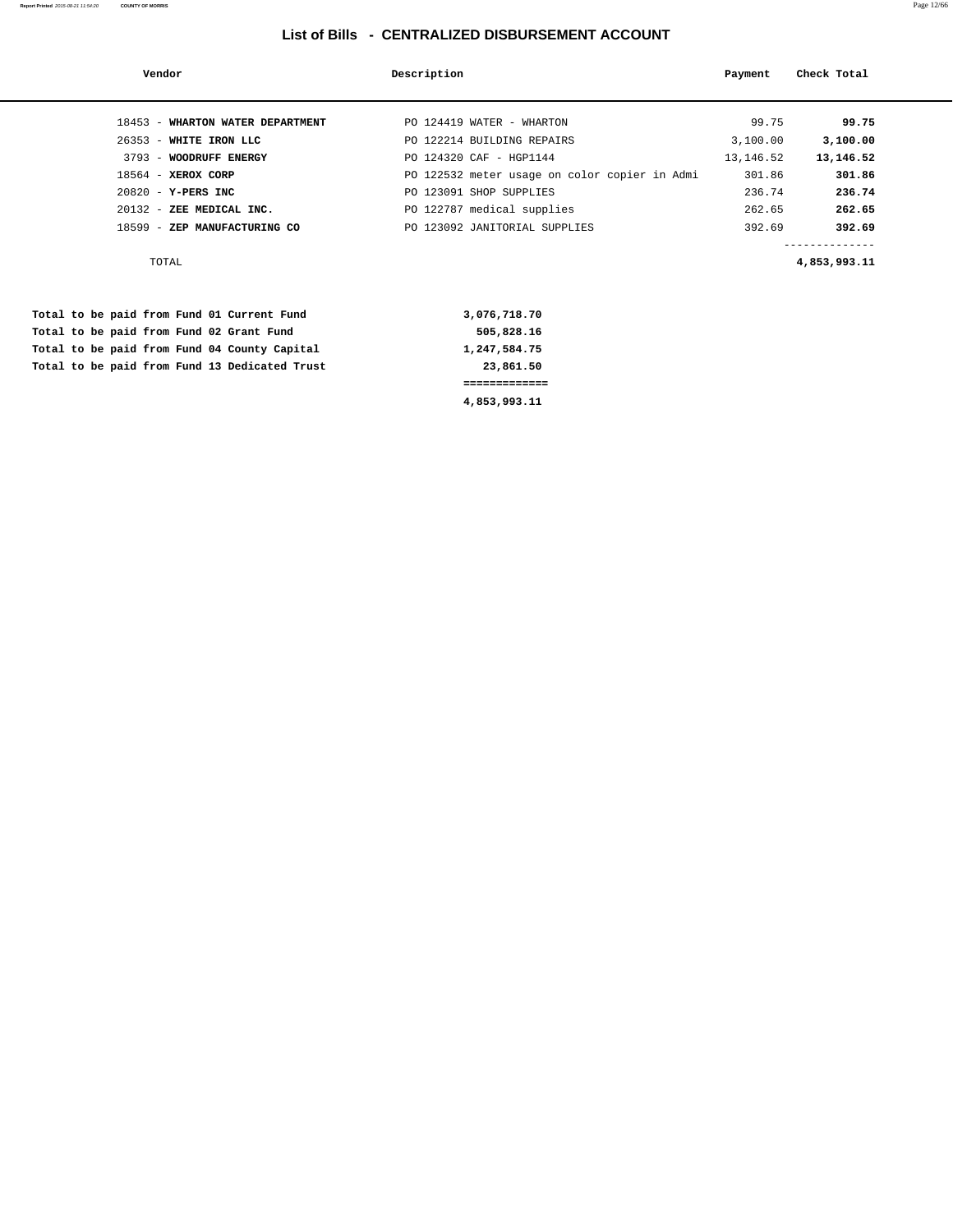#### **Report Printed** 2015-08-21 11:54:20 **COUNTY OF MORRIS** Page 12/66

| Vendor                                                                                                                                                       |                                  | Description |                                                                                                                                                                                                                               | Payment                                                                 | Check Total                                                                              |
|--------------------------------------------------------------------------------------------------------------------------------------------------------------|----------------------------------|-------------|-------------------------------------------------------------------------------------------------------------------------------------------------------------------------------------------------------------------------------|-------------------------------------------------------------------------|------------------------------------------------------------------------------------------|
| 26353 - WHITE IRON LLC<br>3793 - WOODRUFF ENERGY<br>$18564$ - XEROX CORP<br>$20820 - Y-PERS INC$<br>20132 - ZEE MEDICAL INC.<br>18599 - ZEP MANUFACTURING CO | 18453 - WHARTON WATER DEPARTMENT |             | PO 124419 WATER - WHARTON<br>PO 122214 BUILDING REPAIRS<br>PO 124320 CAF - HGP1144<br>PO 122532 meter usage on color copier in Admi<br>PO 123091 SHOP SUPPLIES<br>PO 122787 medical supplies<br>PO 123092 JANITORIAL SUPPLIES | 99.75<br>3,100.00<br>13, 146.52<br>301.86<br>236.74<br>262.65<br>392.69 | 99.75<br>3,100.00<br>13,146.52<br>301.86<br>236.74<br>262.65<br>392.69<br>-------------- |
| TOTAL                                                                                                                                                        |                                  |             |                                                                                                                                                                                                                               |                                                                         | 4,853,993.11                                                                             |

|  |  |  |  |                                               | 4,853,993.11 |
|--|--|--|--|-----------------------------------------------|--------------|
|  |  |  |  |                                               |              |
|  |  |  |  | Total to be paid from Fund 13 Dedicated Trust | 23,861.50    |
|  |  |  |  | Total to be paid from Fund 04 County Capital  | 1,247,584.75 |
|  |  |  |  | Total to be paid from Fund 02 Grant Fund      | 505,828.16   |
|  |  |  |  | Total to be paid from Fund 01 Current Fund    | 3,076,718.70 |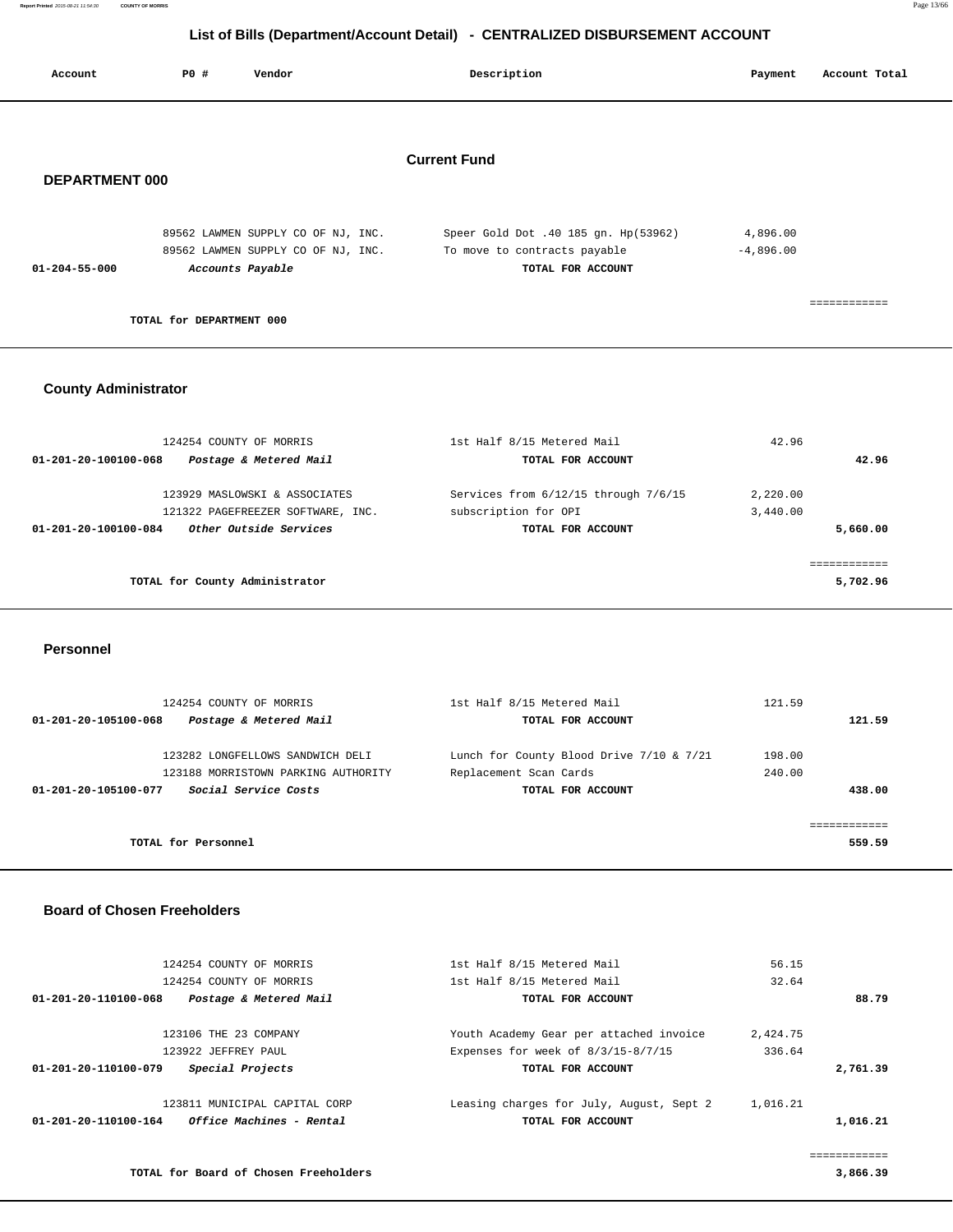|                       |                          | $\sim$ . The contract of the contract of the state $\sim$                |                                                                                           |                          |
|-----------------------|--------------------------|--------------------------------------------------------------------------|-------------------------------------------------------------------------------------------|--------------------------|
| Account               | P0 #                     | Vendor                                                                   | Description                                                                               | Account Total<br>Payment |
| <b>DEPARTMENT 000</b> |                          |                                                                          | <b>Current Fund</b>                                                                       |                          |
| $01 - 204 - 55 - 000$ | Accounts Payable         | 89562 LAWMEN SUPPLY CO OF NJ, INC.<br>89562 LAWMEN SUPPLY CO OF NJ, INC. | Speer Gold Dot .40 185 gn. Hp(53962)<br>To move to contracts payable<br>TOTAL FOR ACCOUNT | 4,896.00<br>$-4,896.00$  |
|                       | TOTAL for DEPARTMENT 000 |                                                                          |                                                                                           | ------------             |
|                       |                          |                                                                          |                                                                                           |                          |

### **County Administrator**

| 124254 COUNTY OF MORRIS                        | 1st Half 8/15 Metered Mail           | 42.96    |          |
|------------------------------------------------|--------------------------------------|----------|----------|
| Postage & Metered Mail<br>01-201-20-100100-068 | TOTAL FOR ACCOUNT                    |          | 42.96    |
| 123929 MASLOWSKI & ASSOCIATES                  | Services from 6/12/15 through 7/6/15 | 2,220.00 |          |
| 121322 PAGEFREEZER SOFTWARE, INC.              | subscription for OPI                 | 3,440.00 |          |
| Other Outside Services<br>01-201-20-100100-084 | TOTAL FOR ACCOUNT                    |          | 5,660.00 |
|                                                |                                      |          |          |
| TOTAL for County Administrator                 |                                      |          | 5,702.96 |

 **Personnel** 

| 121.59 |
|--------|
|        |
|        |
| 438.00 |
|        |
| 559.59 |
|        |

### **Board of Chosen Freeholders**

| 124254 COUNTY OF MORRIS         | 1st Half 8/15 Metered Mail                                           | 56.15    |          |
|---------------------------------|----------------------------------------------------------------------|----------|----------|
| 124254 COUNTY OF MORRIS         | 1st Half 8/15 Metered Mail                                           | 32.64    |          |
| Postage & Metered Mail          | TOTAL FOR ACCOUNT                                                    |          | 88.79    |
| 123106 THE 23 COMPANY           | Youth Academy Gear per attached invoice                              | 2,424.75 |          |
| 123922 JEFFREY PAUL             | Expenses for week of $8/3/15-8/7/15$                                 | 336.64   |          |
| Special Projects                | TOTAL FOR ACCOUNT                                                    |          | 2,761.39 |
| 123811 MUNICIPAL CAPITAL CORP   | Leasing charges for July, August, Sept 2                             | 1,016.21 |          |
| <i>Office Machines - Rental</i> | TOTAL FOR ACCOUNT                                                    |          | 1,016.21 |
|                                 |                                                                      |          |          |
|                                 | 01-201-20-110100-068<br>01-201-20-110100-079<br>01-201-20-110100-164 |          |          |

**TOTAL for Board of Chosen Freeholders 3,866.39**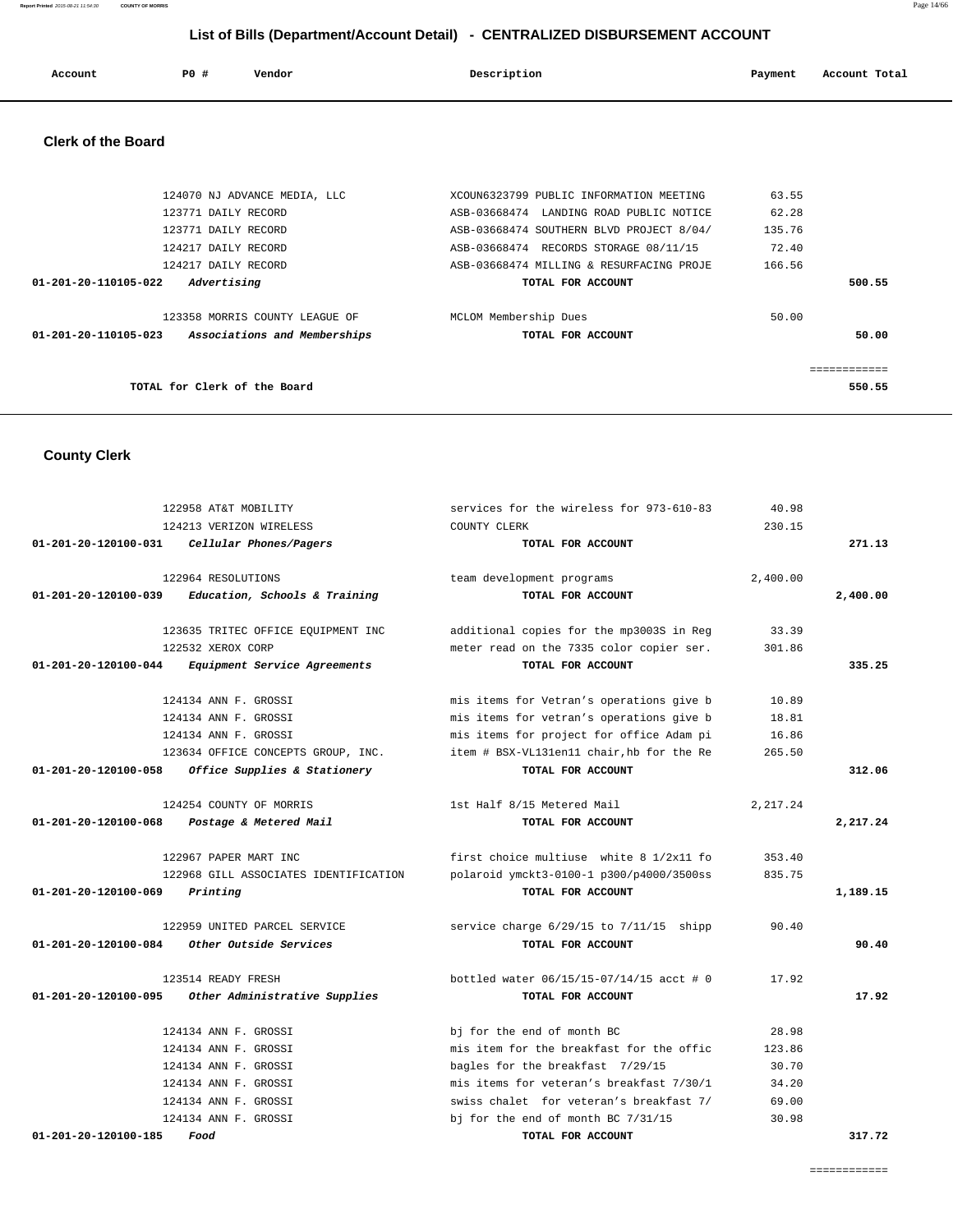| Account | <b>PO #</b> | Vendor | Description | Payment | Account Total |
|---------|-------------|--------|-------------|---------|---------------|
|         |             |        |             |         |               |

### **Clerk of the Board**

| 124070 NJ ADVANCE MEDIA, LLC                         | XCOUN6323799 PUBLIC INFORMATION MEETING  | 63.55       |
|------------------------------------------------------|------------------------------------------|-------------|
| 123771 DAILY RECORD                                  | ASB-03668474 LANDING ROAD PUBLIC NOTICE  | 62.28       |
| 123771 DAILY RECORD                                  | ASB-03668474 SOUTHERN BLVD PROJECT 8/04/ | 135.76      |
| 124217 DAILY RECORD                                  | ASB-03668474 RECORDS STORAGE 08/11/15    | 72.40       |
| 124217 DAILY RECORD                                  | ASB-03668474 MILLING & RESURFACING PROJE | 166.56      |
| 01-201-20-110105-022<br>Advertising                  | TOTAL FOR ACCOUNT                        | 500.55      |
|                                                      |                                          |             |
| 123358 MORRIS COUNTY LEAGUE OF                       | MCLOM Membership Dues                    | 50.00       |
| 01-201-20-110105-023<br>Associations and Memberships | TOTAL FOR ACCOUNT                        | 50.00       |
|                                                      |                                          |             |
|                                                      |                                          | =========== |
| TOTAL for Clerk of the Board                         |                                          | 550.55      |
|                                                      |                                          |             |

# **County Clerk**

|                      | 122958 AT&T MOBILITY                  | services for the wireless for 973-610-83    | 40.98     |          |
|----------------------|---------------------------------------|---------------------------------------------|-----------|----------|
|                      | 124213 VERIZON WIRELESS               | COUNTY CLERK                                | 230.15    |          |
| 01-201-20-120100-031 | Cellular Phones/Pagers                | TOTAL FOR ACCOUNT                           |           | 271.13   |
|                      | 122964 RESOLUTIONS                    | team development programs                   | 2,400.00  |          |
| 01-201-20-120100-039 | Education, Schools & Training         | TOTAL FOR ACCOUNT                           |           | 2,400.00 |
|                      | 123635 TRITEC OFFICE EQUIPMENT INC    | additional copies for the mp3003S in Reg    | 33.39     |          |
|                      | 122532 XEROX CORP                     | meter read on the 7335 color copier ser.    | 301.86    |          |
| 01-201-20-120100-044 | Equipment Service Agreements          | TOTAL FOR ACCOUNT                           |           | 335.25   |
|                      | 124134 ANN F. GROSSI                  | mis items for Vetran's operations give b    | 10.89     |          |
|                      | 124134 ANN F. GROSSI                  | mis items for vetran's operations give b    | 18.81     |          |
|                      | 124134 ANN F. GROSSI                  | mis items for project for office Adam pi    | 16.86     |          |
|                      | 123634 OFFICE CONCEPTS GROUP, INC.    | item # BSX-VL131en11 chair, hb for the Re   | 265.50    |          |
| 01-201-20-120100-058 | Office Supplies & Stationery          | TOTAL FOR ACCOUNT                           |           | 312.06   |
|                      | 124254 COUNTY OF MORRIS               | 1st Half 8/15 Metered Mail                  | 2, 217.24 |          |
| 01-201-20-120100-068 | Postage & Metered Mail                | TOTAL FOR ACCOUNT                           |           | 2,217.24 |
|                      | 122967 PAPER MART INC                 | first choice multiuse white 8 1/2x11 fo     | 353.40    |          |
|                      | 122968 GILL ASSOCIATES IDENTIFICATION | polaroid ymckt3-0100-1 p300/p4000/3500ss    | 835.75    |          |
| 01-201-20-120100-069 | Printing                              | TOTAL FOR ACCOUNT                           |           | 1,189.15 |
|                      | 122959 UNITED PARCEL SERVICE          | service charge $6/29/15$ to $7/11/15$ shipp | 90.40     |          |
| 01-201-20-120100-084 | Other Outside Services                | TOTAL FOR ACCOUNT                           |           | 90.40    |
|                      | 123514 READY FRESH                    | bottled water 06/15/15-07/14/15 acct # 0    | 17.92     |          |
| 01-201-20-120100-095 | Other Administrative Supplies         | TOTAL FOR ACCOUNT                           |           | 17.92    |
|                      | 124134 ANN F. GROSSI                  | bj for the end of month BC                  | 28.98     |          |
|                      | 124134 ANN F. GROSSI                  | mis item for the breakfast for the offic    | 123.86    |          |
|                      | 124134 ANN F. GROSSI                  | bagles for the breakfast 7/29/15            | 30.70     |          |
|                      | 124134 ANN F. GROSSI                  | mis items for veteran's breakfast 7/30/1    | 34.20     |          |
|                      | 124134 ANN F. GROSSI                  | swiss chalet for veteran's breakfast 7/     | 69.00     |          |
|                      | 124134 ANN F. GROSSI                  | bj for the end of month BC $7/31/15$        | 30.98     |          |
| 01-201-20-120100-185 | Food                                  | TOTAL FOR ACCOUNT                           |           | 317.72   |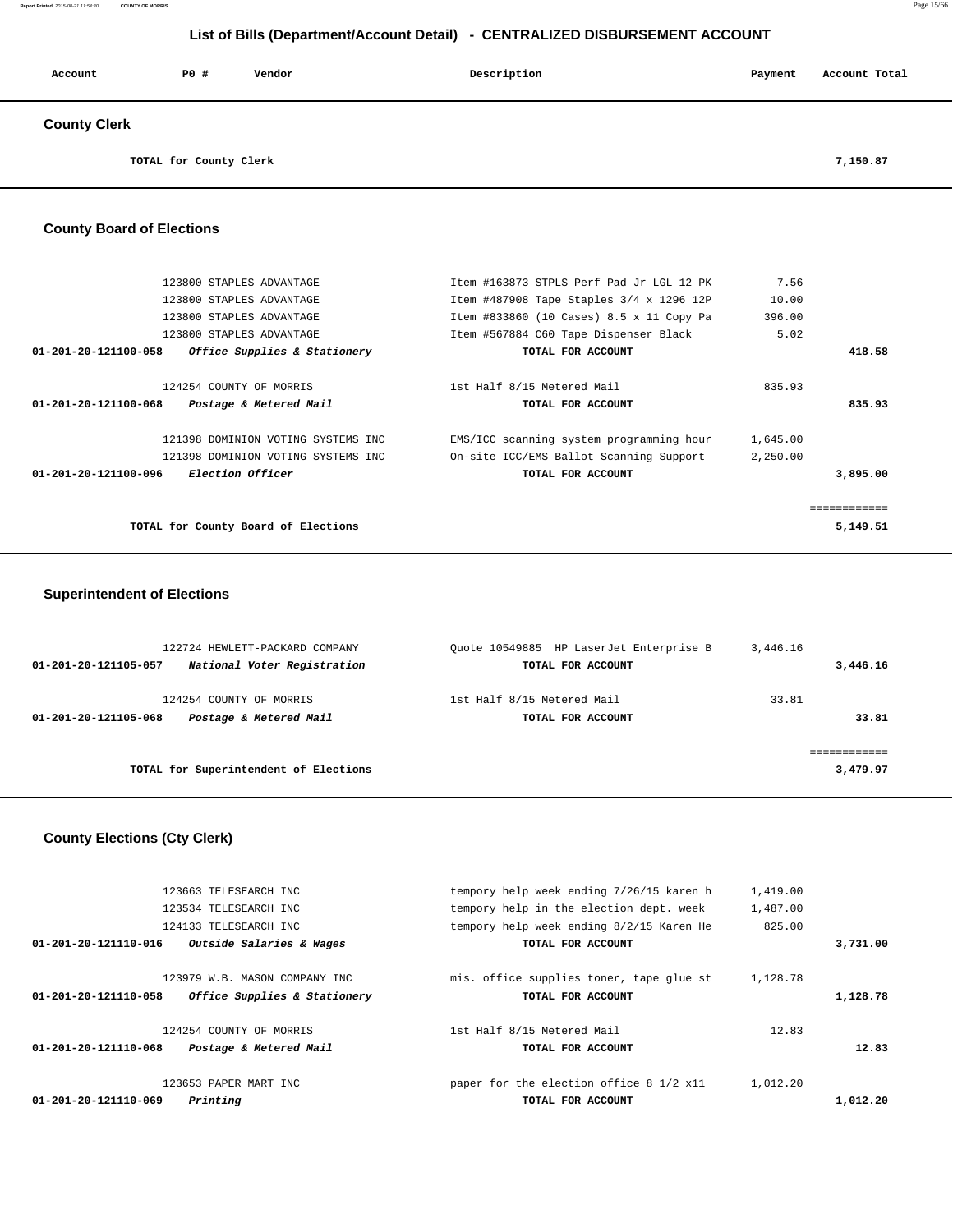| Account             | P0 #                   | Vendor | Description | Payment | Account Total |
|---------------------|------------------------|--------|-------------|---------|---------------|
| <b>County Clerk</b> |                        |        |             |         |               |
|                     | TOTAL for County Clerk |        |             |         | 7,150.87      |

### **County Board of Elections**

| 123800 STAPLES ADVANTAGE                             | Item #163873 STPLS Perf Pad Jr LGL 12 PK | 7.56     |             |
|------------------------------------------------------|------------------------------------------|----------|-------------|
| 123800 STAPLES ADVANTAGE                             | Item #487908 Tape Staples 3/4 x 1296 12P | 10.00    |             |
| 123800 STAPLES ADVANTAGE                             | Item #833860 (10 Cases) 8.5 x 11 Copy Pa | 396.00   |             |
| 123800 STAPLES ADVANTAGE                             | Item #567884 C60 Tape Dispenser Black    | 5.02     |             |
| 01-201-20-121100-058<br>Office Supplies & Stationery | TOTAL FOR ACCOUNT                        |          | 418.58      |
| 124254 COUNTY OF MORRIS                              | 1st Half 8/15 Metered Mail               | 835.93   |             |
|                                                      |                                          |          |             |
| 01-201-20-121100-068<br>Postage & Metered Mail       | TOTAL FOR ACCOUNT                        |          | 835.93      |
| 121398 DOMINION VOTING SYSTEMS INC                   | EMS/ICC scanning system programming hour | 1,645.00 |             |
| 121398 DOMINION VOTING SYSTEMS INC                   | On-site ICC/EMS Ballot Scanning Support  | 2,250.00 |             |
| <i>Election Officer</i><br>01-201-20-121100-096      | TOTAL FOR ACCOUNT                        |          | 3,895.00    |
|                                                      |                                          |          | :========== |
|                                                      |                                          |          |             |
| TOTAL for County Board of Elections                  |                                          |          | 5,149.51    |

# **Superintendent of Elections**

| 122724 HEWLETT-PACKARD COMPANY<br>National Voter Registration<br>01-201-20-121105-057 | Ouote 10549885 HP LaserJet Enterprise B<br>TOTAL FOR ACCOUNT | 3,446.16<br>3,446.16 |
|---------------------------------------------------------------------------------------|--------------------------------------------------------------|----------------------|
| 124254 COUNTY OF MORRIS<br>Postage & Metered Mail<br>01-201-20-121105-068             | 1st Half 8/15 Metered Mail<br>TOTAL FOR ACCOUNT              | 33.81<br>33.81       |
| TOTAL for Superintendent of Elections                                                 |                                                              | 3,479.97             |

# **County Elections (Cty Clerk)**

|                      | 123663 TELESEARCH INC         | tempory help week ending 7/26/15 karen h | 1,419.00 |          |
|----------------------|-------------------------------|------------------------------------------|----------|----------|
|                      | 123534 TELESEARCH INC         | tempory help in the election dept. week  | 1,487.00 |          |
|                      | 124133 TELESEARCH INC         | tempory help week ending 8/2/15 Karen He | 825.00   |          |
| 01-201-20-121110-016 | Outside Salaries & Wages      | TOTAL FOR ACCOUNT                        |          | 3,731.00 |
|                      | 123979 W.B. MASON COMPANY INC | mis, office supplies toner, tape glue st | 1,128.78 |          |
| 01-201-20-121110-058 | Office Supplies & Stationery  | TOTAL FOR ACCOUNT                        |          | 1,128.78 |
|                      |                               |                                          |          |          |
|                      | 124254 COUNTY OF MORRIS       | 1st Half 8/15 Metered Mail               | 12.83    |          |
| 01-201-20-121110-068 | Postage & Metered Mail        | TOTAL FOR ACCOUNT                        |          | 12.83    |
|                      | 123653 PAPER MART INC         | paper for the election office 8 1/2 x11  | 1,012.20 |          |
| 01-201-20-121110-069 | Printing                      | TOTAL FOR ACCOUNT                        |          | 1,012.20 |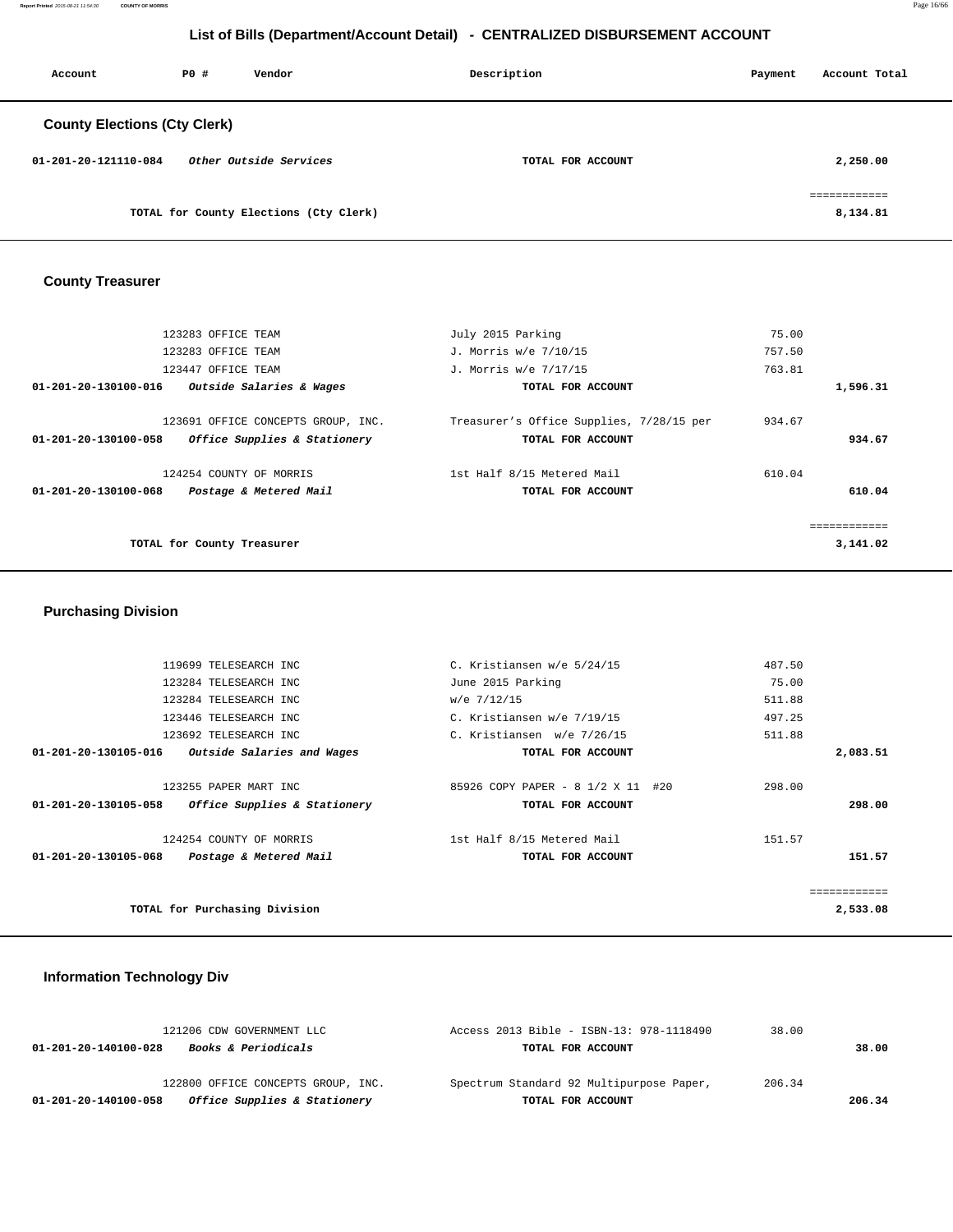**Report Printed** 2015-08-21 11:54:30 **COUNTY OF MORRIS** Page 16/66

## **List of Bills (Department/Account Detail) - CENTRALIZED DISBURSEMENT ACCOUNT**

| Account                             | PO# | Vendor                                 | Description       | Account Total<br>Payment |
|-------------------------------------|-----|----------------------------------------|-------------------|--------------------------|
| <b>County Elections (Cty Clerk)</b> |     |                                        |                   |                          |
| 01-201-20-121110-084                |     | Other Outside Services                 | TOTAL FOR ACCOUNT | 2,250.00                 |
|                                     |     | TOTAL for County Elections (Cty Clerk) |                   | ============<br>8,134.81 |

# **County Treasurer**

| 123283 OFFICE TEAM                                                                         | July 2015 Parking                                             | 75.00  |          |
|--------------------------------------------------------------------------------------------|---------------------------------------------------------------|--------|----------|
| 123283 OFFICE TEAM                                                                         | J. Morris w/e 7/10/15                                         | 757.50 |          |
| 123447 OFFICE TEAM                                                                         | J. Morris w/e 7/17/15                                         | 763.81 |          |
| Outside Salaries & Wages<br>01-201-20-130100-016                                           | TOTAL FOR ACCOUNT                                             |        | 1,596.31 |
| 123691 OFFICE CONCEPTS GROUP, INC.<br>01-201-20-130100-058<br>Office Supplies & Stationery | Treasurer's Office Supplies, 7/28/15 per<br>TOTAL FOR ACCOUNT | 934.67 | 934.67   |
| 124254 COUNTY OF MORRIS<br>01-201-20-130100-068<br>Postage & Metered Mail                  | 1st Half 8/15 Metered Mail<br>TOTAL FOR ACCOUNT               | 610.04 | 610.04   |
| TOTAL for County Treasurer                                                                 |                                                               |        | 3,141.02 |

# **Purchasing Division**

| 119699 TELESEARCH INC                                | C. Kristiansen w/e 5/24/15        | 487.50   |
|------------------------------------------------------|-----------------------------------|----------|
| 123284 TELESEARCH INC                                | June 2015 Parking                 | 75.00    |
| 123284 TELESEARCH INC                                | w/e 7/12/15                       | 511.88   |
| 123446 TELESEARCH INC                                | C. Kristiansen w/e 7/19/15        | 497.25   |
| 123692 TELESEARCH INC                                | C. Kristiansen w/e 7/26/15        | 511.88   |
| Outside Salaries and Wages<br>01-201-20-130105-016   | TOTAL FOR ACCOUNT                 | 2,083.51 |
| 123255 PAPER MART INC                                | 85926 COPY PAPER - 8 1/2 X 11 #20 | 298.00   |
| Office Supplies & Stationery<br>01-201-20-130105-058 | TOTAL FOR ACCOUNT                 | 298.00   |
| 124254 COUNTY OF MORRIS                              | 1st Half 8/15 Metered Mail        | 151.57   |
| 01-201-20-130105-068<br>Postage & Metered Mail       | TOTAL FOR ACCOUNT                 | 151.57   |
|                                                      |                                   |          |
| TOTAL for Purchasing Division                        |                                   | 2,533.08 |

# **Information Technology Div**

| Office Supplies & Stationery<br>01-201-20-140100-058   | TOTAL FOR ACCOUNT                        |        | 206.34 |
|--------------------------------------------------------|------------------------------------------|--------|--------|
| 122800 OFFICE CONCEPTS GROUP, INC.                     | Spectrum Standard 92 Multipurpose Paper, | 206.34 |        |
| <b>Books &amp; Periodicals</b><br>01-201-20-140100-028 | TOTAL FOR ACCOUNT                        |        | 38.00  |
| 121206 CDW GOVERNMENT LLC                              | Access 2013 Bible - ISBN-13: 978-1118490 | 38.00  |        |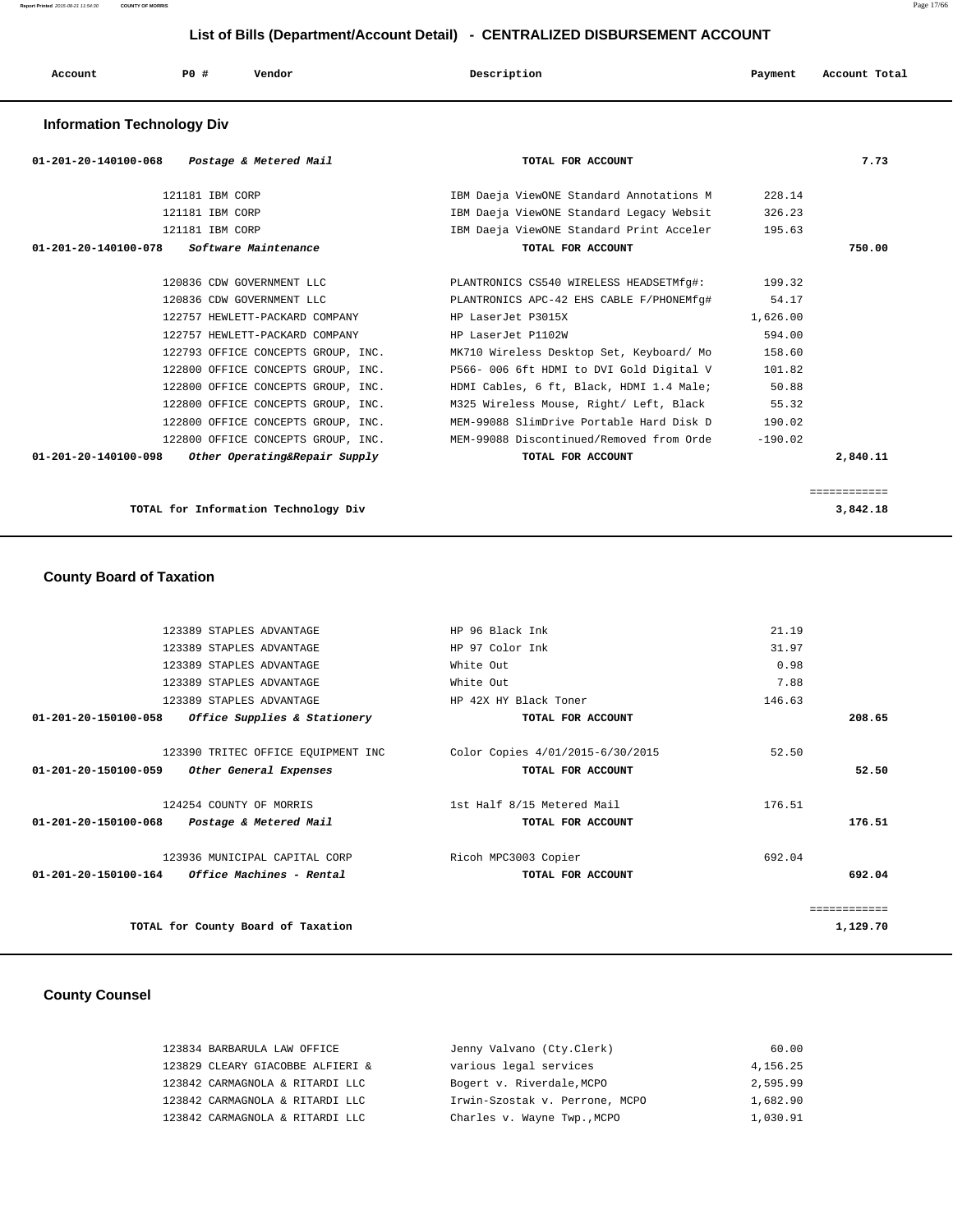| Account | P <sub>0</sub> | Vendor | Description | Payment | Account Total |
|---------|----------------|--------|-------------|---------|---------------|
|         |                |        |             |         |               |

### **Information Technology Div**

| 01-201-20-140100-068<br>Postage & Metered Mail        | TOTAL FOR ACCOUNT                                                           |           | 7.73         |
|-------------------------------------------------------|-----------------------------------------------------------------------------|-----------|--------------|
| 121181 IBM CORP                                       | IBM Daeja ViewONE Standard Annotations M                                    | 228.14    |              |
| 121181 IBM CORP                                       | IBM Daeja ViewONE Standard Legacy Websit                                    | 326.23    |              |
| 121181 IBM CORP                                       | IBM Daeja ViewONE Standard Print Acceler 195.63                             |           |              |
| $01-201-20-140100-078$ Software Maintenance           | TOTAL FOR ACCOUNT                                                           |           | 750.00       |
| 120836 CDW GOVERNMENT LLC                             | PLANTRONICS CS540 WIRELESS HEADSETMfg#:                                     | 199.32    |              |
| 120836 CDW GOVERNMENT LLC                             | PLANTRONICS APC-42 EHS CABLE F/PHONEMfg#                                    | 54.17     |              |
| 122757 HEWLETT-PACKARD COMPANY                        | HP LaserJet P3015X                                                          | 1,626.00  |              |
| 122757 HEWLETT-PACKARD COMPANY                        | HP LaserJet P1102W                                                          | 594.00    |              |
| 122793 OFFICE CONCEPTS GROUP, INC.                    | MK710 Wireless Desktop Set, Keyboard/ Mo                                    | 158.60    |              |
| 122800 OFFICE CONCEPTS GROUP, INC.                    | P566- 006 6ft HDMI to DVI Gold Digital V                                    | 101.82    |              |
| 122800 OFFICE CONCEPTS GROUP, INC.                    | HDMI Cables, 6 ft, Black, HDMI 1.4 Male;                                    | 50.88     |              |
| 122800 OFFICE CONCEPTS GROUP, INC.                    | M325 Wireless Mouse, Right/ Left, Black 55.32                               |           |              |
| 122800 OFFICE CONCEPTS GROUP, INC.                    | MEM-99088 SlimDrive Portable Hard Disk D                                    | 190.02    |              |
|                                                       | 122800 OFFICE CONCEPTS GROUP, INC. MEM-99088 Discontinued/Removed from Orde | $-190.02$ |              |
| 01-201-20-140100-098<br>Other Operating&Repair Supply | TOTAL FOR ACCOUNT                                                           |           | 2,840.11     |
|                                                       |                                                                             |           |              |
|                                                       |                                                                             |           | ============ |

**TOTAL for Information Technology Div 3,842.18**

### **County Board of Taxation**

|              | 21.19  | HP 96 Black Ink                  | 123389 STAPLES ADVANTAGE                        |                                |
|--------------|--------|----------------------------------|-------------------------------------------------|--------------------------------|
|              | 31.97  | HP 97 Color Ink                  | 123389 STAPLES ADVANTAGE                        |                                |
|              | 0.98   | White Out                        | 123389 STAPLES ADVANTAGE                        |                                |
|              | 7.88   | White Out                        | 123389 STAPLES ADVANTAGE                        |                                |
|              | 146.63 | HP 42X HY Black Toner            | 123389 STAPLES ADVANTAGE                        |                                |
| 208.65       |        | TOTAL FOR ACCOUNT                | Office Supplies & Stationery                    | 01-201-20-150100-058           |
|              |        |                                  |                                                 |                                |
|              | 52.50  | Color Copies 4/01/2015-6/30/2015 | 123390 TRITEC OFFICE EQUIPMENT INC              |                                |
| 52.50        |        | TOTAL FOR ACCOUNT                | Other General Expenses                          | 01-201-20-150100-059           |
|              | 176.51 | 1st Half 8/15 Metered Mail       | 124254 COUNTY OF MORRIS                         |                                |
| 176.51       |        | TOTAL FOR ACCOUNT                | Postage & Metered Mail                          | $01 - 201 - 20 - 150100 - 068$ |
|              | 692.04 | Ricoh MPC3003 Copier             | 123936 MUNICIPAL CAPITAL CORP                   |                                |
| 692.04       |        | TOTAL FOR ACCOUNT                | $01-201-20-150100-164$ Office Machines - Rental |                                |
| ============ |        |                                  |                                                 |                                |
| 1,129.70     |        |                                  | TOTAL for County Board of Taxation              |                                |
|              |        |                                  |                                                 |                                |

### **County Counsel**

| 123834 BARBARULA LAW OFFICE      | Jenny Valvano (Cty.Clerk)      | 60.00    |
|----------------------------------|--------------------------------|----------|
| 123829 CLEARY GIACOBBE ALFIERI & | various legal services         | 4,156.25 |
| 123842 CARMAGNOLA & RITARDI LLC  | Bogert v. Riverdale, MCPO      | 2,595.99 |
| 123842 CARMAGNOLA & RITARDI LLC  | Irwin-Szostak v. Perrone, MCPO | 1,682.90 |
| 123842 CARMAGNOLA & RITARDI LLC  | Charles v. Wayne Twp., MCPO    | 1,030.91 |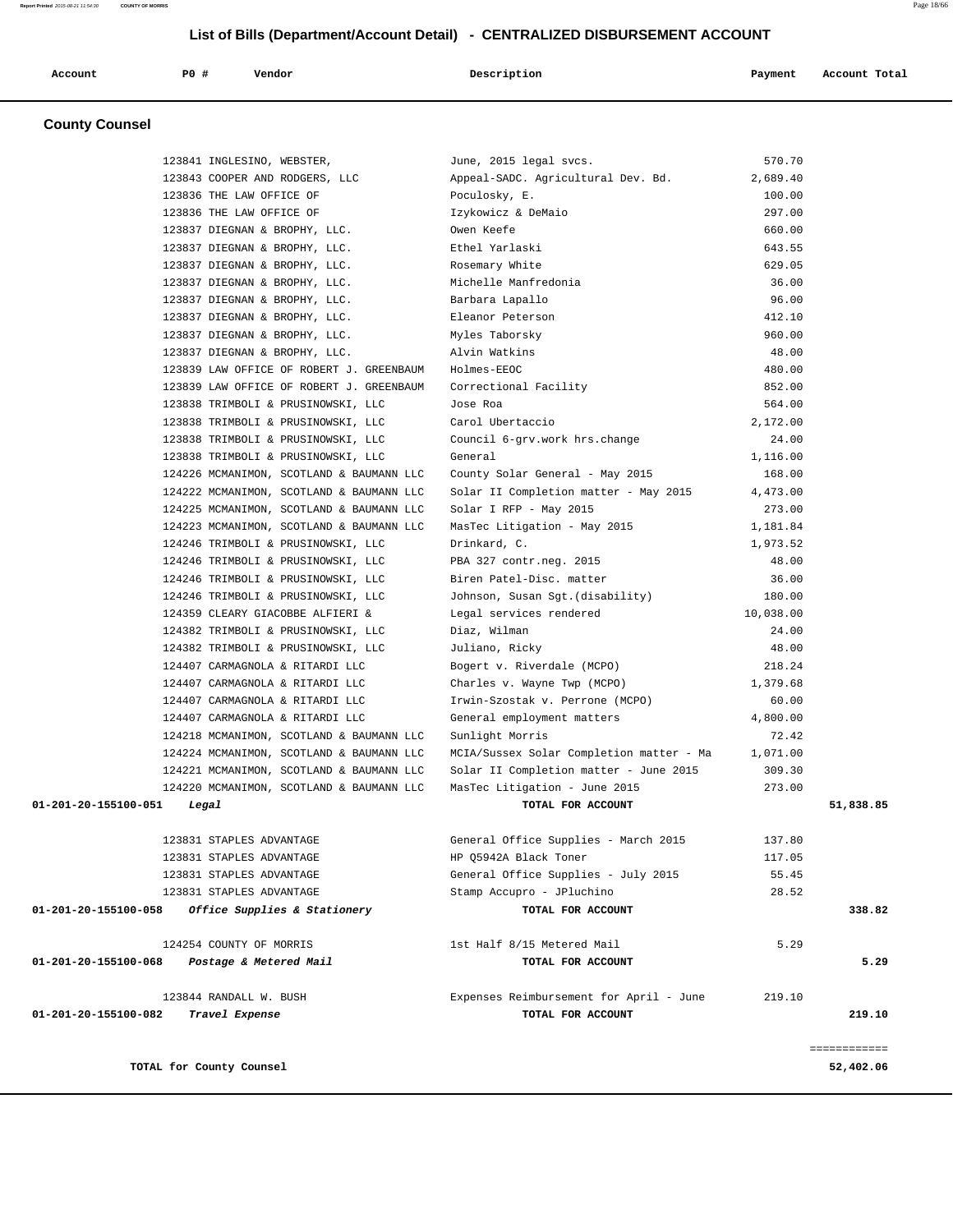| Account | PO# | Vendor | Description | Payment | Account Total |
|---------|-----|--------|-------------|---------|---------------|
|         |     |        |             |         |               |

### **County Counsel**

|                      | 123841 INGLESINO, WEBSTER,                           | June, 2015 legal svcs.                            | 570.70    |              |
|----------------------|------------------------------------------------------|---------------------------------------------------|-----------|--------------|
|                      | 123843 COOPER AND RODGERS, LLC                       | Appeal-SADC. Agricultural Dev. Bd.                | 2,689.40  |              |
|                      | 123836 THE LAW OFFICE OF                             | Poculosky, E.                                     | 100.00    |              |
|                      | 123836 THE LAW OFFICE OF                             | Izykowicz & DeMaio                                | 297.00    |              |
|                      | 123837 DIEGNAN & BROPHY, LLC.                        | Owen Keefe                                        | 660.00    |              |
|                      | 123837 DIEGNAN & BROPHY, LLC.                        | Ethel Yarlaski                                    | 643.55    |              |
|                      | 123837 DIEGNAN & BROPHY, LLC.                        | Rosemary White                                    | 629.05    |              |
|                      | 123837 DIEGNAN & BROPHY, LLC.                        | Michelle Manfredonia                              | 36.00     |              |
|                      | 123837 DIEGNAN & BROPHY, LLC.                        | Barbara Lapallo                                   | 96.00     |              |
|                      | 123837 DIEGNAN & BROPHY, LLC.                        | Eleanor Peterson                                  | 412.10    |              |
|                      | 123837 DIEGNAN & BROPHY, LLC.                        | Myles Taborsky                                    | 960.00    |              |
|                      | 123837 DIEGNAN & BROPHY, LLC.                        | Alvin Watkins                                     | 48.00     |              |
|                      | 123839 LAW OFFICE OF ROBERT J. GREENBAUM Holmes-EEOC |                                                   | 480.00    |              |
|                      | 123839 LAW OFFICE OF ROBERT J. GREENBAUM             | Correctional Facility                             | 852.00    |              |
|                      | 123838 TRIMBOLI & PRUSINOWSKI, LLC                   | Jose Roa                                          | 564.00    |              |
|                      | 123838 TRIMBOLI & PRUSINOWSKI, LLC                   | Carol Ubertaccio                                  | 2,172.00  |              |
|                      | 123838 TRIMBOLI & PRUSINOWSKI, LLC                   | Council 6-grv.work hrs.change                     | 24.00     |              |
|                      | 123838 TRIMBOLI & PRUSINOWSKI, LLC                   | General                                           | 1,116.00  |              |
|                      | 124226 MCMANIMON, SCOTLAND & BAUMANN LLC             | County Solar General - May 2015                   | 168.00    |              |
|                      | 124222 MCMANIMON, SCOTLAND & BAUMANN LLC             | Solar II Completion matter - May 2015             | 4,473.00  |              |
|                      | 124225 MCMANIMON, SCOTLAND & BAUMANN LLC             | Solar I RFP - May 2015                            | 273.00    |              |
|                      | 124223 MCMANIMON, SCOTLAND & BAUMANN LLC             | MasTec Litigation - May 2015                      | 1,181.84  |              |
|                      | 124246 TRIMBOLI & PRUSINOWSKI, LLC                   | Drinkard, C.                                      | 1,973.52  |              |
|                      | 124246 TRIMBOLI & PRUSINOWSKI, LLC                   | PBA 327 contr.neg. 2015                           | 48.00     |              |
|                      | 124246 TRIMBOLI & PRUSINOWSKI, LLC                   | Biren Patel-Disc. matter                          | 36.00     |              |
|                      | 124246 TRIMBOLI & PRUSINOWSKI, LLC                   | Johnson, Susan Sgt. (disability)                  | 180.00    |              |
|                      | 124359 CLEARY GIACOBBE ALFIERI &                     | Legal services rendered                           | 10,038.00 |              |
|                      | 124382 TRIMBOLI & PRUSINOWSKI, LLC                   | Diaz, Wilman                                      | 24.00     |              |
|                      | 124382 TRIMBOLI & PRUSINOWSKI, LLC                   | Juliano, Ricky                                    | 48.00     |              |
|                      | 124407 CARMAGNOLA & RITARDI LLC                      | Bogert v. Riverdale (MCPO)                        | 218.24    |              |
|                      | 124407 CARMAGNOLA & RITARDI LLC                      | Charles v. Wayne Twp (MCPO) 1,379.68              |           |              |
|                      | 124407 CARMAGNOLA & RITARDI LLC                      | Irwin-Szostak v. Perrone (MCPO)                   | 60.00     |              |
|                      | 124407 CARMAGNOLA & RITARDI LLC                      | General employment matters                        | 4,800.00  |              |
|                      | 124218 MCMANIMON, SCOTLAND & BAUMANN LLC             | Sunlight Morris                                   | 72.42     |              |
|                      | 124224 MCMANIMON, SCOTLAND & BAUMANN LLC             | MCIA/Sussex Solar Completion matter - Ma 1,071.00 |           |              |
|                      | 124221 MCMANIMON, SCOTLAND & BAUMANN LLC             | Solar II Completion matter - June 2015            | 309.30    |              |
|                      | 124220 MCMANIMON, SCOTLAND & BAUMANN LLC             | MasTec Litigation - June 2015                     | 273.00    |              |
| 01-201-20-155100-051 | Legal                                                | TOTAL FOR ACCOUNT                                 |           | 51,838.85    |
|                      | 123831 STAPLES ADVANTAGE                             | General Office Supplies - March 2015              | 137.80    |              |
|                      | 123831 STAPLES ADVANTAGE                             | HP Q5942A Black Toner                             | 117.05    |              |
|                      | 123831 STAPLES ADVANTAGE                             | General Office Supplies - July 2015               | 55.45     |              |
|                      | 123831 STAPLES ADVANTAGE                             | Stamp Accupro - JPluchino                         | 28.52     |              |
| 01-201-20-155100-058 | Office Supplies & Stationery                         | TOTAL FOR ACCOUNT                                 |           | 338.82       |
|                      | 124254 COUNTY OF MORRIS                              | 1st Half 8/15 Metered Mail                        | 5.29      |              |
| 01-201-20-155100-068 | Postage & Metered Mail                               | TOTAL FOR ACCOUNT                                 |           | 5.29         |
|                      | 123844 RANDALL W. BUSH                               | Expenses Reimbursement for April - June           | 219.10    |              |
| 01-201-20-155100-082 | Travel Expense                                       | TOTAL FOR ACCOUNT                                 |           | 219.10       |
|                      |                                                      |                                                   |           | ------------ |
|                      | TOTAL for County Counsel                             |                                                   |           | 52,402.06    |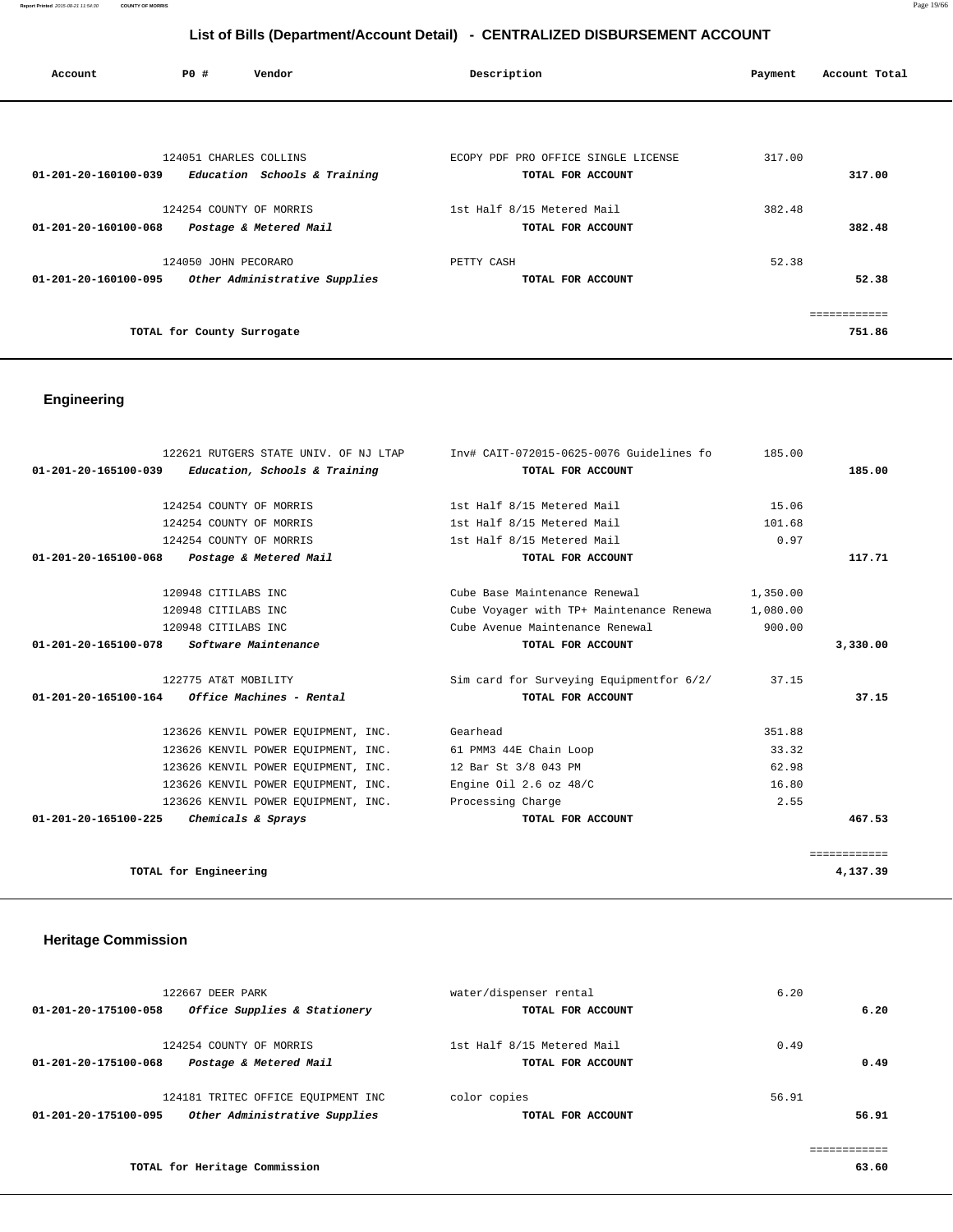| Account                        | PO#                        | Vendor                        | Description                         | Payment | Account Total |
|--------------------------------|----------------------------|-------------------------------|-------------------------------------|---------|---------------|
|                                |                            |                               |                                     |         |               |
|                                | 124051 CHARLES COLLINS     |                               | ECOPY PDF PRO OFFICE SINGLE LICENSE | 317.00  |               |
| 01-201-20-160100-039           |                            | Education Schools & Training  | TOTAL FOR ACCOUNT                   |         | 317.00        |
|                                | 124254 COUNTY OF MORRIS    |                               | 1st Half 8/15 Metered Mail          | 382.48  |               |
| 01-201-20-160100-068           |                            | Postage & Metered Mail        | TOTAL FOR ACCOUNT                   |         | 382.48        |
|                                | 124050 JOHN PECORARO       |                               | PETTY CASH                          | 52.38   |               |
| $01 - 201 - 20 - 160100 - 095$ |                            | Other Administrative Supplies | TOTAL FOR ACCOUNT                   |         | 52.38         |
|                                |                            |                               |                                     |         | ============  |
|                                | TOTAL for County Surrogate |                               |                                     |         | 751.86        |

# **Engineering**

|                                                 | 122621 RUTGERS STATE UNIV. OF NJ LTAP                      | Inv# CAIT-072015-0625-0076 Guidelines fo | 185.00   |              |
|-------------------------------------------------|------------------------------------------------------------|------------------------------------------|----------|--------------|
|                                                 | $01-201-20-165100-039$ Education, Schools & Training       | TOTAL FOR ACCOUNT                        |          | 185.00       |
|                                                 | 124254 COUNTY OF MORRIS                                    | 1st Half 8/15 Metered Mail               | 15.06    |              |
|                                                 |                                                            |                                          |          |              |
|                                                 | 124254 COUNTY OF MORRIS                                    | 1st Half 8/15 Metered Mail               | 101.68   |              |
|                                                 | 124254 COUNTY OF MORRIS                                    | 1st Half 8/15 Metered Mail               | 0.97     |              |
| 01-201-20-165100-068                            | Postage & Metered Mail                                     | TOTAL FOR ACCOUNT                        |          | 117.71       |
|                                                 | 120948 CITILABS INC                                        | Cube Base Maintenance Renewal            | 1,350.00 |              |
|                                                 | 120948 CITILABS INC                                        | Cube Voyager with TP+ Maintenance Renewa | 1,080.00 |              |
|                                                 | 120948 CITILABS INC                                        | Cube Avenue Maintenance Renewal          | 900.00   |              |
| 01-201-20-165100-078 Software Maintenance       |                                                            | TOTAL FOR ACCOUNT                        |          | 3,330.00     |
|                                                 | 122775 AT&T MOBILITY                                       | Sim card for Surveying Equipmentfor 6/2/ | 37.15    |              |
| $01-201-20-165100-164$ Office Machines - Rental |                                                            | TOTAL FOR ACCOUNT                        |          | 37.15        |
|                                                 | 123626 KENVIL POWER EQUIPMENT, INC. Gearhead               |                                          | 351.88   |              |
|                                                 | 123626 KENVIL POWER EQUIPMENT, INC. 61 PMM3 44E Chain Loop |                                          | 33.32    |              |
|                                                 | 123626 KENVIL POWER EOUIPMENT, INC.                        | 12 Bar St 3/8 043 PM                     | 62.98    |              |
|                                                 | 123626 KENVIL POWER EQUIPMENT, INC.                        | Engine Oil $2.6$ oz $48/C$               | 16.80    |              |
|                                                 | 123626 KENVIL POWER EQUIPMENT, INC.                        | Processing Charge                        | 2.55     |              |
| 01-201-20-165100-225 Chemicals & Sprays         |                                                            | TOTAL FOR ACCOUNT                        |          | 467.53       |
|                                                 |                                                            |                                          |          | ============ |
| TOTAL for Engineering                           |                                                            |                                          |          | 4,137.39     |

# **Heritage Commission**

| 122667 DEER PARK<br>Office Supplies & Stationery<br>01-201-20-175100-058                    | water/dispenser rental<br>TOTAL FOR ACCOUNT     | 6.20<br>6.20   |
|---------------------------------------------------------------------------------------------|-------------------------------------------------|----------------|
| 124254 COUNTY OF MORRIS<br>Postage & Metered Mail<br>01-201-20-175100-068                   | 1st Half 8/15 Metered Mail<br>TOTAL FOR ACCOUNT | 0.49<br>0.49   |
| 124181 TRITEC OFFICE EQUIPMENT INC<br>Other Administrative Supplies<br>01-201-20-175100-095 | color copies<br>TOTAL FOR ACCOUNT               | 56.91<br>56.91 |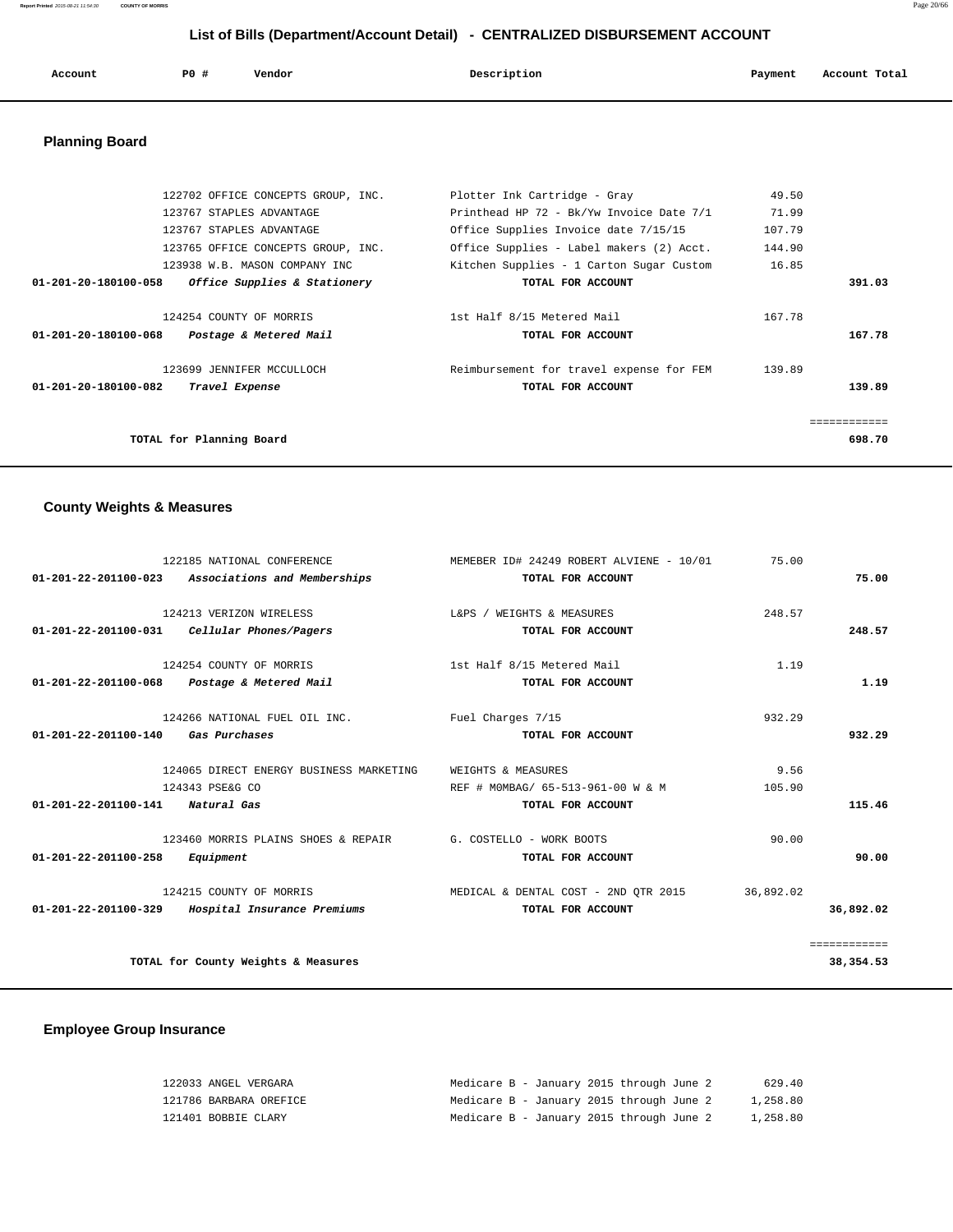| Account | <b>PO #</b> | Vendor | Description | Payment | Account Total<br>. |
|---------|-------------|--------|-------------|---------|--------------------|
|         |             |        |             |         |                    |

# **Planning Board**

|                      | 122702 OFFICE CONCEPTS GROUP, INC.      | Plotter Ink Cartridge - Gray             | 49.50  |              |
|----------------------|-----------------------------------------|------------------------------------------|--------|--------------|
|                      | 123767 STAPLES ADVANTAGE                | Printhead HP 72 - Bk/Yw Invoice Date 7/1 | 71.99  |              |
|                      | 123767 STAPLES ADVANTAGE                | Office Supplies Invoice date 7/15/15     | 107.79 |              |
|                      | 123765 OFFICE CONCEPTS GROUP, INC.      | Office Supplies - Label makers (2) Acct. | 144.90 |              |
|                      | 123938 W.B. MASON COMPANY INC           | Kitchen Supplies - 1 Carton Sugar Custom | 16.85  |              |
| 01-201-20-180100-058 | <i>Office Supplies &amp; Stationery</i> | TOTAL FOR ACCOUNT                        |        | 391.03       |
|                      | 124254 COUNTY OF MORRIS                 | 1st Half 8/15 Metered Mail               | 167.78 |              |
| 01-201-20-180100-068 | Postage & Metered Mail                  | TOTAL FOR ACCOUNT                        |        | 167.78       |
|                      | 123699 JENNIFER MCCULLOCH               | Reimbursement for travel expense for FEM | 139.89 |              |
| 01-201-20-180100-082 | Travel Expense                          | TOTAL FOR ACCOUNT                        |        | 139.89       |
|                      |                                         |                                          |        | ------------ |
|                      | TOTAL for Planning Board                |                                          |        | 698.70       |
|                      |                                         |                                          |        |              |

# **County Weights & Measures**

| 122185 NATIONAL CONFERENCE                                    | MEMEBER ID# 24249 ROBERT ALVIENE - 10/01 | 75.00     |              |
|---------------------------------------------------------------|------------------------------------------|-----------|--------------|
| 01-201-22-201100-023 Associations and Memberships             | TOTAL FOR ACCOUNT                        |           | 75.00        |
|                                                               |                                          |           |              |
| 124213 VERIZON WIRELESS                                       | L&PS / WEIGHTS & MEASURES                | 248.57    |              |
| 01-201-22-201100-031    Cellular Phones/Pagers                | TOTAL FOR ACCOUNT                        |           | 248.57       |
| 124254 COUNTY OF MORRIS                                       | 1st Half 8/15 Metered Mail               | 1.19      |              |
|                                                               |                                          |           |              |
| 01-201-22-201100-068 Postage & Metered Mail                   | TOTAL FOR ACCOUNT                        |           | 1.19         |
| 124266 NATIONAL FUEL OIL INC.                                 | Fuel Charges 7/15                        | 932.29    |              |
| $01 - 201 - 22 - 201100 - 140$<br><i><b>Gas Purchases</b></i> | TOTAL FOR ACCOUNT                        |           | 932.29       |
|                                                               |                                          |           |              |
| 124065 DIRECT ENERGY BUSINESS MARKETING                       | WEIGHTS & MEASURES                       | 9.56      |              |
| 124343 PSE&G CO                                               | REF # MOMBAG/ 65-513-961-00 W & M        | 105.90    |              |
| 01-201-22-201100-141 Natural Gas                              | TOTAL FOR ACCOUNT                        |           | 115.46       |
| 123460 MORRIS PLAINS SHOES & REPAIR                           | G. COSTELLO - WORK BOOTS                 | 90.00     |              |
| 01-201-22-201100-258<br>Equipment                             | TOTAL FOR ACCOUNT                        |           | 90.00        |
|                                                               |                                          |           |              |
| 124215 COUNTY OF MORRIS                                       | MEDICAL & DENTAL COST - 2ND OTR 2015     | 36,892.02 |              |
| 01-201-22-201100-329 Hospital Insurance Premiums              | TOTAL FOR ACCOUNT                        |           | 36,892.02    |
|                                                               |                                          |           |              |
|                                                               |                                          |           | ============ |
| TOTAL for County Weights & Measures                           |                                          |           | 38, 354.53   |

# **Employee Group Insurance**

| 122033 ANGEL VERGARA   | Medicare B - January 2015 through June 2 |  |  | 629.40   |
|------------------------|------------------------------------------|--|--|----------|
| 121786 BARBARA OREFICE | Medicare B - January 2015 through June 2 |  |  | 1,258.80 |
| 121401 BOBBIE CLARY    | Medicare B - January 2015 through June 2 |  |  | 1,258.80 |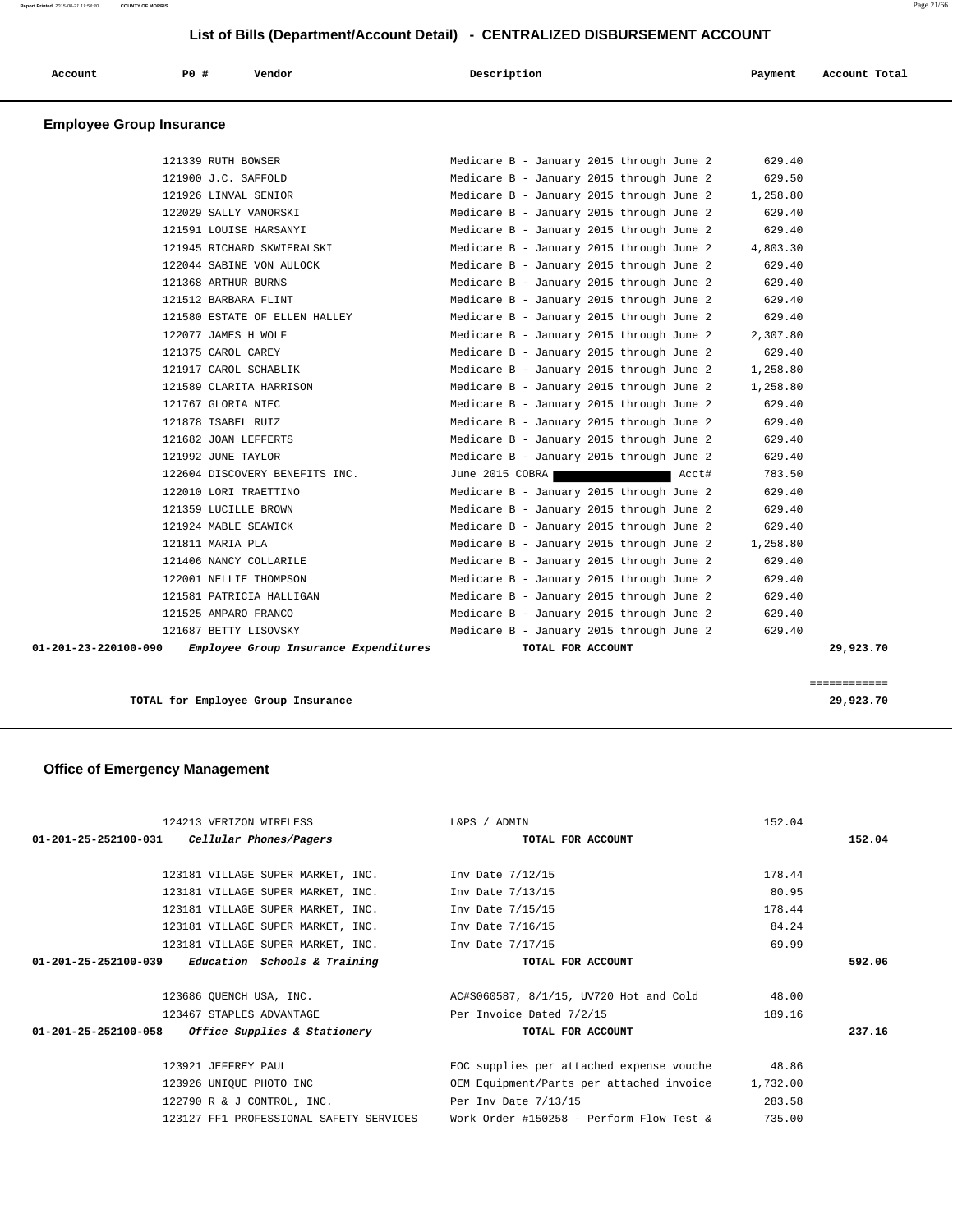| Account                         | PO# | Vendor | Description                                                                                                     |  | Payment |   | Account Total |
|---------------------------------|-----|--------|-----------------------------------------------------------------------------------------------------------------|--|---------|---|---------------|
| <b>Employee Group Insurance</b> |     |        | the contract of the contract of the contract of the contract of the contract of the contract of the contract of |  |         | . |               |

| 01-201-23-220100-090 | Employee Group Insurance Expenditures |                                          | TOTAL FOR ACCOUNT |       |          | 29,923.70 |
|----------------------|---------------------------------------|------------------------------------------|-------------------|-------|----------|-----------|
|                      | 121687 BETTY LISOVSKY                 | Medicare B - January 2015 through June 2 |                   |       | 629.40   |           |
|                      | 121525 AMPARO FRANCO                  | Medicare B - January 2015 through June 2 |                   |       | 629.40   |           |
|                      | 121581 PATRICIA HALLIGAN              | Medicare B - January 2015 through June 2 |                   |       | 629.40   |           |
|                      | 122001 NELLIE THOMPSON                | Medicare B - January 2015 through June 2 |                   |       | 629.40   |           |
|                      | 121406 NANCY COLLARILE                | Medicare B - January 2015 through June 2 |                   |       | 629.40   |           |
|                      | 121811 MARIA PLA                      | Medicare B - January 2015 through June 2 |                   |       | 1,258.80 |           |
|                      | 121924 MABLE SEAWICK                  | Medicare B - January 2015 through June 2 |                   |       | 629.40   |           |
|                      | 121359 LUCILLE BROWN                  | Medicare B - January 2015 through June 2 |                   |       | 629.40   |           |
|                      | 122010 LORI TRAETTINO                 | Medicare B - January 2015 through June 2 |                   |       | 629.40   |           |
|                      | 122604 DISCOVERY BENEFITS INC.        | June 2015 COBRA                          |                   | Acct# | 783.50   |           |
|                      | 121992 JUNE TAYLOR                    | Medicare B - January 2015 through June 2 |                   |       | 629.40   |           |
|                      | 121682 JOAN LEFFERTS                  | Medicare B - January 2015 through June 2 |                   |       | 629.40   |           |
|                      | 121878 ISABEL RUIZ                    | Medicare B - January 2015 through June 2 |                   |       | 629.40   |           |
|                      | 121767 GLORIA NIEC                    | Medicare B - January 2015 through June 2 |                   |       | 629.40   |           |
|                      | 121589 CLARITA HARRISON               | Medicare B - January 2015 through June 2 |                   |       | 1,258.80 |           |
|                      | 121917 CAROL SCHABLIK                 | Medicare B - January 2015 through June 2 |                   |       | 1,258.80 |           |
|                      | 121375 CAROL CAREY                    | Medicare B - January 2015 through June 2 |                   |       | 629.40   |           |
|                      | 122077 JAMES H WOLF                   | Medicare B - January 2015 through June 2 |                   |       | 2,307.80 |           |
|                      | 121580 ESTATE OF ELLEN HALLEY         | Medicare B - January 2015 through June 2 |                   |       | 629.40   |           |
|                      | 121512 BARBARA FLINT                  | Medicare B - January 2015 through June 2 |                   |       | 629.40   |           |
|                      | 121368 ARTHUR BURNS                   | Medicare B - January 2015 through June 2 |                   |       | 629.40   |           |
|                      | 122044 SABINE VON AULOCK              | Medicare B - January 2015 through June 2 |                   |       | 629.40   |           |
|                      | 121945 RICHARD SKWIERALSKI            | Medicare B - January 2015 through June 2 |                   |       | 4,803.30 |           |
|                      | 121591 LOUISE HARSANYI                | Medicare B - January 2015 through June 2 |                   |       | 629.40   |           |
|                      | 122029 SALLY VANORSKI                 | Medicare B - January 2015 through June 2 |                   |       | 629.40   |           |
|                      | 121926 LINVAL SENIOR                  | Medicare B - January 2015 through June 2 |                   |       | 1,258.80 |           |
|                      | 121900 J.C. SAFFOLD                   | Medicare B - January 2015 through June 2 |                   |       | 629.50   |           |
|                      | 121339 RUTH BOWSER                    | Medicare B - January 2015 through June 2 |                   |       | 629.40   |           |

**TOTAL for Employee Group Insurance 29,923.70**

============

# **Office of Emergency Management**

|                      | 124213 VERIZON WIRELESS                             | L&PS / ADMIN                             | 152.04   |        |
|----------------------|-----------------------------------------------------|------------------------------------------|----------|--------|
|                      | $01-201-25-252100-031$ Cellular Phones/Pagers       | TOTAL FOR ACCOUNT                        |          | 152.04 |
|                      |                                                     |                                          |          |        |
|                      | 123181 VILLAGE SUPER MARKET, INC. Inv Date 7/12/15  |                                          | 178.44   |        |
|                      | 123181 VILLAGE SUPER MARKET, INC.                   | Inv Date 7/13/15                         | 80.95    |        |
|                      | 123181 VILLAGE SUPER MARKET, INC. Inv Date 7/15/15  |                                          | 178.44   |        |
|                      | 123181 VILLAGE SUPER MARKET, INC.                   | Inv Date 7/16/15                         | 84.24    |        |
|                      | 123181 VILLAGE SUPER MARKET, INC.                   | Inv Date 7/17/15                         | 69.99    |        |
| 01-201-25-252100-039 | Education Schools & Training                        | TOTAL FOR ACCOUNT                        |          | 592.06 |
|                      |                                                     |                                          |          |        |
|                      | 123686 OUENCH USA, INC.                             | AC#S060587, 8/1/15, UV720 Hot and Cold   | 48.00    |        |
|                      | 123467 STAPLES ADVANTAGE                            | Per Invoice Dated 7/2/15                 | 189.16   |        |
|                      | $01-201-25-252100-058$ Office Supplies & Stationery | TOTAL FOR ACCOUNT                        |          | 237.16 |
|                      |                                                     |                                          |          |        |
|                      | 123921 JEFFREY PAUL                                 | EOC supplies per attached expense vouche | 48.86    |        |
|                      | 123926 UNIQUE PHOTO INC                             | OEM Equipment/Parts per attached invoice | 1,732.00 |        |
|                      | 122790 R & J CONTROL, INC.                          | Per Inv Date 7/13/15                     | 283.58   |        |
|                      | 123127 FF1 PROFESSIONAL SAFETY SERVICES             | Work Order #150258 - Perform Flow Test & | 735.00   |        |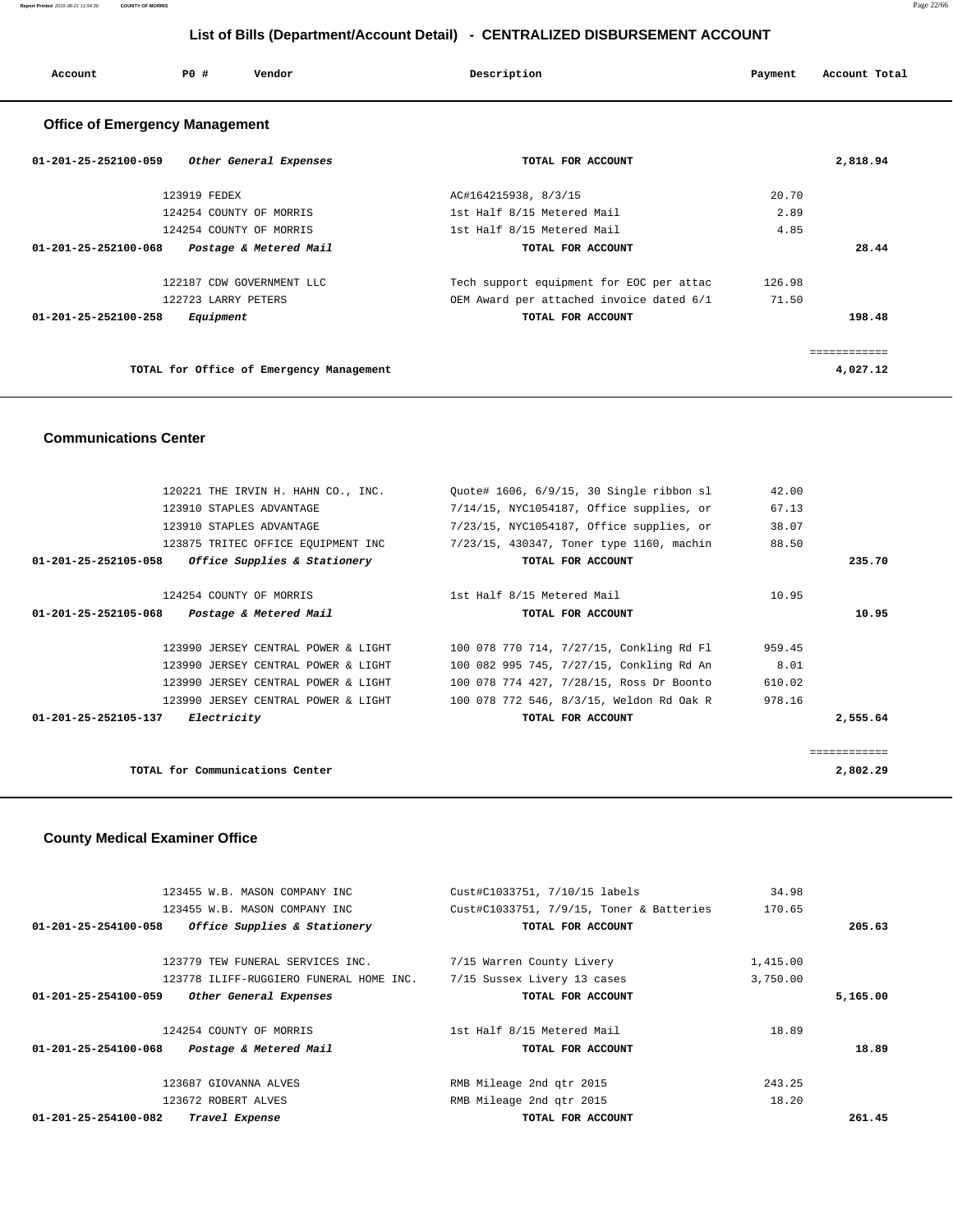| Account                               | PO#          | Vendor                  | Description                | Payment | Account Total |
|---------------------------------------|--------------|-------------------------|----------------------------|---------|---------------|
| <b>Office of Emergency Management</b> |              |                         |                            |         |               |
| $01 - 201 - 25 - 252100 - 059$        |              | Other General Expenses  | TOTAL FOR ACCOUNT          |         | 2,818.94      |
|                                       | 123919 FEDEX |                         | AC#164215938, 8/3/15       | 20.70   |               |
|                                       |              | 124254 COUNTY OF MORRIS | 1st Half 8/15 Metered Mail | 2.89    |               |
|                                       |              | 124254 COUNTY OF MORRIS | 1st Half 8/15 Metered Mail | 4.85    |               |
| 01-201-25-252100-068                  |              | Postage & Metered Mail  | TOTAL FOR ACCOUNT          |         | 28.44         |
|                                       |              |                         |                            |         |               |

|                      | 122187 CDW GOVERNMENT LLC                | Tech support equipment for EOC per attac | 126.98 |          |
|----------------------|------------------------------------------|------------------------------------------|--------|----------|
|                      | 122723 LARRY PETERS                      | OEM Award per attached invoice dated 6/1 | 71.50  |          |
| 01-201-25-252100-258 | Equipment                                | TOTAL FOR ACCOUNT                        |        | 198.48   |
|                      |                                          |                                          |        |          |
|                      |                                          |                                          |        |          |
|                      | TOTAL for Office of Emergency Management |                                          |        | 4,027.12 |

### **Communications Center**

| 120221 THE IRVIN H. HAHN CO., INC.             |                              | Ouote# 1606, 6/9/15, 30 Single ribbon sl | 42.00  |              |
|------------------------------------------------|------------------------------|------------------------------------------|--------|--------------|
|                                                |                              |                                          |        |              |
| 123910 STAPLES ADVANTAGE                       |                              | 7/14/15, NYC1054187, Office supplies, or | 67.13  |              |
| 123910 STAPLES ADVANTAGE                       |                              | 7/23/15, NYC1054187, Office supplies, or | 38.07  |              |
| 123875 TRITEC OFFICE EQUIPMENT INC             |                              | 7/23/15, 430347, Toner type 1160, machin | 88.50  |              |
| $01 - 201 - 25 - 252105 - 058$                 | Office Supplies & Stationery | TOTAL FOR ACCOUNT                        |        | 235.70       |
| 124254 COUNTY OF MORRIS                        |                              | 1st Half 8/15 Metered Mail               | 10.95  |              |
|                                                |                              |                                          |        |              |
| 01-201-25-252105-068<br>Postage & Metered Mail |                              | TOTAL FOR ACCOUNT                        |        | 10.95        |
|                                                |                              |                                          |        |              |
| 123990 JERSEY CENTRAL POWER & LIGHT            |                              | 100 078 770 714, 7/27/15, Conkling Rd Fl | 959.45 |              |
| 123990 JERSEY CENTRAL POWER & LIGHT            |                              | 100 082 995 745, 7/27/15, Conkling Rd An | 8.01   |              |
| 123990 JERSEY CENTRAL POWER & LIGHT            |                              | 100 078 774 427, 7/28/15, Ross Dr Boonto | 610.02 |              |
| 123990 JERSEY CENTRAL POWER & LIGHT            |                              | 100 078 772 546, 8/3/15, Weldon Rd Oak R | 978.16 |              |
| $01 - 201 - 25 - 252105 - 137$<br>Electricity  |                              | TOTAL FOR ACCOUNT                        |        | 2,555.64     |
|                                                |                              |                                          |        |              |
|                                                |                              |                                          |        | ============ |
| TOTAL for Communications Center                |                              |                                          |        | 2,802.29     |
|                                                |                              |                                          |        |              |

### **County Medical Examiner Office**

| 123455 W.B. MASON COMPANY INC                            | Cust#C1033751, 7/10/15 labels            | 34.98    |          |
|----------------------------------------------------------|------------------------------------------|----------|----------|
| 123455 W.B. MASON COMPANY INC                            | Cust#C1033751, 7/9/15, Toner & Batteries | 170.65   |          |
| Office Supplies & Stationery<br>01-201-25-254100-058     | TOTAL FOR ACCOUNT                        |          | 205.63   |
| 123779 TEW FUNERAL SERVICES INC.                         | 7/15 Warren County Livery                | 1,415.00 |          |
| 123778 ILIFF-RUGGIERO FUNERAL HOME INC.                  | 7/15 Sussex Livery 13 cases              | 3,750.00 |          |
| Other General Expenses<br>$01 - 201 - 25 - 254100 - 059$ | TOTAL FOR ACCOUNT                        |          | 5,165.00 |
| 124254 COUNTY OF MORRIS                                  | 1st Half 8/15 Metered Mail               | 18.89    |          |
| $01 - 201 - 25 - 254100 - 068$<br>Postage & Metered Mail | TOTAL FOR ACCOUNT                        |          | 18.89    |
| 123687 GIOVANNA ALVES                                    | RMB Mileage 2nd gtr 2015                 | 243.25   |          |
| 123672 ROBERT ALVES                                      | RMB Mileage 2nd gtr 2015                 | 18.20    |          |
| $01 - 201 - 25 - 254100 - 082$<br>Travel Expense         | TOTAL FOR ACCOUNT                        |          | 261.45   |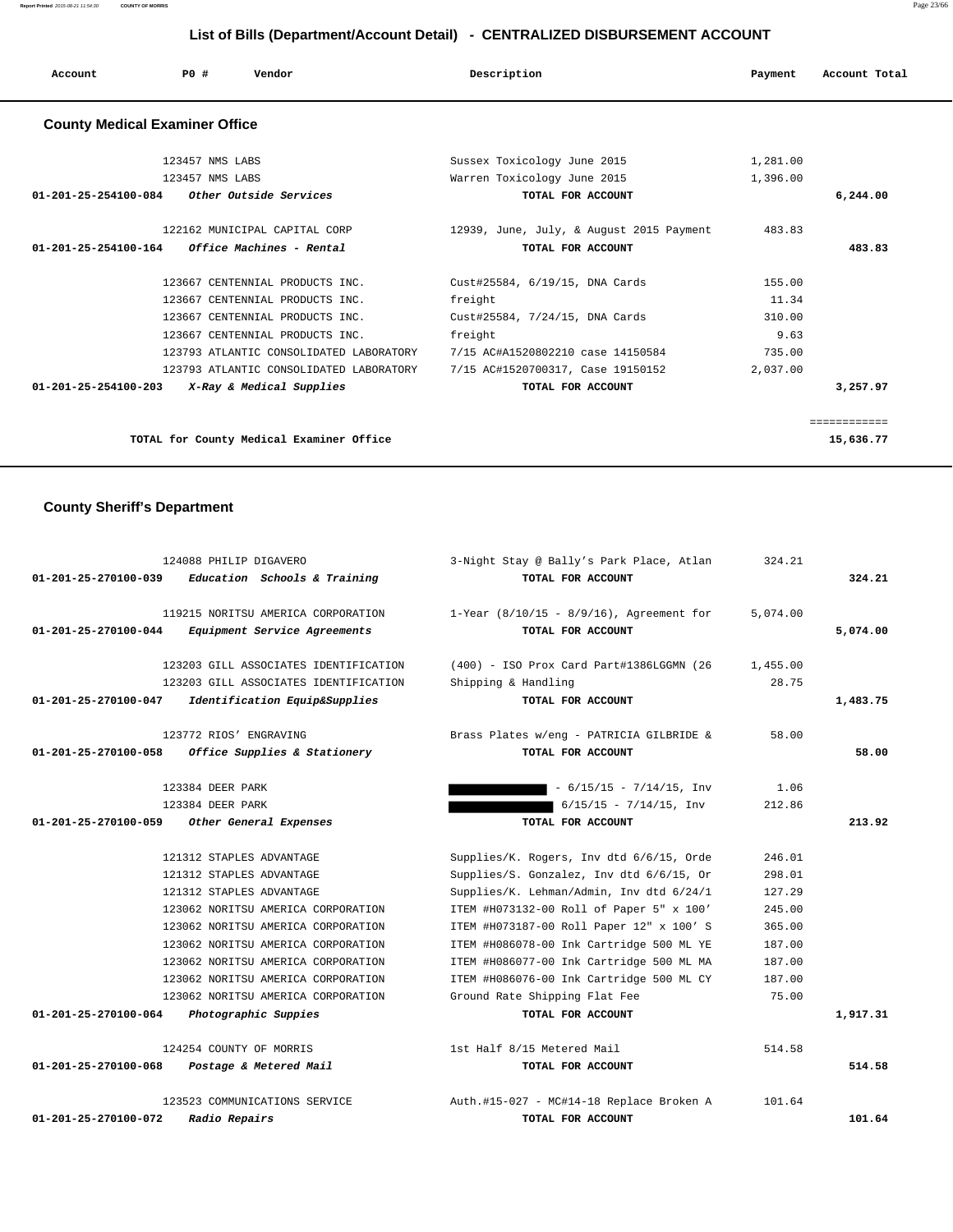| Account                               | PO#             | Vendor                          | Description                              | Payment  | Account Total |
|---------------------------------------|-----------------|---------------------------------|------------------------------------------|----------|---------------|
| <b>County Medical Examiner Office</b> |                 |                                 |                                          |          |               |
|                                       | 123457 NMS LABS |                                 | Sussex Toxicology June 2015              | 1,281.00 |               |
|                                       | 123457 NMS LABS |                                 | Warren Toxicology June 2015              | 1,396.00 |               |
| 01-201-25-254100-084                  |                 | Other Outside Services          | TOTAL FOR ACCOUNT                        |          | 6,244.00      |
|                                       |                 | 122162 MUNICIPAL CAPITAL CORP   | 12939, June, July, & August 2015 Payment | 483.83   |               |
| 01-201-25-254100-164                  |                 | Office Machines - Rental        | TOTAL FOR ACCOUNT                        |          | 483.83        |
|                                       |                 | 123667 CENTENNIAL PRODUCTS INC. | Cust#25584, 6/19/15, DNA Cards           | 155.00   |               |

123667 CENTENNIAL PRODUCTS INC. Freight 9.63

**TOTAL for County Medical Examiner Office 15,636.77**

 **01-201-25-254100-203 X-Ray & Medical Supplies TOTAL FOR ACCOUNT 3,257.97**

============

 123667 CENTENNIAL PRODUCTS INC. freight 11.34 123667 CENTENNIAL PRODUCTS INC. Cust#25584, 7/24/15, DNA Cards 310.00

 123793 ATLANTIC CONSOLIDATED LABORATORY 7/15 AC#A1520802210 case 14150584 735.00 123793 ATLANTIC CONSOLIDATED LABORATORY 7/15 AC#1520700317, Case 19150152 2,037.00

#### **County Sheriff's Department**

| 01-201-25-270100-039           | 124088 PHILIP DIGAVERO<br>Education Schools & Training             | 3-Night Stay @ Bally's Park Place, Atlan<br>TOTAL FOR ACCOUNT    | 324.21   | 324.21   |
|--------------------------------|--------------------------------------------------------------------|------------------------------------------------------------------|----------|----------|
| 01-201-25-270100-044           | 119215 NORITSU AMERICA CORPORATION<br>Equipment Service Agreements | 1-Year $(8/10/15 - 8/9/16)$ , Agreement for<br>TOTAL FOR ACCOUNT | 5,074.00 | 5,074.00 |
|                                | 123203 GILL ASSOCIATES IDENTIFICATION                              | (400) - ISO Prox Card Part#1386LGGMN (26                         | 1,455.00 |          |
|                                | 123203 GILL ASSOCIATES IDENTIFICATION                              | Shipping & Handling                                              | 28.75    |          |
| 01-201-25-270100-047           | Identification Equip&Supplies                                      | TOTAL FOR ACCOUNT                                                |          | 1,483.75 |
|                                | 123772 RIOS' ENGRAVING                                             | Brass Plates w/eng - PATRICIA GILBRIDE &                         | 58.00    |          |
| 01-201-25-270100-058           | Office Supplies & Stationery                                       | TOTAL FOR ACCOUNT                                                |          | 58.00    |
|                                | 123384 DEER PARK                                                   | $-6/15/15 - 7/14/15$ , Inv                                       | 1.06     |          |
|                                | 123384 DEER PARK                                                   | $6/15/15 - 7/14/15$ , Inv                                        | 212.86   |          |
| 01-201-25-270100-059           | Other General Expenses                                             | TOTAL FOR ACCOUNT                                                |          | 213.92   |
|                                | 121312 STAPLES ADVANTAGE                                           | Supplies/K. Rogers, Inv dtd 6/6/15, Orde                         | 246.01   |          |
|                                | 121312 STAPLES ADVANTAGE                                           | Supplies/S. Gonzalez, Inv dtd 6/6/15, Or                         | 298.01   |          |
|                                | 121312 STAPLES ADVANTAGE                                           | Supplies/K. Lehman/Admin, Inv dtd 6/24/1                         | 127.29   |          |
|                                | 123062 NORITSU AMERICA CORPORATION                                 | ITEM #H073132-00 Roll of Paper 5" x 100'                         | 245.00   |          |
|                                | 123062 NORITSU AMERICA CORPORATION                                 | ITEM #H073187-00 Roll Paper 12" x 100' S                         | 365.00   |          |
|                                | 123062 NORITSU AMERICA CORPORATION                                 | ITEM #H086078-00 Ink Cartridge 500 ML YE                         | 187.00   |          |
|                                | 123062 NORITSU AMERICA CORPORATION                                 | ITEM #H086077-00 Ink Cartridge 500 ML MA                         | 187.00   |          |
|                                | 123062 NORITSU AMERICA CORPORATION                                 | ITEM #H086076-00 Ink Cartridge 500 ML CY                         | 187.00   |          |
|                                | 123062 NORITSU AMERICA CORPORATION                                 | Ground Rate Shipping Flat Fee                                    | 75.00    |          |
| $01 - 201 - 25 - 270100 - 064$ | Photographic Suppies                                               | TOTAL FOR ACCOUNT                                                |          | 1,917.31 |
|                                | 124254 COUNTY OF MORRIS                                            | 1st Half 8/15 Metered Mail                                       | 514.58   |          |
| 01-201-25-270100-068           | Postage & Metered Mail                                             | TOTAL FOR ACCOUNT                                                |          | 514.58   |
|                                | 123523 COMMUNICATIONS SERVICE                                      | Auth.#15-027 - MC#14-18 Replace Broken A                         | 101.64   |          |
| $01 - 201 - 25 - 270100 - 072$ | Radio Repairs                                                      | TOTAL FOR ACCOUNT                                                |          | 101.64   |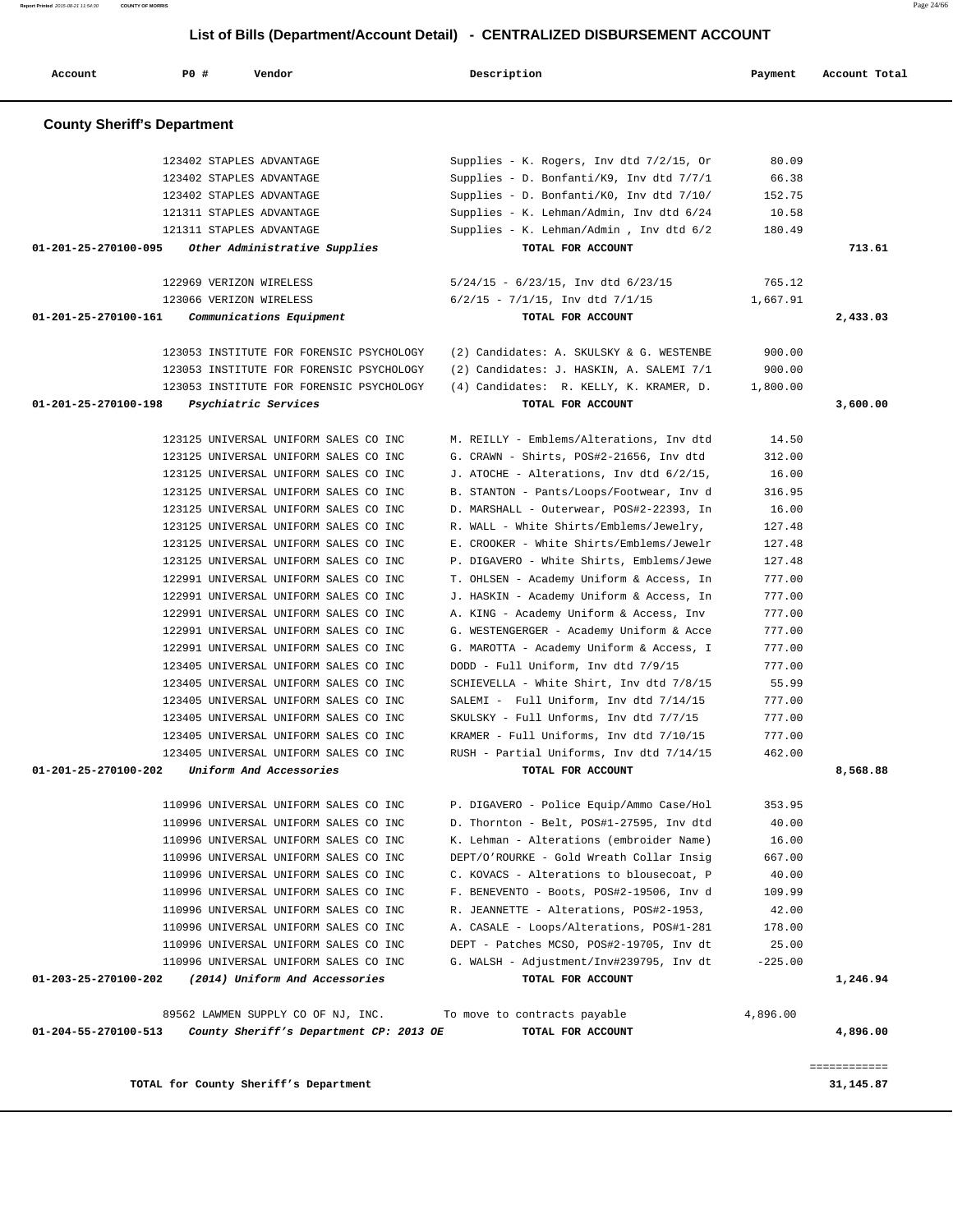**TOTAL for County Sheriff's Department 31,145.87**

| <b>County Sheriff's Department</b>                                                                    |                                                                                 |                  |          |
|-------------------------------------------------------------------------------------------------------|---------------------------------------------------------------------------------|------------------|----------|
|                                                                                                       |                                                                                 |                  |          |
| 123402 STAPLES ADVANTAGE                                                                              | Supplies - K. Rogers, Inv dtd 7/2/15, Or                                        | 80.09            |          |
| 123402 STAPLES ADVANTAGE                                                                              | Supplies - D. Bonfanti/K9, Inv dtd 7/7/1                                        | 66.38            |          |
| 123402 STAPLES ADVANTAGE                                                                              | Supplies - D. Bonfanti/K0, Inv dtd 7/10/                                        | 152.75           |          |
| 121311 STAPLES ADVANTAGE                                                                              | Supplies - K. Lehman/Admin, Inv dtd 6/24                                        | 10.58            |          |
| 121311 STAPLES ADVANTAGE                                                                              | Supplies - K. Lehman/Admin, Inv dtd 6/2                                         | 180.49           |          |
| 01-201-25-270100-095<br>Other Administrative Supplies                                                 | TOTAL FOR ACCOUNT                                                               |                  | 713.61   |
| 122969 VERIZON WIRELESS                                                                               | $5/24/15 - 6/23/15$ , Inv dtd $6/23/15$                                         | 765.12           |          |
| 123066 VERIZON WIRELESS                                                                               | $6/2/15$ - $7/1/15$ , Inv dtd $7/1/15$                                          | 1,667.91         |          |
| $01 - 201 - 25 - 270100 - 161$<br>Communications Equipment                                            | TOTAL FOR ACCOUNT                                                               |                  | 2,433.03 |
|                                                                                                       |                                                                                 |                  |          |
| 123053 INSTITUTE FOR FORENSIC PSYCHOLOGY                                                              | (2) Candidates: A. SKULSKY & G. WESTENBE                                        | 900.00           |          |
| 123053 INSTITUTE FOR FORENSIC PSYCHOLOGY                                                              | (2) Candidates: J. HASKIN, A. SALEMI 7/1                                        | 900.00           |          |
| 123053 INSTITUTE FOR FORENSIC PSYCHOLOGY                                                              | (4) Candidates: R. KELLY, K. KRAMER, D.                                         | 1,800.00         |          |
| 01-201-25-270100-198<br>Psychiatric Services                                                          | TOTAL FOR ACCOUNT                                                               |                  | 3,600.00 |
|                                                                                                       |                                                                                 |                  |          |
| 123125 UNIVERSAL UNIFORM SALES CO INC                                                                 | M. REILLY - Emblems/Alterations, Inv dtd                                        | 14.50            |          |
| 123125 UNIVERSAL UNIFORM SALES CO INC                                                                 | G. CRAWN - Shirts, POS#2-21656, Inv dtd                                         | 312.00           |          |
| 123125 UNIVERSAL UNIFORM SALES CO INC                                                                 | J. ATOCHE - Alterations, Inv dtd 6/2/15,                                        | 16.00            |          |
| 123125 UNIVERSAL UNIFORM SALES CO INC                                                                 | B. STANTON - Pants/Loops/Footwear, Inv d                                        | 316.95           |          |
| 123125 UNIVERSAL UNIFORM SALES CO INC                                                                 | D. MARSHALL - Outerwear, POS#2-22393, In                                        | 16.00            |          |
| 123125 UNIVERSAL UNIFORM SALES CO INC                                                                 | R. WALL - White Shirts/Emblems/Jewelry,                                         | 127.48           |          |
| 123125 UNIVERSAL UNIFORM SALES CO INC                                                                 | E. CROOKER - White Shirts/Emblems/Jewelr                                        | 127.48           |          |
| 123125 UNIVERSAL UNIFORM SALES CO INC                                                                 | P. DIGAVERO - White Shirts, Emblems/Jewe                                        | 127.48           |          |
| 122991 UNIVERSAL UNIFORM SALES CO INC                                                                 | T. OHLSEN - Academy Uniform & Access, In                                        | 777.00           |          |
| 122991 UNIVERSAL UNIFORM SALES CO INC                                                                 | J. HASKIN - Academy Uniform & Access, In                                        | 777.00           |          |
| 122991 UNIVERSAL UNIFORM SALES CO INC                                                                 | A. KING - Academy Uniform & Access, Inv                                         | 777.00           |          |
| 122991 UNIVERSAL UNIFORM SALES CO INC<br>122991 UNIVERSAL UNIFORM SALES CO INC                        | G. WESTENGERGER - Academy Uniform & Acce                                        | 777.00           |          |
| 123405 UNIVERSAL UNIFORM SALES CO INC                                                                 | G. MAROTTA - Academy Uniform & Access, I<br>DODD - Full Uniform, Inv dtd 7/9/15 | 777.00<br>777.00 |          |
| 123405 UNIVERSAL UNIFORM SALES CO INC                                                                 | SCHIEVELLA - White Shirt, Inv dtd 7/8/15                                        | 55.99            |          |
| 123405 UNIVERSAL UNIFORM SALES CO INC                                                                 | SALEMI - Full Uniform, Inv dtd 7/14/15                                          | 777.00           |          |
| 123405 UNIVERSAL UNIFORM SALES CO INC                                                                 | SKULSKY - Full Unforms, Inv dtd 7/7/15                                          | 777.00           |          |
| 123405 UNIVERSAL UNIFORM SALES CO INC                                                                 | KRAMER - Full Uniforms, Inv dtd 7/10/15                                         | 777.00           |          |
| 123405 UNIVERSAL UNIFORM SALES CO INC                                                                 | RUSH - Partial Uniforms, Inv dtd 7/14/15                                        | 462.00           |          |
| 01-201-25-270100-202<br>Uniform And Accessories                                                       | TOTAL FOR ACCOUNT                                                               |                  | 8,568.88 |
|                                                                                                       |                                                                                 |                  |          |
| 110996 UNIVERSAL UNIFORM SALES CO INC                                                                 | P. DIGAVERO - Police Equip/Ammo Case/Hol                                        | 353.95           |          |
| 110996 UNIVERSAL UNIFORM SALES CO INC                                                                 | D. Thornton - Belt, POS#1-27595, Inv dtd                                        | 40.00            |          |
| 110996 UNIVERSAL UNIFORM SALES CO INC                                                                 | K. Lehman - Alterations (embroider Name)                                        | 16.00            |          |
| 110996 UNIVERSAL UNIFORM SALES CO INC                                                                 | DEPT/O'ROURKE - Gold Wreath Collar Insig                                        | 667.00           |          |
| 110996 UNIVERSAL UNIFORM SALES CO INC                                                                 | C. KOVACS - Alterations to blousecoat, P                                        | 40.00            |          |
| 110996 UNIVERSAL UNIFORM SALES CO INC                                                                 | F. BENEVENTO - Boots, POS#2-19506, Inv d                                        | 109.99           |          |
| 110996 UNIVERSAL UNIFORM SALES CO INC                                                                 | R. JEANNETTE - Alterations, POS#2-1953,                                         | 42.00            |          |
| 110996 UNIVERSAL UNIFORM SALES CO INC                                                                 | A. CASALE - Loops/Alterations, POS#1-281                                        | 178.00           |          |
| 110996 UNIVERSAL UNIFORM SALES CO INC                                                                 | DEPT - Patches MCSO, POS#2-19705, Inv dt                                        | 25.00            |          |
| 110996 UNIVERSAL UNIFORM SALES CO INC                                                                 | G. WALSH - Adjustment/Inv#239795, Inv dt                                        | $-225.00$        |          |
| 01-203-25-270100-202<br>(2014) Uniform And Accessories                                                | TOTAL FOR ACCOUNT                                                               |                  | 1,246.94 |
|                                                                                                       |                                                                                 |                  |          |
| 89562 LAWMEN SUPPLY CO OF NJ, INC.<br>County Sheriff's Department CP: 2013 OE<br>01-204-55-270100-513 | To move to contracts payable<br>TOTAL FOR ACCOUNT                               | 4,896.00         | 4,896.00 |
|                                                                                                       |                                                                                 |                  |          |
|                                                                                                       |                                                                                 |                  |          |

============

# **List of Bills (Department/Account Detail) - CENTRALIZED DISBURSEMENT ACCOUNT**

 **Account P0 # Vendor Description Payment Account Total**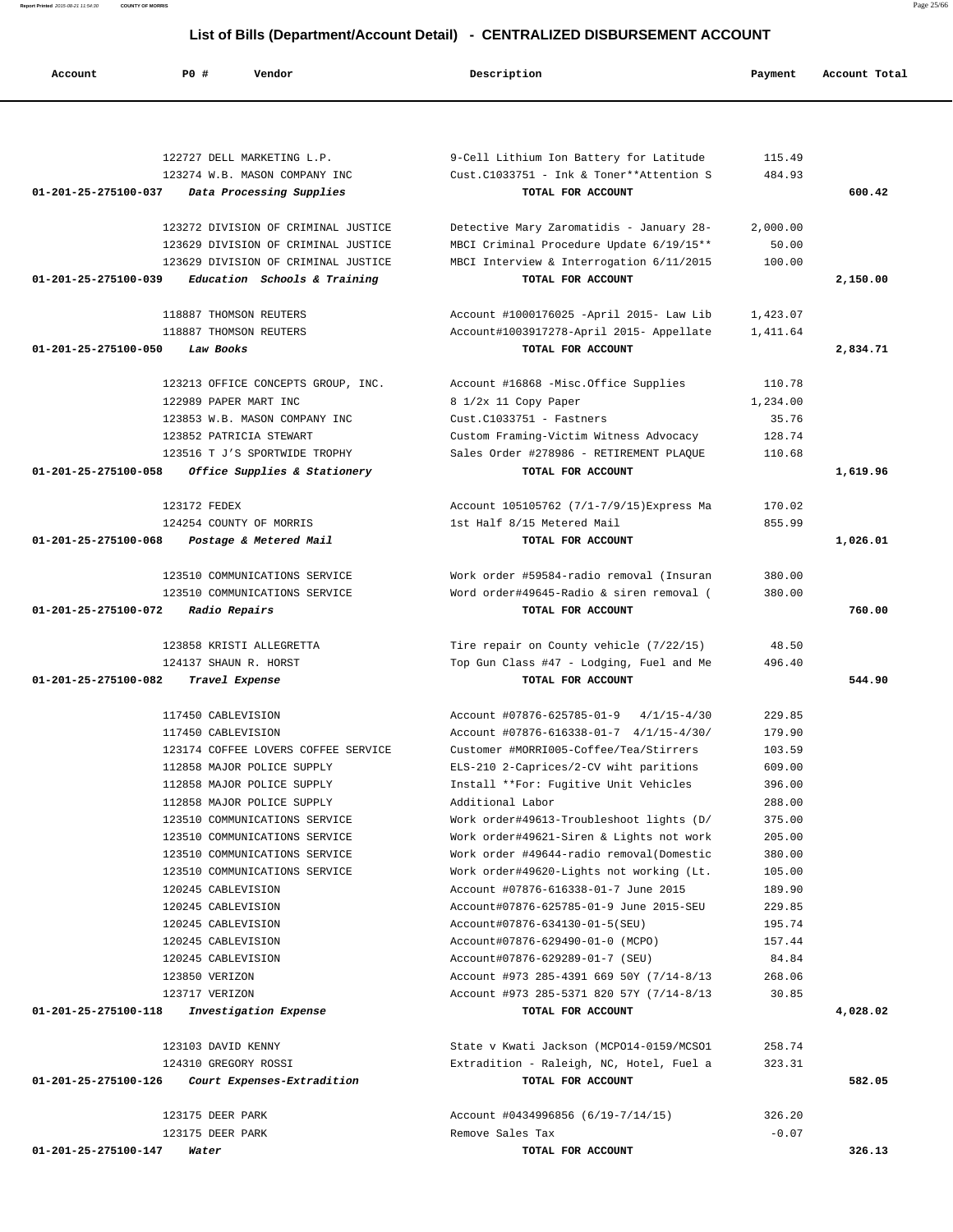**Report Printed** 2015-08-21 11:54:30 **COUNTY OF MORRIS** Page 25/66

# **List of Bills (Department/Account Detail) - CENTRALIZED DISBURSEMENT ACCOUNT**

| Account                        | PO#<br>Vendor                                                              | Description                                                                              | Payment           | Account Total |
|--------------------------------|----------------------------------------------------------------------------|------------------------------------------------------------------------------------------|-------------------|---------------|
|                                |                                                                            |                                                                                          |                   |               |
|                                | 122727 DELL MARKETING L.P.                                                 | 9-Cell Lithium Ion Battery for Latitude                                                  | 115.49            |               |
|                                | 123274 W.B. MASON COMPANY INC                                              | Cust.C1033751 - Ink & Toner**Attention S                                                 | 484.93            |               |
| 01-201-25-275100-037           | Data Processing Supplies                                                   | TOTAL FOR ACCOUNT                                                                        |                   | 600.42        |
|                                |                                                                            |                                                                                          |                   |               |
|                                | 123272 DIVISION OF CRIMINAL JUSTICE                                        | Detective Mary Zaromatidis - January 28-                                                 | 2,000.00          |               |
|                                | 123629 DIVISION OF CRIMINAL JUSTICE<br>123629 DIVISION OF CRIMINAL JUSTICE | MBCI Criminal Procedure Update 6/19/15**<br>MBCI Interview & Interrogation 6/11/2015     | 50.00<br>100.00   |               |
| $01 - 201 - 25 - 275100 - 039$ | Education Schools & Training                                               | TOTAL FOR ACCOUNT                                                                        |                   | 2,150.00      |
|                                |                                                                            |                                                                                          |                   |               |
|                                | 118887 THOMSON REUTERS                                                     | Account #1000176025 -April 2015- Law Lib                                                 | 1,423.07          |               |
|                                | 118887 THOMSON REUTERS                                                     | Account#1003917278-April 2015- Appellate                                                 | 1,411.64          |               |
| 01-201-25-275100-050           | Law Books                                                                  | TOTAL FOR ACCOUNT                                                                        |                   | 2,834.71      |
|                                | 123213 OFFICE CONCEPTS GROUP, INC.                                         | Account #16868 -Misc.Office Supplies                                                     | 110.78            |               |
|                                | 122989 PAPER MART INC                                                      | 8 1/2x 11 Copy Paper                                                                     | 1,234.00          |               |
|                                | 123853 W.B. MASON COMPANY INC                                              | $Cust.C1033751 - Fastners$                                                               | 35.76             |               |
|                                | 123852 PATRICIA STEWART                                                    | Custom Framing-Victim Witness Advocacy                                                   | 128.74            |               |
|                                | 123516 T J'S SPORTWIDE TROPHY                                              | Sales Order #278986 - RETIREMENT PLAQUE                                                  | 110.68            |               |
| 01-201-25-275100-058           | Office Supplies & Stationery                                               | TOTAL FOR ACCOUNT                                                                        |                   | 1,619.96      |
|                                | 123172 FEDEX                                                               | Account 105105762 (7/1-7/9/15) Express Ma                                                | 170.02            |               |
|                                | 124254 COUNTY OF MORRIS                                                    | 1st Half 8/15 Metered Mail                                                               | 855.99            |               |
| 01-201-25-275100-068           | Postage & Metered Mail                                                     | TOTAL FOR ACCOUNT                                                                        |                   | 1,026.01      |
|                                |                                                                            |                                                                                          |                   |               |
|                                | 123510 COMMUNICATIONS SERVICE                                              | Work order #59584-radio removal (Insuran                                                 | 380.00            |               |
|                                | 123510 COMMUNICATIONS SERVICE                                              | Word order#49645-Radio & siren removal (                                                 | 380.00            |               |
| 01-201-25-275100-072           | Radio Repairs                                                              | TOTAL FOR ACCOUNT                                                                        |                   | 760.00        |
|                                | 123858 KRISTI ALLEGRETTA                                                   | Tire repair on County vehicle (7/22/15)                                                  | 48.50             |               |
|                                | 124137 SHAUN R. HORST                                                      | Top Gun Class #47 - Lodging, Fuel and Me                                                 | 496.40            |               |
| 01-201-25-275100-082           | Travel Expense                                                             | TOTAL FOR ACCOUNT                                                                        |                   | 544.90        |
|                                |                                                                            |                                                                                          |                   |               |
|                                | 117450 CABLEVISION<br>117450 CABLEVISION                                   | Account #07876-625785-01-9<br>$4/1/15 - 4/30$<br>Account #07876-616338-01-7 4/1/15-4/30/ | 229.85<br>179.90  |               |
|                                | 123174 COFFEE LOVERS COFFEE SERVICE                                        | Customer #MORRI005-Coffee/Tea/Stirrers                                                   | 103.59            |               |
|                                | 112858 MAJOR POLICE SUPPLY                                                 | ELS-210 2-Caprices/2-CV wiht paritions                                                   | 609.00            |               |
|                                | 112858 MAJOR POLICE SUPPLY                                                 | Install **For: Fugitive Unit Vehicles                                                    | 396.00            |               |
|                                | 112858 MAJOR POLICE SUPPLY                                                 | Additional Labor                                                                         | 288.00            |               |
|                                | 123510 COMMUNICATIONS SERVICE                                              | Work order#49613-Troubleshoot lights (D/                                                 | 375.00            |               |
|                                | 123510 COMMUNICATIONS SERVICE                                              | Work order#49621-Siren & Lights not work                                                 | 205.00            |               |
|                                | 123510 COMMUNICATIONS SERVICE                                              | Work order #49644-radio removal(Domestic                                                 | 380.00            |               |
|                                | 123510 COMMUNICATIONS SERVICE<br>120245 CABLEVISION                        | Work order#49620-Lights not working (Lt.<br>Account #07876-616338-01-7 June 2015         | 105.00<br>189.90  |               |
|                                | 120245 CABLEVISION                                                         | Account#07876-625785-01-9 June 2015-SEU                                                  | 229.85            |               |
|                                | 120245 CABLEVISION                                                         | Account#07876-634130-01-5(SEU)                                                           | 195.74            |               |
|                                | 120245 CABLEVISION                                                         | Account#07876-629490-01-0 (MCPO)                                                         | 157.44            |               |
|                                | 120245 CABLEVISION                                                         | Account#07876-629289-01-7 (SEU)                                                          | 84.84             |               |
|                                | 123850 VERIZON                                                             | Account #973 285-4391 669 50Y (7/14-8/13                                                 | 268.06            |               |
|                                | 123717 VERIZON                                                             | Account #973 285-5371 820 57Y (7/14-8/13                                                 | 30.85             |               |
| 01-201-25-275100-118           | Investigation Expense                                                      | TOTAL FOR ACCOUNT                                                                        |                   | 4,028.02      |
|                                | 123103 DAVID KENNY                                                         | State v Kwati Jackson (MCPO14-0159/MCSO1                                                 | 258.74            |               |
|                                | 124310 GREGORY ROSSI                                                       | Extradition - Raleigh, NC, Hotel, Fuel a                                                 | 323.31            |               |
| 01-201-25-275100-126           | Court Expenses-Extradition                                                 | TOTAL FOR ACCOUNT                                                                        |                   | 582.05        |
|                                |                                                                            |                                                                                          |                   |               |
|                                | 123175 DEER PARK<br>123175 DEER PARK                                       | Account #0434996856 (6/19-7/14/15)<br>Remove Sales Tax                                   | 326.20<br>$-0.07$ |               |
| 01-201-25-275100-147           | Water                                                                      | TOTAL FOR ACCOUNT                                                                        |                   | 326.13        |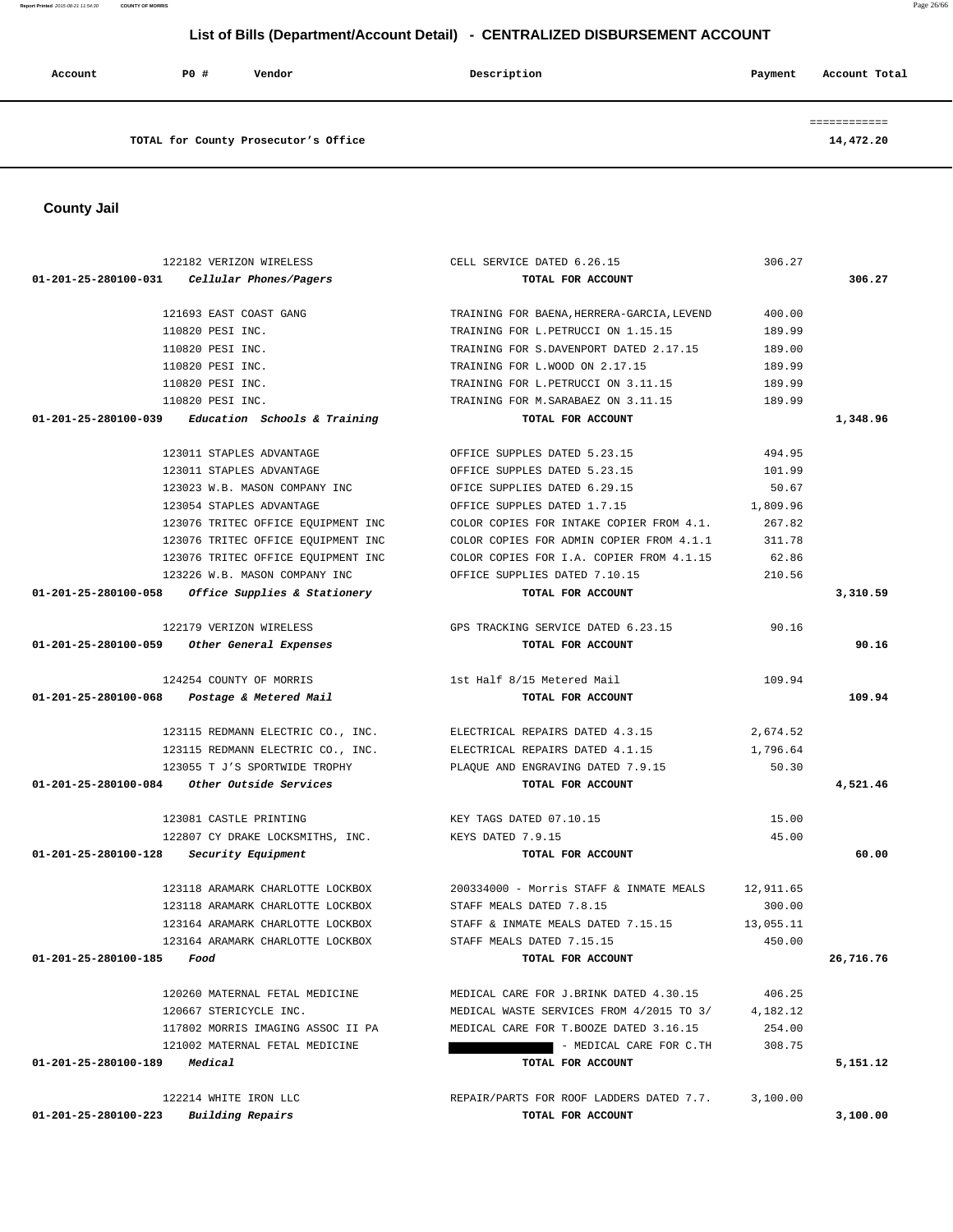**Report Printed** 2015-08-21 11:54:30 **COUNTY OF MORRIS** Page 26/66

# **List of Bills (Department/Account Detail) - CENTRALIZED DISBURSEMENT ACCOUNT**

| Account | PO# | Vendor                               | Description | Account Total<br>Payment |
|---------|-----|--------------------------------------|-------------|--------------------------|
|         |     | TOTAL for County Prosecutor's Office |             | 14,472.20                |

 **County Jail** 

|                                         | 122182 VERIZON WIRELESS                             | CELL SERVICE DATED 6.26.15                                        | 306.27    |           |
|-----------------------------------------|-----------------------------------------------------|-------------------------------------------------------------------|-----------|-----------|
|                                         | $01-201-25-280100-031$ Cellular Phones/Pagers       | TOTAL FOR ACCOUNT                                                 |           | 306.27    |
|                                         | 121693 EAST COAST GANG                              | TRAINING FOR BAENA, HERRERA-GARCIA, LEVEND                        | 400.00    |           |
|                                         | 110820 PESI INC.                                    | TRAINING FOR L. PETRUCCI ON 1.15.15                               | 189.99    |           |
|                                         | 110820 PESI INC.                                    | TRAINING FOR S.DAVENPORT DATED 2.17.15                            | 189.00    |           |
|                                         | 110820 PESI INC.                                    | TRAINING FOR L.WOOD ON 2.17.15                                    | 189.99    |           |
|                                         | 110820 PESI INC.                                    | TRAINING FOR L.PETRUCCI ON 3.11.15                                | 189.99    |           |
|                                         | 110820 PESI INC.                                    | TRAINING FOR M. SARABAEZ ON 3.11.15                               | 189.99    |           |
|                                         | $01-201-25-280100-039$ Education Schools & Training | TOTAL FOR ACCOUNT                                                 |           | 1,348.96  |
|                                         | 123011 STAPLES ADVANTAGE                            | OFFICE SUPPLES DATED 5.23.15                                      | 494.95    |           |
|                                         | 123011 STAPLES ADVANTAGE                            | OFFICE SUPPLES DATED 5.23.15                                      | 101.99    |           |
|                                         | 123023 W.B. MASON COMPANY INC                       | OFICE SUPPLIES DATED 6.29.15                                      | 50.67     |           |
|                                         | 123054 STAPLES ADVANTAGE                            | OFFICE SUPPLES DATED 1.7.15                                       | 1,809.96  |           |
|                                         | 123076 TRITEC OFFICE EQUIPMENT INC                  | COLOR COPIES FOR INTAKE COPIER FROM 4.1.                          | 267.82    |           |
|                                         | 123076 TRITEC OFFICE EQUIPMENT INC                  | COLOR COPIES FOR ADMIN COPIER FROM 4.1.1                          | 311.78    |           |
|                                         | 123076 TRITEC OFFICE EQUIPMENT INC                  | COLOR COPIES FOR I.A. COPIER FROM 4.1.15                          | 62.86     |           |
|                                         | 123226 W.B. MASON COMPANY INC                       | OFFICE SUPPLIES DATED 7.10.15                                     | 210.56    |           |
|                                         | $01-201-25-280100-058$ Office Supplies & Stationery | TOTAL FOR ACCOUNT                                                 |           | 3,310.59  |
|                                         | 122179 VERIZON WIRELESS                             | GPS TRACKING SERVICE DATED 6.23.15                                | 90.16     |           |
|                                         | 01-201-25-280100-059 Other General Expenses         | TOTAL FOR ACCOUNT                                                 |           | 90.16     |
|                                         | 124254 COUNTY OF MORRIS                             | 1st Half 8/15 Metered Mail                                        | 109.94    |           |
|                                         | 01-201-25-280100-068 Postage & Metered Mail         | TOTAL FOR ACCOUNT                                                 |           | 109.94    |
|                                         |                                                     | 123115 REDMANN ELECTRIC CO., INC. ELECTRICAL REPAIRS DATED 4.3.15 | 2,674.52  |           |
|                                         | 123115 REDMANN ELECTRIC CO., INC.                   | ELECTRICAL REPAIRS DATED 4.1.15                                   | 1,796.64  |           |
|                                         | 123055 T J'S SPORTWIDE TROPHY                       | PLAQUE AND ENGRAVING DATED 7.9.15                                 | 50.30     |           |
|                                         | $01-201-25-280100-084$ Other Outside Services       | TOTAL FOR ACCOUNT                                                 |           | 4,521.46  |
|                                         | 123081 CASTLE PRINTING                              | KEY TAGS DATED 07.10.15                                           | 15.00     |           |
|                                         | 122807 CY DRAKE LOCKSMITHS, INC. KEYS DATED 7.9.15  |                                                                   | 45.00     |           |
| 01-201-25-280100-128 Security Equipment |                                                     | TOTAL FOR ACCOUNT                                                 |           | 60.00     |
|                                         | 123118 ARAMARK CHARLOTTE LOCKBOX                    | 200334000 - Morris STAFF & INMATE MEALS                           | 12,911.65 |           |
|                                         | 123118 ARAMARK CHARLOTTE LOCKBOX                    | STAFF MEALS DATED 7.8.15                                          | 300.00    |           |
|                                         | 123164 ARAMARK CHARLOTTE LOCKBOX                    | STAFF & INMATE MEALS DATED 7.15.15                                | 13,055.11 |           |
|                                         | 123164 ARAMARK CHARLOTTE LOCKBOX                    | STAFF MEALS DATED 7.15.15                                         | 450.00    |           |
| 01-201-25-280100-185                    | Food                                                | TOTAL FOR ACCOUNT                                                 |           | 26,716.76 |
|                                         | 120260 MATERNAL FETAL MEDICINE                      | MEDICAL CARE FOR J.BRINK DATED 4.30.15                            | 406.25    |           |
|                                         | 120667 STERICYCLE INC.                              | MEDICAL WASTE SERVICES FROM 4/2015 TO 3/                          | 4,182.12  |           |
|                                         | 117802 MORRIS IMAGING ASSOC II PA                   | MEDICAL CARE FOR T.BOOZE DATED 3.16.15                            | 254.00    |           |
|                                         | 121002 MATERNAL FETAL MEDICINE                      | - MEDICAL CARE FOR C.TH                                           | 308.75    |           |
| 01-201-25-280100-189                    | Medical                                             | TOTAL FOR ACCOUNT                                                 |           | 5,151.12  |
|                                         | 122214 WHITE IRON LLC                               | REPAIR/PARTS FOR ROOF LADDERS DATED 7.7.                          | 3,100.00  |           |
| 01-201-25-280100-223                    | <b>Building Repairs</b>                             | TOTAL FOR ACCOUNT                                                 |           | 3,100.00  |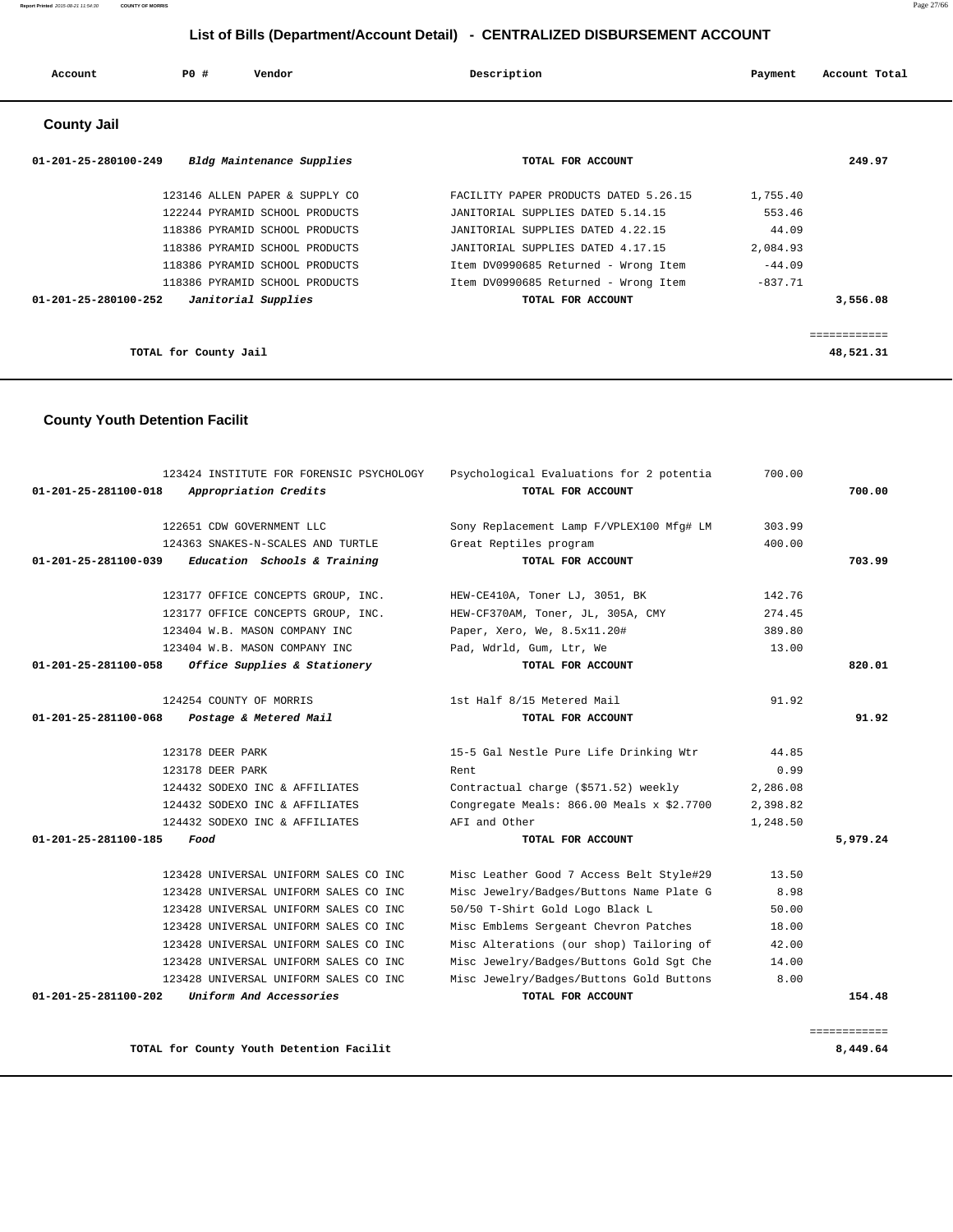| Account                        | PO#<br>Vendor                  | Description                           | Account Total<br>Payment |
|--------------------------------|--------------------------------|---------------------------------------|--------------------------|
| <b>County Jail</b>             |                                |                                       |                          |
| $01 - 201 - 25 - 280100 - 249$ | Bldg Maintenance Supplies      | TOTAL FOR ACCOUNT                     | 249.97                   |
|                                | 123146 ALLEN PAPER & SUPPLY CO | FACILITY PAPER PRODUCTS DATED 5.26.15 | 1,755.40                 |
|                                | 122244 PYRAMID SCHOOL PRODUCTS | JANITORIAL SUPPLIES DATED 5.14.15     | 553.46                   |
|                                | 118386 PYRAMID SCHOOL PRODUCTS | JANITORIAL SUPPLIES DATED 4.22.15     | 44.09                    |
|                                | 118386 PYRAMID SCHOOL PRODUCTS | JANITORIAL SUPPLIES DATED 4.17.15     | 2,084.93                 |
|                                | 118386 PYRAMID SCHOOL PRODUCTS | Item DV0990685 Returned - Wrong Item  | $-44.09$                 |
|                                | 118386 PYRAMID SCHOOL PRODUCTS | Item DV0990685 Returned - Wrong Item  | $-837.71$                |

============

 **01-201-25-280100-252 Janitorial Supplies TOTAL FOR ACCOUNT 3,556.08**

**TOTAL for County Jail 48,521.31**

 **County Youth Detention Facilit**

|          | 700.00   | Psychological Evaluations for 2 potentia  | 123424 INSTITUTE FOR FORENSIC PSYCHOLOGY                       |
|----------|----------|-------------------------------------------|----------------------------------------------------------------|
| 700.00   |          | TOTAL FOR ACCOUNT                         | 01-201-25-281100-018<br>Appropriation Credits                  |
|          | 303.99   | Sony Replacement Lamp F/VPLEX100 Mfg# LM  | 122651 CDW GOVERNMENT LLC                                      |
|          | 400.00   | Great Reptiles program                    | 124363 SNAKES-N-SCALES AND TURTLE                              |
| 703.99   |          | TOTAL FOR ACCOUNT                         | 01-201-25-281100-039<br>Education Schools & Training           |
|          | 142.76   | HEW-CE410A, Toner LJ, 3051, BK            | 123177 OFFICE CONCEPTS GROUP, INC.                             |
|          | 274.45   | HEW-CF370AM, Toner, JL, 305A, CMY         | 123177 OFFICE CONCEPTS GROUP, INC.                             |
|          | 389.80   | Paper, Xero, We, 8.5x11.20#               | 123404 W.B. MASON COMPANY INC                                  |
|          | 13.00    | Pad, Wdrld, Gum, Ltr, We                  | 123404 W.B. MASON COMPANY INC                                  |
| 820.01   |          | TOTAL FOR ACCOUNT                         | $01 - 201 - 25 - 281100 - 058$<br>Office Supplies & Stationery |
|          | 91.92    | 1st Half 8/15 Metered Mail                | 124254 COUNTY OF MORRIS                                        |
| 91.92    |          | TOTAL FOR ACCOUNT                         | 01-201-25-281100-068<br>Postage & Metered Mail                 |
|          | 44.85    | 15-5 Gal Nestle Pure Life Drinking Wtr    | 123178 DEER PARK                                               |
|          | 0.99     | Rent                                      | 123178 DEER PARK                                               |
|          | 2,286.08 | Contractual charge (\$571.52) weekly      | 124432 SODEXO INC & AFFILIATES                                 |
|          | 2,398.82 | Congregate Meals: 866.00 Meals x \$2.7700 | 124432 SODEXO INC & AFFILIATES                                 |
|          | 1,248.50 | AFI and Other                             | 124432 SODEXO INC & AFFILIATES                                 |
| 5,979.24 |          | TOTAL FOR ACCOUNT                         | 01-201-25-281100-185<br>Food                                   |
|          | 13.50    | Misc Leather Good 7 Access Belt Style#29  | 123428 UNIVERSAL UNIFORM SALES CO INC                          |
|          |          |                                           |                                                                |
|          | 8.98     | Misc Jewelry/Badges/Buttons Name Plate G  | 123428 UNIVERSAL UNIFORM SALES CO INC                          |
|          | 50.00    | 50/50 T-Shirt Gold Logo Black L           | 123428 UNIVERSAL UNIFORM SALES CO INC                          |
|          | 18.00    | Misc Emblems Sergeant Chevron Patches     | 123428 UNIVERSAL UNIFORM SALES CO INC                          |
|          | 42.00    | Misc Alterations (our shop) Tailoring of  | 123428 UNIVERSAL UNIFORM SALES CO INC                          |
|          | 14.00    | Misc Jewelry/Badges/Buttons Gold Sqt Che  | 123428 UNIVERSAL UNIFORM SALES CO INC                          |
|          | 8.00     | Misc Jewelry/Badges/Buttons Gold Buttons  | 123428 UNIVERSAL UNIFORM SALES CO INC                          |

**TOTAL for County Youth Detention Facilit 8,449.64**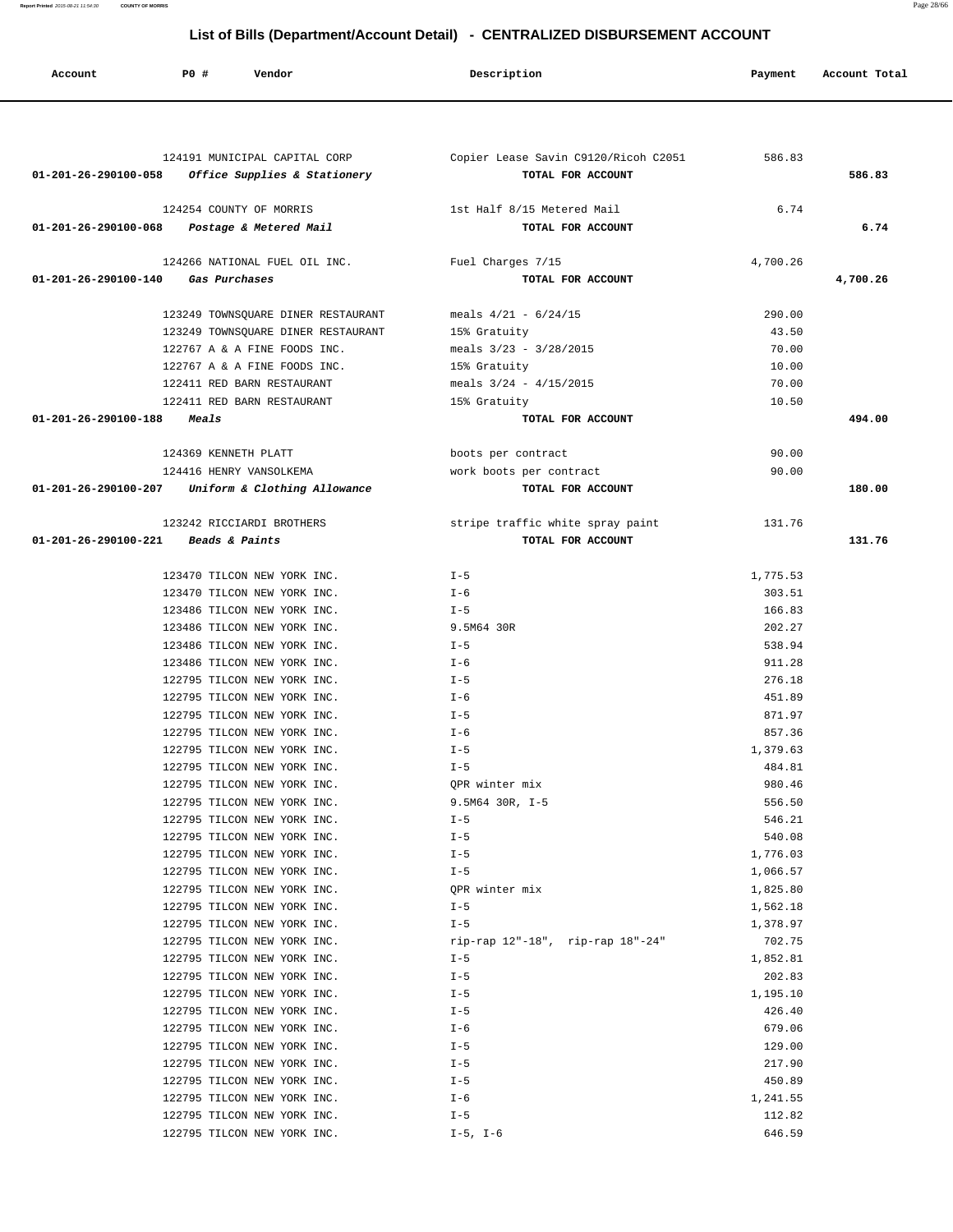**Report Printed** 2015-08-21 11:54:30 **COUNTY OF MORRIS** Page 28/66

# **List of Bills (Department/Account Detail) - CENTRALIZED DISBURSEMENT ACCOUNT**

| Account              | P0 #<br>Vendor                                             | Description                          | Payment          | Account Total |
|----------------------|------------------------------------------------------------|--------------------------------------|------------------|---------------|
|                      |                                                            |                                      |                  |               |
|                      |                                                            |                                      |                  |               |
|                      | 124191 MUNICIPAL CAPITAL CORP                              | Copier Lease Savin C9120/Ricoh C2051 | 586.83           |               |
| 01-201-26-290100-058 | Office Supplies & Stationery                               | TOTAL FOR ACCOUNT                    |                  | 586.83        |
|                      | 124254 COUNTY OF MORRIS                                    | 1st Half 8/15 Metered Mail           | 6.74             |               |
|                      | 01-201-26-290100-068 Postage & Metered Mail                | TOTAL FOR ACCOUNT                    |                  | 6.74          |
|                      | 124266 NATIONAL FUEL OIL INC.                              | Fuel Charges 7/15                    | 4,700.26         |               |
| 01-201-26-290100-140 | Gas Purchases                                              | TOTAL FOR ACCOUNT                    |                  | 4,700.26      |
|                      | 123249 TOWNSQUARE DINER RESTAURANT                         | meals $4/21 - 6/24/15$               | 290.00           |               |
|                      | 123249 TOWNSQUARE DINER RESTAURANT                         | 15% Gratuity                         | 43.50            |               |
|                      | 122767 A & A FINE FOODS INC.                               | meals $3/23 - 3/28/2015$             | 70.00            |               |
|                      | 122767 A & A FINE FOODS INC.                               | 15% Gratuity                         | 10.00            |               |
|                      | 122411 RED BARN RESTAURANT                                 | meals $3/24 - 4/15/2015$             | 70.00            |               |
|                      | 122411 RED BARN RESTAURANT                                 | 15% Gratuity                         | 10.50            |               |
| 01-201-26-290100-188 | <i><b>Meals</b></i>                                        | TOTAL FOR ACCOUNT                    |                  | 494.00        |
|                      | 124369 KENNETH PLATT                                       | boots per contract                   | 90.00            |               |
|                      | 124416 HENRY VANSOLKEMA                                    | work boots per contract              | 90.00            |               |
|                      | 01-201-26-290100-207 Uniform & Clothing Allowance          | TOTAL FOR ACCOUNT                    |                  | 180.00        |
|                      | 123242 RICCIARDI BROTHERS                                  | stripe traffic white spray paint     | 131.76           |               |
| 01-201-26-290100-221 | Beads & Paints                                             | TOTAL FOR ACCOUNT                    |                  | 131.76        |
|                      |                                                            |                                      |                  |               |
|                      | 123470 TILCON NEW YORK INC.                                | $I - 5$                              | 1,775.53         |               |
|                      | 123470 TILCON NEW YORK INC.                                | $I - 6$                              | 303.51           |               |
|                      | 123486 TILCON NEW YORK INC.                                | $I - 5$                              | 166.83           |               |
|                      | 123486 TILCON NEW YORK INC.                                | 9.5M64 30R                           | 202.27           |               |
|                      | 123486 TILCON NEW YORK INC.                                | $I - 5$                              | 538.94           |               |
|                      | 123486 TILCON NEW YORK INC.                                | $I - 6$                              | 911.28           |               |
|                      | 122795 TILCON NEW YORK INC.                                | $I - 5$                              | 276.18           |               |
|                      | 122795 TILCON NEW YORK INC.                                | $I - 6$                              | 451.89           |               |
|                      | 122795 TILCON NEW YORK INC.                                | $I - 5$                              | 871.97           |               |
|                      | 122795 TILCON NEW YORK INC.                                | $I - 6$                              | 857.36           |               |
|                      | 122795 TILCON NEW YORK INC.                                | $I - 5$                              | 1,379.63         |               |
|                      | 122795 TILCON NEW YORK INC.                                | $I - 5$                              | 484.81           |               |
|                      | 122795 TILCON NEW YORK INC.<br>122795 TILCON NEW YORK INC. | QPR winter mix                       | 980.46<br>556.50 |               |
|                      | 122795 TILCON NEW YORK INC.                                | 9.5M64 30R, I-5<br>$I - 5$           | 546.21           |               |
|                      | 122795 TILCON NEW YORK INC.                                | $I - 5$                              | 540.08           |               |
|                      | 122795 TILCON NEW YORK INC.                                | $I - 5$                              | 1,776.03         |               |
|                      | 122795 TILCON NEW YORK INC.                                | $I - 5$                              | 1,066.57         |               |
|                      | 122795 TILCON NEW YORK INC.                                | QPR winter mix                       | 1,825.80         |               |
|                      | 122795 TILCON NEW YORK INC.                                | $I - 5$                              | 1,562.18         |               |
|                      | 122795 TILCON NEW YORK INC.                                | $I - 5$                              | 1,378.97         |               |
|                      | 122795 TILCON NEW YORK INC.                                | rip-rap 12"-18", rip-rap 18"-24"     | 702.75           |               |
|                      | 122795 TILCON NEW YORK INC.                                | $I - 5$                              | 1,852.81         |               |
|                      | 122795 TILCON NEW YORK INC.                                | $I - 5$                              | 202.83           |               |
|                      | 122795 TILCON NEW YORK INC.                                | $I - 5$                              | 1,195.10         |               |
|                      | 122795 TILCON NEW YORK INC.                                | $I - 5$                              | 426.40           |               |
|                      | 122795 TILCON NEW YORK INC.                                | $I - 6$                              | 679.06           |               |
|                      | 122795 TILCON NEW YORK INC.                                | $I - 5$                              | 129.00           |               |
|                      | 122795 TILCON NEW YORK INC.                                | $I - 5$                              | 217.90           |               |
|                      | 122795 TILCON NEW YORK INC.                                | $I - 5$                              | 450.89           |               |
|                      | 122795 TILCON NEW YORK INC.                                | $I - 6$                              | 1,241.55         |               |
|                      | 122795 TILCON NEW YORK INC.<br>122795 TILCON NEW YORK INC. | $I - 5$<br>$I-5$ , $I-6$             | 112.82<br>646.59 |               |
|                      |                                                            |                                      |                  |               |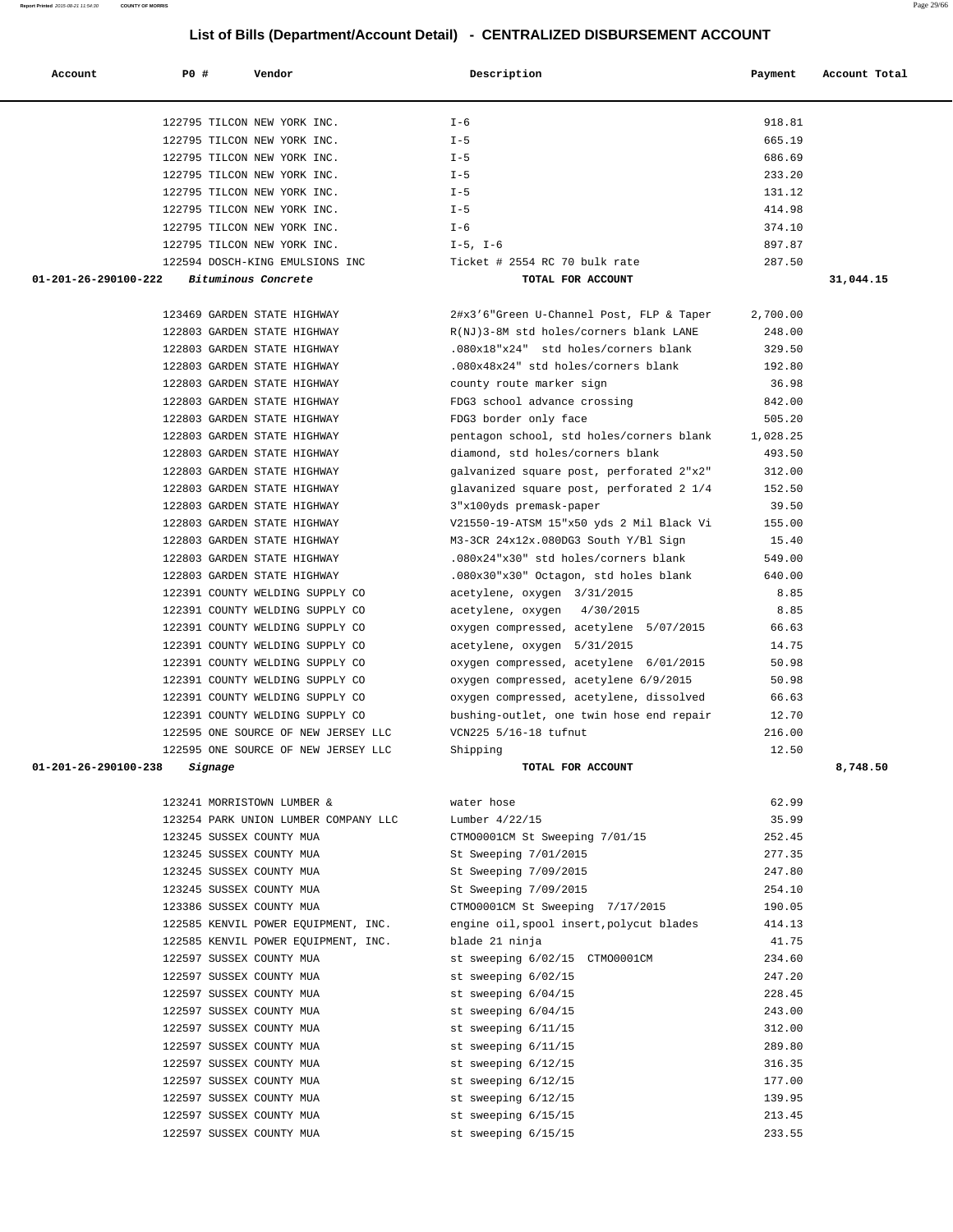| Account              | <b>PO #</b><br>Vendor                | Description                              | Payment  | Account Total |
|----------------------|--------------------------------------|------------------------------------------|----------|---------------|
|                      |                                      |                                          |          |               |
|                      | 122795 TILCON NEW YORK INC.          | $I - 6$                                  | 918.81   |               |
|                      | 122795 TILCON NEW YORK INC.          | $I - 5$                                  | 665.19   |               |
|                      | 122795 TILCON NEW YORK INC.          | $I - 5$                                  | 686.69   |               |
|                      | 122795 TILCON NEW YORK INC.          | $I - 5$                                  | 233.20   |               |
|                      | 122795 TILCON NEW YORK INC.          | $I - 5$                                  | 131.12   |               |
|                      | 122795 TILCON NEW YORK INC.          | $I - 5$                                  | 414.98   |               |
|                      | 122795 TILCON NEW YORK INC.          | $I - 6$                                  | 374.10   |               |
|                      | 122795 TILCON NEW YORK INC.          | $I-5$ , $I-6$                            | 897.87   |               |
|                      | 122594 DOSCH-KING EMULSIONS INC      | Ticket # 2554 RC 70 bulk rate            | 287.50   |               |
| 01-201-26-290100-222 | Bituminous Concrete                  | TOTAL FOR ACCOUNT                        |          | 31,044.15     |
|                      |                                      |                                          |          |               |
|                      | 123469 GARDEN STATE HIGHWAY          | 2#x3'6"Green U-Channel Post, FLP & Taper | 2,700.00 |               |
|                      | 122803 GARDEN STATE HIGHWAY          | R(NJ)3-8M std holes/corners blank LANE   | 248.00   |               |
|                      | 122803 GARDEN STATE HIGHWAY          | .080x18"x24" std holes/corners blank     | 329.50   |               |
|                      | 122803 GARDEN STATE HIGHWAY          | .080x48x24" std holes/corners blank      | 192.80   |               |
|                      | 122803 GARDEN STATE HIGHWAY          | county route marker sign                 | 36.98    |               |
|                      | 122803 GARDEN STATE HIGHWAY          | FDG3 school advance crossing             | 842.00   |               |
|                      | 122803 GARDEN STATE HIGHWAY          | FDG3 border only face                    | 505.20   |               |
|                      | 122803 GARDEN STATE HIGHWAY          | pentagon school, std holes/corners blank | 1,028.25 |               |
|                      | 122803 GARDEN STATE HIGHWAY          | diamond, std holes/corners blank         | 493.50   |               |
|                      | 122803 GARDEN STATE HIGHWAY          | galvanized square post, perforated 2"x2" | 312.00   |               |
|                      | 122803 GARDEN STATE HIGHWAY          | glavanized square post, perforated 2 1/4 | 152.50   |               |
|                      | 122803 GARDEN STATE HIGHWAY          | 3"x100yds premask-paper                  | 39.50    |               |
|                      | 122803 GARDEN STATE HIGHWAY          | V21550-19-ATSM 15"x50 yds 2 Mil Black Vi | 155.00   |               |
|                      | 122803 GARDEN STATE HIGHWAY          | M3-3CR 24x12x.080DG3 South Y/Bl Sign     | 15.40    |               |
|                      | 122803 GARDEN STATE HIGHWAY          | .080x24"x30" std holes/corners blank     | 549.00   |               |
|                      | 122803 GARDEN STATE HIGHWAY          | .080x30"x30" Octagon, std holes blank    | 640.00   |               |
|                      | 122391 COUNTY WELDING SUPPLY CO      | acetylene, oxygen 3/31/2015              | 8.85     |               |
|                      | 122391 COUNTY WELDING SUPPLY CO      | acetylene, oxygen 4/30/2015              | 8.85     |               |
|                      | 122391 COUNTY WELDING SUPPLY CO      | oxygen compressed, acetylene 5/07/2015   | 66.63    |               |
|                      | 122391 COUNTY WELDING SUPPLY CO      | acetylene, oxygen 5/31/2015              | 14.75    |               |
|                      | 122391 COUNTY WELDING SUPPLY CO      | oxygen compressed, acetylene 6/01/2015   | 50.98    |               |
|                      | 122391 COUNTY WELDING SUPPLY CO      | oxygen compressed, acetylene 6/9/2015    | 50.98    |               |
|                      | 122391 COUNTY WELDING SUPPLY CO      | oxygen compressed, acetylene, dissolved  | 66.63    |               |
|                      | 122391 COUNTY WELDING SUPPLY CO      | bushing-outlet, one twin hose end repair | 12.70    |               |
|                      | 122595 ONE SOURCE OF NEW JERSEY LLC  | VCN225 5/16-18 tufnut                    | 216.00   |               |
|                      | 122595 ONE SOURCE OF NEW JERSEY LLC  | Shipping                                 | 12.50    |               |
| 01-201-26-290100-238 | Signage                              | <b>TOTAL FOR ACCOUNT</b>                 |          | 8,748.50      |
|                      | 123241 MORRISTOWN LUMBER &           | water hose                               | 62.99    |               |
|                      | 123254 PARK UNION LUMBER COMPANY LLC | Lumber 4/22/15                           | 35.99    |               |
|                      | 123245 SUSSEX COUNTY MUA             | CTMO0001CM St Sweeping 7/01/15           | 252.45   |               |
|                      | 123245 SUSSEX COUNTY MUA             | St Sweeping 7/01/2015                    | 277.35   |               |
|                      | 123245 SUSSEX COUNTY MUA             | St Sweeping 7/09/2015                    | 247.80   |               |
|                      | 123245 SUSSEX COUNTY MUA             | St Sweeping 7/09/2015                    | 254.10   |               |
|                      | 123386 SUSSEX COUNTY MUA             | CTM00001CM St Sweeping 7/17/2015         | 190.05   |               |
|                      | 122585 KENVIL POWER EQUIPMENT, INC.  | engine oil, spool insert, polycut blades | 414.13   |               |
|                      | 122585 KENVIL POWER EQUIPMENT, INC.  | blade 21 ninja                           | 41.75    |               |
|                      | 122597 SUSSEX COUNTY MUA             | st sweeping 6/02/15 CTM00001CM           | 234.60   |               |
|                      | 122597 SUSSEX COUNTY MUA             | st sweeping 6/02/15                      | 247.20   |               |
|                      | 122597 SUSSEX COUNTY MUA             | st sweeping 6/04/15                      | 228.45   |               |
|                      | 122597 SUSSEX COUNTY MUA             | st sweeping 6/04/15                      | 243.00   |               |
|                      | 122597 SUSSEX COUNTY MUA             | st sweeping 6/11/15                      | 312.00   |               |
|                      | 122597 SUSSEX COUNTY MUA             | st sweeping 6/11/15                      | 289.80   |               |
|                      | 122597 SUSSEX COUNTY MUA             | st sweeping 6/12/15                      | 316.35   |               |
|                      | 122597 SUSSEX COUNTY MUA             | st sweeping 6/12/15                      | 177.00   |               |
|                      | 122597 SUSSEX COUNTY MUA             | st sweeping 6/12/15                      | 139.95   |               |
|                      | 122597 SUSSEX COUNTY MUA             | st sweeping 6/15/15                      | 213.45   |               |
|                      | 122597 SUSSEX COUNTY MUA             | st sweeping 6/15/15                      | 233.55   |               |
|                      |                                      |                                          |          |               |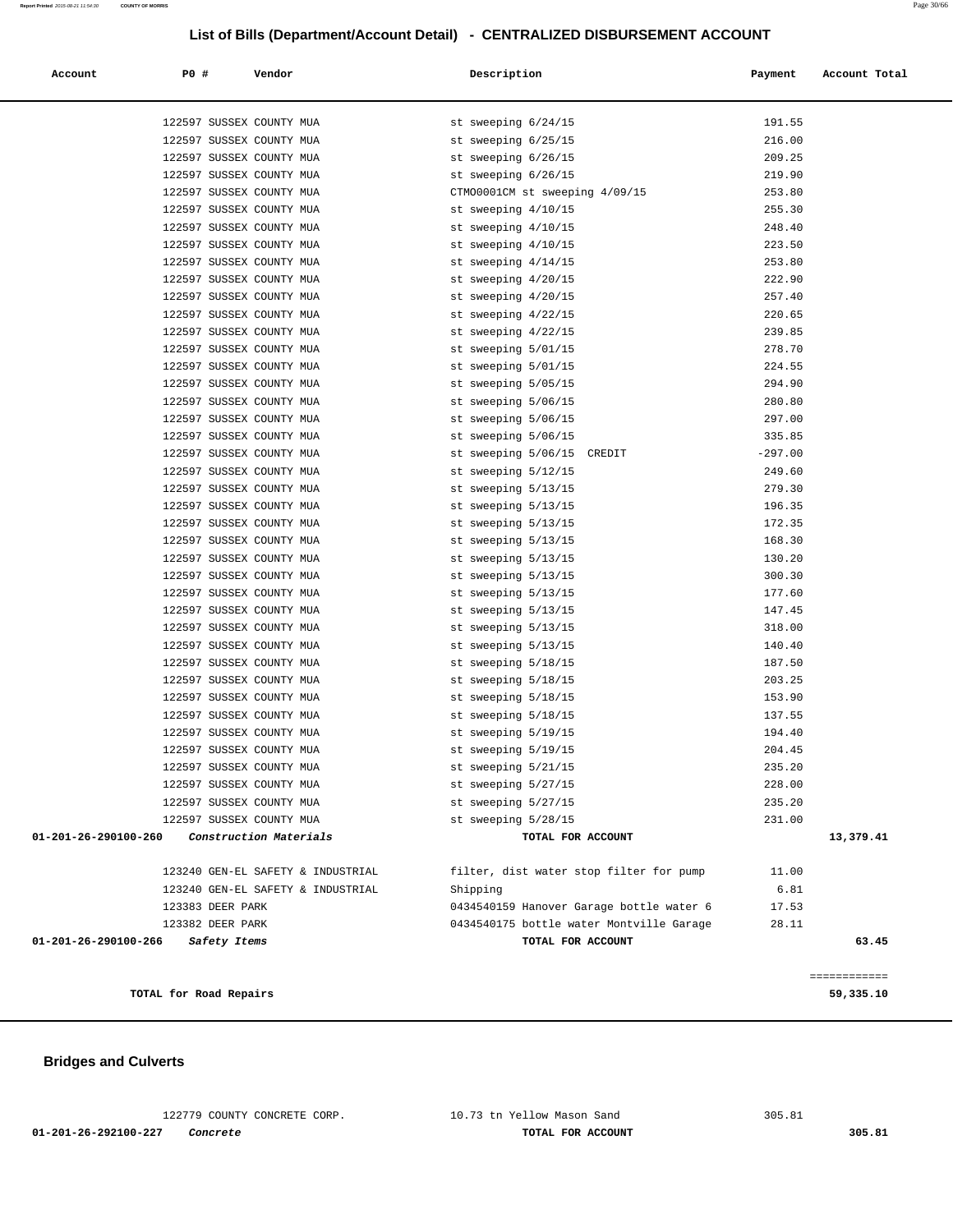| Account                        | <b>PO #</b>                                          | Vendor                            | Description                                | Payment          | Account Total             |
|--------------------------------|------------------------------------------------------|-----------------------------------|--------------------------------------------|------------------|---------------------------|
|                                | 122597 SUSSEX COUNTY MUA                             |                                   | st sweeping 6/24/15                        | 191.55           |                           |
|                                | 122597 SUSSEX COUNTY MUA                             |                                   | st sweeping 6/25/15                        | 216.00           |                           |
|                                | 122597 SUSSEX COUNTY MUA                             |                                   | st sweeping 6/26/15                        | 209.25           |                           |
|                                | 122597 SUSSEX COUNTY MUA                             |                                   | st sweeping 6/26/15                        | 219.90           |                           |
|                                | 122597 SUSSEX COUNTY MUA                             |                                   | CTM00001CM st sweeping 4/09/15             | 253.80           |                           |
|                                | 122597 SUSSEX COUNTY MUA                             |                                   | st sweeping 4/10/15                        | 255.30           |                           |
|                                | 122597 SUSSEX COUNTY MUA                             |                                   | st sweeping 4/10/15                        | 248.40           |                           |
|                                | 122597 SUSSEX COUNTY MUA                             |                                   | st sweeping 4/10/15                        | 223.50           |                           |
|                                | 122597 SUSSEX COUNTY MUA                             |                                   | st sweeping 4/14/15                        | 253.80           |                           |
|                                | 122597 SUSSEX COUNTY MUA                             |                                   | st sweeping 4/20/15                        | 222.90           |                           |
|                                | 122597 SUSSEX COUNTY MUA                             |                                   | st sweeping 4/20/15                        | 257.40           |                           |
|                                | 122597 SUSSEX COUNTY MUA                             |                                   | st sweeping 4/22/15                        | 220.65           |                           |
|                                | 122597 SUSSEX COUNTY MUA                             |                                   | st sweeping 4/22/15                        | 239.85           |                           |
|                                | 122597 SUSSEX COUNTY MUA                             |                                   | st sweeping 5/01/15                        | 278.70           |                           |
|                                | 122597 SUSSEX COUNTY MUA                             |                                   | st sweeping 5/01/15                        | 224.55           |                           |
|                                | 122597 SUSSEX COUNTY MUA                             |                                   | st sweeping 5/05/15                        | 294.90           |                           |
|                                | 122597 SUSSEX COUNTY MUA                             |                                   | st sweeping 5/06/15                        | 280.80           |                           |
|                                | 122597 SUSSEX COUNTY MUA                             |                                   | st sweeping 5/06/15                        | 297.00           |                           |
|                                | 122597 SUSSEX COUNTY MUA                             |                                   | st sweeping 5/06/15                        | 335.85           |                           |
|                                | 122597 SUSSEX COUNTY MUA                             |                                   | st sweeping 5/06/15<br>CREDIT              | $-297.00$        |                           |
|                                | 122597 SUSSEX COUNTY MUA                             |                                   | st sweeping 5/12/15                        | 249.60           |                           |
|                                | 122597 SUSSEX COUNTY MUA                             |                                   | st sweeping 5/13/15                        | 279.30           |                           |
|                                | 122597 SUSSEX COUNTY MUA                             |                                   | st sweeping 5/13/15                        | 196.35           |                           |
|                                | 122597 SUSSEX COUNTY MUA                             |                                   | st sweeping 5/13/15                        | 172.35           |                           |
|                                | 122597 SUSSEX COUNTY MUA                             |                                   | st sweeping 5/13/15                        | 168.30           |                           |
|                                | 122597 SUSSEX COUNTY MUA                             |                                   | st sweeping 5/13/15                        | 130.20           |                           |
|                                | 122597 SUSSEX COUNTY MUA                             |                                   | st sweeping 5/13/15                        | 300.30           |                           |
|                                | 122597 SUSSEX COUNTY MUA                             |                                   | st sweeping 5/13/15                        | 177.60           |                           |
|                                | 122597 SUSSEX COUNTY MUA                             |                                   | st sweeping 5/13/15                        | 147.45           |                           |
|                                | 122597 SUSSEX COUNTY MUA                             |                                   | st sweeping 5/13/15                        | 318.00           |                           |
|                                | 122597 SUSSEX COUNTY MUA<br>122597 SUSSEX COUNTY MUA |                                   | st sweeping 5/13/15                        | 140.40<br>187.50 |                           |
|                                | 122597 SUSSEX COUNTY MUA                             |                                   | st sweeping 5/18/15<br>st sweeping 5/18/15 | 203.25           |                           |
|                                | 122597 SUSSEX COUNTY MUA                             |                                   | st sweeping 5/18/15                        | 153.90           |                           |
|                                | 122597 SUSSEX COUNTY MUA                             |                                   | st sweeping 5/18/15                        |                  |                           |
|                                | 122597 SUSSEX COUNTY MUA                             |                                   | st sweeping 5/19/15                        | 137.55<br>194.40 |                           |
|                                | 122597 SUSSEX COUNTY MUA                             |                                   | st sweeping 5/19/15                        | 204.45           |                           |
|                                | 122597 SUSSEX COUNTY MUA                             |                                   | st sweeping 5/21/15                        | 235.20           |                           |
|                                | 122597 SUSSEX COUNTY MUA                             |                                   | st sweeping 5/27/15                        | 228.00           |                           |
|                                | 122597 SUSSEX COUNTY MUA                             |                                   | st sweeping 5/27/15                        | 235.20           |                           |
|                                | 122597 SUSSEX COUNTY MUA                             |                                   | st sweeping 5/28/15                        | 231.00           |                           |
| $01 - 201 - 26 - 290100 - 260$ |                                                      | Construction Materials            | TOTAL FOR ACCOUNT                          |                  | 13,379.41                 |
|                                |                                                      | 123240 GEN-EL SAFETY & INDUSTRIAL | filter, dist water stop filter for pump    | 11.00            |                           |
|                                |                                                      | 123240 GEN-EL SAFETY & INDUSTRIAL | Shipping                                   | 6.81             |                           |
|                                | 123383 DEER PARK                                     |                                   | 0434540159 Hanover Garage bottle water 6   | 17.53            |                           |
|                                | 123382 DEER PARK                                     |                                   | 0434540175 bottle water Montville Garage   | 28.11            |                           |
| 01-201-26-290100-266           | Safety Items                                         |                                   | TOTAL FOR ACCOUNT                          |                  | 63.45                     |
|                                | TOTAL for Road Repairs                               |                                   |                                            |                  | ============<br>59,335.10 |

### **Bridges and Culverts**

 122779 COUNTY CONCRETE CORP. 10.73 tn Yellow Mason Sand 305.81  **01-201-26-292100-227 Concrete TOTAL FOR ACCOUNT 305.81**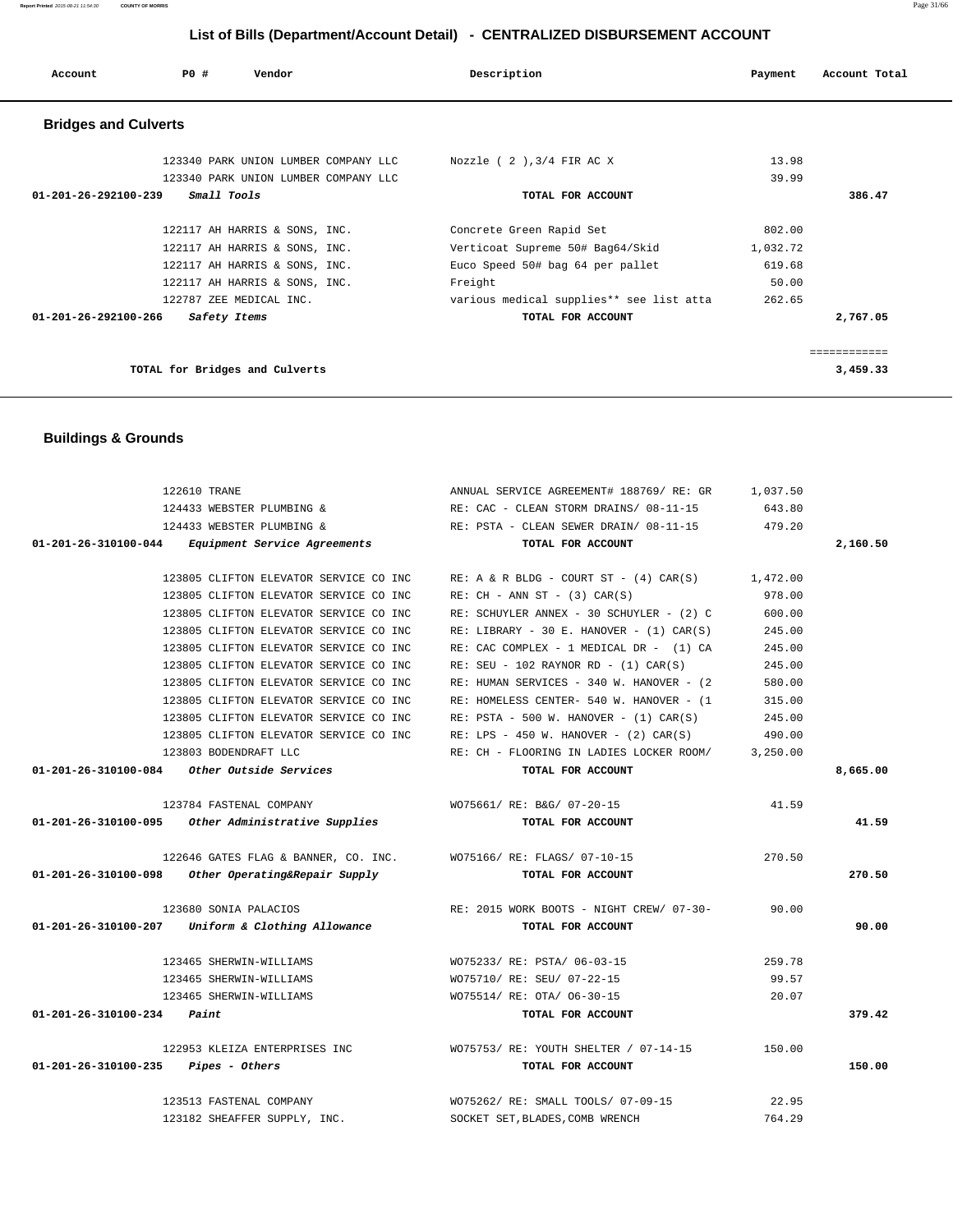| 122610 TRANE                                                     | ANNUAL SERVICE AGREEMENT# 188769/RE: GR 1,037.50                   |        |          |
|------------------------------------------------------------------|--------------------------------------------------------------------|--------|----------|
|                                                                  | 124433 WEBSTER PLUMBING & RE: CAC - CLEAN STORM DRAINS/ 08-11-15   | 643.80 |          |
| 124433 WEBSTER PLUMBING &                                        | RE: PSTA - CLEAN SEWER DRAIN/ 08-11-15 479.20                      |        |          |
| 01-201-26-310100-044 Equipment Service Agreements                | TOTAL FOR ACCOUNT                                                  |        | 2,160.50 |
|                                                                  |                                                                    |        |          |
| 123805 CLIFTON ELEVATOR SERVICE CO INC                           | RE: A & R BLDG - COURT ST - $(4)$ CAR $(S)$ 1,472.00               |        |          |
| 123805 CLIFTON ELEVATOR SERVICE CO INC                           | $RE: CH - ANN ST - (3) CAR(S)$                                     | 978.00 |          |
| 123805 CLIFTON ELEVATOR SERVICE CO INC                           | RE: SCHUYLER ANNEX - 30 SCHUYLER - (2) C                           | 600.00 |          |
| 123805 CLIFTON ELEVATOR SERVICE CO INC                           | RE: LIBRARY - 30 E. HANOVER - $(1)$ CAR $(S)$                      | 245.00 |          |
| 123805 CLIFTON ELEVATOR SERVICE CO INC                           | RE: CAC COMPLEX - 1 MEDICAL DR - (1) CA                            | 245.00 |          |
| 123805 CLIFTON ELEVATOR SERVICE CO INC                           | $RE: SEU - 102 RAYNOR RD - (1) CAR(S)$                             | 245.00 |          |
| 123805 CLIFTON ELEVATOR SERVICE CO INC                           | RE: HUMAN SERVICES - 340 W. HANOVER - (2)                          | 580.00 |          |
| 123805 CLIFTON ELEVATOR SERVICE CO INC                           | RE: HOMELESS CENTER- 540 W. HANOVER - (1                           | 315.00 |          |
| 123805 CLIFTON ELEVATOR SERVICE CO INC                           | RE: $PSTA - 500 W$ . HANOVER - $(1) CAR(S)$                        | 245.00 |          |
| 123805 CLIFTON ELEVATOR SERVICE CO INC                           | RE: LPS - 450 W. HANOVER - $(2)$ CAR $(S)$                         | 490.00 |          |
| 123803 BODENDRAFT LLC                                            | RE: CH - FLOORING IN LADIES LOCKER ROOM/ 3,250.00                  |        |          |
| $01-201-26-310100-084$ Other Outside Services                    | TOTAL FOR ACCOUNT                                                  |        | 8,665.00 |
|                                                                  |                                                                    |        |          |
| 123784 FASTENAL COMPANY                                          | WO75661/ RE: B&G/ 07-20-15                                         | 41.59  |          |
| 01-201-26-310100-095 Other Administrative Supplies               | TOTAL FOR ACCOUNT                                                  |        | 41.59    |
|                                                                  |                                                                    | 270.50 |          |
| 122646 GATES FLAG & BANNER, CO. INC. WO75166/RE: FLAGS/ 07-10-15 |                                                                    |        |          |
| $01-201-26-310100-098$ Other Operating&Repair Supply             | TOTAL FOR ACCOUNT                                                  |        | 270.50   |
| 123680 SONIA PALACIOS                                            | RE: 2015 WORK BOOTS - NIGHT CREW/ 07-30- 90.00                     |        |          |
| $01-201-26-310100-207$ Uniform & Clothing Allowance              | TOTAL FOR ACCOUNT                                                  |        | 90.00    |
|                                                                  |                                                                    |        |          |
| 123465 SHERWIN-WILLIAMS                                          | WO75233/ RE: PSTA/ 06-03-15                                        | 259.78 |          |
| 123465 SHERWIN-WILLIAMS                                          | WO75710/ RE: SEU/ 07-22-15                                         | 99.57  |          |
| 123465 SHERWIN-WILLIAMS                                          | WO75514/ RE: OTA/ 06-30-15                                         | 20.07  |          |
| $01 - 201 - 26 - 310100 - 234$ Paint                             | TOTAL FOR ACCOUNT                                                  |        | 379.42   |
|                                                                  | 122953 KLEIZA ENTERPRISES INC WO75753/RE: YOUTH SHELTER / 07-14-15 | 150.00 |          |
| $01 - 201 - 26 - 310100 - 235$ Pipes - Others                    | TOTAL FOR ACCOUNT                                                  |        | 150.00   |
| 123513 FASTENAL COMPANY                                          | WO75262/ RE: SMALL TOOLS/ 07-09-15                                 | 22.95  |          |
| 123182 SHEAFFER SUPPLY, INC.                                     | SOCKET SET, BLADES, COMB WRENCH                                    | 764.29 |          |
|                                                                  |                                                                    |        |          |

 **Buildings & Grounds** 

| <b>Bridges and Culverts</b>          |                                          |          |          |
|--------------------------------------|------------------------------------------|----------|----------|
|                                      |                                          |          |          |
| 123340 PARK UNION LUMBER COMPANY LLC | Nozzle $(2)$ , $3/4$ FIR AC X            | 13.98    |          |
| 123340 PARK UNION LUMBER COMPANY LLC |                                          | 39.99    |          |
| Small Tools<br>01-201-26-292100-239  | TOTAL FOR ACCOUNT                        |          | 386.47   |
| 122117 AH HARRIS & SONS, INC.        | Concrete Green Rapid Set                 | 802.00   |          |
| 122117 AH HARRIS & SONS, INC.        | Verticoat Supreme 50# Bag64/Skid         | 1,032.72 |          |
| 122117 AH HARRIS & SONS, INC.        | Euco Speed 50# bag 64 per pallet         | 619.68   |          |
| 122117 AH HARRIS & SONS, INC.        | Freight                                  | 50.00    |          |
| 122787 ZEE MEDICAL INC.              | various medical supplies** see list atta | 262.65   |          |
| 01-201-26-292100-266<br>Safety Items | TOTAL FOR ACCOUNT                        |          | 2,767.05 |
|                                      |                                          |          |          |
| TOTAL for Bridges and Culverts       |                                          |          | 3,459.33 |

 **Account P0 # Vendor Description Payment Account Total**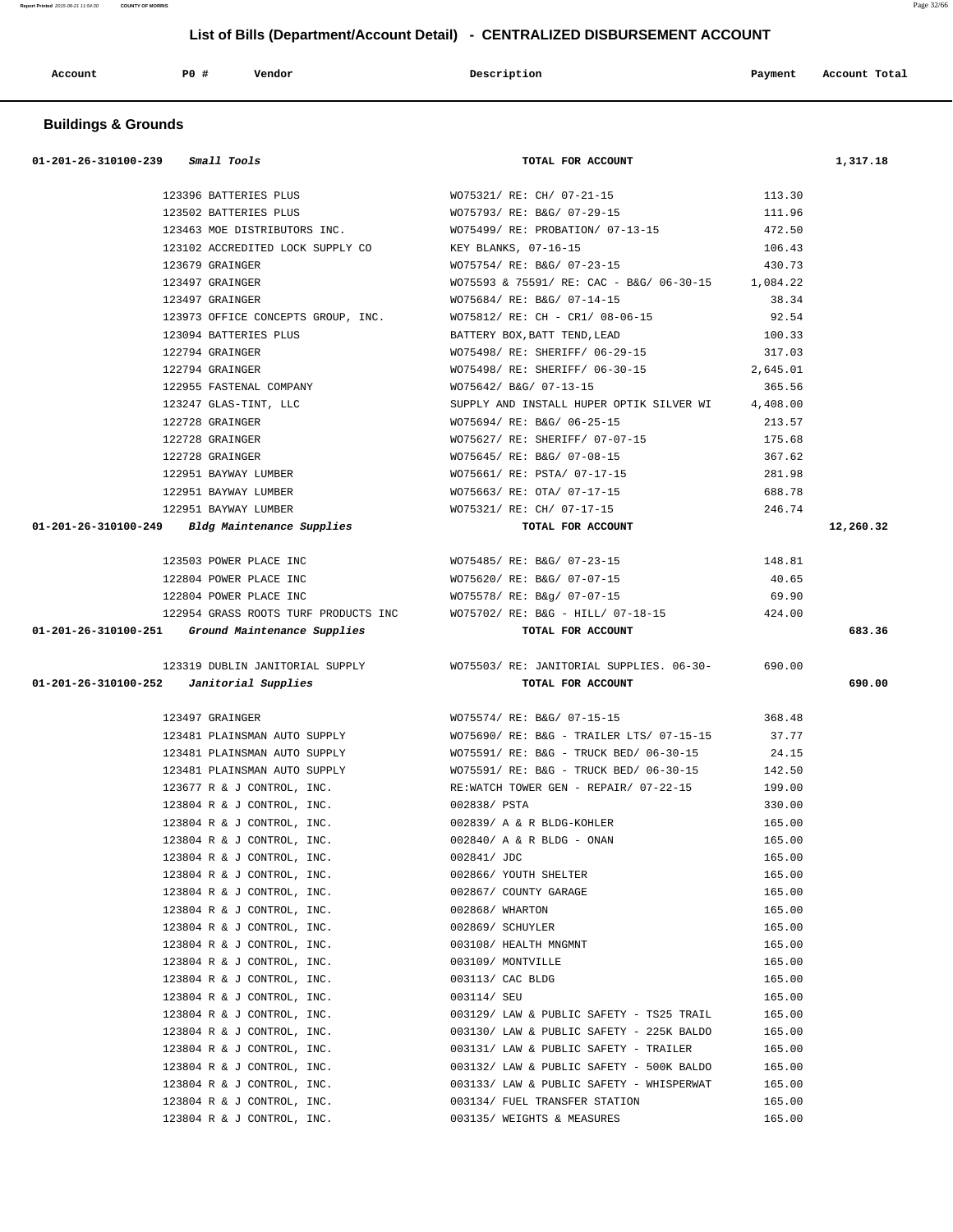**Report Printed** 2015-08-21 11:54:30 **COUNTY OF MORRIS** Page 32/66

# **List of Bills (Department/Account Detail) - CENTRALIZED DISBURSEMENT ACCOUNT**

| Account<br>. | PO# | Vendor<br>. | Description | Payment | Account Total<br>. |
|--------------|-----|-------------|-------------|---------|--------------------|
|              |     |             |             |         |                    |

# **Buildings & Grounds**

| $01-201-26-310100-239$ Small Tools                |                                  | TOTAL FOR ACCOUNT                                                               |          | 1,317.18  |
|---------------------------------------------------|----------------------------------|---------------------------------------------------------------------------------|----------|-----------|
|                                                   | 123396 BATTERIES PLUS            | WO75321/ RE: CH/ 07-21-15                                                       | 113.30   |           |
|                                                   | 123502 BATTERIES PLUS            | WO75793/ RE: B&G/ 07-29-15                                                      | 111.96   |           |
|                                                   | 123463 MOE DISTRIBUTORS INC.     | WO75499/ RE: PROBATION/ 07-13-15                                                | 472.50   |           |
|                                                   | 123102 ACCREDITED LOCK SUPPLY CO | KEY BLANKS, 07-16-15                                                            | 106.43   |           |
| 123679 GRAINGER                                   |                                  | WO75754/ RE: B&G/ 07-23-15                                                      | 430.73   |           |
| 123497 GRAINGER                                   |                                  | WO75593 & 75591/ RE: CAC - B&G/ 06-30-15 1,084.22                               |          |           |
| 123497 GRAINGER                                   |                                  | WO75684/ RE: B&G/ 07-14-15                                                      | 38.34    |           |
|                                                   |                                  | 123973 OFFICE CONCEPTS GROUP, INC. WO75812/ RE: CH - CR1/ 08-06-15              | 92.54    |           |
|                                                   | 123094 BATTERIES PLUS            | BATTERY BOX, BATT TEND, LEAD                                                    | 100.33   |           |
| 122794 GRAINGER                                   |                                  | WO75498/ RE: SHERIFF/ 06-29-15                                                  | 317.03   |           |
| 122794 GRAINGER                                   |                                  | WO75498/ RE: SHERIFF/ 06-30-15                                                  | 2,645.01 |           |
|                                                   | 122955 FASTENAL COMPANY          | WO75642/ B&G/ 07-13-15                                                          | 365.56   |           |
|                                                   | 123247 GLAS-TINT, LLC            | SUPPLY AND INSTALL HUPER OPTIK SILVER WI 4,408.00                               |          |           |
| 122728 GRAINGER                                   |                                  | WO75694/ RE: B&G/ 06-25-15                                                      | 213.57   |           |
| 122728 GRAINGER                                   |                                  | WO75627/ RE: SHERIFF/ 07-07-15                                                  | 175.68   |           |
| 122728 GRAINGER                                   |                                  | WO75645/ RE: B&G/ 07-08-15                                                      | 367.62   |           |
|                                                   | 122951 BAYWAY LUMBER             | WO75661/ RE: PSTA/ 07-17-15                                                     | 281.98   |           |
|                                                   | 122951 BAYWAY LUMBER             | WO75663/ RE: OTA/ 07-17-15                                                      | 688.78   |           |
|                                                   | 122951 BAYWAY LUMBER             | WO75321/ RE: CH/ 07-17-15                                                       | 246.74   |           |
| 01-201-26-310100-249 Bldg Maintenance Supplies    |                                  | TOTAL FOR ACCOUNT                                                               |          | 12,260.32 |
|                                                   | 123503 POWER PLACE INC           | WO75485/ RE: B&G/ 07-23-15                                                      | 148.81   |           |
|                                                   | 122804 POWER PLACE INC           | WO75620/ RE: B&G/ 07-07-15                                                      | 40.65    |           |
|                                                   | 122804 POWER PLACE INC           | WO75578/ RE: B&g/ 07-07-15                                                      | 69.90    |           |
|                                                   |                                  | 122954 GRASS ROOTS TURF PRODUCTS INC WO75702/ RE: B&G - HILL/ 07-18-15 424.00   |          |           |
| 01-201-26-310100-251 Ground Maintenance Supplies  |                                  | TOTAL FOR ACCOUNT                                                               |          | 683.36    |
|                                                   |                                  | 123319 DUBLIN JANITORIAL SUPPLY WO75503/ RE: JANITORIAL SUPPLIES. 06-30- 690.00 |          |           |
| $01-201-26-310100-252$ <i>Janitorial Supplies</i> |                                  | TOTAL FOR ACCOUNT                                                               |          | 690.00    |
| 123497 GRAINGER                                   |                                  | WO75574/ RE: B&G/ 07-15-15                                                      | 368.48   |           |
|                                                   |                                  | 123481 PLAINSMAN AUTO SUPPLY WO75690/RE: B&G - TRAILER LTS/ 07-15-15            | 37.77    |           |
|                                                   | 123481 PLAINSMAN AUTO SUPPLY     | WO75591/ RE: B&G - TRUCK BED/ 06-30-15                                          | 24.15    |           |
|                                                   | 123481 PLAINSMAN AUTO SUPPLY     | WO75591/ RE: B&G - TRUCK BED/ 06-30-15                                          | 142.50   |           |
|                                                   | 123677 R & J CONTROL, INC.       | RE:WATCH TOWER GEN - REPAIR/ 07-22-15                                           | 199.00   |           |
|                                                   | 123804 R & J CONTROL, INC.       | 002838/ PSTA                                                                    | 330.00   |           |
|                                                   | 123804 R & J CONTROL, INC.       | 002839/ A & R BLDG-KOHLER                                                       | 165.00   |           |
|                                                   | 123804 R & J CONTROL, INC.       | 002840/ A & R BLDG - ONAN                                                       | 165.00   |           |
|                                                   | 123804 R & J CONTROL, INC.       | 002841/ JDC                                                                     | 165.00   |           |
|                                                   | 123804 R & J CONTROL, INC.       | 002866/ YOUTH SHELTER                                                           | 165.00   |           |
|                                                   | 123804 R & J CONTROL, INC.       | 002867/ COUNTY GARAGE                                                           | 165.00   |           |
|                                                   | 123804 R & J CONTROL, INC.       | 002868/ WHARTON                                                                 | 165.00   |           |
|                                                   | 123804 R & J CONTROL, INC.       | 002869/ SCHUYLER                                                                | 165.00   |           |
|                                                   | 123804 R & J CONTROL, INC.       | 003108/ HEALTH MNGMNT                                                           | 165.00   |           |
|                                                   | 123804 R & J CONTROL, INC.       | 003109/ MONTVILLE                                                               | 165.00   |           |
|                                                   | 123804 R & J CONTROL, INC.       | 003113/ CAC BLDG                                                                | 165.00   |           |
|                                                   | 123804 R & J CONTROL, INC.       | 003114/ SEU                                                                     | 165.00   |           |
|                                                   | 123804 R & J CONTROL, INC.       | 003129/ LAW & PUBLIC SAFETY - TS25 TRAIL                                        | 165.00   |           |
|                                                   | 123804 R & J CONTROL, INC.       | 003130/ LAW & PUBLIC SAFETY - 225K BALDO                                        | 165.00   |           |
|                                                   | 123804 R & J CONTROL, INC.       | 003131/ LAW & PUBLIC SAFETY - TRAILER                                           | 165.00   |           |
|                                                   | 123804 R & J CONTROL, INC.       | 003132/ LAW & PUBLIC SAFETY - 500K BALDO                                        | 165.00   |           |
|                                                   | 123804 R & J CONTROL, INC.       | 003133/ LAW & PUBLIC SAFETY - WHISPERWAT                                        | 165.00   |           |
|                                                   | 123804 R & J CONTROL, INC.       | 003134/ FUEL TRANSFER STATION                                                   | 165.00   |           |
|                                                   | 123804 R & J CONTROL, INC.       | 003135/ WEIGHTS & MEASURES                                                      | 165.00   |           |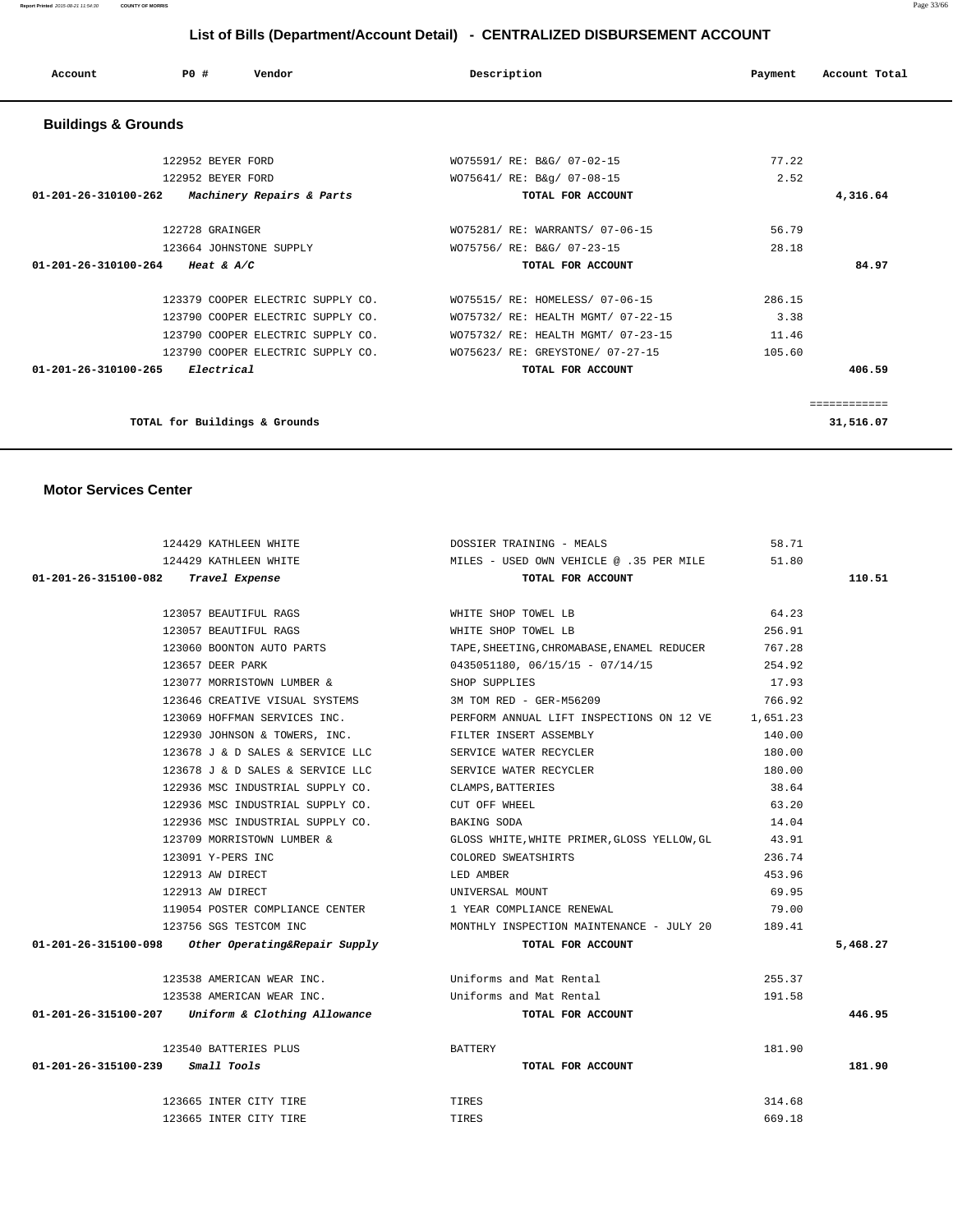| Account                        | PO#<br>Vendor                     | Description                |                                    | Payment | Account Total |
|--------------------------------|-----------------------------------|----------------------------|------------------------------------|---------|---------------|
| <b>Buildings &amp; Grounds</b> |                                   |                            |                                    |         |               |
|                                | 122952 BEYER FORD                 | WO75591/ RE: B&G/ 07-02-15 |                                    | 77.22   |               |
|                                | 122952 BEYER FORD                 | WO75641/ RE: B&g/ 07-08-15 |                                    | 2.52    |               |
| 01-201-26-310100-262           | Machinery Repairs & Parts         |                            | TOTAL FOR ACCOUNT                  |         | 4,316.64      |
|                                | 122728 GRAINGER                   |                            | WO75281/ RE: WARRANTS/ 07-06-15    | 56.79   |               |
|                                | 123664 JOHNSTONE SUPPLY           | WO75756/ RE: B&G/ 07-23-15 |                                    | 28.18   |               |
| 01-201-26-310100-264           | Heat & $A/C$                      |                            | TOTAL FOR ACCOUNT                  |         | 84.97         |
|                                | 123379 COOPER ELECTRIC SUPPLY CO. |                            | WO75515/ RE: HOMELESS/ 07-06-15    | 286.15  |               |
|                                | 123790 COOPER ELECTRIC SUPPLY CO. |                            | WO75732/ RE: HEALTH MGMT/ 07-22-15 | 3.38    |               |
|                                | 123790 COOPER ELECTRIC SUPPLY CO. |                            | WO75732/ RE: HEALTH MGMT/ 07-23-15 | 11.46   |               |
|                                | 123790 COOPER ELECTRIC SUPPLY CO. |                            | WO75623/ RE: GREYSTONE/ 07-27-15   | 105.60  |               |
| 01-201-26-310100-265           | Electrical                        |                            | TOTAL FOR ACCOUNT                  |         | 406.59        |
|                                |                                   |                            |                                    |         | ============  |
|                                | TOTAL for Buildings & Grounds     |                            |                                    |         | 31,516.07     |

#### **Motor Services Center**

| 124429 KATHLEEN WHITE                                |                                                         | DOSSIER TRAINING - MEALS                                                           | 58.71  |          |
|------------------------------------------------------|---------------------------------------------------------|------------------------------------------------------------------------------------|--------|----------|
|                                                      |                                                         | 124429 KATHLEEN WHITE $MILES - USED ONN VEHICLE @ .35 PER MILE 51.80$              |        |          |
| 01-201-26-315100-082 Travel Expense                  |                                                         | TOTAL FOR ACCOUNT                                                                  |        | 110.51   |
|                                                      |                                                         |                                                                                    |        |          |
| 123057 BEAUTIFUL RAGS                                |                                                         | WHITE SHOP TOWEL LB                                                                | 64.23  |          |
| 123057 BEAUTIFUL RAGS                                |                                                         | WHITE SHOP TOWEL LB                                                                | 256.91 |          |
|                                                      | 123060 BOONTON AUTO PARTS                               | TAPE, SHEETING, CHROMABASE, ENAMEL REDUCER                                         | 767.28 |          |
| 123657 DEER PARK                                     |                                                         | 0435051180, 06/15/15 - 07/14/15                                                    | 254.92 |          |
|                                                      | 123077 MORRISTOWN LUMBER &                              | SHOP SUPPLIES                                                                      | 17.93  |          |
|                                                      | 123646 CREATIVE VISUAL SYSTEMS 3M TOM RED - GER-M56209  |                                                                                    | 766.92 |          |
|                                                      |                                                         | 123069 HOFFMAN SERVICES INC. THE PERFORM ANNUAL LIFT INSPECTIONS ON 12 VE 1,651.23 |        |          |
|                                                      | 122930 JOHNSON & TOWERS, INC. TILTER INSERT ASSEMBLY    |                                                                                    | 140.00 |          |
|                                                      | 123678 J & D SALES & SERVICE LLC SERVICE WATER RECYCLER |                                                                                    | 180.00 |          |
|                                                      | 123678 J & D SALES & SERVICE LLC                        | SERVICE WATER RECYCLER                                                             | 180.00 |          |
|                                                      | 122936 MSC INDUSTRIAL SUPPLY CO.                        | CLAMPS, BATTERIES                                                                  | 38.64  |          |
|                                                      | 122936 MSC INDUSTRIAL SUPPLY CO.                        | CUT OFF WHEEL                                                                      | 63.20  |          |
|                                                      | 122936 MSC INDUSTRIAL SUPPLY CO.                        | BAKING SODA                                                                        | 14.04  |          |
|                                                      | 123709 MORRISTOWN LUMBER &                              | GLOSS WHITE, WHITE PRIMER, GLOSS YELLOW, GL 43.91                                  |        |          |
| 123091 Y-PERS INC                                    |                                                         | COLORED SWEATSHIRTS                                                                | 236.74 |          |
| 122913 AW DIRECT                                     |                                                         | LED AMBER                                                                          | 453.96 |          |
| 122913 AW DIRECT                                     | UNIVERSAL MOUNT                                         |                                                                                    | 69.95  |          |
|                                                      |                                                         | 119054 POSTER COMPLIANCE CENTER 1 YEAR COMPLIANCE RENEWAL                          | 79.00  |          |
| 123756 SGS TESTCOM INC                               |                                                         | MONTHLY INSPECTION MAINTENANCE - JULY 20 189.41                                    |        |          |
| $01-201-26-315100-098$ Other Operating&Repair Supply |                                                         | TOTAL FOR ACCOUNT                                                                  |        | 5,468.27 |
|                                                      |                                                         |                                                                                    |        |          |
|                                                      |                                                         | 123538 AMERICAN WEAR INC. Uniforms and Mat Rental                                  | 255.37 |          |
|                                                      | 123538 AMERICAN WEAR INC.                               | Uniforms and Mat Rental                                                            | 191.58 |          |
| 01-201-26-315100-207 Uniform & Clothing Allowance    |                                                         | TOTAL FOR ACCOUNT                                                                  |        | 446.95   |
| 123540 BATTERIES PLUS                                |                                                         | BATTERY                                                                            | 181.90 |          |
| 01-201-26-315100-239 Small Tools                     |                                                         | TOTAL FOR ACCOUNT                                                                  |        | 181.90   |
| 123665 INTER CITY TIRE                               |                                                         | TIRES                                                                              | 314.68 |          |
| 123665 INTER CITY TIRE                               |                                                         | <b>TIRES</b>                                                                       | 669.18 |          |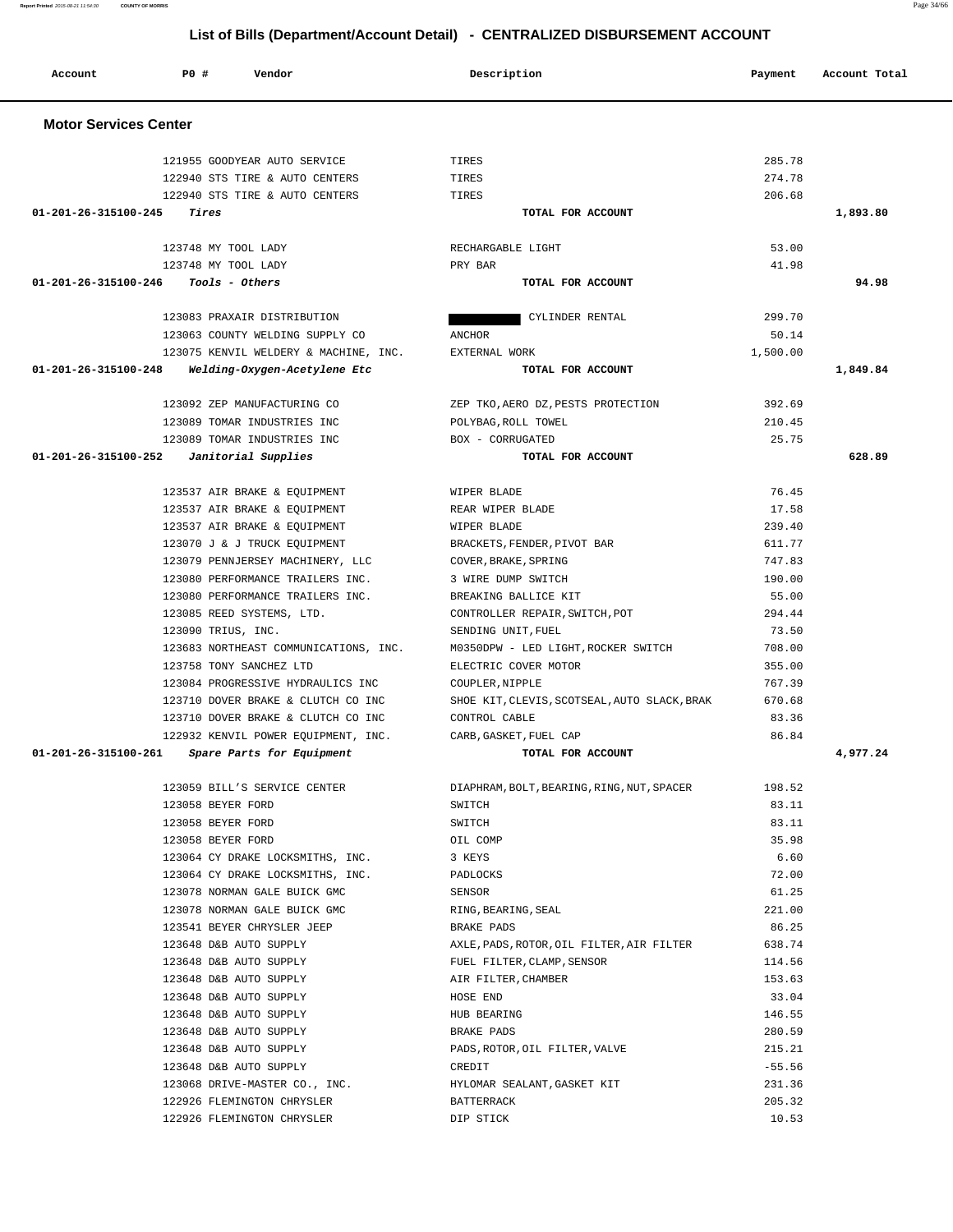| <b>Motor Services Center</b> |                                                          |                                              |                 |          |
|------------------------------|----------------------------------------------------------|----------------------------------------------|-----------------|----------|
|                              |                                                          |                                              |                 |          |
|                              | 121955 GOODYEAR AUTO SERVICE                             | TIRES                                        | 285.78          |          |
|                              | 122940 STS TIRE & AUTO CENTERS                           | TIRES                                        | 274.78          |          |
|                              | 122940 STS TIRE & AUTO CENTERS                           | TIRES                                        | 206.68          |          |
| 01-201-26-315100-245         | Tires                                                    | TOTAL FOR ACCOUNT                            |                 | 1,893.80 |
|                              | 123748 MY TOOL LADY                                      | RECHARGABLE LIGHT                            | 53.00           |          |
|                              | 123748 MY TOOL LADY                                      | PRY BAR                                      | 41.98           |          |
|                              | $01 - 201 - 26 - 315100 - 246$ Tools - Others            | TOTAL FOR ACCOUNT                            |                 | 94.98    |
|                              | 123083 PRAXAIR DISTRIBUTION                              | CYLINDER RENTAL                              | 299.70          |          |
|                              | 123063 COUNTY WELDING SUPPLY CO                          | ANCHOR                                       | 50.14           |          |
|                              | 123075 KENVIL WELDERY & MACHINE, INC.                    | EXTERNAL WORK                                | 1,500.00        |          |
| 01-201-26-315100-248         |                                                          | TOTAL FOR ACCOUNT                            |                 | 1,849.84 |
|                              | Welding-Oxygen-Acetylene Etc                             |                                              |                 |          |
|                              | 123092 ZEP MANUFACTURING CO                              | ZEP TKO, AERO DZ, PESTS PROTECTION           | 392.69          |          |
|                              | 123089 TOMAR INDUSTRIES INC                              | POLYBAG, ROLL TOWEL                          | 210.45          |          |
|                              | 123089 TOMAR INDUSTRIES INC                              | BOX - CORRUGATED                             | 25.75           |          |
|                              | 01-201-26-315100-252  Janitorial Supplies                | TOTAL FOR ACCOUNT                            |                 | 628.89   |
|                              | 123537 AIR BRAKE & EQUIPMENT                             | WIPER BLADE                                  | 76.45           |          |
|                              |                                                          | REAR WIPER BLADE                             | 17.58           |          |
|                              | 123537 AIR BRAKE & EQUIPMENT                             |                                              |                 |          |
|                              | 123537 AIR BRAKE & EQUIPMENT                             | WIPER BLADE                                  | 239.40          |          |
|                              | 123070 J & J TRUCK EQUIPMENT                             | BRACKETS, FENDER, PIVOT BAR                  | 611.77          |          |
|                              | 123079 PENNJERSEY MACHINERY, LLC                         | COVER, BRAKE, SPRING                         | 747.83          |          |
|                              | 123080 PERFORMANCE TRAILERS INC.                         | 3 WIRE DUMP SWITCH                           | 190.00          |          |
|                              | 123080 PERFORMANCE TRAILERS INC.                         | BREAKING BALLICE KIT                         | 55.00           |          |
|                              | 123085 REED SYSTEMS, LTD.                                | CONTROLLER REPAIR, SWITCH, POT               | 294.44          |          |
|                              | 123090 TRIUS, INC.                                       | SENDING UNIT, FUEL                           | 73.50           |          |
|                              | 123683 NORTHEAST COMMUNICATIONS, INC.                    | M0350DPW - LED LIGHT, ROCKER SWITCH          | 708.00          |          |
|                              | 123758 TONY SANCHEZ LTD                                  | ELECTRIC COVER MOTOR                         | 355.00          |          |
|                              | 123084 PROGRESSIVE HYDRAULICS INC                        | COUPLER, NIPPLE                              | 767.39          |          |
|                              | 123710 DOVER BRAKE & CLUTCH CO INC                       | SHOE KIT, CLEVIS, SCOTSEAL, AUTO SLACK, BRAK | 670.68          |          |
|                              | 123710 DOVER BRAKE & CLUTCH CO INC                       | CONTROL CABLE                                | 83.36           |          |
|                              | 122932 KENVIL POWER EQUIPMENT, INC.                      | CARB, GASKET, FUEL CAP                       | 86.84           |          |
| 01-201-26-315100-261         | Spare Parts for Equipment                                | TOTAL FOR ACCOUNT                            |                 | 4,977.24 |
|                              | 123059 BILL'S SERVICE CENTER                             | DIAPHRAM, BOLT, BEARING, RING, NUT, SPACER   | 198.52          |          |
|                              | 123058 BEYER FORD                                        | SWITCH                                       | 83.11           |          |
|                              | 123058 BEYER FORD                                        | SWITCH                                       | 83.11           |          |
|                              | 123058 BEYER FORD                                        | OIL COMP                                     | 35.98           |          |
|                              | 123064 CY DRAKE LOCKSMITHS, INC.                         | 3 KEYS                                       | 6.60            |          |
|                              | 123064 CY DRAKE LOCKSMITHS, INC.                         | PADLOCKS                                     | 72.00           |          |
|                              | 123078 NORMAN GALE BUICK GMC                             | SENSOR                                       | 61.25           |          |
|                              | 123078 NORMAN GALE BUICK GMC                             | RING, BEARING, SEAL                          | 221.00          |          |
|                              |                                                          | BRAKE PADS                                   | 86.25           |          |
|                              |                                                          |                                              |                 |          |
|                              | 123541 BEYER CHRYSLER JEEP                               |                                              |                 |          |
|                              | 123648 D&B AUTO SUPPLY                                   | AXLE, PADS, ROTOR, OIL FILTER, AIR FILTER    | 638.74          |          |
|                              | 123648 D&B AUTO SUPPLY                                   | FUEL FILTER, CLAMP, SENSOR                   | 114.56          |          |
|                              | 123648 D&B AUTO SUPPLY                                   | AIR FILTER, CHAMBER                          | 153.63          |          |
|                              | 123648 D&B AUTO SUPPLY                                   | HOSE END                                     | 33.04           |          |
|                              | 123648 D&B AUTO SUPPLY                                   | HUB BEARING                                  | 146.55          |          |
|                              | 123648 D&B AUTO SUPPLY                                   | BRAKE PADS                                   | 280.59          |          |
|                              | 123648 D&B AUTO SUPPLY                                   | PADS, ROTOR, OIL FILTER, VALVE               | 215.21          |          |
|                              | 123648 D&B AUTO SUPPLY                                   | CREDIT                                       | $-55.56$        |          |
|                              | 123068 DRIVE-MASTER CO., INC.                            | HYLOMAR SEALANT, GASKET KIT                  | 231.36          |          |
|                              | 122926 FLEMINGTON CHRYSLER<br>122926 FLEMINGTON CHRYSLER | BATTERRACK                                   | 205.32<br>10.53 |          |

 **Account P0 # Vendor Description Payment Account Total**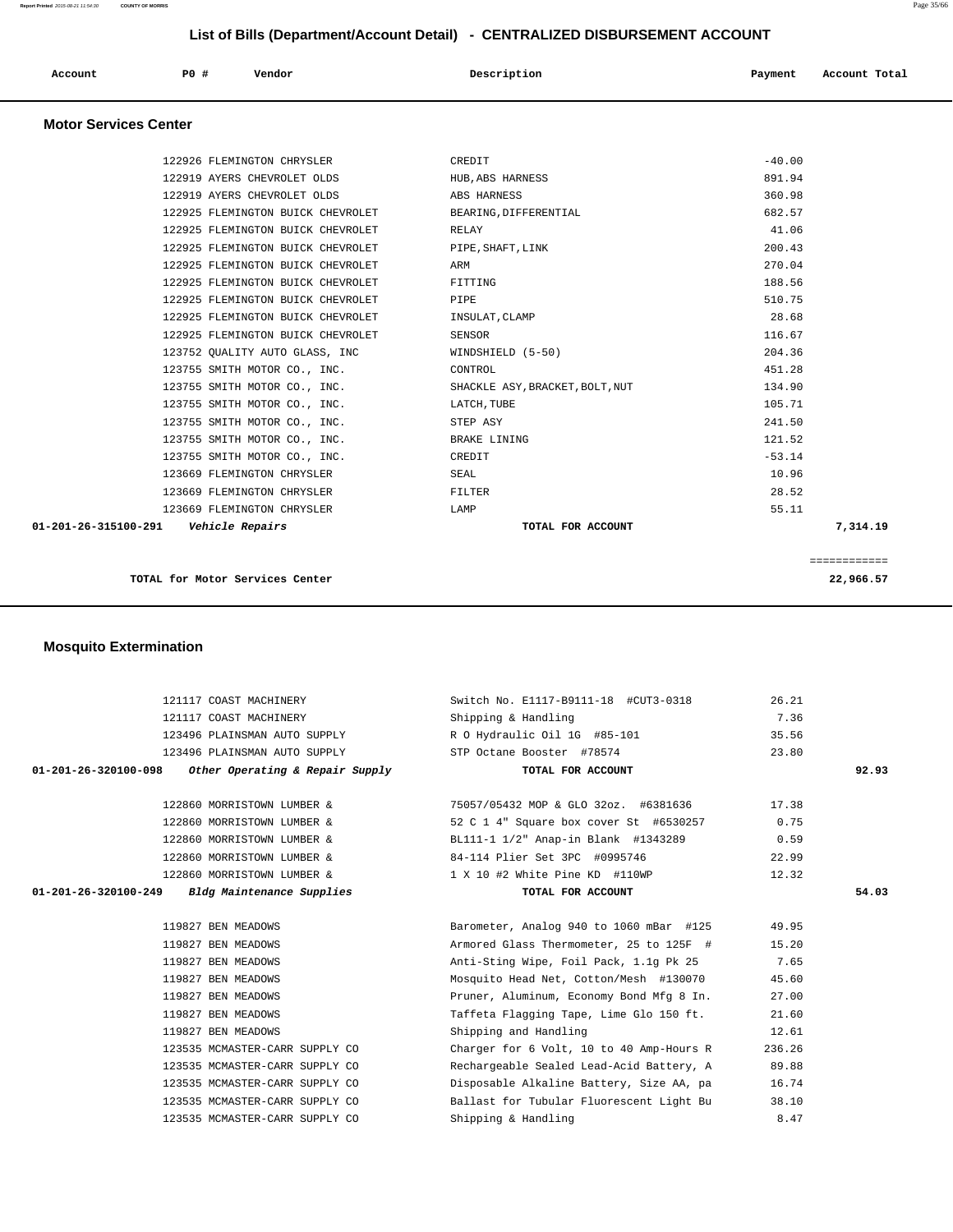**Account P0 # Vendor Description Payment Account Total**

| <b>Motor Services Center</b>  |                                                                  |                                                                 |               |              |
|-------------------------------|------------------------------------------------------------------|-----------------------------------------------------------------|---------------|--------------|
|                               | 122926 FLEMINGTON CHRYSLER                                       | CREDIT                                                          | $-40.00$      |              |
|                               | 122919 AYERS CHEVROLET OLDS                                      | HUB, ABS HARNESS                                                | 891.94        |              |
|                               | 122919 AYERS CHEVROLET OLDS                                      | ABS HARNESS                                                     | 360.98        |              |
|                               | 122925 FLEMINGTON BUICK CHEVROLET                                | BEARING, DIFFERENTIAL                                           | 682.57        |              |
|                               | 122925 FLEMINGTON BUICK CHEVROLET                                | RELAY                                                           | 41.06         |              |
|                               | 122925 FLEMINGTON BUICK CHEVROLET                                | PIPE, SHAFT, LINK                                               | 200.43        |              |
|                               | 122925 FLEMINGTON BUICK CHEVROLET                                | ARM                                                             | 270.04        |              |
|                               | 122925 FLEMINGTON BUICK CHEVROLET                                | FITTING                                                         | 188.56        |              |
|                               | 122925 FLEMINGTON BUICK CHEVROLET                                | PIPE                                                            | 510.75        |              |
|                               | 122925 FLEMINGTON BUICK CHEVROLET                                | INSULAT, CLAMP                                                  | 28.68         |              |
|                               | 122925 FLEMINGTON BUICK CHEVROLET                                | <b>SENSOR</b>                                                   | 116.67        |              |
|                               | 123752 QUALITY AUTO GLASS, INC                                   | WINDSHIELD (5-50)                                               | 204.36        |              |
|                               | 123755 SMITH MOTOR CO., INC.                                     | CONTROL                                                         | 451.28        |              |
|                               | 123755 SMITH MOTOR CO., INC.                                     | SHACKLE ASY, BRACKET, BOLT, NUT                                 | 134.90        |              |
|                               | 123755 SMITH MOTOR CO., INC.                                     | LATCH, TUBE                                                     | 105.71        |              |
|                               | 123755 SMITH MOTOR CO., INC.                                     | STEP ASY                                                        | 241.50        |              |
|                               | 123755 SMITH MOTOR CO., INC.                                     | <b>BRAKE LINING</b>                                             | 121.52        |              |
|                               | 123755 SMITH MOTOR CO., INC.                                     | CREDIT                                                          | $-53.14$      |              |
|                               | 123669 FLEMINGTON CHRYSLER                                       | SEAL                                                            | 10.96         |              |
|                               | 123669 FLEMINGTON CHRYSLER                                       | FILTER                                                          | 28.52         |              |
|                               |                                                                  |                                                                 |               |              |
| 01-201-26-315100-291          | 123669 FLEMINGTON CHRYSLER<br><i><b>Vehicle Repairs</b></i>      | LAMP<br>TOTAL FOR ACCOUNT                                       | 55.11         | 7,314.19     |
|                               |                                                                  |                                                                 |               | ============ |
|                               |                                                                  |                                                                 |               |              |
| <b>Mosquito Extermination</b> | TOTAL for Motor Services Center                                  |                                                                 |               | 22,966.57    |
|                               |                                                                  |                                                                 |               |              |
|                               | 121117 COAST MACHINERY                                           | Switch No. E1117-B9111-18 #CUT3-0318                            | 26.21         |              |
|                               | 121117 COAST MACHINERY                                           | Shipping & Handling                                             | 7.36          |              |
|                               | 123496 PLAINSMAN AUTO SUPPLY                                     | R O Hydraulic Oil 1G #85-101                                    | 35.56         |              |
|                               | 123496 PLAINSMAN AUTO SUPPLY                                     | STP Octane Booster #78574                                       | 23.80         |              |
| 01-201-26-320100-098          | Other Operating & Repair Supply                                  | TOTAL FOR ACCOUNT                                               |               | 92.93        |
|                               | 122860 MORRISTOWN LUMBER &                                       | 75057/05432 MOP & GLO 32oz. #6381636                            | 17.38         |              |
|                               | 122860 MORRISTOWN LUMBER &                                       | 52 C 1 4" Square box cover St #6530257                          | 0.75          |              |
|                               | 122860 MORRISTOWN LUMBER &                                       | BL111-1 1/2" Anap-in Blank #1343289                             | 0.59          |              |
|                               | 122860 MORRISTOWN LUMBER &                                       | 84-114 Plier Set 3PC #0995746                                   | 22.99         |              |
|                               |                                                                  |                                                                 |               |              |
| 01-201-26-320100-249          | 122860 MORRISTOWN LUMBER &<br>Bldg Maintenance Supplies          | 1 X 10 #2 White Pine KD #110WP<br>TOTAL FOR ACCOUNT             | 12.32         | 54.03        |
|                               |                                                                  |                                                                 |               |              |
|                               | 119827 BEN MEADOWS                                               | Barometer, Analog 940 to 1060 mBar #125                         | 49.95         |              |
|                               | 119827 BEN MEADOWS                                               | Armored Glass Thermometer, 25 to 125F #                         | 15.20         |              |
|                               | 119827 BEN MEADOWS                                               | Anti-Sting Wipe, Foil Pack, 1.1g Pk 25                          | 7.65          |              |
|                               | 119827 BEN MEADOWS                                               | Mosquito Head Net, Cotton/Mesh #130070                          | 45.60         |              |
|                               | 119827 BEN MEADOWS                                               | Pruner, Aluminum, Economy Bond Mfg 8 In.                        | 27.00         |              |
|                               | 119827 BEN MEADOWS                                               | Taffeta Flagging Tape, Lime Glo 150 ft.                         | 21.60         |              |
|                               | 119827 BEN MEADOWS                                               | Shipping and Handling                                           | 12.61         |              |
|                               | 123535 MCMASTER-CARR SUPPLY CO                                   |                                                                 | 236.26        |              |
|                               |                                                                  | Charger for 6 Volt, 10 to 40 Amp-Hours R                        |               |              |
|                               | 123535 MCMASTER-CARR SUPPLY CO                                   | Rechargeable Sealed Lead-Acid Battery, A                        | 89.88         |              |
|                               | 123535 MCMASTER-CARR SUPPLY CO                                   | Disposable Alkaline Battery, Size AA, pa                        | 16.74         |              |
|                               | 123535 MCMASTER-CARR SUPPLY CO<br>123535 MCMASTER-CARR SUPPLY CO | Ballast for Tubular Fluorescent Light Bu<br>Shipping & Handling | 38.10<br>8.47 |              |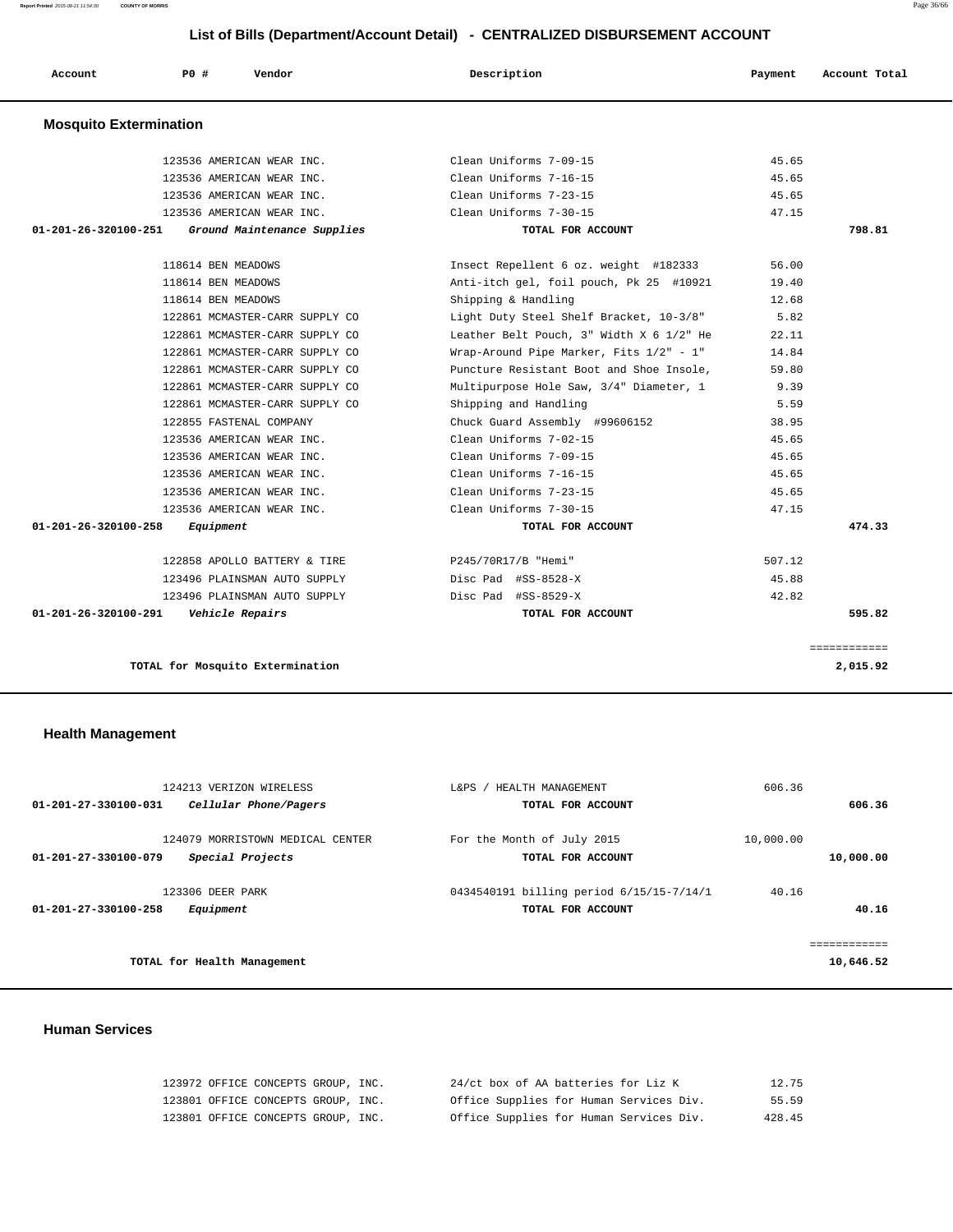| Account                       | <b>PO #</b> | Vendor                           | Description                              | Payment | Account Total |
|-------------------------------|-------------|----------------------------------|------------------------------------------|---------|---------------|
| <b>Mosquito Extermination</b> |             |                                  |                                          |         |               |
|                               |             | 123536 AMERICAN WEAR INC.        | Clean Uniforms 7-09-15                   | 45.65   |               |
|                               |             | 123536 AMERICAN WEAR INC.        | Clean Uniforms 7-16-15                   | 45.65   |               |
|                               |             | 123536 AMERICAN WEAR INC.        | Clean Uniforms 7-23-15                   | 45.65   |               |
|                               |             | 123536 AMERICAN WEAR INC.        | Clean Uniforms 7-30-15                   | 47.15   |               |
| 01-201-26-320100-251          |             | Ground Maintenance Supplies      | TOTAL FOR ACCOUNT                        |         | 798.81        |
|                               |             | 118614 BEN MEADOWS               | Insect Repellent 6 oz. weight #182333    | 56.00   |               |
|                               |             | 118614 BEN MEADOWS               | Anti-itch gel, foil pouch, Pk 25 #10921  | 19.40   |               |
|                               |             | 118614 BEN MEADOWS               | Shipping & Handling                      | 12.68   |               |
|                               |             | 122861 MCMASTER-CARR SUPPLY CO   | Light Duty Steel Shelf Bracket, 10-3/8"  | 5.82    |               |
|                               |             | 122861 MCMASTER-CARR SUPPLY CO   | Leather Belt Pouch, 3" Width X 6 1/2" He | 22.11   |               |
|                               |             | 122861 MCMASTER-CARR SUPPLY CO   | Wrap-Around Pipe Marker, Fits 1/2" - 1"  | 14.84   |               |
|                               |             | 122861 MCMASTER-CARR SUPPLY CO   | Puncture Resistant Boot and Shoe Insole, | 59.80   |               |
|                               |             | 122861 MCMASTER-CARR SUPPLY CO   | Multipurpose Hole Saw, 3/4" Diameter, 1  | 9.39    |               |
|                               |             | 122861 MCMASTER-CARR SUPPLY CO   | Shipping and Handling                    | 5.59    |               |
|                               |             | 122855 FASTENAL COMPANY          | Chuck Guard Assembly #99606152           | 38.95   |               |
|                               |             | 123536 AMERICAN WEAR INC.        | Clean Uniforms 7-02-15                   | 45.65   |               |
|                               |             | 123536 AMERICAN WEAR INC.        | Clean Uniforms 7-09-15                   | 45.65   |               |
|                               |             | 123536 AMERICAN WEAR INC.        | Clean Uniforms 7-16-15                   | 45.65   |               |
|                               |             | 123536 AMERICAN WEAR INC.        | Clean Uniforms 7-23-15                   | 45.65   |               |
|                               |             | 123536 AMERICAN WEAR INC.        | Clean Uniforms 7-30-15                   | 47.15   |               |
| 01-201-26-320100-258          |             | Equipment                        | TOTAL FOR ACCOUNT                        |         | 474.33        |
|                               |             | 122858 APOLLO BATTERY & TIRE     | P245/70R17/B "Hemi"                      | 507.12  |               |
|                               |             | 123496 PLAINSMAN AUTO SUPPLY     | Disc Pad #SS-8528-X                      | 45.88   |               |
|                               |             | 123496 PLAINSMAN AUTO SUPPLY     | Disc Pad #SS-8529-X                      | 42.82   |               |
| 01-201-26-320100-291          |             | Vehicle Repairs                  | TOTAL FOR ACCOUNT                        |         | 595.82        |
|                               |             |                                  |                                          |         | ============  |
|                               |             | TOTAL for Mosquito Extermination |                                          |         | 2,015.92      |

# **Health Management**

|                      | 124213 VERIZON WIRELESS                              | HEALTH MANAGEMENT<br>L&PS                                     | 606.36    |              |
|----------------------|------------------------------------------------------|---------------------------------------------------------------|-----------|--------------|
| 01-201-27-330100-031 | Cellular Phone/Pagers                                | TOTAL FOR ACCOUNT                                             |           | 606.36       |
| 01-201-27-330100-079 | 124079 MORRISTOWN MEDICAL CENTER<br>Special Projects | For the Month of July 2015<br>TOTAL FOR ACCOUNT               | 10,000.00 | 10,000.00    |
| 01-201-27-330100-258 | 123306 DEER PARK<br>Equipment                        | 0434540191 billing period 6/15/15-7/14/1<br>TOTAL FOR ACCOUNT | 40.16     | 40.16        |
|                      |                                                      |                                                               |           | ============ |
|                      | TOTAL for Health Management                          |                                                               |           | 10,646.52    |

### **Human Services**

| 123972 OFFICE CONCEPTS GROUP, INC. | 24/ct box of AA batteries for Liz K     | 12.75  |
|------------------------------------|-----------------------------------------|--------|
| 123801 OFFICE CONCEPTS GROUP, INC. | Office Supplies for Human Services Div. | 55.59  |
| 123801 OFFICE CONCEPTS GROUP, INC. | Office Supplies for Human Services Div. | 428.45 |

**Report Printed** 2015-08-21 11:54:30 **COUNTY OF MORRIS** Page 36/66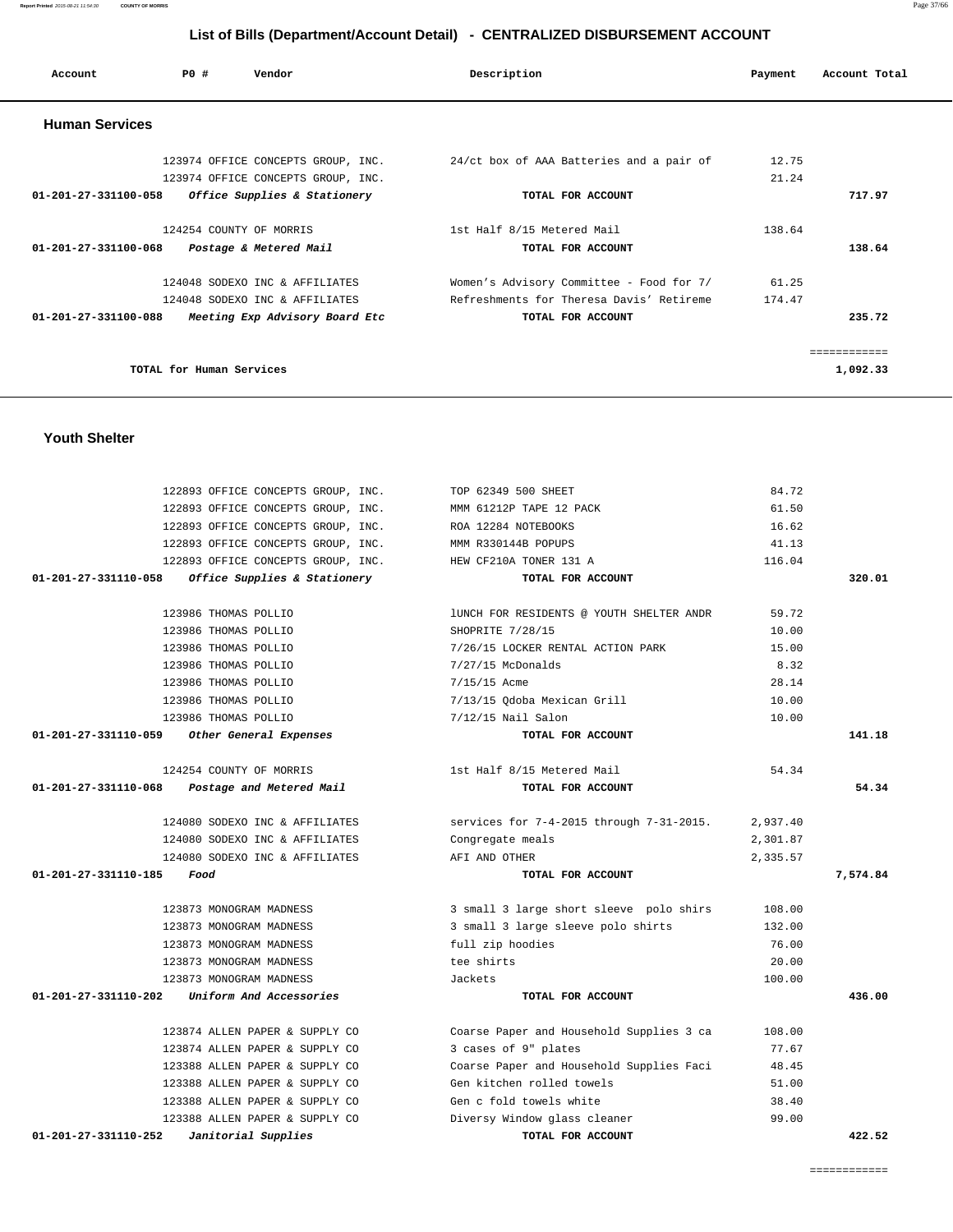| Account               | P0#                      | Vendor                             | Description                              | Payment | Account Total |
|-----------------------|--------------------------|------------------------------------|------------------------------------------|---------|---------------|
| <b>Human Services</b> |                          |                                    |                                          |         |               |
|                       |                          | 123974 OFFICE CONCEPTS GROUP, INC. | 24/ct box of AAA Batteries and a pair of | 12.75   |               |
|                       |                          | 123974 OFFICE CONCEPTS GROUP, INC. |                                          | 21.24   |               |
| 01-201-27-331100-058  |                          | Office Supplies & Stationery       | TOTAL FOR ACCOUNT                        |         | 717.97        |
|                       |                          | 124254 COUNTY OF MORRIS            | 1st Half 8/15 Metered Mail               | 138.64  |               |
| 01-201-27-331100-068  |                          | Postage & Metered Mail             | TOTAL FOR ACCOUNT                        |         | 138.64        |
|                       |                          | 124048 SODEXO INC & AFFILIATES     | Women's Advisory Committee - Food for 7/ | 61.25   |               |
|                       |                          | 124048 SODEXO INC & AFFILIATES     | Refreshments for Theresa Davis' Retireme | 174.47  |               |
| 01-201-27-331100-088  |                          | Meeting Exp Advisory Board Etc     | TOTAL FOR ACCOUNT                        |         | 235.72        |
|                       |                          |                                    |                                          |         | ============  |
|                       | TOTAL for Human Services |                                    |                                          |         | 1,092.33      |

### **Youth Shelter**

| 122893 OFFICE CONCEPTS GROUP, INC.                         | TOP 62349 500 SHEET                      | 84.72    |          |
|------------------------------------------------------------|------------------------------------------|----------|----------|
| 122893 OFFICE CONCEPTS GROUP, INC.                         | MMM 61212P TAPE 12 PACK                  | 61.50    |          |
| 122893 OFFICE CONCEPTS GROUP, INC.                         | ROA 12284 NOTEBOOKS                      | 16.62    |          |
| 122893 OFFICE CONCEPTS GROUP, INC.                         | MMM R330144B POPUPS                      | 41.13    |          |
| 122893 OFFICE CONCEPTS GROUP, INC.                         | HEW CF210A TONER 131 A                   | 116.04   |          |
| 01-201-27-331110-058<br>Office Supplies & Stationery       | TOTAL FOR ACCOUNT                        |          | 320.01   |
| 123986 THOMAS POLLIO                                       | lUNCH FOR RESIDENTS @ YOUTH SHELTER ANDR | 59.72    |          |
| 123986 THOMAS POLLIO                                       | SHOPRITE 7/28/15                         | 10.00    |          |
| 123986 THOMAS POLLIO                                       | 7/26/15 LOCKER RENTAL ACTION PARK        | 15.00    |          |
| 123986 THOMAS POLLIO                                       | $7/27/15$ McDonalds                      | 8.32     |          |
| 123986 THOMAS POLLIO                                       | 7/15/15 Acme                             | 28.14    |          |
| 123986 THOMAS POLLIO                                       | 7/13/15 Odoba Mexican Grill              | 10.00    |          |
| 123986 THOMAS POLLIO                                       | 7/12/15 Nail Salon                       | 10.00    |          |
| 01-201-27-331110-059<br>Other General Expenses             | TOTAL FOR ACCOUNT                        |          | 141.18   |
| 124254 COUNTY OF MORRIS                                    | 1st Half 8/15 Metered Mail               | 54.34    |          |
| $01 - 201 - 27 - 331110 - 068$<br>Postage and Metered Mail | TOTAL FOR ACCOUNT                        |          | 54.34    |
| 124080 SODEXO INC & AFFILIATES                             | services for 7-4-2015 through 7-31-2015. | 2,937.40 |          |
| 124080 SODEXO INC & AFFILIATES                             | Congregate meals                         | 2,301.87 |          |
| 124080 SODEXO INC & AFFILIATES                             | AFI AND OTHER                            | 2,335.57 |          |
| 01-201-27-331110-185<br>Food                               | TOTAL FOR ACCOUNT                        |          | 7,574.84 |
| 123873 MONOGRAM MADNESS                                    | 3 small 3 large short sleeve polo shirs  | 108.00   |          |
| 123873 MONOGRAM MADNESS                                    | 3 small 3 large sleeve polo shirts       | 132.00   |          |
| 123873 MONOGRAM MADNESS                                    | full zip hoodies                         | 76.00    |          |
| 123873 MONOGRAM MADNESS                                    | tee shirts                               | 20.00    |          |
| 123873 MONOGRAM MADNESS                                    | Jackets                                  | 100.00   |          |
| 01-201-27-331110-202<br>Uniform And Accessories            | TOTAL FOR ACCOUNT                        |          | 436.00   |
| 123874 ALLEN PAPER & SUPPLY CO                             | Coarse Paper and Household Supplies 3 ca | 108.00   |          |
| 123874 ALLEN PAPER & SUPPLY CO                             | 3 cases of 9" plates                     | 77.67    |          |
| 123388 ALLEN PAPER & SUPPLY CO                             | Coarse Paper and Household Supplies Faci | 48.45    |          |
| 123388 ALLEN PAPER & SUPPLY CO                             | Gen kitchen rolled towels                | 51.00    |          |
| 123388 ALLEN PAPER & SUPPLY CO                             | Gen c fold towels white                  | 38.40    |          |
| 123388 ALLEN PAPER & SUPPLY CO                             | Diversy Window glass cleaner             | 99.00    |          |
| 01-201-27-331110-252<br>Janitorial Supplies                | TOTAL FOR ACCOUNT                        |          | 422.52   |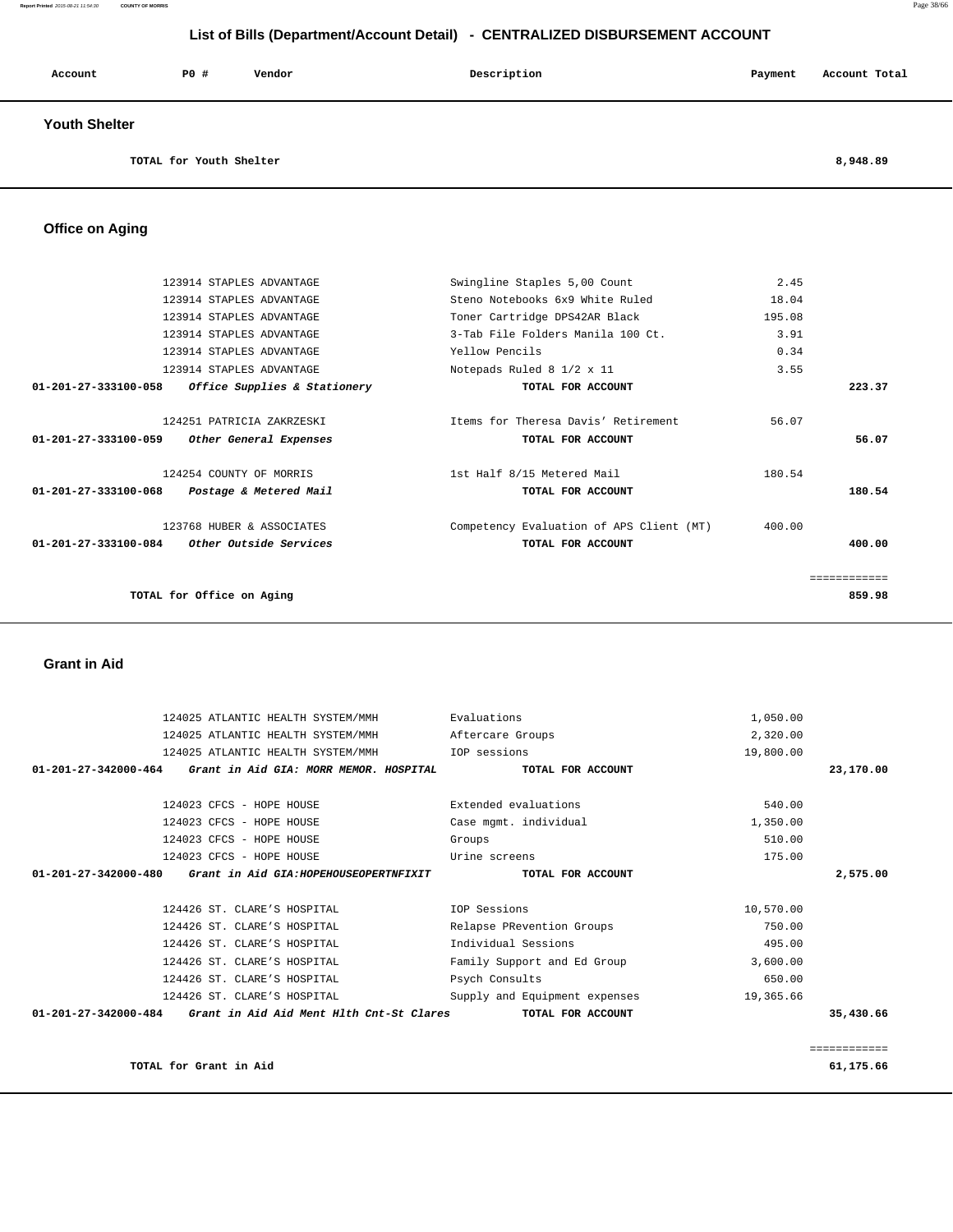| Account              | <b>PO #</b> | Vendor | Description | Payment | Account Total |
|----------------------|-------------|--------|-------------|---------|---------------|
| <b>Youth Shelter</b> |             |        |             |         |               |

**TOTAL for Youth Shelter 8,948.89**

# **Office on Aging**

| 123914 STAPLES ADVANTAGE                                        | Swingline Staples 5,00 Count             | 2.45   |              |
|-----------------------------------------------------------------|------------------------------------------|--------|--------------|
| 123914 STAPLES ADVANTAGE                                        | Steno Notebooks 6x9 White Ruled          | 18.04  |              |
| 123914 STAPLES ADVANTAGE                                        | Toner Cartridge DPS42AR Black            | 195.08 |              |
| 123914 STAPLES ADVANTAGE                                        | 3-Tab File Folders Manila 100 Ct.        | 3.91   |              |
| 123914 STAPLES ADVANTAGE                                        | Yellow Pencils                           | 0.34   |              |
| 123914 STAPLES ADVANTAGE                                        | Notepads Ruled 8 1/2 x 11                | 3.55   |              |
| 01-201-27-333100-058<br><i>Office Supplies &amp; Stationery</i> | TOTAL FOR ACCOUNT                        |        | 223.37       |
| 124251 PATRICIA ZAKRZESKI                                       | Items for Theresa Davis' Retirement      | 56.07  |              |
| 01-201-27-333100-059<br>Other General Expenses                  | TOTAL FOR ACCOUNT                        |        | 56.07        |
| 124254 COUNTY OF MORRIS                                         | 1st Half 8/15 Metered Mail               | 180.54 |              |
| 01-201-27-333100-068<br>Postage & Metered Mail                  | TOTAL FOR ACCOUNT                        |        | 180.54       |
| 123768 HUBER & ASSOCIATES                                       | Competency Evaluation of APS Client (MT) | 400.00 |              |
| $01-201-27-333100-084$ Other Outside Services                   | TOTAL FOR ACCOUNT                        |        | 400.00       |
|                                                                 |                                          |        | ============ |
| TOTAL for Office on Aging                                       |                                          |        | 859.98       |
|                                                                 |                                          |        |              |

### **Grant in Aid**

| 124025 ATLANTIC HEALTH SYSTEM/MMH                                          | Evaluations                   | 1,050.00  |           |
|----------------------------------------------------------------------------|-------------------------------|-----------|-----------|
| 124025 ATLANTIC HEALTH SYSTEM/MMH                                          | Aftercare Groups              | 2,320.00  |           |
| 124025 ATLANTIC HEALTH SYSTEM/MMH                                          | IOP sessions                  | 19,800.00 |           |
| 01-201-27-342000-464<br>Grant in Aid GIA: MORR MEMOR. HOSPITAL             | TOTAL FOR ACCOUNT             |           | 23,170.00 |
|                                                                            |                               |           |           |
| 124023 CFCS - HOPE HOUSE                                                   | Extended evaluations          | 540.00    |           |
| 124023 CFCS - HOPE HOUSE                                                   | Case mgmt. individual         | 1,350.00  |           |
| 124023 CFCS - HOPE HOUSE                                                   | Groups                        | 510.00    |           |
| 124023 CFCS - HOPE HOUSE                                                   | Urine screens                 | 175.00    |           |
| 01-201-27-342000-480<br>Grant in Aid GIA:HOPEHOUSEOPERTNFIXIT              | TOTAL FOR ACCOUNT             |           | 2,575.00  |
|                                                                            |                               |           |           |
| 124426 ST. CLARE'S HOSPITAL                                                | IOP Sessions                  | 10,570.00 |           |
| 124426 ST. CLARE'S HOSPITAL                                                | Relapse PRevention Groups     | 750.00    |           |
| 124426 ST. CLARE'S HOSPITAL                                                | Individual Sessions           | 495.00    |           |
| 124426 ST. CLARE'S HOSPITAL                                                | Family Support and Ed Group   | 3,600.00  |           |
| 124426 ST. CLARE'S HOSPITAL                                                | Psych Consults                | 650.00    |           |
| 124426 ST. CLARE'S HOSPITAL                                                | Supply and Equipment expenses | 19,365.66 |           |
| $01 - 201 - 27 - 342000 - 484$<br>Grant in Aid Aid Ment Hlth Cnt-St Clares | TOTAL FOR ACCOUNT             |           | 35,430.66 |
|                                                                            |                               |           |           |

============

TOTAL for Grant in Aid 61,175.66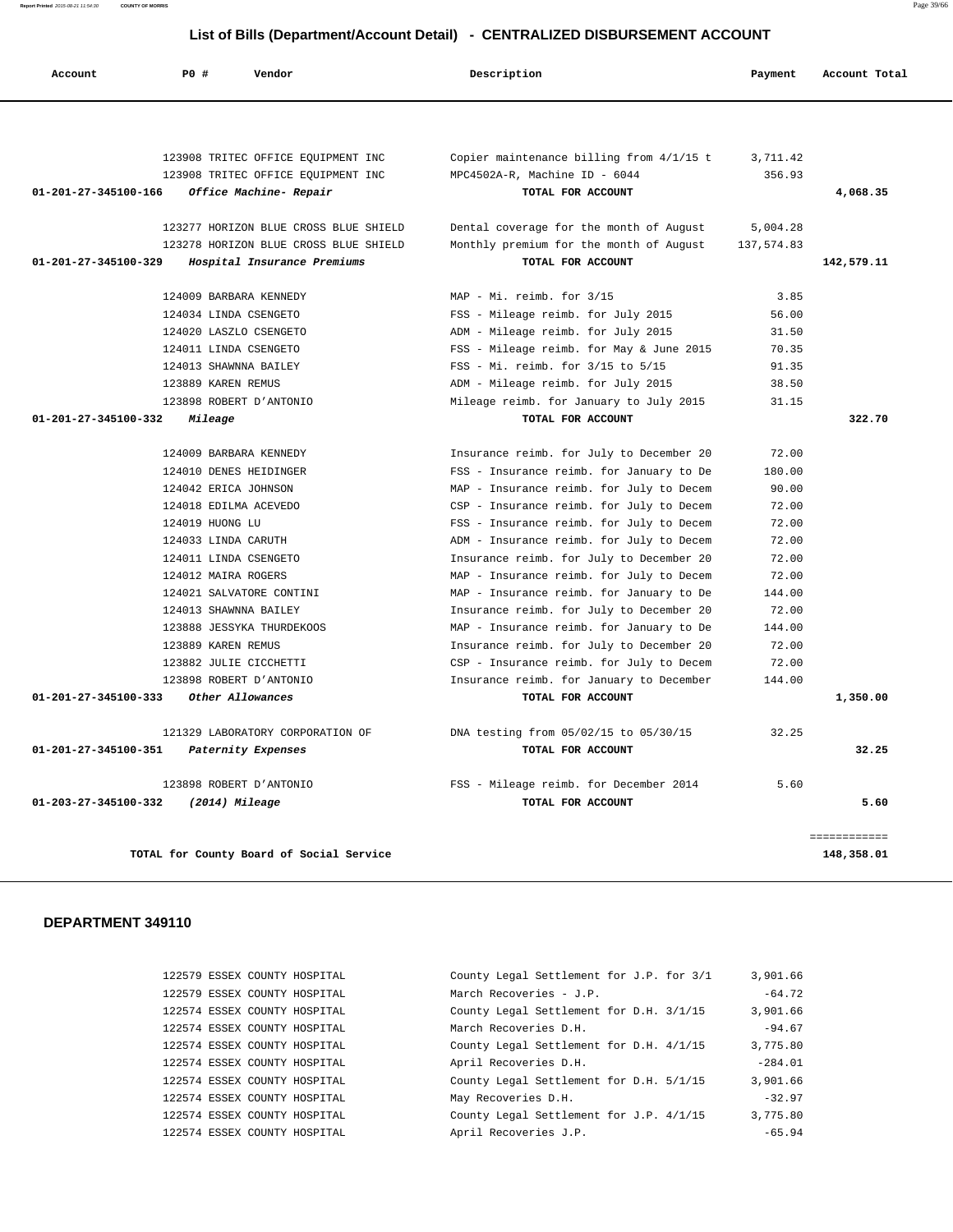**Report Printed** 2015-08-21 11:54:30 **COUNTY OF MORRIS** Page 39/66

#### **List of Bills (Department/Account Detail) - CENTRALIZED DISBURSEMENT ACCOUNT**

| Account                        | PO#<br>Vendor                         | Description                                | Payment    | Account Total |
|--------------------------------|---------------------------------------|--------------------------------------------|------------|---------------|
|                                |                                       |                                            |            |               |
|                                | 123908 TRITEC OFFICE EQUIPMENT INC    | Copier maintenance billing from $4/1/15$ t | 3,711.42   |               |
|                                | 123908 TRITEC OFFICE EQUIPMENT INC    | MPC4502A-R, Machine ID - 6044              | 356.93     |               |
| 01-201-27-345100-166           | Office Machine- Repair                | TOTAL FOR ACCOUNT                          |            | 4,068.35      |
|                                | 123277 HORIZON BLUE CROSS BLUE SHIELD | Dental coverage for the month of August    | 5,004.28   |               |
|                                | 123278 HORIZON BLUE CROSS BLUE SHIELD | Monthly premium for the month of August    | 137,574.83 |               |
| 01-201-27-345100-329           | Hospital Insurance Premiums           | TOTAL FOR ACCOUNT                          |            | 142,579.11    |
|                                | 124009 BARBARA KENNEDY                | MAP - Mi. reimb. for 3/15                  | 3.85       |               |
|                                | 124034 LINDA CSENGETO                 | FSS - Mileage reimb. for July 2015         | 56.00      |               |
|                                | 124020 LASZLO CSENGETO                | ADM - Mileage reimb. for July 2015         | 31.50      |               |
|                                | 124011 LINDA CSENGETO                 | FSS - Mileage reimb. for May & June 2015   | 70.35      |               |
|                                | 124013 SHAWNNA BAILEY                 | FSS - Mi. reimb. for 3/15 to 5/15          | 91.35      |               |
|                                | 123889 KAREN REMUS                    | ADM - Mileage reimb. for July 2015         | 38.50      |               |
|                                | 123898 ROBERT D'ANTONIO               | Mileage reimb. for January to July 2015    | 31.15      |               |
| 01-201-27-345100-332           | Mileage                               | TOTAL FOR ACCOUNT                          |            | 322.70        |
|                                | 124009 BARBARA KENNEDY                | Insurance reimb. for July to December 20   | 72.00      |               |
|                                | 124010 DENES HEIDINGER                | FSS - Insurance reimb. for January to De   | 180.00     |               |
|                                | 124042 ERICA JOHNSON                  | MAP - Insurance reimb. for July to Decem   | 90.00      |               |
|                                | 124018 EDILMA ACEVEDO                 | CSP - Insurance reimb. for July to Decem   | 72.00      |               |
|                                | 124019 HUONG LU                       | FSS - Insurance reimb. for July to Decem   | 72.00      |               |
|                                | 124033 LINDA CARUTH                   | ADM - Insurance reimb. for July to Decem   | 72.00      |               |
|                                | 124011 LINDA CSENGETO                 | Insurance reimb. for July to December 20   | 72.00      |               |
|                                | 124012 MAIRA ROGERS                   | MAP - Insurance reimb. for July to Decem   | 72.00      |               |
|                                | 124021 SALVATORE CONTINI              | MAP - Insurance reimb. for January to De   | 144.00     |               |
|                                | 124013 SHAWNNA BAILEY                 | Insurance reimb. for July to December 20   | 72.00      |               |
|                                | 123888 JESSYKA THURDEKOOS             | MAP - Insurance reimb. for January to De   | 144.00     |               |
|                                | 123889 KAREN REMUS                    | Insurance reimb. for July to December 20   | 72.00      |               |
|                                | 123882 JULIE CICCHETTI                | CSP - Insurance reimb. for July to Decem   | 72.00      |               |
|                                | 123898 ROBERT D'ANTONIO               | Insurance reimb. for January to December   | 144.00     |               |
| $01 - 201 - 27 - 345100 - 333$ | Other Allowances                      | TOTAL FOR ACCOUNT                          |            | 1,350.00      |
|                                | 121329 LABORATORY CORPORATION OF      | DNA testing from 05/02/15 to 05/30/15      | 32.25      |               |
| 01-201-27-345100-351           | Paternity Expenses                    | TOTAL FOR ACCOUNT                          |            | 32.25         |
|                                | 123898 ROBERT D'ANTONIO               | FSS - Mileage reimb. for December 2014     | 5.60       |               |
| 01-203-27-345100-332           | (2014) Mileage                        | TOTAL FOR ACCOUNT                          |            | 5.60          |

### **DEPARTMENT 349110**

122579 ESSEX COUNTY HOSPITAL 122579 ESSEX COUNTY HOSPITAL 122574 ESSEX COUNTY HOSPITAL 122574 ESSEX COUNTY HOSPITAL 122574 ESSEX COUNTY HOSPITAL 122574 ESSEX COUNTY HOSPITAL 122574 ESSEX COUNTY HOSPITAL 122574 ESSEX COUNTY HOSPITAL 122574 ESSEX COUNTY HOSPITAL 122574 ESSEX COUNTY HOSPITAL

| County Legal Settlement for J.P. for 3/1 |  |  | 3,901.66  |          |
|------------------------------------------|--|--|-----------|----------|
| March Recoveries - J.P.                  |  |  |           | $-64.72$ |
| County Legal Settlement for D.H. 3/1/15  |  |  | 3,901.66  |          |
| March Recoveries D.H.                    |  |  |           | $-94.67$ |
| County Legal Settlement for D.H. 4/1/15  |  |  | 3,775.80  |          |
| April Recoveries D.H.                    |  |  | $-284.01$ |          |
| County Legal Settlement for D.H. 5/1/15  |  |  | 3,901.66  |          |
| May Recoveries D.H.                      |  |  |           | $-32.97$ |
| County Legal Settlement for J.P. 4/1/15  |  |  | 3,775.80  |          |
| April Recoveries J.P.                    |  |  |           | $-65.94$ |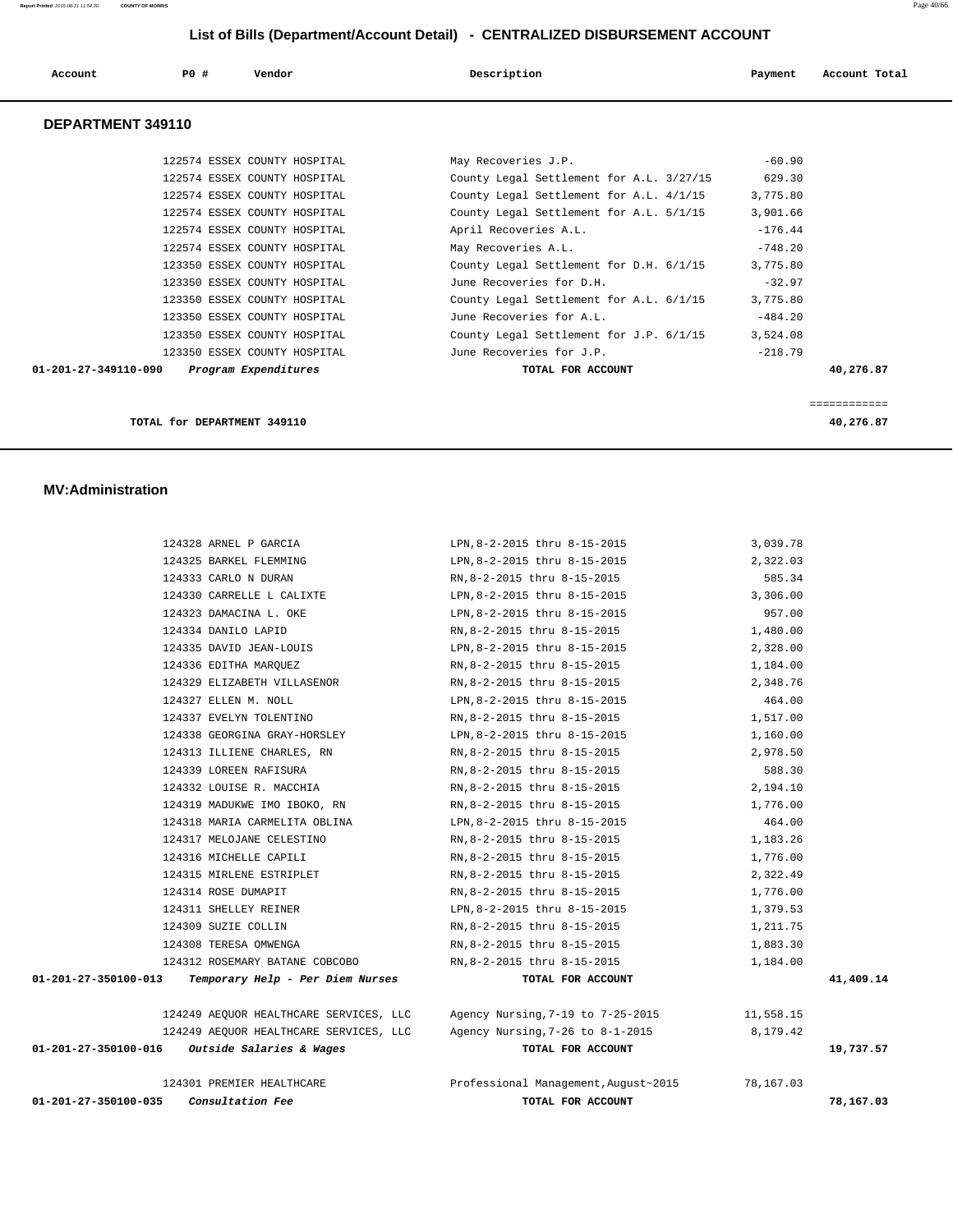| Account           | PO#<br>Vendor                | Description                              | Account Total<br>Payment |
|-------------------|------------------------------|------------------------------------------|--------------------------|
| DEPARTMENT 349110 |                              |                                          |                          |
|                   | 122574 ESSEX COUNTY HOSPITAL | May Recoveries J.P.                      | $-60.90$                 |
|                   | 122574 ESSEX COUNTY HOSPITAL | County Legal Settlement for A.L. 3/27/15 | 629.30                   |
|                   | 122574 ESSEX COUNTY HOSPITAL | County Legal Settlement for A.L. 4/1/15  | 3,775.80                 |
|                   | 122574 ESSEX COUNTY HOSPITAL | County Legal Settlement for A.L. 5/1/15  | 3,901.66                 |
|                   | 122574 ESSEX COUNTY HOSPITAL | April Recoveries A.L.                    | $-176.44$                |
|                   | 122574 ESSEX COUNTY HOSPITAL | May Recoveries A.L.                      | $-748.20$                |
|                   | 123350 ESSEX COUNTY HOSPITAL | County Legal Settlement for D.H. 6/1/15  | 3,775.80                 |

123350 ESSEX COUNTY HOSPITAL June Recoveries for D.H. -32.97

**TOTAL for DEPARTMENT 349110 40,276.87**

 **01-201-27-349110-090 Program Expenditures TOTAL FOR ACCOUNT 40,276.87**

============

123350 ESSEX COUNTY HOSPITAL June Recoveries for A.L. - -484.20

123350 ESSEX COUNTY HOSPITAL June Recoveries for J.P. -218.79

County Legal Settlement for A.L. 6/1/15 3,775.80

County Legal Settlement for J.P.  $6/1/15$  3,524.08

#### **MV:Administration**

| 01-201-27-350100-035 | Consultation Fee                                          | TOTAL FOR ACCOUNT                                                                 |           | 78,167.03 |
|----------------------|-----------------------------------------------------------|-----------------------------------------------------------------------------------|-----------|-----------|
|                      | 124301 PREMIER HEALTHCARE                                 | Professional Management, August~2015 78, 167.03                                   |           |           |
| 01-201-27-350100-016 | Outside Salaries & Wages                                  | TOTAL FOR ACCOUNT                                                                 |           | 19,737.57 |
|                      |                                                           | 124249 AEQUOR HEALTHCARE SERVICES, LLC Agency Nursing, 7-26 to 8-1-2015 8, 179.42 |           |           |
|                      | 124249 AEQUOR HEALTHCARE SERVICES, LLC                    | Agency Nursing, 7-19 to 7-25-2015                                                 | 11,558.15 |           |
| 01-201-27-350100-013 | Temporary Help - Per Diem Nurses                          | TOTAL FOR ACCOUNT                                                                 |           |           |
|                      | 124312 ROSEMARY BATANE COBCOBO                            | RN,8-2-2015 thru 8-15-2015                                                        | 1,184.00  | 41,409.14 |
|                      | 124308 TERESA OMWENGA                                     | RN,8-2-2015 thru 8-15-2015                                                        | 1,883.30  |           |
|                      | 124309 SUZIE COLLIN                                       | RN,8-2-2015 thru 8-15-2015                                                        | 1,211.75  |           |
|                      | 124311 SHELLEY REINER                                     | LPN, 8-2-2015 thru 8-15-2015                                                      | 1,379.53  |           |
|                      | 124314 ROSE DUMAPIT                                       | RN, 8-2-2015 thru 8-15-2015                                                       | 1,776.00  |           |
|                      | 124315 MIRLENE ESTRIPLET                                  | RN, 8-2-2015 thru 8-15-2015                                                       | 2,322.49  |           |
|                      | 124316 MICHELLE CAPILI                                    | RN,8-2-2015 thru 8-15-2015                                                        | 1,776.00  |           |
|                      | 124317 MELOJANE CELESTINO                                 | RN,8-2-2015 thru 8-15-2015                                                        | 1,183.26  |           |
|                      | 124318 MARIA CARMELITA OBLINA                             | LPN, 8-2-2015 thru 8-15-2015                                                      | 464.00    |           |
|                      | 124319 MADUKWE IMO IBOKO, RN RN, 8-2-2015 thru 8-15-2015  |                                                                                   | 1,776.00  |           |
|                      | 124332 LOUISE R. MACCHIA                                  | RN,8-2-2015 thru 8-15-2015                                                        | 2,194.10  |           |
|                      | 124339 LOREEN RAFISURA                                    | RN,8-2-2015 thru 8-15-2015                                                        | 588.30    |           |
|                      | 124313 ILLIENE CHARLES, RN                                | RN, 8-2-2015 thru 8-15-2015                                                       | 2,978.50  |           |
|                      | 124338 GEORGINA GRAY-HORSLEY LPN, 8-2-2015 thru 8-15-2015 |                                                                                   | 1,160.00  |           |
|                      | 124337 EVELYN TOLENTINO                                   | RN,8-2-2015 thru 8-15-2015                                                        | 1,517.00  |           |
|                      | 124327 ELLEN M. NOLL                                      | LPN,8-2-2015 thru 8-15-2015                                                       | 464.00    |           |
|                      | 124329 ELIZABETH VILLASENOR                               | RN,8-2-2015 thru 8-15-2015                                                        | 2,348.76  |           |
|                      | 124336 EDITHA MARQUEZ                                     | RN,8-2-2015 thru 8-15-2015                                                        | 1,184.00  |           |
|                      | 124335 DAVID JEAN-LOUIS                                   | LPN, 8-2-2015 thru 8-15-2015                                                      | 2,328.00  |           |
|                      | 124334 DANILO LAPID                                       | RN,8-2-2015 thru 8-15-2015                                                        | 1,480.00  |           |
|                      | 124323 DAMACINA L. OKE                                    | LPN, 8-2-2015 thru 8-15-2015                                                      | 957.00    |           |
|                      | 124330 CARRELLE L CALIXTE                                 | LPN, 8-2-2015 thru 8-15-2015                                                      | 3,306.00  |           |
|                      | 124333 CARLO N DURAN                                      | RN, 8-2-2015 thru 8-15-2015                                                       | 585.34    |           |
|                      | 124325 BARKEL FLEMMING                                    | LPN, 8-2-2015 thru 8-15-2015 2, 322.03                                            |           |           |
|                      | 124328 ARNEL P GARCIA                                     | LPN, 8-2-2015 thru 8-15-2015                                                      | 3,039.78  |           |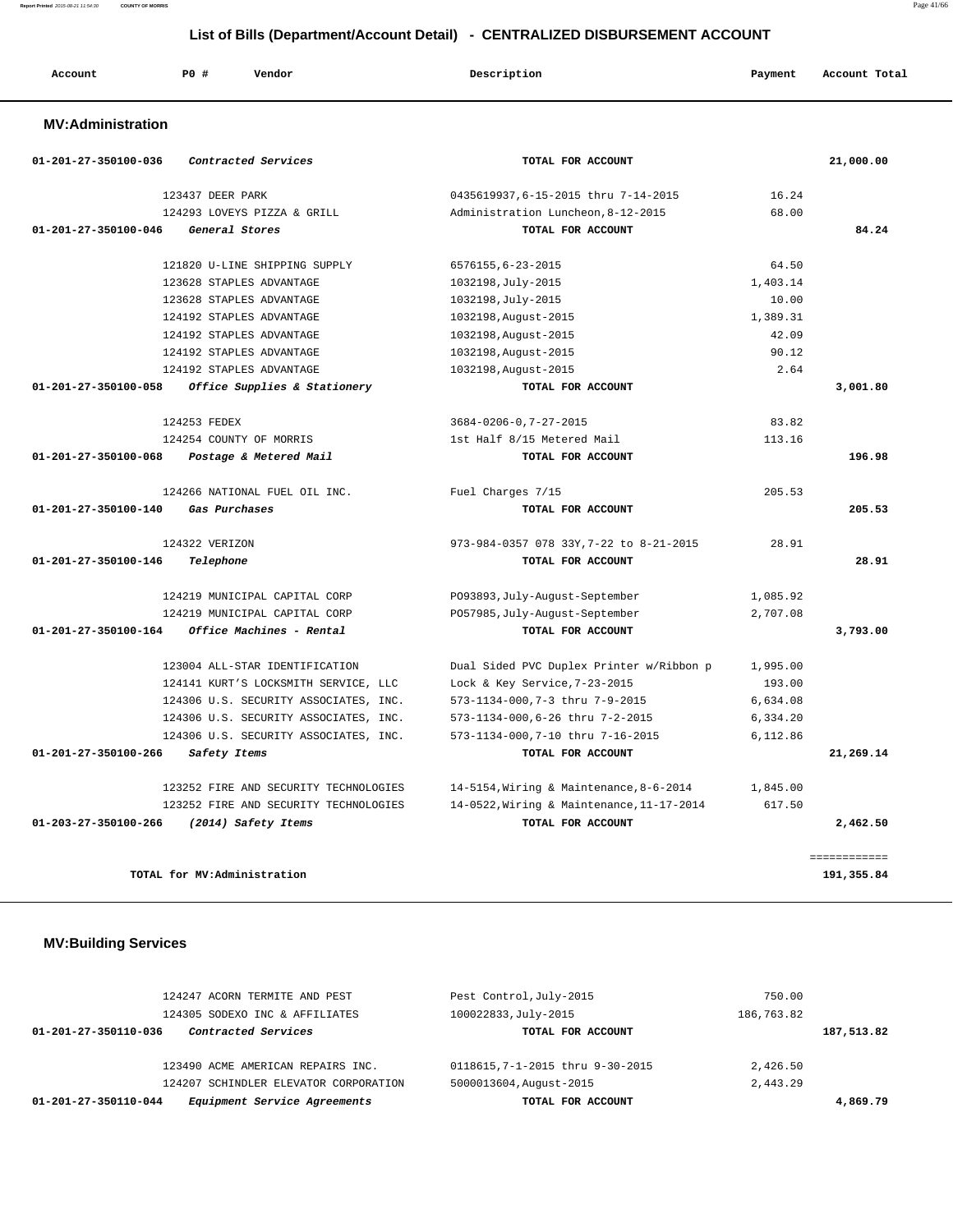| Account | P <sub>0</sub> | Vendor | Description | Payment | Account Total |
|---------|----------------|--------|-------------|---------|---------------|
|---------|----------------|--------|-------------|---------|---------------|

### **MV:Administration**

| 01-201-27-350100-036           | Contracted Services                   | TOTAL FOR ACCOUNT                         |          | 21,000.00    |
|--------------------------------|---------------------------------------|-------------------------------------------|----------|--------------|
|                                | 123437 DEER PARK                      | 0435619937,6-15-2015 thru 7-14-2015       | 16.24    |              |
|                                | 124293 LOVEYS PIZZA & GRILL           | Administration Luncheon, 8-12-2015        | 68.00    |              |
| $01 - 201 - 27 - 350100 - 046$ | General Stores                        | TOTAL FOR ACCOUNT                         |          | 84.24        |
|                                | 121820 U-LINE SHIPPING SUPPLY         | 6576155,6-23-2015                         | 64.50    |              |
|                                | 123628 STAPLES ADVANTAGE              | 1032198, July-2015                        | 1,403.14 |              |
|                                | 123628 STAPLES ADVANTAGE              | 1032198, July-2015                        | 10.00    |              |
|                                | 124192 STAPLES ADVANTAGE              | 1032198, August-2015                      | 1,389.31 |              |
|                                | 124192 STAPLES ADVANTAGE              | 1032198, August-2015                      | 42.09    |              |
|                                | 124192 STAPLES ADVANTAGE              | 1032198, August-2015                      | 90.12    |              |
|                                | 124192 STAPLES ADVANTAGE              | 1032198, August-2015                      | 2.64     |              |
| $01 - 201 - 27 - 350100 - 058$ | Office Supplies & Stationery          | TOTAL FOR ACCOUNT                         |          | 3,001.80     |
|                                | 124253 FEDEX                          | $3684 - 0206 - 0, 7 - 27 - 2015$          | 83.82    |              |
|                                | 124254 COUNTY OF MORRIS               | 1st Half 8/15 Metered Mail                | 113.16   |              |
| $01 - 201 - 27 - 350100 - 068$ | Postage & Metered Mail                | TOTAL FOR ACCOUNT                         |          | 196.98       |
|                                | 124266 NATIONAL FUEL OIL INC.         | Fuel Charges 7/15                         | 205.53   |              |
| 01-201-27-350100-140           | Gas Purchases                         | TOTAL FOR ACCOUNT                         |          | 205.53       |
|                                | 124322 VERIZON                        | 973-984-0357 078 33Y, 7-22 to 8-21-2015   | 28.91    |              |
| 01-201-27-350100-146           | Telephone                             | TOTAL FOR ACCOUNT                         |          | 28.91        |
|                                | 124219 MUNICIPAL CAPITAL CORP         | P093893, July-August-September            | 1,085.92 |              |
|                                | 124219 MUNICIPAL CAPITAL CORP         | P057985, July-August-September            | 2,707.08 |              |
| 01-201-27-350100-164           | Office Machines - Rental              | TOTAL FOR ACCOUNT                         |          | 3,793.00     |
|                                | 123004 ALL-STAR IDENTIFICATION        | Dual Sided PVC Duplex Printer w/Ribbon p  | 1,995.00 |              |
|                                | 124141 KURT'S LOCKSMITH SERVICE, LLC  | Lock & Key Service, 7-23-2015             | 193.00   |              |
|                                | 124306 U.S. SECURITY ASSOCIATES, INC. | 573-1134-000, 7-3 thru 7-9-2015           | 6,634.08 |              |
|                                | 124306 U.S. SECURITY ASSOCIATES, INC. | 573-1134-000,6-26 thru 7-2-2015           | 6,334.20 |              |
|                                | 124306 U.S. SECURITY ASSOCIATES, INC. | 573-1134-000, 7-10 thru 7-16-2015         | 6,112.86 |              |
| $01 - 201 - 27 - 350100 - 266$ | Safety Items                          | TOTAL FOR ACCOUNT                         |          | 21,269.14    |
|                                | 123252 FIRE AND SECURITY TECHNOLOGIES | 14-5154, Wiring & Maintenance, 8-6-2014   | 1,845.00 |              |
|                                | 123252 FIRE AND SECURITY TECHNOLOGIES | 14-0522, Wiring & Maintenance, 11-17-2014 | 617.50   |              |
| 01-203-27-350100-266           | (2014) Safety Items                   | TOTAL FOR ACCOUNT                         |          | 2,462.50     |
|                                |                                       |                                           |          | ============ |
|                                | TOTAL for MV:Administration           |                                           |          | 191,355.84   |

# **MV:Building Services**

| 124247 ACORN TERMITE AND PEST                        | Pest Control, July-2015         | 750.00     |
|------------------------------------------------------|---------------------------------|------------|
| 124305 SODEXO INC & AFFILIATES                       | 100022833, July-2015            | 186,763.82 |
| Contracted Services<br>01-201-27-350110-036          | TOTAL FOR ACCOUNT               | 187,513.82 |
|                                                      |                                 |            |
| 123490 ACME AMERICAN REPAIRS INC.                    | 0118615,7-1-2015 thru 9-30-2015 | 2,426.50   |
| 124207 SCHINDLER ELEVATOR CORPORATION                | 5000013604, August-2015         | 2,443.29   |
| Equipment Service Agreements<br>01-201-27-350110-044 | TOTAL FOR ACCOUNT               | 4,869.79   |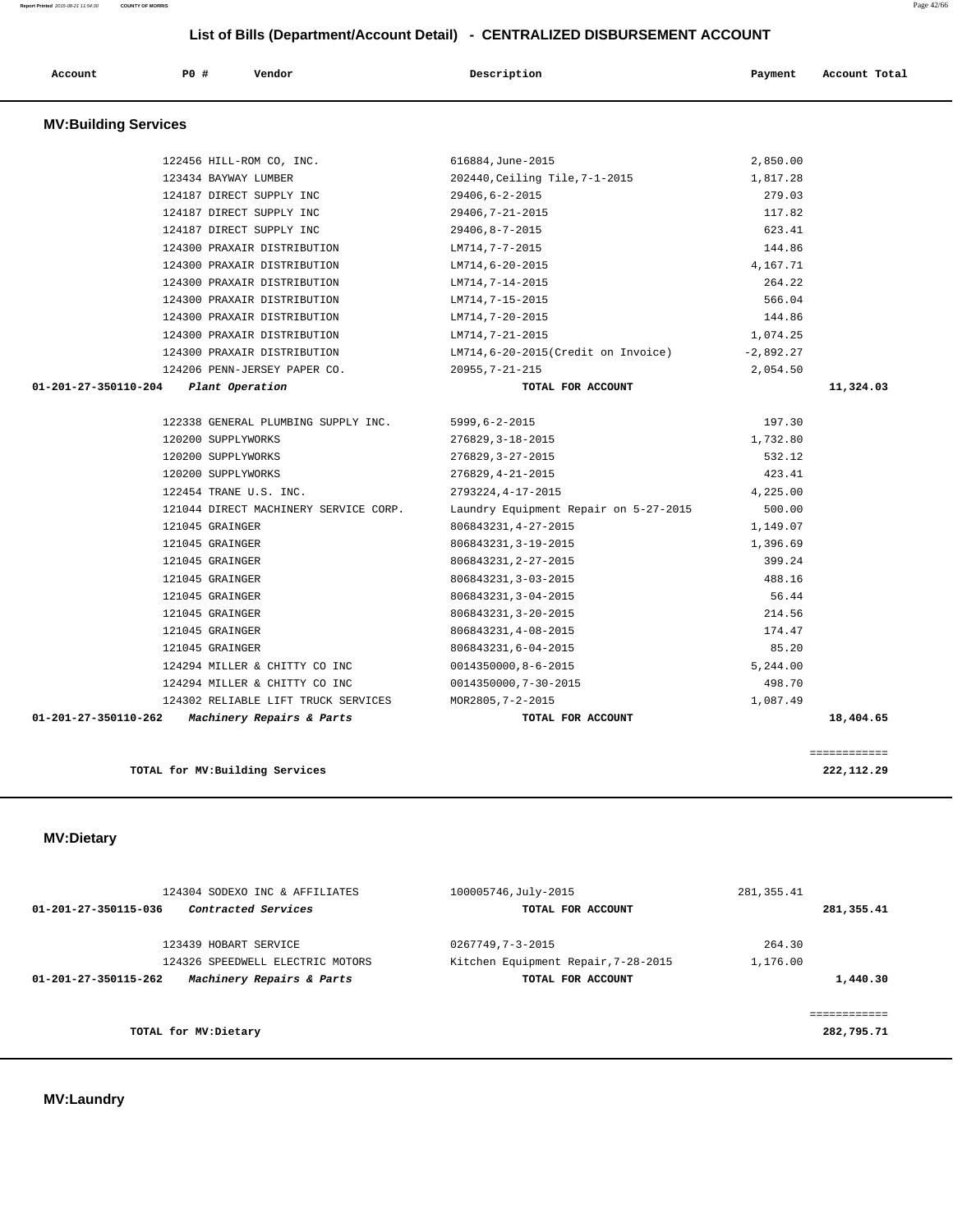# **MV:Laundry**

| 124304 SODEXO INC & AFFILIATES<br>Contracted Services<br>01-201-27-350115-036 | 100005746, July-2015<br>TOTAL FOR ACCOUNT | 281, 355.41<br>281,355.41           |
|-------------------------------------------------------------------------------|-------------------------------------------|-------------------------------------|
| 123439 HOBART SERVICE                                                         | 0267749,7-3-2015                          | 264.30                              |
| 124326 SPEEDWELL ELECTRIC MOTORS                                              | Kitchen Equipment Repair, 7-28-2015       | 1,176.00                            |
| Machinery Repairs & Parts<br>01-201-27-350115-262                             | TOTAL FOR ACCOUNT                         | 1,440.30                            |
| TOTAL for MV: Dietary                                                         |                                           | . = = = = = = = = = =<br>282,795.71 |
|                                                                               |                                           |                                     |

### **MV:Dietary**

| <b>MV:Building Services</b>                       |                                       |             |              |
|---------------------------------------------------|---------------------------------------|-------------|--------------|
| 122456 HILL-ROM CO, INC.                          | 616884, June-2015                     | 2,850.00    |              |
| 123434 BAYWAY LUMBER                              | 202440, Ceiling Tile, 7-1-2015        | 1,817.28    |              |
| 124187 DIRECT SUPPLY INC                          | 29406,6-2-2015                        | 279.03      |              |
| 124187 DIRECT SUPPLY INC                          | 29406, 7-21-2015                      | 117.82      |              |
| 124187 DIRECT SUPPLY INC                          | 29406,8-7-2015                        | 623.41      |              |
| 124300 PRAXAIR DISTRIBUTION                       | LM714,7-7-2015                        | 144.86      |              |
| 124300 PRAXAIR DISTRIBUTION                       | LM714,6-20-2015                       | 4,167.71    |              |
| 124300 PRAXAIR DISTRIBUTION                       | LM714,7-14-2015                       | 264.22      |              |
| 124300 PRAXAIR DISTRIBUTION                       | LM714,7-15-2015                       | 566.04      |              |
| 124300 PRAXAIR DISTRIBUTION                       | LM714,7-20-2015                       | 144.86      |              |
| 124300 PRAXAIR DISTRIBUTION                       | LM714,7-21-2015                       | 1,074.25    |              |
| 124300 PRAXAIR DISTRIBUTION                       | LM714,6-20-2015(Credit on Invoice)    | $-2,892.27$ |              |
| 124206 PENN-JERSEY PAPER CO.                      | $20955, 7 - 21 - 215$                 | 2,054.50    |              |
| $01 - 201 - 27 - 350110 - 204$<br>Plant Operation | TOTAL FOR ACCOUNT                     |             | 11,324.03    |
| 122338 GENERAL PLUMBING SUPPLY INC.               | $5999, 6 - 2 - 2015$                  | 197.30      |              |
| 120200 SUPPLYWORKS                                | 276829, 3-18-2015                     | 1,732.80    |              |
| 120200 SUPPLYWORKS                                | 276829, 3-27-2015                     | 532.12      |              |
| 120200 SUPPLYWORKS                                | $276829, 4 - 21 - 2015$               | 423.41      |              |
| 122454 TRANE U.S. INC.                            | 2793224, 4-17-2015                    | 4,225.00    |              |
| 121044 DIRECT MACHINERY SERVICE CORP.             | Laundry Equipment Repair on 5-27-2015 | 500.00      |              |
| 121045 GRAINGER                                   | 806843231, 4-27-2015                  | 1,149.07    |              |
| 121045 GRAINGER                                   | 806843231, 3-19-2015                  | 1,396.69    |              |
| 121045 GRAINGER                                   | 806843231, 2-27-2015                  | 399.24      |              |
| 121045 GRAINGER                                   | 806843231, 3-03-2015                  | 488.16      |              |
| 121045 GRAINGER                                   | 806843231, 3-04-2015                  | 56.44       |              |
| 121045 GRAINGER                                   | 806843231, 3-20-2015                  | 214.56      |              |
| 121045 GRAINGER                                   | 806843231, 4-08-2015                  | 174.47      |              |
| 121045 GRAINGER                                   | 806843231,6-04-2015                   | 85.20       |              |
| 124294 MILLER & CHITTY CO INC                     | 0014350000,8-6-2015                   | 5,244.00    |              |
| 124294 MILLER & CHITTY CO INC                     | 0014350000,7-30-2015                  | 498.70      |              |
| 124302 RELIABLE LIFT TRUCK SERVICES               | MOR2805, 7-2-2015                     | 1,087.49    |              |
| 01-201-27-350110-262 Machinery Repairs & Parts    | TOTAL FOR ACCOUNT                     |             | 18,404.65    |
|                                                   |                                       |             | ============ |
| TOTAL for MV: Building Services                   |                                       |             | 222,112.29   |

 **List of Bills (Department/Account Detail) - CENTRALIZED DISBURSEMENT ACCOUNT**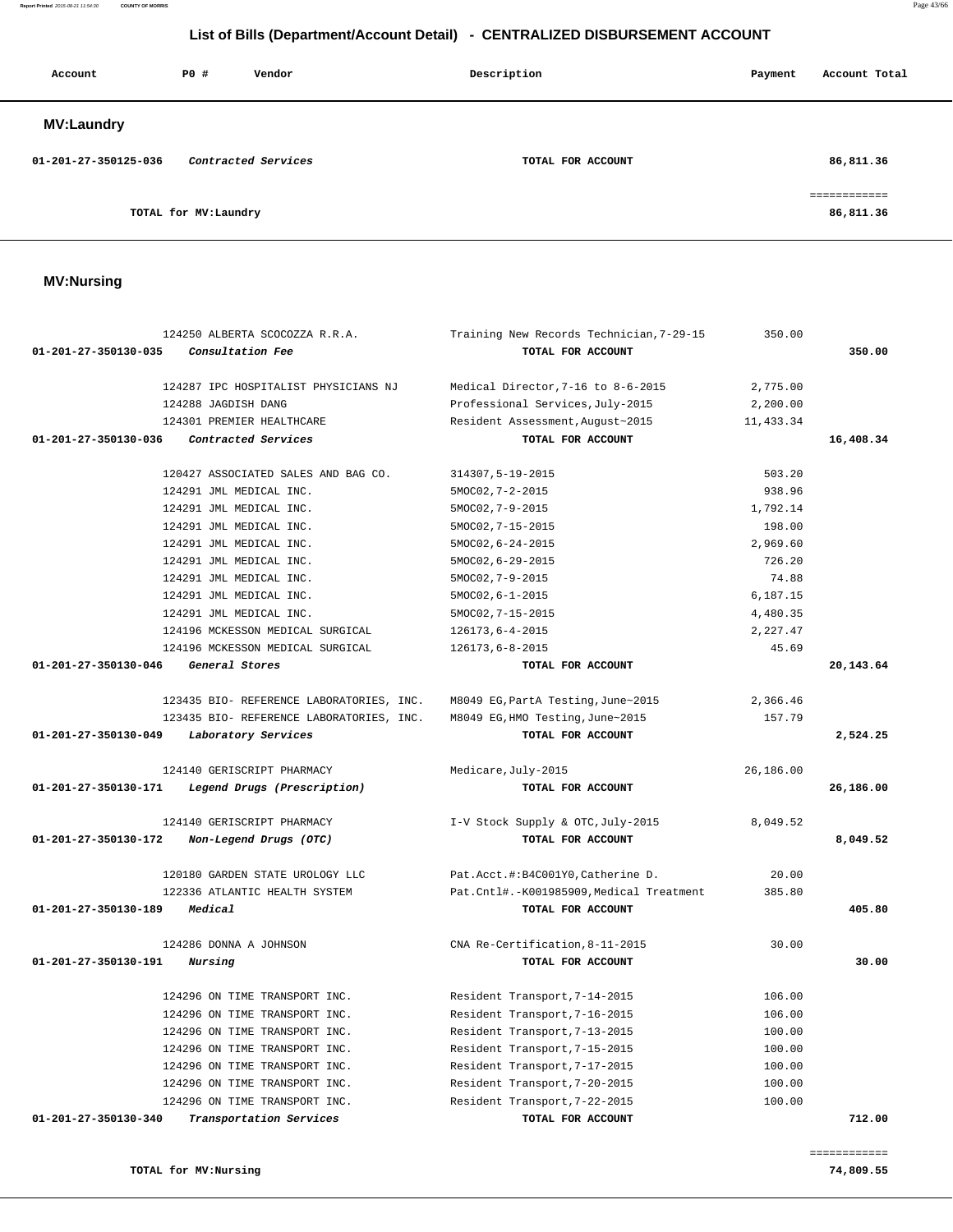| Account              | P0 #                  | Vendor              | Description       | Payment | Account Total             |
|----------------------|-----------------------|---------------------|-------------------|---------|---------------------------|
| <b>MV:Laundry</b>    |                       |                     |                   |         |                           |
| 01-201-27-350125-036 |                       | Contracted Services | TOTAL FOR ACCOUNT |         | 86,811.36                 |
|                      | TOTAL for MV: Laundry |                     |                   |         | eessessesses<br>86,811.36 |

# **MV:Nursing**

|                                | 124250 ALBERTA SCOCOZZA R.R.A.           | Training New Records Technician, 7-29-15 | 350.00     |           |
|--------------------------------|------------------------------------------|------------------------------------------|------------|-----------|
| $01 - 201 - 27 - 350130 - 035$ | Consultation Fee                         | TOTAL FOR ACCOUNT                        |            | 350.00    |
|                                | 124287 IPC HOSPITALIST PHYSICIANS NJ     | Medical Director, 7-16 to 8-6-2015       | 2,775.00   |           |
|                                | 124288 JAGDISH DANG                      | Professional Services, July-2015         | 2,200.00   |           |
|                                | 124301 PREMIER HEALTHCARE                | Resident Assessment, August~2015         | 11, 433.34 |           |
| 01-201-27-350130-036           | Contracted Services                      | TOTAL FOR ACCOUNT                        |            | 16,408.34 |
|                                | 120427 ASSOCIATED SALES AND BAG CO.      | 314307,5-19-2015                         | 503.20     |           |
|                                | 124291 JML MEDICAL INC.                  | $5MOCO2, 7-2-2015$                       | 938.96     |           |
|                                | 124291 JML MEDICAL INC.                  | $5MOCO2, 7-9-2015$                       | 1,792.14   |           |
|                                | 124291 JML MEDICAL INC.                  | 5MOC02, 7-15-2015                        | 198.00     |           |
|                                | 124291 JML MEDICAL INC.                  | 5MOC02, 6-24-2015                        | 2,969.60   |           |
|                                | 124291 JML MEDICAL INC.                  | 5MOC02, 6-29-2015                        | 726.20     |           |
|                                | 124291 JML MEDICAL INC.                  | $5MOCO2, 7-9-2015$                       | 74.88      |           |
|                                | 124291 JML MEDICAL INC.                  | $5MOCO2, 6-1-2015$                       | 6,187.15   |           |
|                                | 124291 JML MEDICAL INC.                  | 5MOC02, 7-15-2015                        | 4,480.35   |           |
|                                | 124196 MCKESSON MEDICAL SURGICAL         | $126173, 6 - 4 - 2015$                   | 2,227.47   |           |
|                                | 124196 MCKESSON MEDICAL SURGICAL         | 126173,6-8-2015                          | 45.69      |           |
| 01-201-27-350130-046           | General Stores                           | TOTAL FOR ACCOUNT                        |            | 20,143.64 |
|                                | 123435 BIO- REFERENCE LABORATORIES, INC. | M8049 EG, PartA Testing, June~2015       | 2,366.46   |           |
|                                | 123435 BIO- REFERENCE LABORATORIES, INC. | M8049 EG, HMO Testing, June~2015         | 157.79     |           |
| $01 - 201 - 27 - 350130 - 049$ | Laboratory Services                      | TOTAL FOR ACCOUNT                        |            | 2,524.25  |
|                                | 124140 GERISCRIPT PHARMACY               | Medicare, July-2015                      | 26,186.00  |           |
| 01-201-27-350130-171           | Legend Drugs (Prescription)              | TOTAL FOR ACCOUNT                        |            | 26,186.00 |
|                                | 124140 GERISCRIPT PHARMACY               | I-V Stock Supply & OTC, July-2015        | 8,049.52   |           |
| 01-201-27-350130-172           | Non-Legend Drugs (OTC)                   | TOTAL FOR ACCOUNT                        |            | 8,049.52  |
|                                | 120180 GARDEN STATE UROLOGY LLC          | Pat.Acct.#:B4C001Y0, Catherine D.        | 20.00      |           |
|                                | 122336 ATLANTIC HEALTH SYSTEM            | Pat.Cntl#.-K001985909,Medical Treatment  | 385.80     |           |
| 01-201-27-350130-189           | Medical                                  | TOTAL FOR ACCOUNT                        |            | 405.80    |
|                                | 124286 DONNA A JOHNSON                   | CNA Re-Certification, 8-11-2015          | 30.00      |           |
| 01-201-27-350130-191           | Nursing                                  | TOTAL FOR ACCOUNT                        |            | 30.00     |
|                                | 124296 ON TIME TRANSPORT INC.            | Resident Transport, 7-14-2015            | 106.00     |           |
|                                | 124296 ON TIME TRANSPORT INC.            | Resident Transport, 7-16-2015            | 106.00     |           |
|                                | 124296 ON TIME TRANSPORT INC.            | Resident Transport, 7-13-2015            | 100.00     |           |
|                                | 124296 ON TIME TRANSPORT INC.            | Resident Transport, 7-15-2015            | 100.00     |           |
|                                | 124296 ON TIME TRANSPORT INC.            | Resident Transport, 7-17-2015            | 100.00     |           |
|                                | 124296 ON TIME TRANSPORT INC.            | Resident Transport, 7-20-2015            | 100.00     |           |
|                                |                                          |                                          |            |           |
|                                | 124296 ON TIME TRANSPORT INC.            | Resident Transport, 7-22-2015            | 100.00     |           |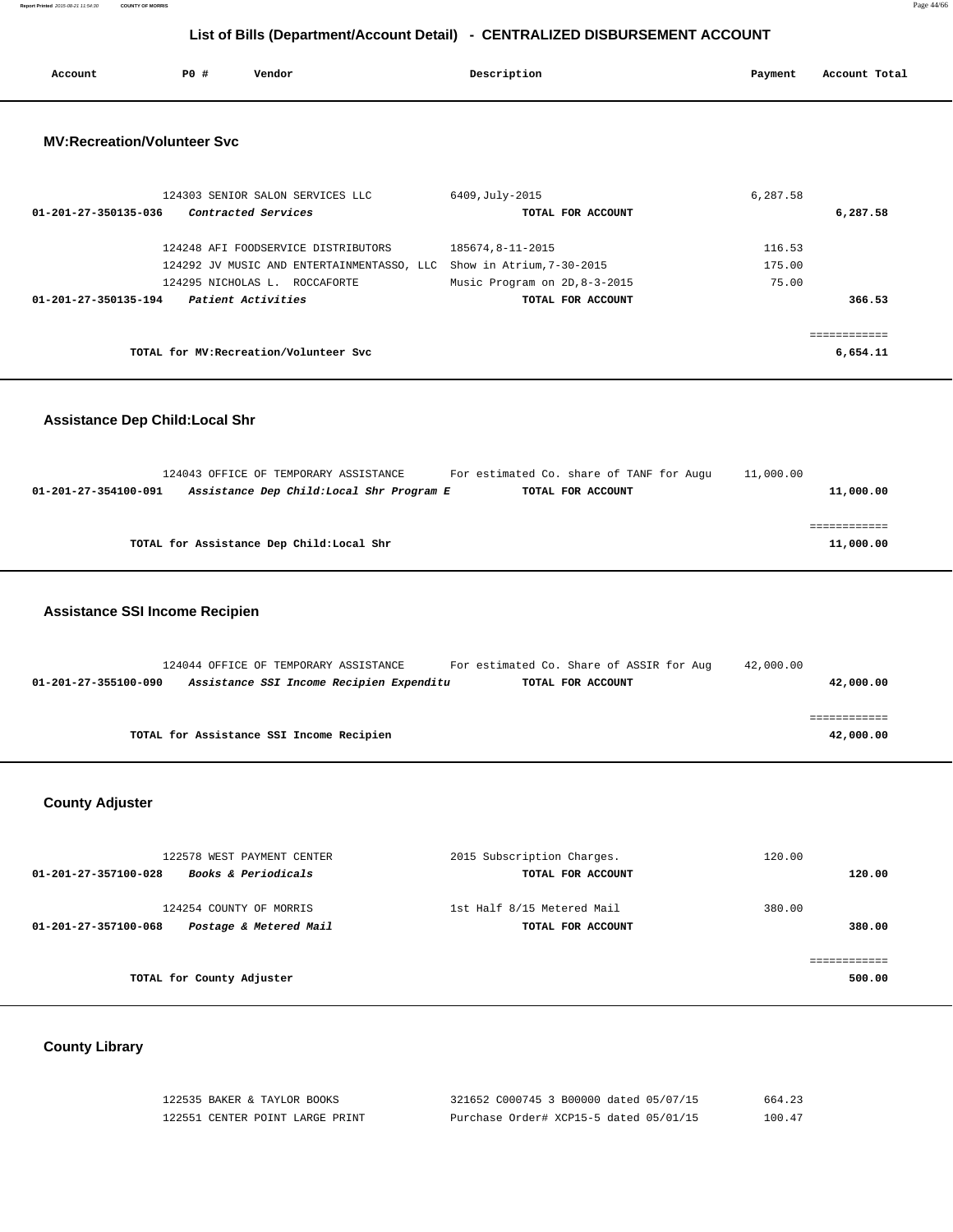**Report Printed** 2015-08-21 11:54:30 **COUNTY OF MORRIS** Page 44/66

# **List of Bills (Department/Account Detail) - CENTRALIZED DISBURSEMENT ACCOUNT**

| Account | P0 # | Vendor | Description | Payment | Account Total |
|---------|------|--------|-------------|---------|---------------|
|         |      |        |             |         |               |

### **MV:Recreation/Volunteer Svc**

| 124303 SENIOR SALON SERVICES LLC            | 6409, July-2015               | 6,287.58 |
|---------------------------------------------|-------------------------------|----------|
| Contracted Services<br>01-201-27-350135-036 | TOTAL FOR ACCOUNT             | 6,287.58 |
| 124248 AFI FOODSERVICE DISTRIBUTORS         | 185674.8-11-2015              | 116.53   |
| 124292 JV MUSIC AND ENTERTAINMENTASSO, LLC  | Show in Atrium, 7-30-2015     | 175.00   |
| 124295 NICHOLAS L. ROCCAFORTE               | Music Program on 2D, 8-3-2015 | 75.00    |
| Patient Activities<br>01-201-27-350135-194  | TOTAL FOR ACCOUNT             | 366.53   |
|                                             |                               |          |
| TOTAL for MV: Recreation/Volunteer Svc      |                               | 6,654.11 |

### **Assistance Dep Child:Local Shr**

|                      | 124043 OFFICE OF TEMPORARY ASSISTANCE     |  | For estimated Co. share of TANF for Augu | 11,000.00 |           |
|----------------------|-------------------------------------------|--|------------------------------------------|-----------|-----------|
| 01-201-27-354100-091 | Assistance Dep Child:Local Shr Program E  |  | TOTAL FOR ACCOUNT                        |           | 11,000.00 |
|                      |                                           |  |                                          |           |           |
|                      |                                           |  |                                          |           |           |
|                      | TOTAL for Assistance Dep Child: Local Shr |  |                                          |           | 11,000.00 |
|                      |                                           |  |                                          |           |           |

### **Assistance SSI Income Recipien**

|                      | 124044 OFFICE OF TEMPORARY ASSISTANCE    |                                          | For estimated Co. Share of ASSIR for Aug | 42,000.00 |           |
|----------------------|------------------------------------------|------------------------------------------|------------------------------------------|-----------|-----------|
| 01-201-27-355100-090 |                                          | Assistance SSI Income Recipien Expenditu | TOTAL FOR ACCOUNT                        |           | 42,000.00 |
|                      |                                          |                                          |                                          |           |           |
|                      |                                          |                                          |                                          |           |           |
|                      | TOTAL for Assistance SSI Income Recipien |                                          |                                          |           | 42,000.00 |

## **County Adjuster**

| 122578 WEST PAYMENT CENTER                                                | 2015 Subscription Charges.                      | 120.00           |
|---------------------------------------------------------------------------|-------------------------------------------------|------------------|
| <b>Books &amp; Periodicals</b><br>01-201-27-357100-028                    | TOTAL FOR ACCOUNT                               | 120.00           |
| 124254 COUNTY OF MORRIS<br>Postage & Metered Mail<br>01-201-27-357100-068 | 1st Half 8/15 Metered Mail<br>TOTAL FOR ACCOUNT | 380.00<br>380.00 |
|                                                                           |                                                 |                  |
| TOTAL for County Adjuster                                                 |                                                 | 500.00           |

# **County Library**

| 122535 BAKER & TAYLOR BOOKS     | 321652 C000745 3 B00000 dated 05/07/15 | 664.23 |
|---------------------------------|----------------------------------------|--------|
| 122551 CENTER POINT LARGE PRINT | Purchase Order# XCP15-5 dated 05/01/15 | 100.47 |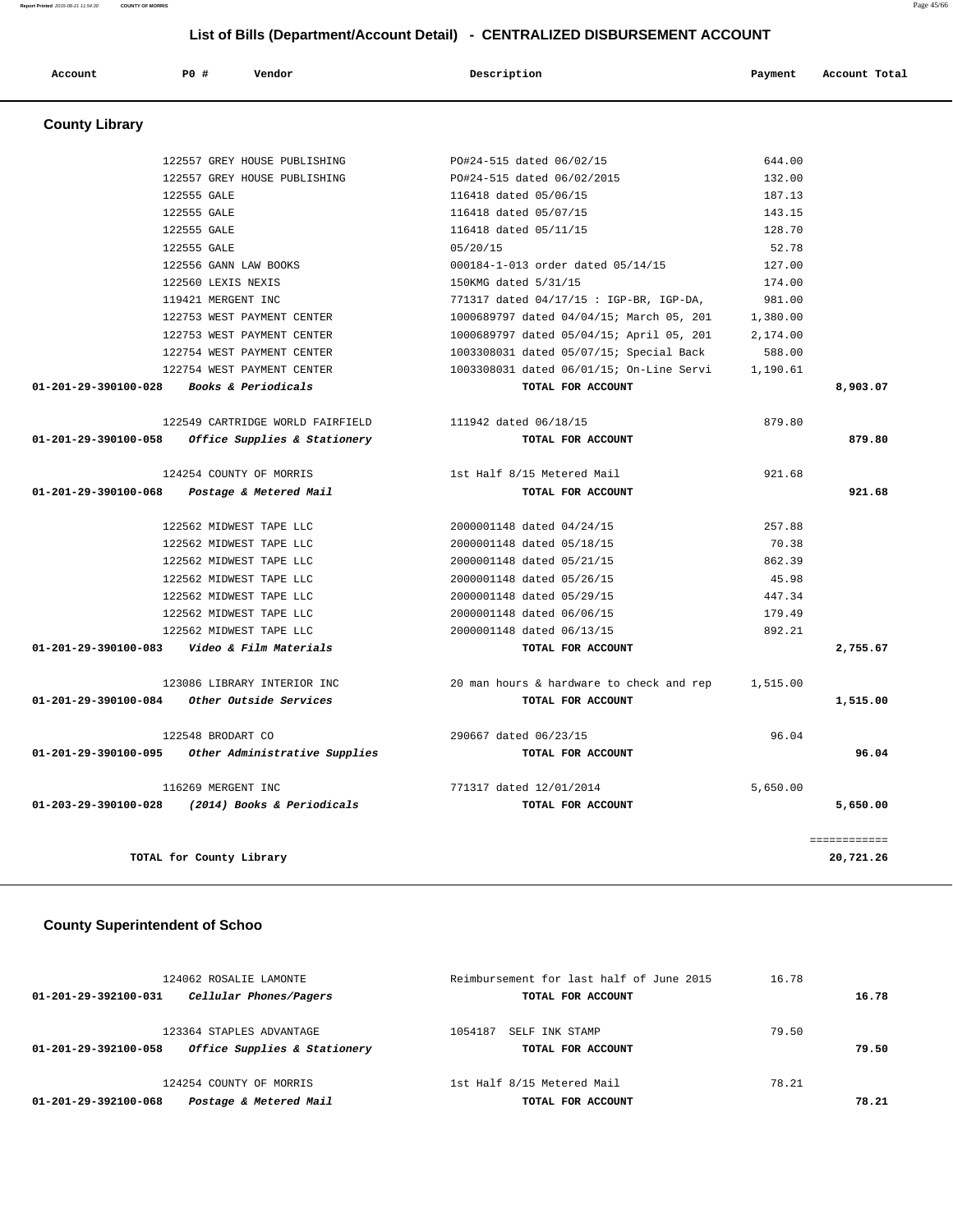**Account P0 # Vendor Description Payment Account Total**

| <b>County Library</b> |                                                    |                                          |          |          |
|-----------------------|----------------------------------------------------|------------------------------------------|----------|----------|
|                       | 122557 GREY HOUSE PUBLISHING                       | PO#24-515 dated 06/02/15                 | 644.00   |          |
|                       | 122557 GREY HOUSE PUBLISHING                       | PO#24-515 dated 06/02/2015               | 132.00   |          |
|                       | 122555 GALE                                        | 116418 dated 05/06/15                    | 187.13   |          |
|                       | 122555 GALE                                        | 116418 dated 05/07/15                    | 143.15   |          |
|                       | 122555 GALE                                        | 116418 dated 05/11/15                    | 128.70   |          |
|                       | 122555 GALE                                        | 05/20/15                                 | 52.78    |          |
|                       | 122556 GANN LAW BOOKS                              | 000184-1-013 order dated 05/14/15        | 127.00   |          |
|                       | 122560 LEXIS NEXIS                                 | 150KMG dated 5/31/15                     | 174.00   |          |
|                       | 119421 MERGENT INC                                 | 771317 dated 04/17/15 : IGP-BR, IGP-DA,  | 981.00   |          |
|                       | 122753 WEST PAYMENT CENTER                         | 1000689797 dated 04/04/15; March 05, 201 | 1,380.00 |          |
|                       | 122753 WEST PAYMENT CENTER                         | 1000689797 dated 05/04/15; April 05, 201 | 2,174.00 |          |
|                       | 122754 WEST PAYMENT CENTER                         | 1003308031 dated 05/07/15; Special Back  | 588.00   |          |
|                       | 122754 WEST PAYMENT CENTER                         | 1003308031 dated 06/01/15; On-Line Servi | 1,190.61 |          |
| 01-201-29-390100-028  | Books & Periodicals                                | TOTAL FOR ACCOUNT                        |          | 8,903.07 |
|                       | 122549 CARTRIDGE WORLD FAIRFIELD                   | 111942 dated 06/18/15                    | 879.80   |          |
| 01-201-29-390100-058  | <i>Office Supplies &amp; Stationery</i>            | TOTAL FOR ACCOUNT                        |          | 879.80   |
|                       | 124254 COUNTY OF MORRIS                            | 1st Half 8/15 Metered Mail               | 921.68   |          |
|                       | 01-201-29-390100-068 Postage & Metered Mail        | TOTAL FOR ACCOUNT                        |          | 921.68   |
|                       | 122562 MIDWEST TAPE LLC                            | 2000001148 dated 04/24/15                | 257.88   |          |
|                       | 122562 MIDWEST TAPE LLC                            | 2000001148 dated 05/18/15                | 70.38    |          |
|                       | 122562 MIDWEST TAPE LLC                            | 2000001148 dated 05/21/15                | 862.39   |          |
|                       | 122562 MIDWEST TAPE LLC                            | 2000001148 dated 05/26/15                | 45.98    |          |
|                       | 122562 MIDWEST TAPE LLC                            | 2000001148 dated 05/29/15                | 447.34   |          |
|                       | 122562 MIDWEST TAPE LLC                            | 2000001148 dated 06/06/15                | 179.49   |          |
|                       | 122562 MIDWEST TAPE LLC                            | 2000001148 dated 06/13/15                | 892.21   |          |
|                       | 01-201-29-390100-083    Video & Film Materials     | TOTAL FOR ACCOUNT                        |          | 2,755.67 |
|                       | 123086 LIBRARY INTERIOR INC                        | 20 man hours & hardware to check and rep | 1,515.00 |          |
| 01-201-29-390100-084  | Other Outside Services                             | TOTAL FOR ACCOUNT                        |          | 1,515.00 |
|                       | 122548 BRODART CO                                  | 290667 dated 06/23/15                    | 96.04    |          |
|                       | 01-201-29-390100-095 Other Administrative Supplies | TOTAL FOR ACCOUNT                        |          | 96.04    |
|                       | 116269 MERGENT INC                                 | 771317 dated 12/01/2014                  | 5,650.00 |          |
| 01-203-29-390100-028  | (2014) Books & Periodicals                         | TOTAL FOR ACCOUNT                        |          | 5,650.00 |
|                       |                                                    |                                          |          |          |

**TOTAL for County Library 20,721.26**

### **County Superintendent of Schoo**

| 124062 ROSALIE LAMONTE                                   | Reimbursement for last half of June 2015 | 16.78 |       |  |
|----------------------------------------------------------|------------------------------------------|-------|-------|--|
| Cellular Phones/Pagers<br>$01 - 201 - 29 - 392100 - 031$ | TOTAL FOR ACCOUNT                        |       | 16.78 |  |
| 123364 STAPLES ADVANTAGE                                 | 1054187<br>SELF INK STAMP                | 79.50 |       |  |
| Office Supplies & Stationery<br>01-201-29-392100-058     | TOTAL FOR ACCOUNT                        |       | 79.50 |  |
| 124254 COUNTY OF MORRIS                                  | 1st Half 8/15 Metered Mail               | 78.21 |       |  |
| Postage & Metered Mail<br>01-201-29-392100-068           | TOTAL FOR ACCOUNT                        |       | 78.21 |  |

============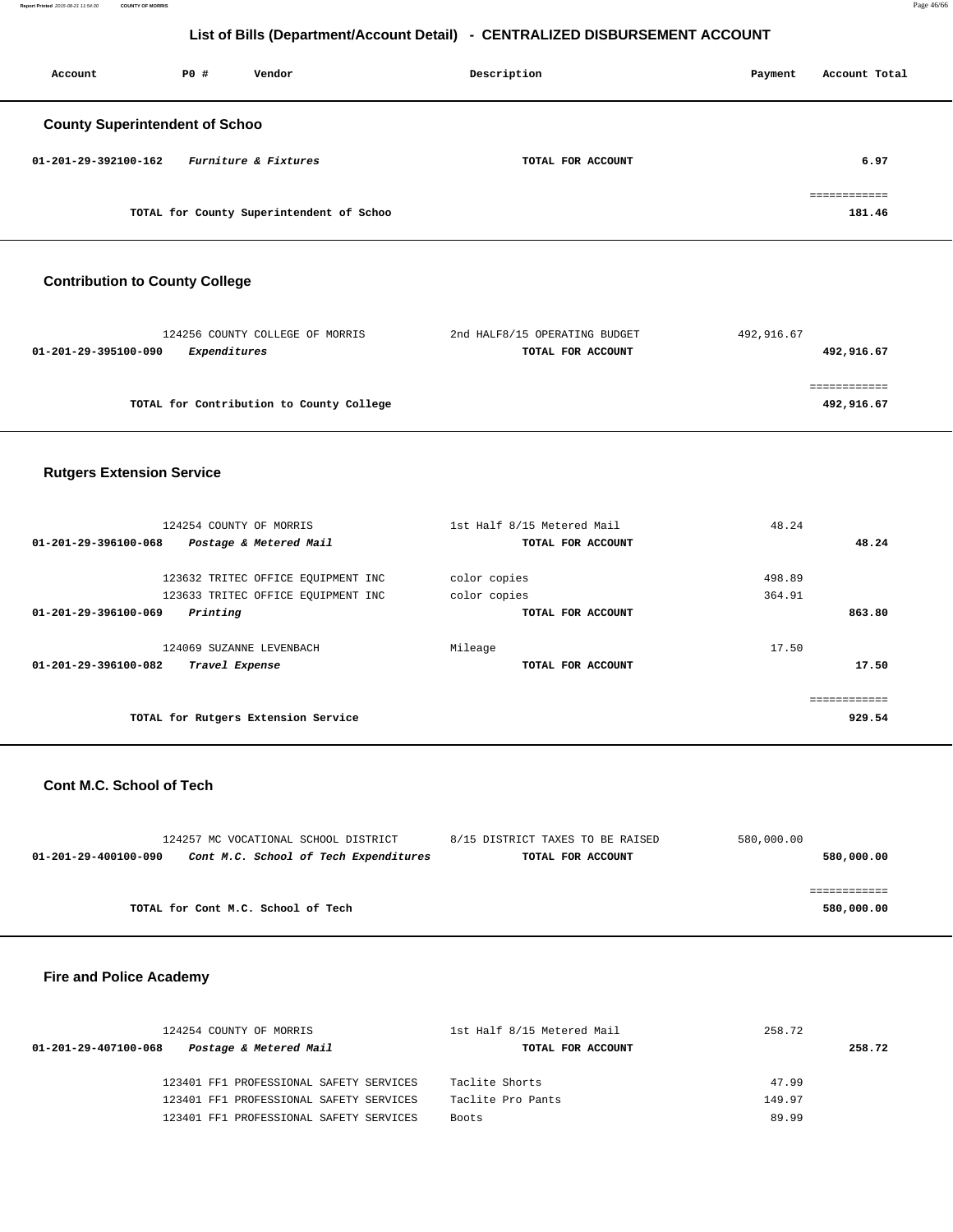| Account                               | PO# | Vendor                                   | Description       | Payment | Account Total          |
|---------------------------------------|-----|------------------------------------------|-------------------|---------|------------------------|
| <b>County Superintendent of Schoo</b> |     |                                          |                   |         |                        |
| 01-201-29-392100-162                  |     | Furniture & Fixtures                     | TOTAL FOR ACCOUNT |         | 6.97                   |
|                                       |     | TOTAL for County Superintendent of Schoo |                   |         | ------------<br>181.46 |

# **Contribution to County College**

| 124256 COUNTY COLLEGE OF MORRIS          | 2nd HALF8/15 OPERATING BUDGET | 492,916.67 |
|------------------------------------------|-------------------------------|------------|
| Expenditures<br>01-201-29-395100-090     | TOTAL FOR ACCOUNT             | 492,916.67 |
|                                          |                               |            |
|                                          |                               |            |
| TOTAL for Contribution to County College |                               | 492,916.67 |
|                                          |                               |            |

## **Rutgers Extension Service**

| 124254 COUNTY OF MORRIS<br>01-201-29-396100-068<br>Postage & Metered Mail                                    | 1st Half 8/15 Metered Mail<br>TOTAL FOR ACCOUNT   | 48.24<br>48.24             |
|--------------------------------------------------------------------------------------------------------------|---------------------------------------------------|----------------------------|
| 123632 TRITEC OFFICE EOUIPMENT INC<br>123633 TRITEC OFFICE EQUIPMENT INC<br>Printing<br>01-201-29-396100-069 | color copies<br>color copies<br>TOTAL FOR ACCOUNT | 498.89<br>364.91<br>863.80 |
| 124069 SUZANNE LEVENBACH<br>01-201-29-396100-082<br>Travel Expense                                           | Mileage<br>TOTAL FOR ACCOUNT                      | 17.50<br>17.50             |
| TOTAL for Rutgers Extension Service                                                                          |                                                   | 929.54                     |

#### **Cont M.C. School of Tech**

| 124257 MC VOCATIONAL SCHOOL DISTRICT                          | 8/15 DISTRICT TAXES TO BE RAISED | 580,000.00 |
|---------------------------------------------------------------|----------------------------------|------------|
| Cont M.C. School of Tech Expenditures<br>01-201-29-400100-090 | TOTAL FOR ACCOUNT                | 580,000.00 |
|                                                               |                                  |            |
|                                                               |                                  |            |
| TOTAL for Cont M.C. School of Tech                            |                                  | 580,000.00 |

### **Fire and Police Academy**

| 124254 COUNTY OF MORRIS                        | 1st Half 8/15 Metered Mail | 258.72 |
|------------------------------------------------|----------------------------|--------|
| Postage & Metered Mail<br>01-201-29-407100-068 | TOTAL FOR ACCOUNT          | 258.72 |
| 123401 FF1 PROFESSIONAL SAFETY SERVICES        | Taclite Shorts             | 47.99  |
| 123401 FF1 PROFESSIONAL SAFETY SERVICES        | Taclite Pro Pants          | 149.97 |
| 123401 FF1 PROFESSIONAL SAFETY SERVICES        | <b>Boots</b>               | 89.99  |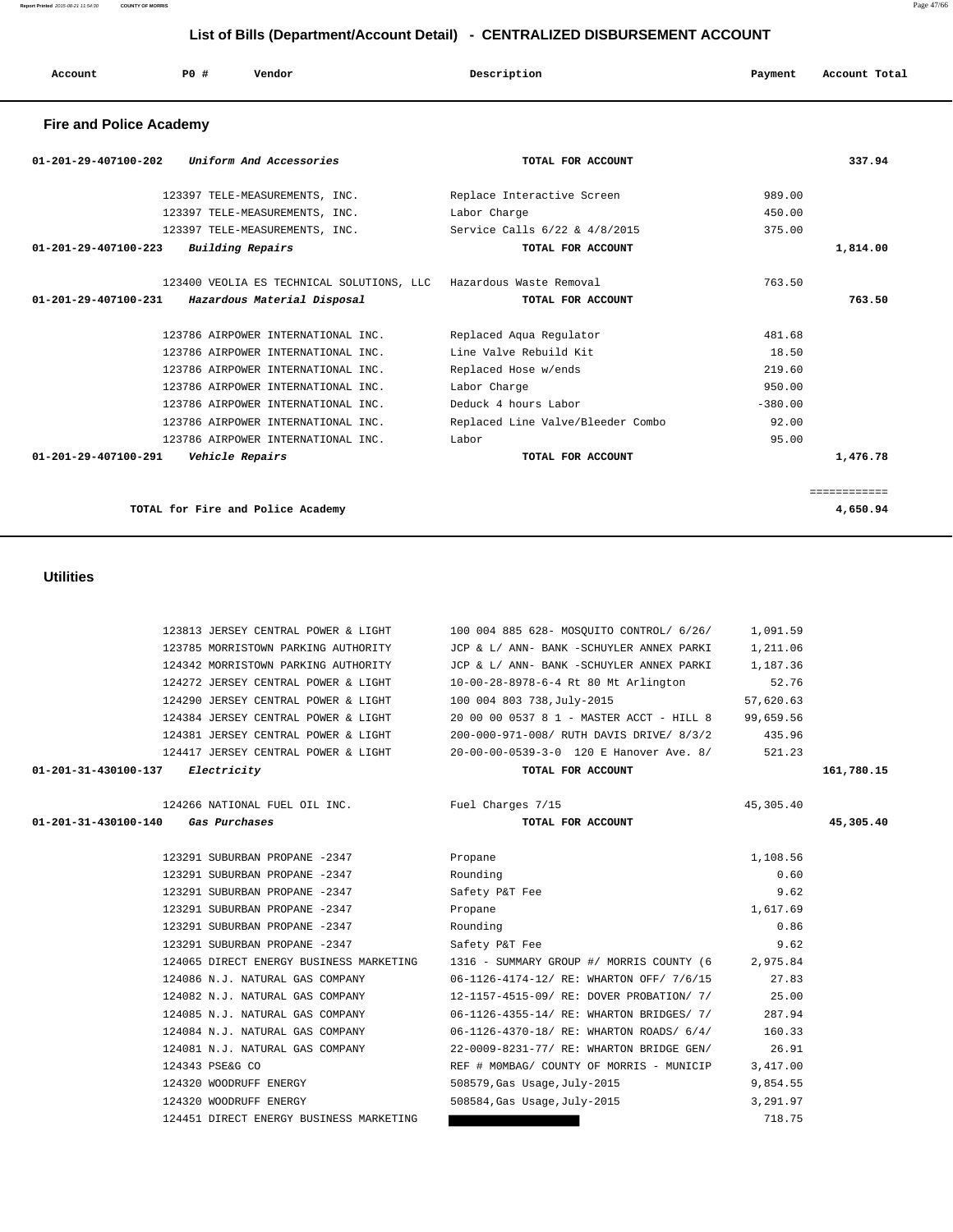**Report Printed** 2015-08-21 11:54:30 **COUNTY OF MORRIS** Page 47/66

## **List of Bills (Department/Account Detail) - CENTRALIZED DISBURSEMENT ACCOUNT**

| Account | PO# | Vendor | Description | Payment | Account Total |
|---------|-----|--------|-------------|---------|---------------|
|         |     |        |             |         |               |

#### **Fire and Police Academy**

| Uniform And Accessories<br>$01 - 201 - 29 - 407100 - 202$         | TOTAL FOR ACCOUNT                 |           | 337.94      |
|-------------------------------------------------------------------|-----------------------------------|-----------|-------------|
| 123397 TELE-MEASUREMENTS, INC.                                    | Replace Interactive Screen        | 989.00    |             |
| 123397 TELE-MEASUREMENTS, INC.                                    | Labor Charge                      | 450.00    |             |
| 123397 TELE-MEASUREMENTS, INC.                                    | Service Calls 6/22 & 4/8/2015     | 375.00    |             |
| Building Repairs<br>$01 - 201 - 29 - 407100 - 223$                | TOTAL FOR ACCOUNT                 |           | 1,814.00    |
| 123400 VEOLIA ES TECHNICAL SOLUTIONS, LLC Hazardous Waste Removal |                                   | 763.50    |             |
| 01-201-29-407100-231<br>Hazardous Material Disposal               | TOTAL FOR ACCOUNT                 |           | 763.50      |
| 123786 AIRPOWER INTERNATIONAL INC.                                | Replaced Aqua Requlator           | 481.68    |             |
| 123786 AIRPOWER INTERNATIONAL INC.                                | Line Valve Rebuild Kit            | 18.50     |             |
| 123786 AIRPOWER INTERNATIONAL INC.                                | Replaced Hose w/ends              | 219.60    |             |
| 123786 AIRPOWER INTERNATIONAL INC.                                | Labor Charge                      | 950.00    |             |
| 123786 AIRPOWER INTERNATIONAL INC.                                | Deduck 4 hours Labor              | $-380.00$ |             |
| 123786 AIRPOWER INTERNATIONAL INC.                                | Replaced Line Valve/Bleeder Combo | 92.00     |             |
| 123786 AIRPOWER INTERNATIONAL INC.                                | Labor                             | 95.00     |             |
| $01 - 201 - 29 - 407100 - 291$<br>Vehicle Repairs                 | TOTAL FOR ACCOUNT                 |           | 1,476.78    |
|                                                                   |                                   |           | =========== |
| TOTAL for Fire and Police Academy                                 |                                   |           | 4,650.94    |

123813 JERSEY CENTRAL POWER & LIGHT 100 004 885 628- MOSQUITO CONTROL/ 6/26/ 1,091.59

### **Utilities**

|                      | 123785 MORRISTOWN PARKING AUTHORITY             | JCP & L/ ANN- BANK -SCHUYLER ANNEX PARKI          | 1,211.06  |            |
|----------------------|-------------------------------------------------|---------------------------------------------------|-----------|------------|
|                      | 124342 MORRISTOWN PARKING AUTHORITY             | JCP & L/ ANN- BANK -SCHUYLER ANNEX PARKI 1,187.36 |           |            |
|                      | 124272 JERSEY CENTRAL POWER & LIGHT             | 10-00-28-8978-6-4 Rt 80 Mt Arlington              | 52.76     |            |
|                      | 124290 JERSEY CENTRAL POWER & LIGHT             | 100 004 803 738, July-2015                        | 57,620.63 |            |
|                      | 124384 JERSEY CENTRAL POWER & LIGHT             | 20 00 00 0537 8 1 - MASTER ACCT - HILL 8          | 99,659.56 |            |
|                      | 124381 JERSEY CENTRAL POWER & LIGHT             | 200-000-971-008/ RUTH DAVIS DRIVE/ 8/3/2 435.96   |           |            |
|                      | 124417 JERSEY CENTRAL POWER & LIGHT             | 20-00-00-0539-3-0 120 E Hanover Ave. 8/           | 521.23    |            |
| 01-201-31-430100-137 | <i>Electricity</i>                              | TOTAL FOR ACCOUNT                                 |           | 161,780.15 |
|                      |                                                 |                                                   |           |            |
|                      | 124266 NATIONAL FUEL OIL INC. Tuel Charges 7/15 |                                                   | 45,305.40 |            |
| 01-201-31-430100-140 | Gas Purchases                                   | TOTAL FOR ACCOUNT                                 |           | 45,305.40  |
|                      | 123291 SUBURBAN PROPANE -2347                   | Propane                                           | 1,108.56  |            |
|                      | 123291 SUBURBAN PROPANE -2347                   | Rounding                                          | 0.60      |            |
|                      | 123291 SUBURBAN PROPANE -2347                   | Safety P&T Fee                                    | 9.62      |            |
|                      | 123291 SUBURBAN PROPANE -2347                   | Propane                                           | 1,617.69  |            |
|                      | 123291 SUBURBAN PROPANE -2347                   | Rounding                                          | 0.86      |            |
|                      | 123291 SUBURBAN PROPANE -2347                   | Safety P&T Fee                                    | 9.62      |            |
|                      | 124065 DIRECT ENERGY BUSINESS MARKETING         | 1316 - SUMMARY GROUP #/ MORRIS COUNTY (6          | 2,975.84  |            |
|                      | 124086 N.J. NATURAL GAS COMPANY                 | 06-1126-4174-12/ RE: WHARTON OFF/ 7/6/15          | 27.83     |            |
|                      | 124082 N.J. NATURAL GAS COMPANY                 | 12-1157-4515-09/ RE: DOVER PROBATION/ 7/          | 25.00     |            |
|                      | 124085 N.J. NATURAL GAS COMPANY                 | 06-1126-4355-14/ RE: WHARTON BRIDGES/ 7/          | 287.94    |            |
|                      | 124084 N.J. NATURAL GAS COMPANY                 | 06-1126-4370-18/ RE: WHARTON ROADS/ 6/4/          | 160.33    |            |
|                      | 124081 N.J. NATURAL GAS COMPANY                 | 22-0009-8231-77/ RE: WHARTON BRIDGE GEN/          | 26.91     |            |
|                      | 124343 PSE&G CO                                 | REF # MOMBAG/ COUNTY OF MORRIS - MUNICIP          | 3,417.00  |            |
|                      | 124320 WOODRUFF ENERGY                          | 508579, Gas Usage, July-2015                      | 9,854.55  |            |
|                      | 124320 WOODRUFF ENERGY                          | 508584, Gas Usage, July-2015                      | 3,291.97  |            |
|                      | 124451 DIRECT ENERGY BUSINESS MARKETING         |                                                   | 718.75    |            |
|                      |                                                 |                                                   |           |            |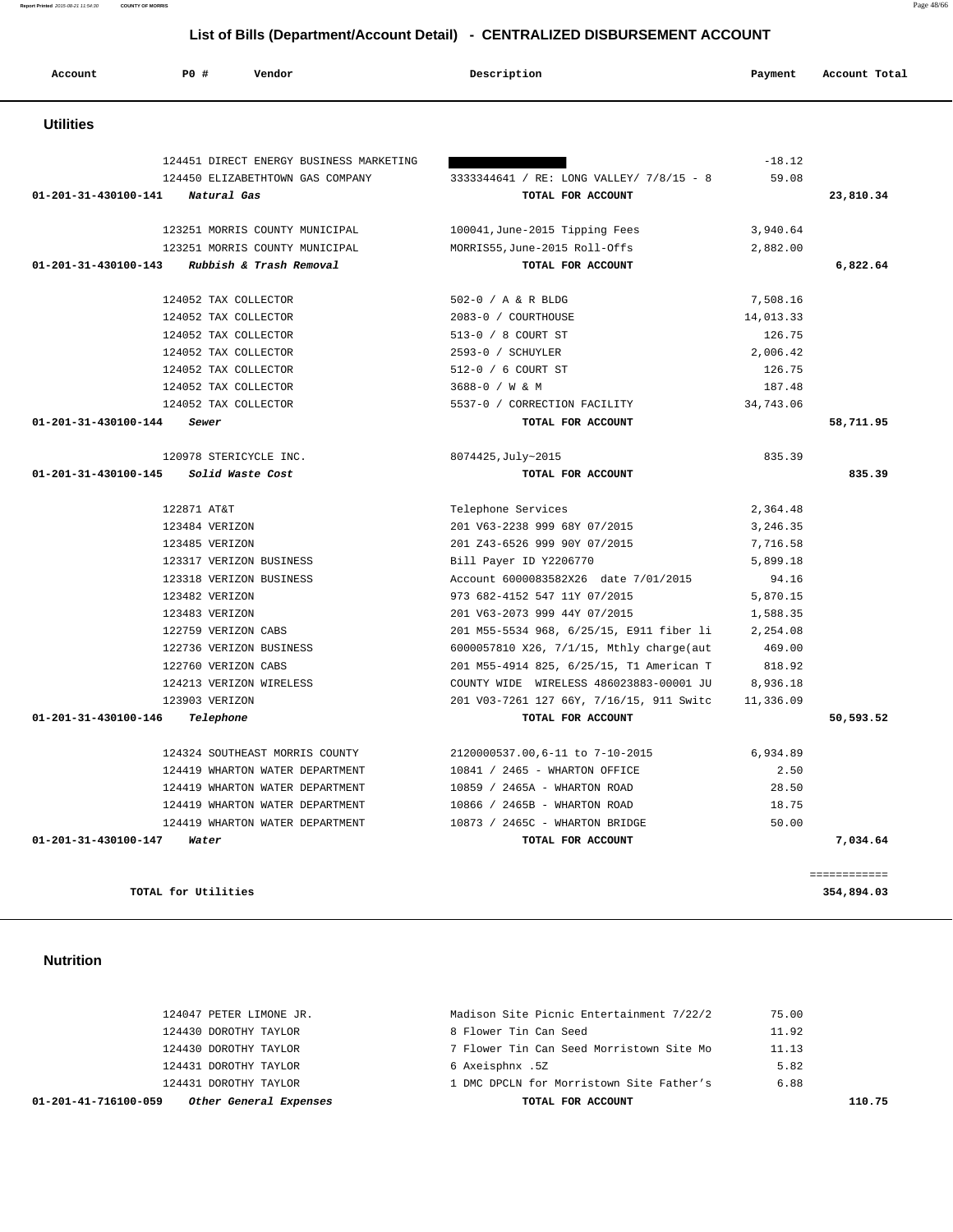#### 124047 PETER LIMONE JR. Madison Site Picnic Entertainment 7/22/2 75.00 124430 DOROTHY TAYLOR 8 Flower Tin Can Seed 11.92 124430 DOROTHY TAYLOR 7 Flower Tin Can Seed Morristown Site Mo 11.13 124431 DOROTHY TAYLOR 6 Axeisphnx .5Z 5.82 124431 DOROTHY TAYLOR 1 DMC DPCLN for Morristown Site Father's 6.88  **01-201-41-716100-059 Other General Expenses TOTAL FOR ACCOUNT 110.75**

#### **Nutrition**

| $01 - 201 - 31 - 430100 - 147$<br>Water | TOTAL FOR ACCOUNT                                |           | 7,034.64  |
|-----------------------------------------|--------------------------------------------------|-----------|-----------|
| 124419 WHARTON WATER DEPARTMENT         | 10873 / 2465C - WHARTON BRIDGE                   | 50.00     |           |
| 124419 WHARTON WATER DEPARTMENT         | 10866 / 2465B - WHARTON ROAD                     | 18.75     |           |
| 124419 WHARTON WATER DEPARTMENT         | 10859 / 2465A - WHARTON ROAD                     | 28.50     |           |
| 124419 WHARTON WATER DEPARTMENT         | 10841 / 2465 - WHARTON OFFICE                    | 2.50      |           |
| 124324 SOUTHEAST MORRIS COUNTY          | 2120000537.00,6-11 to 7-10-2015                  | 6,934.89  |           |
| Telephone<br>01-201-31-430100-146       | TOTAL FOR ACCOUNT                                |           | 50,593.52 |
| 123903 VERIZON                          | 201 V03-7261 127 66Y, 7/16/15, 911 Switc         | 11,336.09 |           |
| 124213 VERIZON WIRELESS                 | COUNTY WIDE WIRELESS 486023883-00001 JU 8,936.18 |           |           |
| 122760 VERIZON CABS                     | 201 M55-4914 825, 6/25/15, T1 American T 818.92  |           |           |
| 122736 VERIZON BUSINESS                 | 6000057810 X26, 7/1/15, Mthly charge(aut         | 469.00    |           |
| 122759 VERIZON CABS                     | 201 M55-5534 968, 6/25/15, E911 fiber li         | 2,254.08  |           |
| 123483 VERIZON                          | 201 V63-2073 999 44Y 07/2015                     | 1,588.35  |           |
| 123482 VERIZON                          | 973 682-4152 547 11Y 07/2015                     | 5,870.15  |           |
| 123318 VERIZON BUSINESS                 | Account 6000083582X26 date 7/01/2015             | 94.16     |           |
| 123317 VERIZON BUSINESS                 | Bill Payer ID Y2206770                           | 5,899.18  |           |

============

**TOTAL for Utilities 354,894.03**

| 124451 DIRECT ENERGY BUSINESS MARKETING         |                                          | $-18.12$  |           |
|-------------------------------------------------|------------------------------------------|-----------|-----------|
| 124450 ELIZABETHTOWN GAS COMPANY                | 3333344641 / RE: LONG VALLEY/ 7/8/15 - 8 | 59.08     |           |
| 01-201-31-430100-141<br>Natural Gas             | TOTAL FOR ACCOUNT                        |           | 23,810.34 |
| 123251 MORRIS COUNTY MUNICIPAL                  | 100041, June-2015 Tipping Fees           | 3,940.64  |           |
| 123251 MORRIS COUNTY MUNICIPAL                  | MORRIS55, June-2015 Roll-Offs            | 2,882.00  |           |
| Rubbish & Trash Removal<br>01-201-31-430100-143 | TOTAL FOR ACCOUNT                        |           | 6,822.64  |
| 124052 TAX COLLECTOR                            | 502-0 / A & R BLDG                       | 7,508.16  |           |
| 124052 TAX COLLECTOR                            | 2083-0 / COURTHOUSE                      | 14,013.33 |           |
| 124052 TAX COLLECTOR                            | 513-0 / 8 COURT ST                       | 126.75    |           |
| 124052 TAX COLLECTOR                            | 2593-0 / SCHUYLER                        | 2,006.42  |           |
| 124052 TAX COLLECTOR                            | 512-0 / 6 COURT ST                       | 126.75    |           |
| 124052 TAX COLLECTOR                            | 3688-0 / W & M                           | 187.48    |           |
| 124052 TAX COLLECTOR                            | 5537-0 / CORRECTION FACILITY             | 34,743.06 |           |
| 01-201-31-430100-144<br>Sewer                   | TOTAL FOR ACCOUNT                        |           | 58,711.95 |
| 120978 STERICYCLE INC.                          | 8074425, July~2015                       | 835.39    |           |
| 01-201-31-430100-145<br>Solid Waste Cost        | TOTAL FOR ACCOUNT                        |           | 835.39    |
|                                                 | _____                                    | 0.251.12  |           |

|                      | List of Bills (Department/Account Detail) - CENTRALIZED DISBURSEMENT ACCOUNT |                                                             |                                               |                      |               |
|----------------------|------------------------------------------------------------------------------|-------------------------------------------------------------|-----------------------------------------------|----------------------|---------------|
| Account              | P0 #                                                                         | Vendor                                                      | Description                                   | Payment              | Account Total |
| <b>Utilities</b>     |                                                                              |                                                             |                                               |                      |               |
|                      |                                                                              | 124451 DIRECT ENERGY BUSINESS MARKETING                     |                                               | $-18.12$             |               |
|                      |                                                                              | 124450 ELIZABETHTOWN GAS COMPANY                            | 3333344641 / RE: LONG VALLEY/ 7/8/15 - 8      | 59.08                |               |
| 01-201-31-430100-141 |                                                                              | Natural Gas                                                 | TOTAL FOR ACCOUNT                             |                      | 23,810.34     |
|                      |                                                                              |                                                             |                                               |                      |               |
|                      |                                                                              | 123251 MORRIS COUNTY MUNICIPAL                              | 100041, June-2015 Tipping Fees                | 3,940.64             |               |
|                      |                                                                              | 123251 MORRIS COUNTY MUNICIPAL                              | MORRIS55, June-2015 Roll-Offs                 | 2,882.00             |               |
| 01-201-31-430100-143 |                                                                              | Rubbish & Trash Removal                                     | TOTAL FOR ACCOUNT                             |                      | 6,822.64      |
|                      |                                                                              | 124052 TAX COLLECTOR                                        | 502-0 / A & R BLDG                            | 7,508.16             |               |
|                      |                                                                              | 124052 TAX COLLECTOR                                        | 2083-0 / COURTHOUSE                           | 14,013.33            |               |
|                      |                                                                              | 124052 TAX COLLECTOR                                        | 513-0 / 8 COURT ST                            | 126.75               |               |
|                      |                                                                              | 124052 TAX COLLECTOR                                        | 2593-0 / SCHUYLER                             | 2,006.42             |               |
|                      |                                                                              | 124052 TAX COLLECTOR                                        | 512-0 / 6 COURT ST                            | 126.75               |               |
|                      |                                                                              | 124052 TAX COLLECTOR                                        | 3688-0 / W & M                                | 187.48               |               |
|                      |                                                                              | 124052 TAX COLLECTOR                                        | 5537-0 / CORRECTION FACILITY                  | 34,743.06            |               |
| 01-201-31-430100-144 |                                                                              | Sewer                                                       | TOTAL FOR ACCOUNT                             |                      | 58,711.95     |
|                      |                                                                              | 120978 STERICYCLE INC.                                      |                                               | 835.39               |               |
| 01-201-31-430100-145 |                                                                              | Solid Waste Cost                                            | 8074425, July~2015<br>TOTAL FOR ACCOUNT       |                      | 835.39        |
|                      |                                                                              |                                                             |                                               |                      |               |
|                      | 122871 AT&T                                                                  |                                                             | Telephone Services                            | 2,364.48             |               |
|                      |                                                                              | 123484 VERIZON                                              | 201 V63-2238 999 68Y 07/2015                  | 3,246.35             |               |
|                      |                                                                              | 123485 VERIZON                                              | 201 Z43-6526 999 90Y 07/2015                  | 7,716.58             |               |
|                      |                                                                              | 123317 VERIZON BUSINESS                                     | Bill Payer ID Y2206770                        | 5,899.18             |               |
|                      |                                                                              | 123318 VERIZON BUSINESS                                     | Account 6000083582X26 date 7/01/2015          | 94.16                |               |
|                      |                                                                              | 123482 VERIZON                                              | 973 682-4152 547 11Y 07/2015                  | 5,870.15             |               |
|                      |                                                                              | $\begin{array}{c}\n 1 & 0 \\ 0 & 1 \\ 0 & 0 \\ \end{array}$ | $0.01 - 550 - 0.072 - 0.00 - 4455 - 0.716035$ | $\sim$ $\sim$ $\sim$ |               |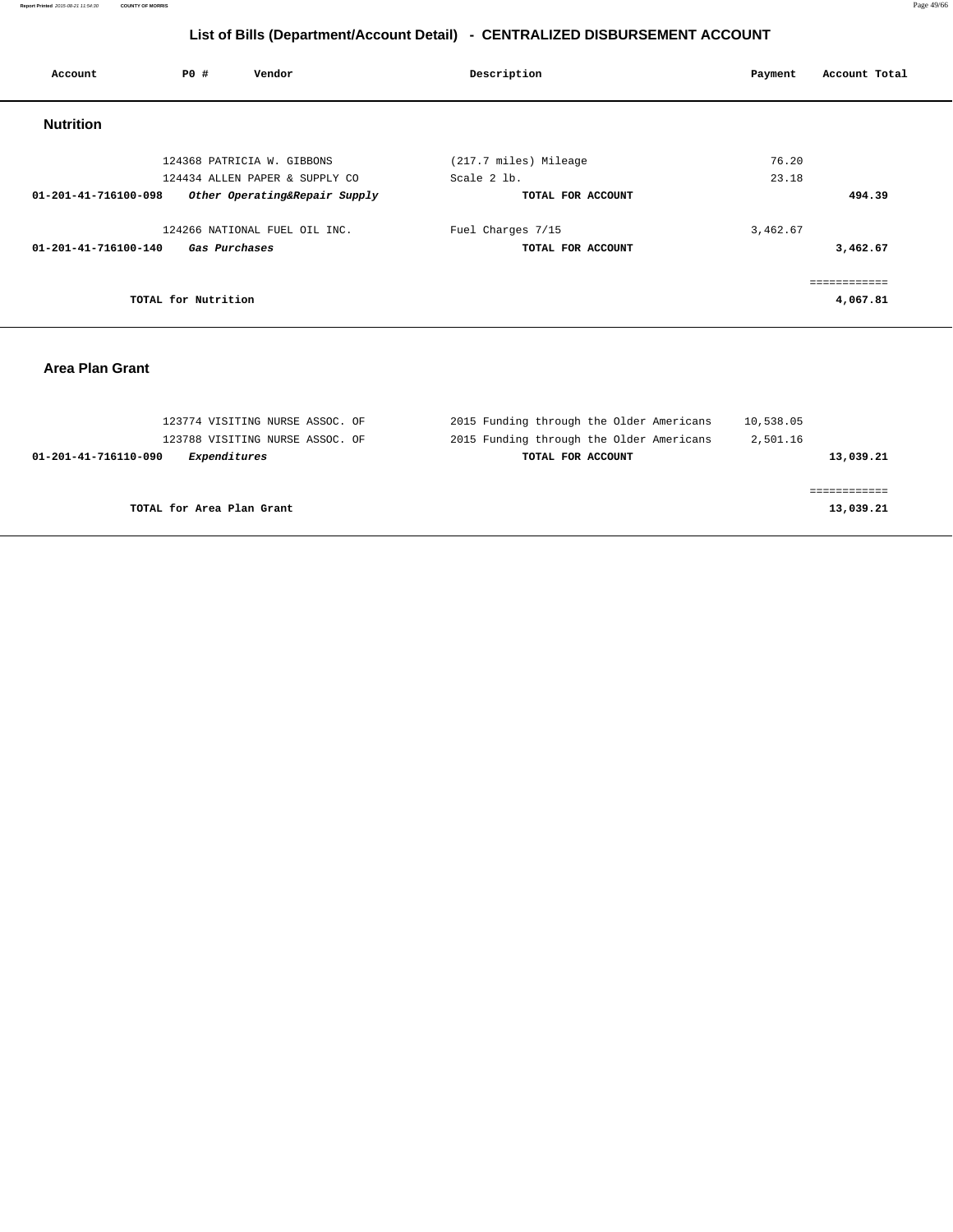| Account                               | PO#                 | Vendor                        | Description           |                   | Payment  | Account Total |
|---------------------------------------|---------------------|-------------------------------|-----------------------|-------------------|----------|---------------|
| <b>Nutrition</b>                      |                     |                               |                       |                   |          |               |
|                                       |                     | 124368 PATRICIA W. GIBBONS    | (217.7 miles) Mileage |                   | 76.20    |               |
| 124434 ALLEN PAPER & SUPPLY CO        |                     | Scale 2 lb.                   |                       | 23.18             |          |               |
| 01-201-41-716100-098                  |                     | Other Operating&Repair Supply |                       | TOTAL FOR ACCOUNT |          | 494.39        |
|                                       |                     | 124266 NATIONAL FUEL OIL INC. | Fuel Charges 7/15     |                   | 3,462.67 |               |
| 01-201-41-716100-140<br>Gas Purchases |                     | TOTAL FOR ACCOUNT             |                       |                   | 3,462.67 |               |
|                                       |                     |                               |                       |                   |          |               |
|                                       | TOTAL for Nutrition |                               |                       |                   |          | 4,067.81      |

### **Area Plan Grant**

| 123774 VISITING NURSE ASSOC. OF      | 2015 Funding through the Older Americans | 10,538.05 |
|--------------------------------------|------------------------------------------|-----------|
| 123788 VISITING NURSE ASSOC. OF      | 2015 Funding through the Older Americans | 2,501.16  |
| Expenditures<br>01-201-41-716110-090 | TOTAL FOR ACCOUNT                        | 13,039.21 |
|                                      |                                          |           |
|                                      |                                          |           |
| TOTAL for Area Plan Grant            |                                          | 13,039.21 |
|                                      |                                          |           |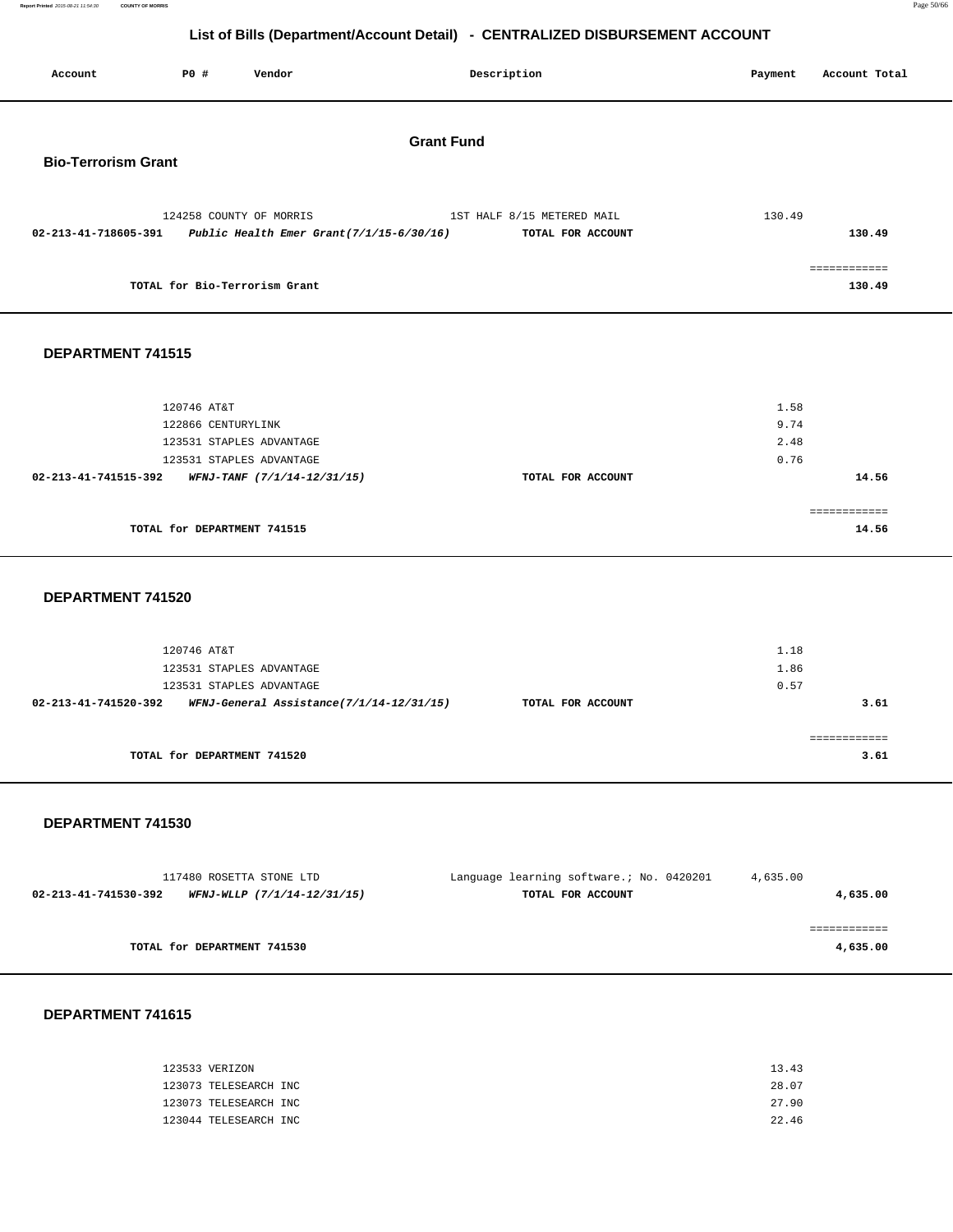**Report Printed** 2015-08-21 11:54:30 **COUNTY OF MORRIS** Page 50/66

### **List of Bills (Department/Account Detail) - CENTRALIZED DISBURSEMENT ACCOUNT**

| Account                    | P0 #                              | Vendor                                               | Description                                                                                                   | Payment                      | Account Total          |
|----------------------------|-----------------------------------|------------------------------------------------------|---------------------------------------------------------------------------------------------------------------|------------------------------|------------------------|
| <b>Bio-Terrorism Grant</b> |                                   |                                                      | <b>Grant Fund</b>                                                                                             |                              |                        |
|                            |                                   | 124258 COUNTY OF MORRIS                              | 1ST HALF 8/15 METERED MAIL<br>02-213-41-718605-391 Public Health Emer Grant(7/1/15-6/30/16) TOTAL FOR ACCOUNT | 130.49                       | 130.49                 |
|                            | TOTAL for Bio-Terrorism Grant     |                                                      |                                                                                                               |                              | ============<br>130.49 |
| DEPARTMENT 741515          |                                   |                                                      |                                                                                                               |                              |                        |
|                            | 120746 AT&T<br>122866 CENTURYLINK | 123531 STAPLES ADVANTAGE<br>123531 STAPLES ADVANTAGE |                                                                                                               | 1.58<br>9.74<br>2.48<br>0.76 | 14.56                  |
|                            | TOTAL for DEPARTMENT 741515       | 02-213-41-741515-392 WFNJ-TANF (7/1/14-12/31/15)     | TOTAL FOR ACCOUNT                                                                                             |                              | ============<br>14.56  |
|                            |                                   |                                                      |                                                                                                               |                              |                        |

#### **DEPARTMENT 741520**

| 120746 AT&T<br>123531 STAPLES ADVANTAGE<br>123531 STAPLES ADVANTAGE |                   | 1.18<br>1.86<br>0.57 |
|---------------------------------------------------------------------|-------------------|----------------------|
| WFNJ-General Assistance(7/1/14-12/31/15)<br>02-213-41-741520-392    | TOTAL FOR ACCOUNT | 3.61                 |
| TOTAL for DEPARTMENT 741520                                         |                   | 3.61                 |

#### **DEPARTMENT 741530**

| 117480 ROSETTA STONE LTD                            | Language learning software.; No. 0420201 | 4,635.00 |
|-----------------------------------------------------|------------------------------------------|----------|
| WFNJ-WLLP (7/1/14-12/31/15)<br>02-213-41-741530-392 | TOTAL FOR ACCOUNT                        | 4,635.00 |
|                                                     |                                          |          |
|                                                     |                                          |          |
| TOTAL for DEPARTMENT 741530                         |                                          | 4,635.00 |

| 123533 VERIZON        | 13.43 |
|-----------------------|-------|
| 123073 TELESEARCH INC | 28.07 |
| 123073 TELESEARCH INC | 27.90 |
| 123044 TELESEARCH INC | 22.46 |
|                       |       |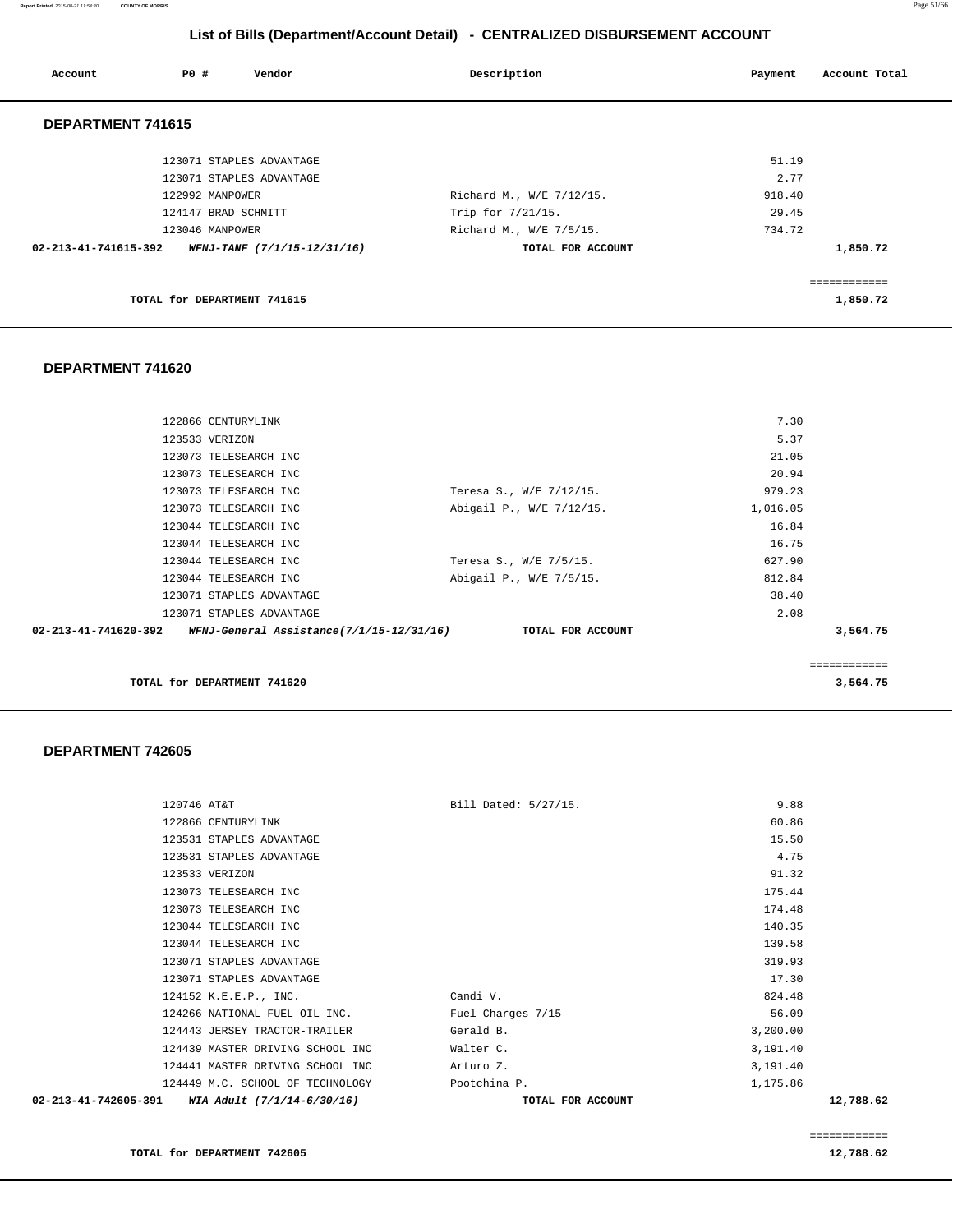**Report Printed** 2015-08-21 11:54:30 **COUNTY OF MORRIS** Page 51/66

# **List of Bills (Department/Account Detail) - CENTRALIZED DISBURSEMENT ACCOUNT**

| Account              | PO#                         | Vendor                      | Description              | Account Total<br>Payment |
|----------------------|-----------------------------|-----------------------------|--------------------------|--------------------------|
| DEPARTMENT 741615    |                             |                             |                          |                          |
|                      |                             | 123071 STAPLES ADVANTAGE    |                          | 51.19                    |
|                      |                             | 123071 STAPLES ADVANTAGE    |                          | 2.77                     |
|                      | 122992 MANPOWER             |                             | Richard M., W/E 7/12/15. | 918.40                   |
|                      | 124147 BRAD SCHMITT         |                             | Trip for 7/21/15.        | 29.45                    |
|                      | 123046 MANPOWER             |                             | Richard M., W/E 7/5/15.  | 734.72                   |
| 02-213-41-741615-392 |                             | WFNJ-TANF (7/1/15-12/31/16) | TOTAL FOR ACCOUNT        | 1,850.72                 |
|                      |                             |                             |                          | ============             |
|                      | TOTAL for DEPARTMENT 741615 |                             |                          | 1,850.72                 |

### **DEPARTMENT 741620**

|                                                                         |                          |          | :========== |
|-------------------------------------------------------------------------|--------------------------|----------|-------------|
| $02 - 213 - 41 - 741620 - 392$ WFNJ-General Assistance(7/1/15-12/31/16) | TOTAL FOR ACCOUNT        |          | 3,564.75    |
| 123071 STAPLES ADVANTAGE                                                |                          | 2.08     |             |
| 123071 STAPLES ADVANTAGE                                                |                          | 38.40    |             |
| 123044 TELESEARCH INC                                                   | Abigail P., W/E 7/5/15.  | 812.84   |             |
| 123044 TELESEARCH INC                                                   | Teresa S., W/E 7/5/15.   | 627.90   |             |
| 123044 TELESEARCH INC                                                   |                          | 16.75    |             |
| 123044 TELESEARCH INC                                                   |                          | 16.84    |             |
| 123073 TELESEARCH INC                                                   | Abigail P., W/E 7/12/15. | 1,016.05 |             |
| 123073 TELESEARCH INC                                                   | Teresa S., W/E 7/12/15.  | 979.23   |             |
| 123073 TELESEARCH INC                                                   |                          | 20.94    |             |
| 123073 TELESEARCH INC                                                   |                          | 21.05    |             |
| 123533 VERIZON                                                          |                          | 5.37     |             |
| 122866 CENTURYLINK                                                      |                          | 7.30     |             |
|                                                                         |                          |          |             |

| 02-213-41-742605-391 | WIA Adult (7/1/14-6/30/16)       |                      | TOTAL FOR ACCOUNT |          | 12,788.62 |
|----------------------|----------------------------------|----------------------|-------------------|----------|-----------|
|                      | 124449 M.C. SCHOOL OF TECHNOLOGY | Pootchina P.         |                   | 1,175.86 |           |
|                      | 124441 MASTER DRIVING SCHOOL INC | Arturo Z.            |                   | 3,191.40 |           |
|                      | 124439 MASTER DRIVING SCHOOL INC | Walter C.            |                   | 3,191.40 |           |
|                      | 124443 JERSEY TRACTOR-TRAILER    | Gerald B.            |                   | 3,200.00 |           |
|                      | 124266 NATIONAL FUEL OIL INC.    | Fuel Charges 7/15    |                   | 56.09    |           |
|                      | 124152 K.E.E.P., INC.            | Candi V.             |                   | 824.48   |           |
|                      | 123071 STAPLES ADVANTAGE         |                      |                   | 17.30    |           |
|                      | 123071 STAPLES ADVANTAGE         |                      |                   | 319.93   |           |
|                      | 123044 TELESEARCH INC            |                      |                   | 139.58   |           |
|                      | 123044 TELESEARCH INC            |                      |                   | 140.35   |           |
|                      | 123073 TELESEARCH INC            |                      |                   | 174.48   |           |
|                      | 123073 TELESEARCH INC            |                      |                   | 175.44   |           |
|                      | 123533 VERIZON                   |                      |                   | 91.32    |           |
|                      | 123531 STAPLES ADVANTAGE         |                      |                   | 4.75     |           |
|                      | 123531 STAPLES ADVANTAGE         |                      |                   | 15.50    |           |
|                      | 122866 CENTURYLINK               |                      |                   | 60.86    |           |
| 120746 AT&T          |                                  | Bill Dated: 5/27/15. |                   | 9.88     |           |
|                      |                                  |                      |                   |          |           |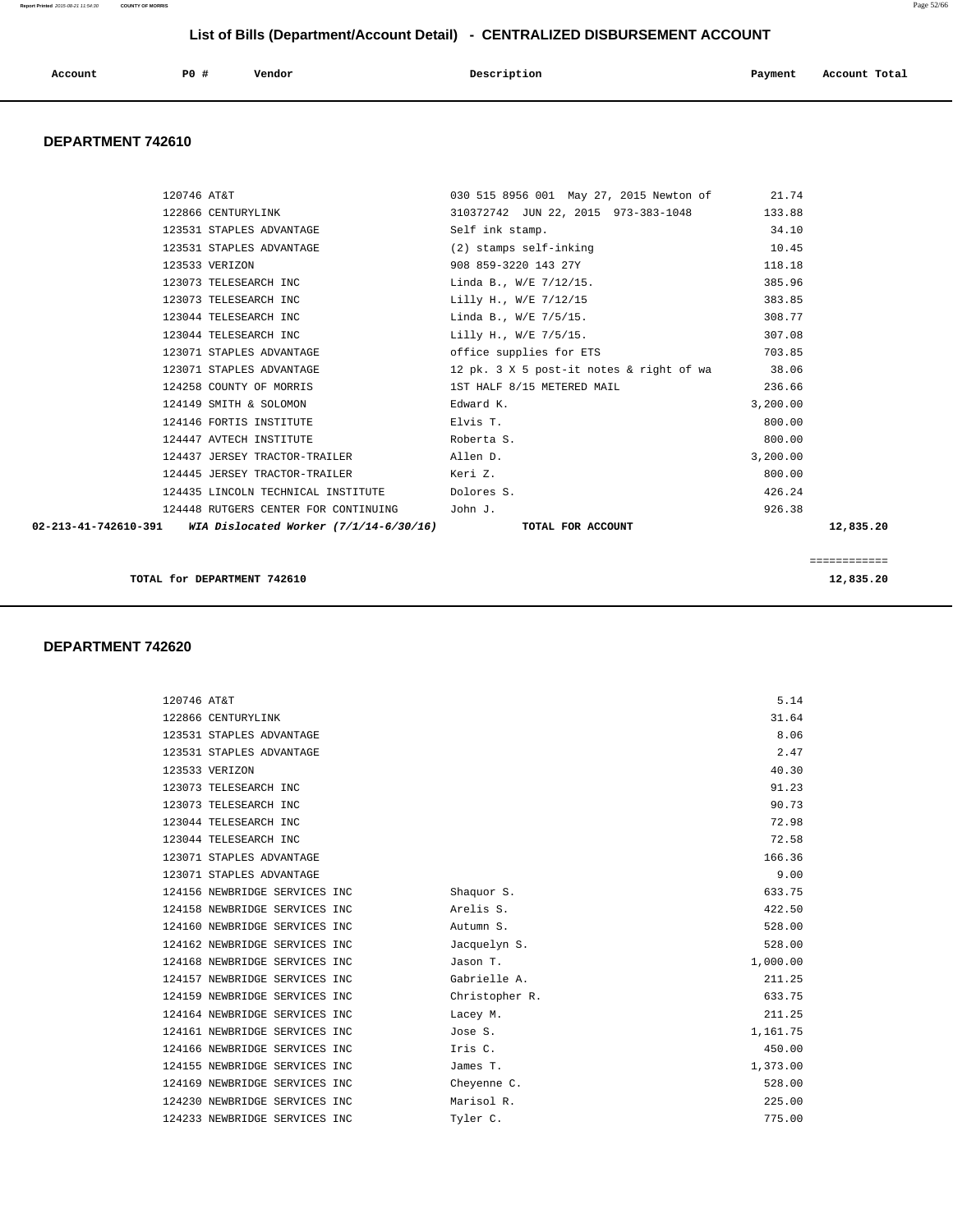| Account | P <sub>0</sub> | Vendor<br>. | Description | Payment<br>$\sim$ $\sim$ | Account Total<br>. |
|---------|----------------|-------------|-------------|--------------------------|--------------------|
|         |                |             |             |                          |                    |

#### **DEPARTMENT 742610**

|             |                                                                               |                                                |          | ============ |
|-------------|-------------------------------------------------------------------------------|------------------------------------------------|----------|--------------|
|             | 02-213-41-742610-391 WIA Dislocated Worker (7/1/14-6/30/16) TOTAL FOR ACCOUNT |                                                |          | 12,835.20    |
|             | 124448 RUTGERS CENTER FOR CONTINUING John J.                                  |                                                | 926.38   |              |
|             | 124435 LINCOLN TECHNICAL INSTITUTE Dolores S.                                 |                                                | 426.24   |              |
|             | 124445 JERSEY TRACTOR-TRAILER                                                 | Keri Z.                                        | 800.00   |              |
|             | 124437 JERSEY TRACTOR-TRAILER                                                 | Allen D.                                       | 3,200.00 |              |
|             | 124447 AVTECH INSTITUTE                                                       | Roberta S.                                     | 800.00   |              |
|             | 124146 FORTIS INSTITUTE                                                       | Elvis T.                                       | 800.00   |              |
|             | 124149 SMITH & SOLOMON                                                        | Edward K.                                      | 3,200.00 |              |
|             | 124258 COUNTY OF MORRIS                                                       | 1ST HALF 8/15 METERED MAIL                     | 236.66   |              |
|             | 123071 STAPLES ADVANTAGE                                                      | 12 pk. 3 X 5 post-it notes & right of wa 38.06 |          |              |
|             | 123071 STAPLES ADVANTAGE                                                      | office supplies for ETS                        | 703.85   |              |
|             | 123044 TELESEARCH INC                                                         | Lilly H., W/E 7/5/15.                          | 307.08   |              |
|             | 123044 TELESEARCH INC                                                         | Linda B., W/E 7/5/15.                          | 308.77   |              |
|             | 123073 TELESEARCH INC                                                         | Lilly H., W/E 7/12/15                          | 383.85   |              |
|             | 123073 TELESEARCH INC                                                         | Linda B., W/E 7/12/15.                         | 385.96   |              |
|             | 123533 VERIZON                                                                | 908 859-3220 143 27Y                           | 118.18   |              |
|             | 123531 STAPLES ADVANTAGE                                                      | (2) stamps self-inking                         | 10.45    |              |
|             | 123531 STAPLES ADVANTAGE                                                      | Self ink stamp.                                | 34.10    |              |
|             | 122866 CENTURYLINK                                                            | 310372742 JUN 22, 2015 973-383-1048            | 133.88   |              |
| 120746 AT&T |                                                                               | 030 515 8956 001 May 27, 2015 Newton of 21.74  |          |              |
|             |                                                                               |                                                |          |              |

**TOTAL for DEPARTMENT 742610** 12,835.20

| 120746 AT&T                   |                | 5.14     |
|-------------------------------|----------------|----------|
| 122866 CENTURYLINK            |                | 31.64    |
| 123531 STAPLES ADVANTAGE      |                | 8.06     |
|                               |                |          |
| 123531 STAPLES ADVANTAGE      |                | 2.47     |
| 123533 VERIZON                |                | 40.30    |
| 123073 TELESEARCH INC         |                | 91.23    |
| 123073 TELESEARCH INC         |                | 90.73    |
| 123044 TELESEARCH INC         |                | 72.98    |
| 123044 TELESEARCH INC         |                | 72.58    |
| 123071 STAPLES ADVANTAGE      |                | 166.36   |
| 123071 STAPLES ADVANTAGE      |                | 9.00     |
| 124156 NEWBRIDGE SERVICES INC | Shaquor S.     | 633.75   |
| 124158 NEWBRIDGE SERVICES INC | Arelis S.      | 422.50   |
| 124160 NEWBRIDGE SERVICES INC | Autumn S.      | 528.00   |
| 124162 NEWBRIDGE SERVICES INC | Jacquelyn S.   | 528.00   |
| 124168 NEWBRIDGE SERVICES INC | Jason T.       | 1,000.00 |
| 124157 NEWBRIDGE SERVICES INC | Gabrielle A.   | 211.25   |
| 124159 NEWBRIDGE SERVICES INC | Christopher R. | 633.75   |
| 124164 NEWBRIDGE SERVICES INC | Lacey M.       | 211.25   |
| 124161 NEWBRIDGE SERVICES INC | Jose S.        | 1,161.75 |
| 124166 NEWBRIDGE SERVICES INC | Iris C.        | 450.00   |
| 124155 NEWBRIDGE SERVICES INC | James T.       | 1,373.00 |
| 124169 NEWBRIDGE SERVICES INC | Cheyenne C.    | 528.00   |
| 124230 NEWBRIDGE SERVICES INC | Marisol R.     | 225.00   |
| 124233 NEWBRIDGE SERVICES INC | Tyler C.       | 775.00   |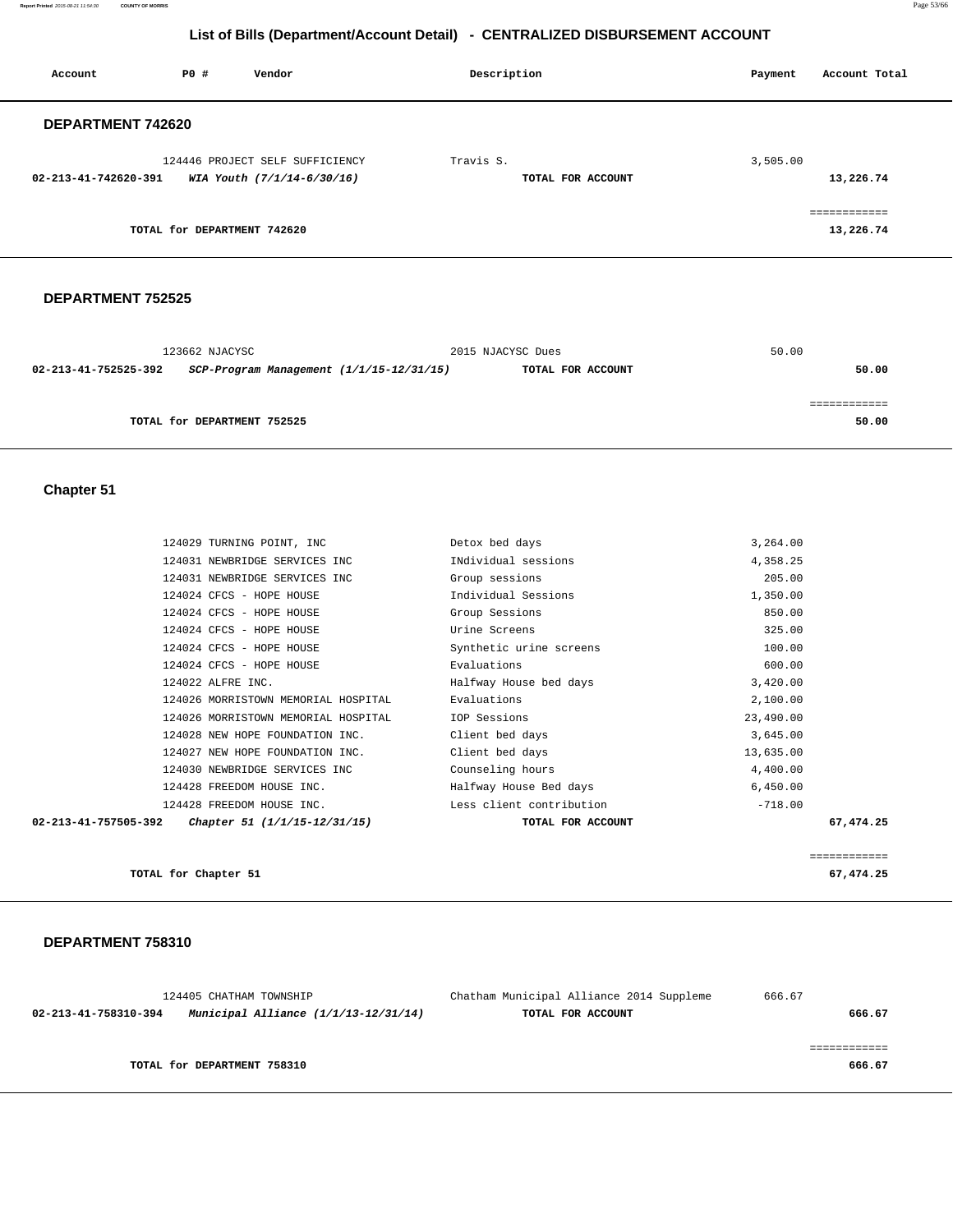**Report Printed** 2015-08-21 11:54:30 **COUNTY OF MORRIS** Page 53/66

# **List of Bills (Department/Account Detail) - CENTRALIZED DISBURSEMENT ACCOUNT**

| Account              | PO#                         | Vendor                          | Description       | Account Total<br>Payment |
|----------------------|-----------------------------|---------------------------------|-------------------|--------------------------|
| DEPARTMENT 742620    |                             |                                 |                   |                          |
|                      |                             | 124446 PROJECT SELF SUFFICIENCY | Travis S.         | 3,505.00                 |
| 02-213-41-742620-391 |                             | WIA Youth (7/1/14-6/30/16)      | TOTAL FOR ACCOUNT | 13,226.74                |
|                      |                             |                                 |                   | eessessesses             |
|                      | TOTAL for DEPARTMENT 742620 |                                 |                   | 13,226.74                |

#### **DEPARTMENT 752525**

| 123662 NJACYSC              |                                              | 2015 NJACYSC Dues | 50.00 |
|-----------------------------|----------------------------------------------|-------------------|-------|
| 02-213-41-752525-392        | $SCP-Program$ Management $(1/1/15-12/31/15)$ | TOTAL FOR ACCOUNT | 50.00 |
|                             |                                              |                   |       |
|                             |                                              |                   |       |
| TOTAL for DEPARTMENT 752525 |                                              |                   | 50.00 |
|                             |                                              |                   |       |

### **Chapter 51**

|                      | 124029 TURNING POINT, INC           | Detox bed days           | 3,264.00     |
|----------------------|-------------------------------------|--------------------------|--------------|
|                      |                                     |                          |              |
|                      | 124031 NEWBRIDGE SERVICES INC       | INdividual sessions      | 4,358.25     |
|                      | 124031 NEWBRIDGE SERVICES INC       | Group sessions           | 205.00       |
|                      | 124024 CFCS - HOPE HOUSE            | Individual Sessions      | 1,350.00     |
|                      | 124024 CFCS - HOPE HOUSE            | Group Sessions           | 850.00       |
|                      | 124024 CFCS - HOPE HOUSE            | Urine Screens            | 325.00       |
|                      | 124024 CFCS - HOPE HOUSE            | Synthetic urine screens  | 100.00       |
|                      | 124024 CFCS - HOPE HOUSE            | Evaluations              | 600.00       |
|                      | 124022 ALFRE INC.                   | Halfway House bed days   | 3,420.00     |
|                      | 124026 MORRISTOWN MEMORIAL HOSPITAL | Evaluations              | 2,100.00     |
|                      | 124026 MORRISTOWN MEMORIAL HOSPITAL | IOP Sessions             | 23,490.00    |
|                      | 124028 NEW HOPE FOUNDATION INC.     | Client bed days          | 3,645.00     |
|                      | 124027 NEW HOPE FOUNDATION INC.     | Client bed days          | 13,635.00    |
|                      | 124030 NEWBRIDGE SERVICES INC       | Counseling hours         | 4,400.00     |
|                      | 124428 FREEDOM HOUSE INC.           | Halfway House Bed days   | 6,450.00     |
|                      | 124428 FREEDOM HOUSE INC.           | Less client contribution | $-718.00$    |
| 02-213-41-757505-392 | Chapter 51 (1/1/15-12/31/15)        | TOTAL FOR ACCOUNT        | 67,474.25    |
|                      |                                     |                          |              |
|                      |                                     |                          | ============ |
|                      |                                     |                          |              |

**TOTAL for Chapter 51** 67,474.25

| 124405 CHATHAM TOWNSHIP                                        | Chatham Municipal Alliance 2014 Suppleme | 666.67 |
|----------------------------------------------------------------|------------------------------------------|--------|
| Municipal Alliance $(1/1/13-12/31/14)$<br>02-213-41-758310-394 | TOTAL FOR ACCOUNT                        | 666.67 |
|                                                                |                                          |        |
|                                                                |                                          |        |
| TOTAL for DEPARTMENT 758310                                    |                                          | 666.67 |
|                                                                |                                          |        |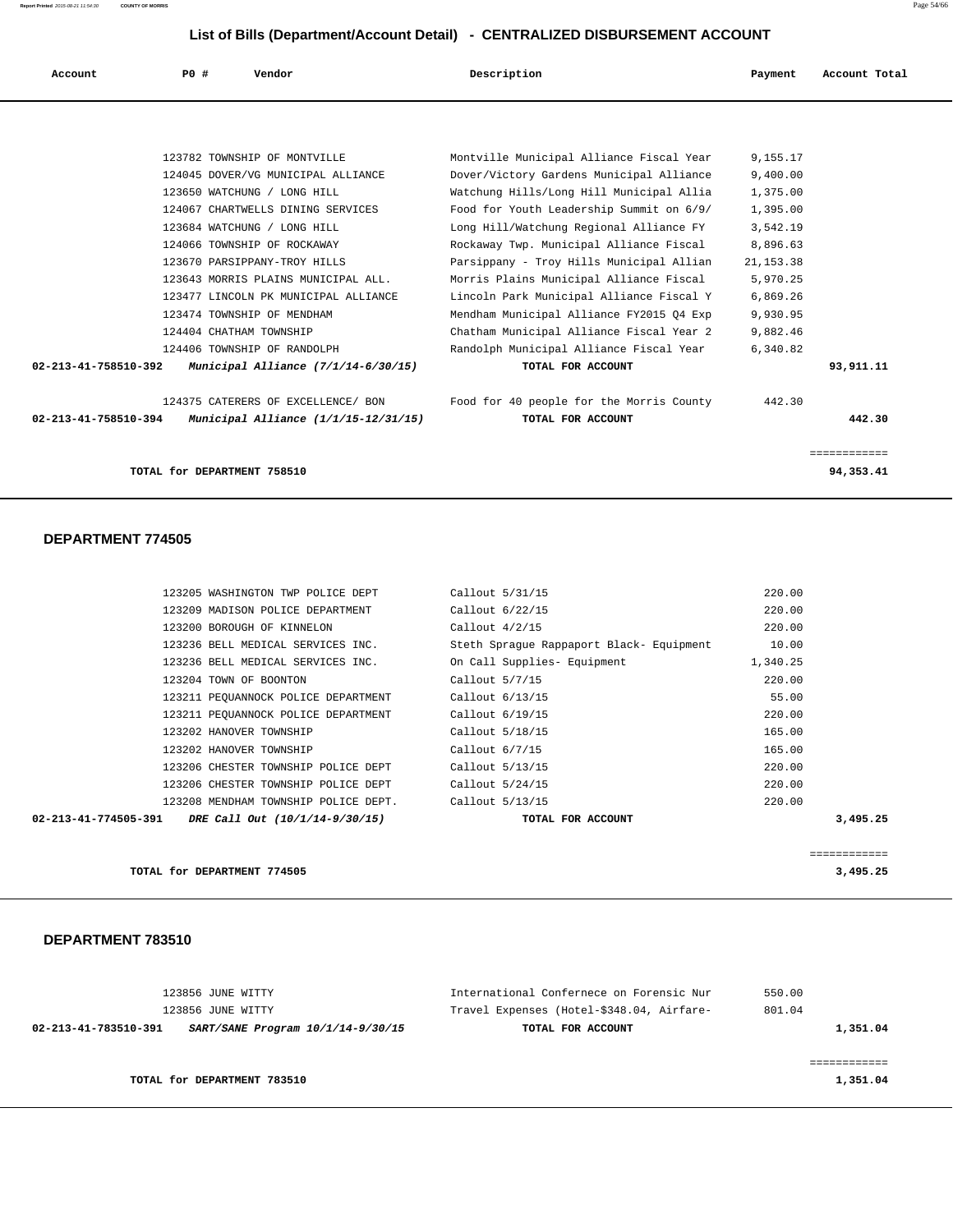| Account              | PO# | Vendor                                                                                     | Description                                                                                                                     | Payment                            | Account Total               |
|----------------------|-----|--------------------------------------------------------------------------------------------|---------------------------------------------------------------------------------------------------------------------------------|------------------------------------|-----------------------------|
|                      |     |                                                                                            |                                                                                                                                 |                                    |                             |
|                      |     | 123782 TOWNSHIP OF MONTVILLE<br>124045 DOVER/VG MUNICIPAL ALLIANCE                         | Montville Municipal Alliance Fiscal Year<br>Dover/Victory Gardens Municipal Alliance                                            | 9,155.17<br>9.400.00               |                             |
|                      |     | 123650 WATCHUNG / LONG HILL<br>124067 CHARTWELLS DINING SERVICES                           | Watchung Hills/Long Hill Municipal Allia<br>Food for Youth Leadership Summit on 6/9/                                            | 1,375.00<br>1,395.00               |                             |
|                      |     | 123684 WATCHUNG / LONG HILL<br>124066 TOWNSHIP OF ROCKAWAY<br>123670 PARSIPPANY-TROY HILLS | Long Hill/Watchung Regional Alliance FY<br>Rockaway Twp. Municipal Alliance Fiscal<br>Parsippany - Troy Hills Municipal Allian  | 3,542.19<br>8,896.63<br>21, 153.38 |                             |
|                      |     | 123643 MORRIS PLAINS MUNICIPAL ALL.<br>123477 LINCOLN PK MUNICIPAL ALLIANCE                | Morris Plains Municipal Alliance Fiscal<br>Lincoln Park Municipal Alliance Fiscal Y                                             | 5,970.25<br>6,869.26               |                             |
|                      |     | 123474 TOWNSHIP OF MENDHAM<br>124404 CHATHAM TOWNSHIP<br>124406 TOWNSHIP OF RANDOLPH       | Mendham Municipal Alliance FY2015 04 Exp<br>Chatham Municipal Alliance Fiscal Year 2<br>Randolph Municipal Alliance Fiscal Year | 9,930.95<br>9,882.46<br>6,340.82   |                             |
| 02-213-41-758510-392 |     | Municipal Alliance (7/1/14-6/30/15)                                                        | TOTAL FOR ACCOUNT                                                                                                               |                                    | 93,911.11                   |
| 02-213-41-758510-394 |     | 124375 CATERERS OF EXCELLENCE/ BON<br>Municipal Alliance (1/1/15-12/31/15)                 | Food for 40 people for the Morris County<br>TOTAL FOR ACCOUNT                                                                   | 442.30                             | 442.30                      |
|                      |     | TOTAL for DEPARTMENT 758510                                                                |                                                                                                                                 |                                    | ============<br>94, 353, 41 |

#### **DEPARTMENT 774505**

| 123205 WASHINGTON TWP POLICE DEPT                       | Callout 5/31/15                          | 220.00   |          |
|---------------------------------------------------------|------------------------------------------|----------|----------|
| 123209 MADISON POLICE DEPARTMENT                        | Callout 6/22/15                          | 220.00   |          |
| 123200 BOROUGH OF KINNELON                              | Callout $4/2/15$                         | 220.00   |          |
| 123236 BELL MEDICAL SERVICES INC.                       | Steth Sprague Rappaport Black- Equipment | 10.00    |          |
| 123236 BELL MEDICAL SERVICES INC.                       | On Call Supplies- Equipment              | 1,340.25 |          |
| 123204 TOWN OF BOONTON                                  | Callout $5/7/15$                         | 220.00   |          |
| 123211 PEOUANNOCK POLICE DEPARTMENT                     | Callout 6/13/15                          | 55.00    |          |
| 123211 PEQUANNOCK POLICE DEPARTMENT                     | Callout 6/19/15                          | 220.00   |          |
| 123202 HANOVER TOWNSHIP                                 | Callout 5/18/15                          | 165.00   |          |
| 123202 HANOVER TOWNSHIP                                 | Callout $6/7/15$                         | 165.00   |          |
| 123206 CHESTER TOWNSHIP POLICE DEPT                     | Callout 5/13/15                          | 220.00   |          |
| 123206 CHESTER TOWNSHIP POLICE DEPT                     | Callout 5/24/15                          | 220.00   |          |
| 123208 MENDHAM TOWNSHIP POLICE DEPT.                    | Callout 5/13/15                          | 220.00   |          |
| $02-213-41-774505-391$ DRE Call Out $(10/1/14-9/30/15)$ | TOTAL FOR ACCOUNT                        |          | 3,495.25 |
|                                                         |                                          |          |          |
|                                                         |                                          |          | .        |

**TOTAL for DEPARTMENT 774505 3,495.25**

| 123856 JUNE WITTY                                         | International Confernece on Forensic Nur  | 550.00   |
|-----------------------------------------------------------|-------------------------------------------|----------|
| 123856 JUNE WITTY                                         | Travel Expenses (Hotel-\$348.04, Airfare- | 801.04   |
| SART/SANE Program 10/1/14-9/30/15<br>02-213-41-783510-391 | TOTAL FOR ACCOUNT                         | 1,351.04 |
|                                                           |                                           |          |
|                                                           |                                           |          |
| TOTAL for DEPARTMENT 783510                               |                                           | 1,351.04 |
|                                                           |                                           |          |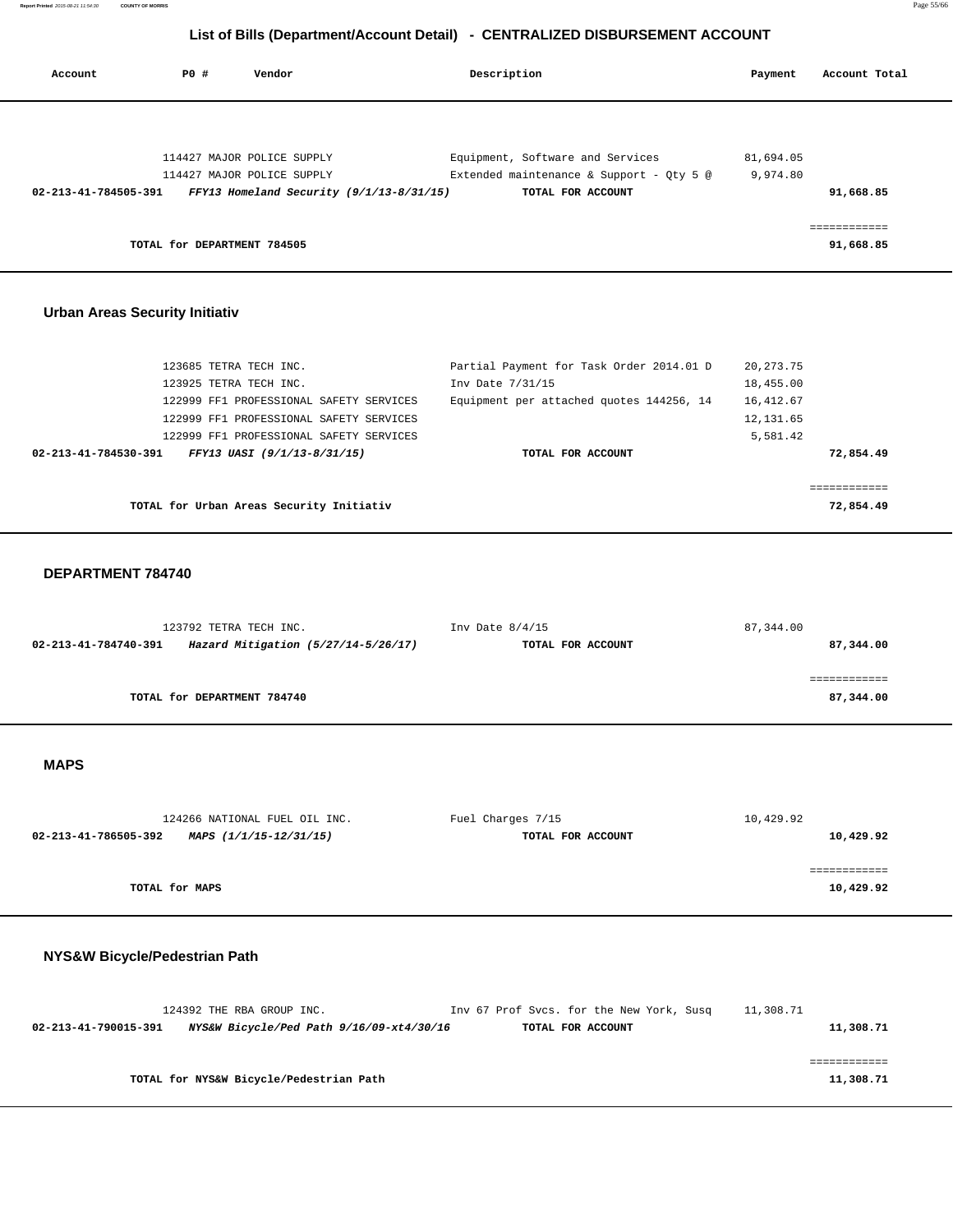**Report Printed** 2015-08-21 11:54:30 **COUNTY OF MORRIS** Page 55/66

# **List of Bills (Department/Account Detail) - CENTRALIZED DISBURSEMENT ACCOUNT**

| Account                                   | PO#                                              | Vendor                                                                                                                                                       | Description                                                                                                                   | Payment                                                          | Account Total                          |
|-------------------------------------------|--------------------------------------------------|--------------------------------------------------------------------------------------------------------------------------------------------------------------|-------------------------------------------------------------------------------------------------------------------------------|------------------------------------------------------------------|----------------------------------------|
| 02-213-41-784505-391                      | TOTAL for DEPARTMENT 784505                      | 114427 MAJOR POLICE SUPPLY<br>114427 MAJOR POLICE SUPPLY<br>FFY13 Homeland Security (9/1/13-8/31/15)                                                         | Equipment, Software and Services<br>Extended maintenance & Support - Qty 5 @<br>TOTAL FOR ACCOUNT                             | 81,694.05<br>9,974.80                                            | 91,668.85<br>============<br>91,668.85 |
| <b>Urban Areas Security Initiativ</b>     |                                                  |                                                                                                                                                              |                                                                                                                               |                                                                  |                                        |
| 02-213-41-784530-391                      | 123685 TETRA TECH INC.<br>123925 TETRA TECH INC. | 122999 FF1 PROFESSIONAL SAFETY SERVICES<br>122999 FF1 PROFESSIONAL SAFETY SERVICES<br>122999 FF1 PROFESSIONAL SAFETY SERVICES<br>FFY13 UASI (9/1/13-8/31/15) | Partial Payment for Task Order 2014.01 D<br>Inv Date 7/31/15<br>Equipment per attached quotes 144256, 14<br>TOTAL FOR ACCOUNT | 20, 273. 75<br>18,455.00<br>16, 412.67<br>12, 131.65<br>5,581.42 | 72,854.49                              |
|                                           |                                                  | TOTAL for Urban Areas Security Initiativ                                                                                                                     |                                                                                                                               |                                                                  | ============<br>72,854.49              |
| DEPARTMENT 784740<br>02-213-41-784740-391 | 123792 TETRA TECH INC.                           | Hazard Mitigation (5/27/14-5/26/17)                                                                                                                          | Inv Date $8/4/15$<br>TOTAL FOR ACCOUNT                                                                                        | 87, 344.00                                                       | 87,344.00<br>============              |
|                                           | TOTAL for DEPARTMENT 784740                      |                                                                                                                                                              |                                                                                                                               |                                                                  | 87,344.00                              |
| <b>MAPS</b>                               |                                                  |                                                                                                                                                              |                                                                                                                               |                                                                  |                                        |
| 02-213-41-786505-392                      | TOTAL for MAPS                                   | 124266 NATIONAL FUEL OIL INC.<br>MAPS (1/1/15-12/31/15)                                                                                                      | Fuel Charges 7/15<br>TOTAL FOR ACCOUNT                                                                                        | 10,429.92                                                        | 10,429.92<br>============<br>10,429.92 |
| NYS&W Bicycle/Pedestrian Path             |                                                  |                                                                                                                                                              |                                                                                                                               |                                                                  |                                        |
| 02-213-41-790015-391                      |                                                  | 124392 THE RBA GROUP INC.<br>NYS&W Bicycle/Ped Path 9/16/09-xt4/30/16                                                                                        | Inv 67 Prof Svcs. for the New York, Susq<br>TOTAL FOR ACCOUNT                                                                 | 11,308.71                                                        | 11,308.71<br>============              |
|                                           |                                                  | TOTAL for NYS&W Bicycle/Pedestrian Path                                                                                                                      |                                                                                                                               |                                                                  | 11,308.71                              |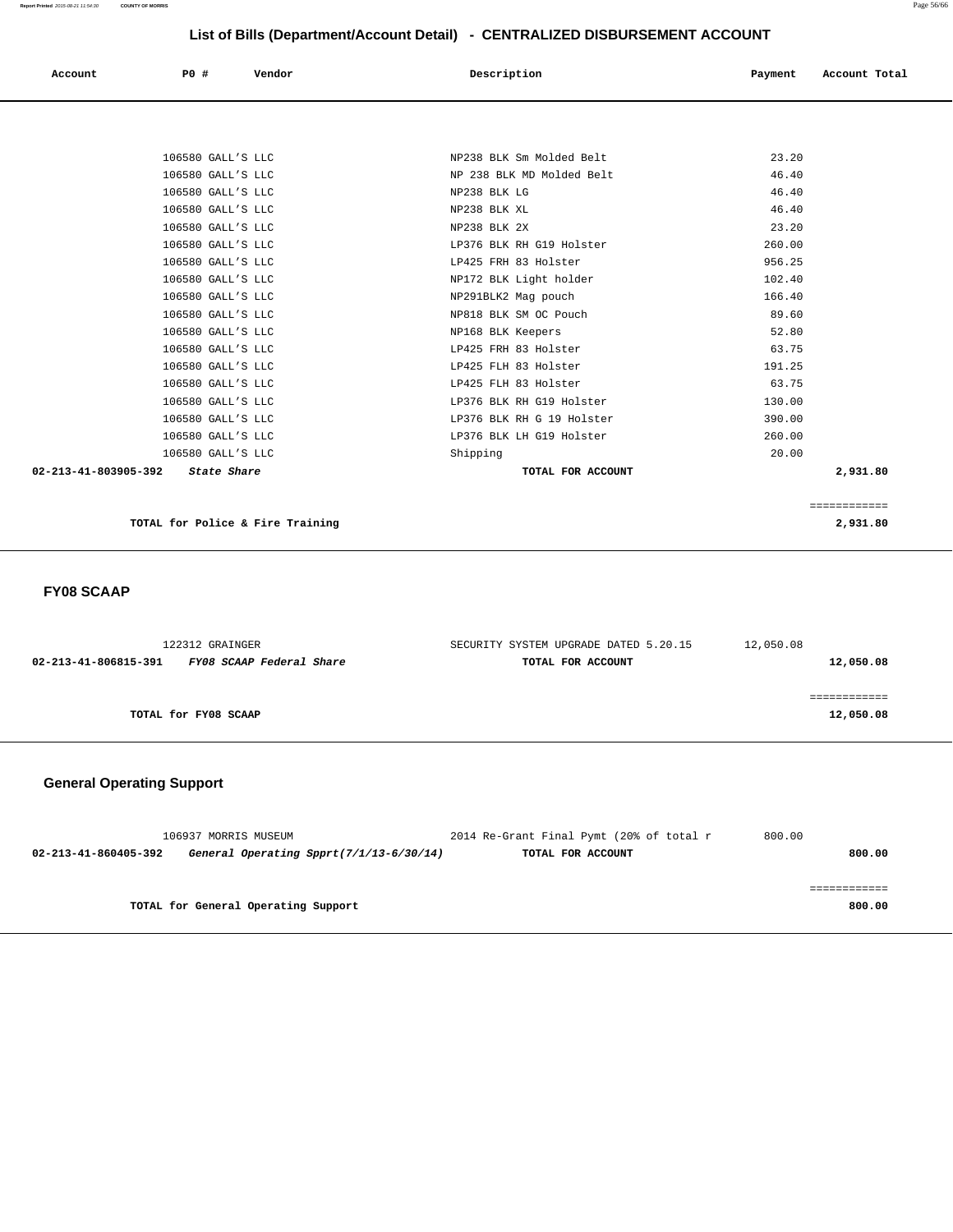|                      | LIST OF BIIIS (DEPARTIMENTACCOUNT DETAILY - CENTRALIZED DISBORSEMENT ACCOUNT |        |                           |         |               |  |
|----------------------|------------------------------------------------------------------------------|--------|---------------------------|---------|---------------|--|
| Account              | P0 #                                                                         | Vendor | Description               | Payment | Account Total |  |
|                      |                                                                              |        |                           |         |               |  |
|                      |                                                                              |        |                           |         |               |  |
|                      | 106580 GALL'S LLC                                                            |        | NP238 BLK Sm Molded Belt  | 23.20   |               |  |
|                      | 106580 GALL'S LLC                                                            |        | NP 238 BLK MD Molded Belt | 46.40   |               |  |
|                      | 106580 GALL'S LLC                                                            |        | NP238 BLK LG              | 46.40   |               |  |
|                      | 106580 GALL'S LLC                                                            |        | NP238 BLK XL              | 46.40   |               |  |
|                      | 106580 GALL'S LLC                                                            |        | NP238 BLK 2X              | 23.20   |               |  |
|                      | 106580 GALL'S LLC                                                            |        | LP376 BLK RH G19 Holster  | 260.00  |               |  |
|                      | 106580 GALL'S LLC                                                            |        | LP425 FRH 83 Holster      | 956.25  |               |  |
|                      | 106580 GALL'S LLC                                                            |        | NP172 BLK Light holder    | 102.40  |               |  |
|                      | 106580 GALL'S LLC                                                            |        | NP291BLK2 Mag pouch       | 166.40  |               |  |
|                      | 106580 GALL'S LLC                                                            |        | NP818 BLK SM OC Pouch     | 89.60   |               |  |
|                      | 106580 GALL'S LLC                                                            |        | NP168 BLK Keepers         | 52.80   |               |  |
|                      | 106580 GALL'S LLC                                                            |        | LP425 FRH 83 Holster      | 63.75   |               |  |
|                      | 106580 GALL'S LLC                                                            |        | LP425 FLH 83 Holster      | 191.25  |               |  |
|                      | 106580 GALL'S LLC                                                            |        | LP425 FLH 83 Holster      | 63.75   |               |  |
|                      | 106580 GALL'S LLC                                                            |        | LP376 BLK RH G19 Holster  | 130.00  |               |  |
|                      | 106580 GALL'S LLC                                                            |        | LP376 BLK RH G 19 Holster | 390.00  |               |  |
|                      | 106580 GALL'S LLC                                                            |        | LP376 BLK LH G19 Holster  | 260.00  |               |  |
|                      | 106580 GALL'S LLC                                                            |        | Shipping                  | 20.00   |               |  |
| 02-213-41-803905-392 | State Share                                                                  |        | TOTAL FOR ACCOUNT         |         | 2,931.80      |  |

============

**TOTAL for Police & Fire Training 2,931.80**

 **FY08 SCAAP** 

| 122312 GRAINGER                                  | SECURITY SYSTEM UPGRADE DATED 5.20.15 | 12,050.08 |
|--------------------------------------------------|---------------------------------------|-----------|
| FY08 SCAAP Federal Share<br>02-213-41-806815-391 | TOTAL FOR ACCOUNT                     | 12,050.08 |
|                                                  |                                       |           |
|                                                  |                                       |           |
| TOTAL for FY08 SCAAP                             |                                       | 12,050.08 |
|                                                  |                                       |           |

# **General Operating Support**

| 106937 MORRIS MUSEUM                                            | 2014 Re-Grant Final Pymt (20% of total r | 800.00 |
|-----------------------------------------------------------------|------------------------------------------|--------|
| General Operating Spprt(7/1/13-6/30/14)<br>02-213-41-860405-392 | TOTAL FOR ACCOUNT                        | 800.00 |
|                                                                 |                                          |        |
|                                                                 |                                          |        |
| TOTAL for General Operating Support                             |                                          | 800.00 |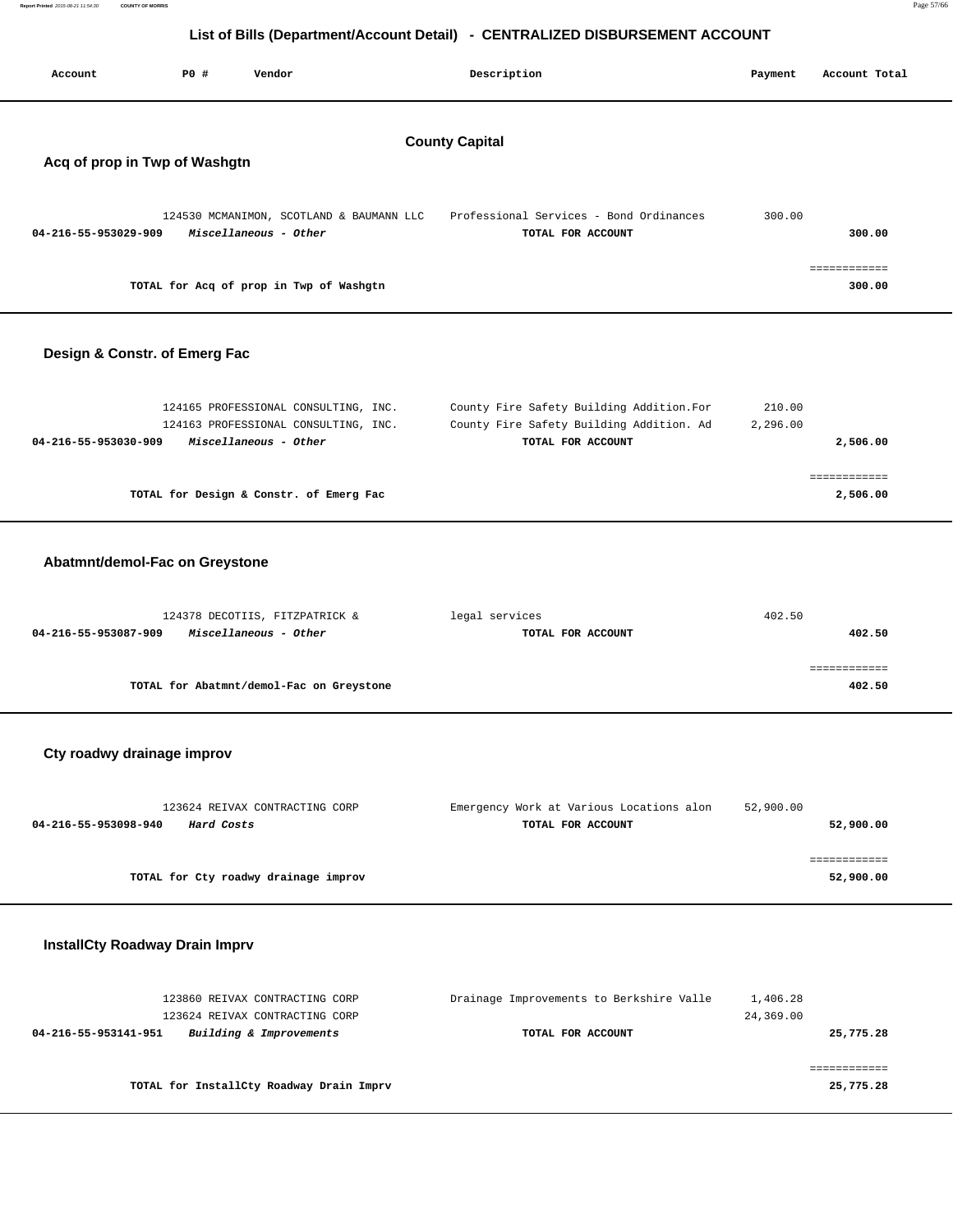| Report Printed 2015-08-21 11:54:30<br><b>COUNTY OF MORRIS</b> | Page 57/66 |
|---------------------------------------------------------------|------------|
|                                                               |            |

| List of Bills (Department/Account Detail) - CENTRALIZED DISBURSEMENT ACCOUNT |            |                                                                                                       |                       |                                                                                                            |  |                       |                           |
|------------------------------------------------------------------------------|------------|-------------------------------------------------------------------------------------------------------|-----------------------|------------------------------------------------------------------------------------------------------------|--|-----------------------|---------------------------|
| Account                                                                      | P0 #       | Vendor                                                                                                |                       | Description                                                                                                |  | Payment               | Account Total             |
| Acq of prop in Twp of Washgtn                                                |            |                                                                                                       | <b>County Capital</b> |                                                                                                            |  |                       |                           |
| 04-216-55-953029-909                                                         |            | 124530 MCMANIMON, SCOTLAND & BAUMANN LLC<br>Miscellaneous - Other                                     |                       | Professional Services - Bond Ordinances<br>TOTAL FOR ACCOUNT                                               |  | 300.00                | 300.00                    |
|                                                                              |            | TOTAL for Acq of prop in Twp of Washgtn                                                               |                       |                                                                                                            |  |                       | ============<br>300.00    |
| Design & Constr. of Emerg Fac                                                |            |                                                                                                       |                       |                                                                                                            |  |                       |                           |
| 04-216-55-953030-909                                                         |            | 124165 PROFESSIONAL CONSULTING, INC.<br>124163 PROFESSIONAL CONSULTING, INC.<br>Miscellaneous - Other |                       | County Fire Safety Building Addition. For<br>County Fire Safety Building Addition. Ad<br>TOTAL FOR ACCOUNT |  | 210.00<br>2,296.00    | 2,506.00                  |
|                                                                              |            | TOTAL for Design & Constr. of Emerg Fac                                                               |                       |                                                                                                            |  |                       | ============<br>2,506.00  |
| Abatmnt/demol-Fac on Greystone                                               |            |                                                                                                       |                       |                                                                                                            |  |                       |                           |
| 04-216-55-953087-909                                                         |            | 124378 DECOTIIS, FITZPATRICK &<br>Miscellaneous - Other                                               |                       | legal services<br>TOTAL FOR ACCOUNT                                                                        |  | 402.50                | 402.50                    |
|                                                                              |            | TOTAL for Abatmnt/demol-Fac on Greystone                                                              |                       |                                                                                                            |  |                       | ============<br>402.50    |
| Cty roadwy drainage improv                                                   |            |                                                                                                       |                       |                                                                                                            |  |                       |                           |
| 04-216-55-953098-940                                                         | Hard Costs | 123624 REIVAX CONTRACTING CORP                                                                        |                       | Emergency Work at Various Locations alon<br>TOTAL FOR ACCOUNT                                              |  | 52,900.00             | 52,900.00                 |
|                                                                              |            | TOTAL for Cty roadwy drainage improv                                                                  |                       |                                                                                                            |  |                       | ============<br>52,900.00 |
| <b>InstallCty Roadway Drain Imprv</b>                                        |            |                                                                                                       |                       |                                                                                                            |  |                       |                           |
| 04-216-55-953141-951                                                         |            | 123860 REIVAX CONTRACTING CORP<br>123624 REIVAX CONTRACTING CORP<br>Building & Improvements           |                       | Drainage Improvements to Berkshire Valle<br>TOTAL FOR ACCOUNT                                              |  | 1,406.28<br>24,369.00 | 25,775.28                 |
|                                                                              |            | TOTAL for InstallCty Roadway Drain Imprv                                                              |                       |                                                                                                            |  |                       | ============<br>25,775.28 |
|                                                                              |            |                                                                                                       |                       |                                                                                                            |  |                       |                           |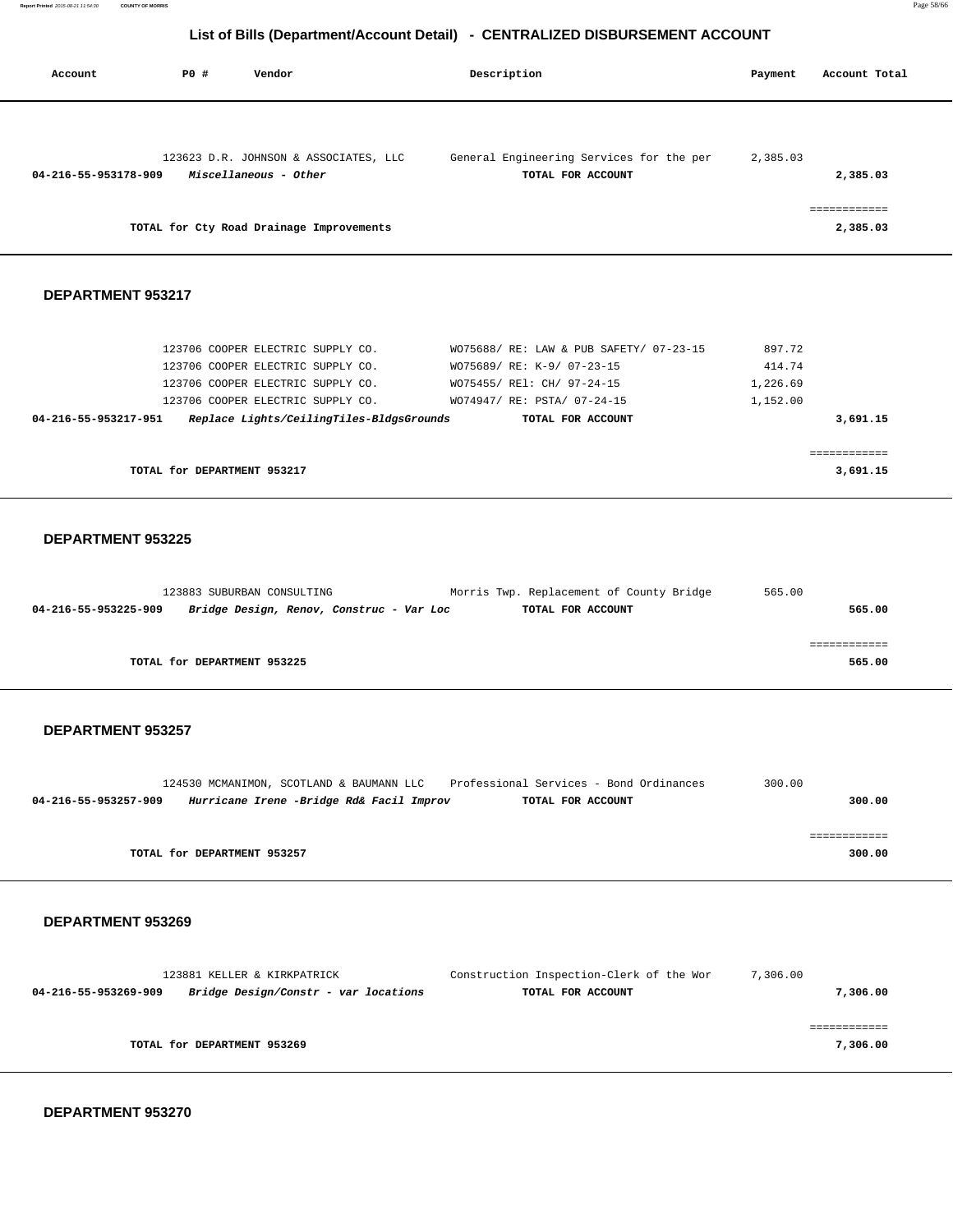| Account              | PO# | Vendor                                                         | Description                                                   | Payment  | Account Total            |
|----------------------|-----|----------------------------------------------------------------|---------------------------------------------------------------|----------|--------------------------|
| 04-216-55-953178-909 |     | 123623 D.R. JOHNSON & ASSOCIATES, LLC<br>Miscellaneous - Other | General Engineering Services for the per<br>TOTAL FOR ACCOUNT | 2,385.03 | 2,385.03                 |
|                      |     | TOTAL for Cty Road Drainage Improvements                       |                                                               |          | ============<br>2,385.03 |

### **DEPARTMENT 953217**

|                             | 123706 COOPER ELECTRIC SUPPLY CO.<br>123706 COOPER ELECTRIC SUPPLY CO. | WO75688/ RE: LAW & PUB SAFETY/ 07-23-15<br>WO75689/ RE: K-9/ 07-23-15 | 897.72<br>414.74 |
|-----------------------------|------------------------------------------------------------------------|-----------------------------------------------------------------------|------------------|
|                             | 123706 COOPER ELECTRIC SUPPLY CO.                                      | WO75455/ REl: CH/ 97-24-15                                            | 1,226.69         |
|                             | 123706 COOPER ELECTRIC SUPPLY CO.                                      | WO74947/ RE: PSTA/ 07-24-15                                           | 1,152.00         |
| 04-216-55-953217-951        | Replace Lights/CeilingTiles-BldgsGrounds                               | TOTAL FOR ACCOUNT                                                     | 3,691.15         |
| TOTAL for DEPARTMENT 953217 |                                                                        |                                                                       | 3,691.15         |

#### **DEPARTMENT 953225**

| 123883 SUBURBAN CONSULTING  |                                          | Morris Twp. Replacement of County Bridge | 565.00 |
|-----------------------------|------------------------------------------|------------------------------------------|--------|
| 04-216-55-953225-909        | Bridge Design, Renov, Construc - Var Loc | TOTAL FOR ACCOUNT                        | 565.00 |
|                             |                                          |                                          |        |
|                             |                                          |                                          |        |
| TOTAL for DEPARTMENT 953225 |                                          |                                          | 565.00 |
|                             |                                          |                                          |        |

### **DEPARTMENT 953257**

|                      |                             | 124530 MCMANIMON, SCOTLAND & BAUMANN LLC | Professional Services - Bond Ordinances | 300.00 |  |
|----------------------|-----------------------------|------------------------------------------|-----------------------------------------|--------|--|
| 04-216-55-953257-909 |                             | Hurricane Irene -Bridge Rd& Facil Improv | TOTAL FOR ACCOUNT                       | 300.00 |  |
|                      |                             |                                          |                                         |        |  |
|                      |                             |                                          |                                         |        |  |
|                      | TOTAL for DEPARTMENT 953257 |                                          |                                         | 300.00 |  |

#### **DEPARTMENT 953269**

| 123881 KELLER & KIRKPATRICK                                  |                             | Construction Inspection-Clerk of the Wor | 7,306.00 |  |
|--------------------------------------------------------------|-----------------------------|------------------------------------------|----------|--|
| Bridge Design/Constr - var locations<br>04-216-55-953269-909 |                             | TOTAL FOR ACCOUNT                        |          |  |
|                                                              |                             |                                          |          |  |
|                                                              |                             |                                          |          |  |
|                                                              | TOTAL for DEPARTMENT 953269 |                                          | 7,306.00 |  |
|                                                              |                             |                                          |          |  |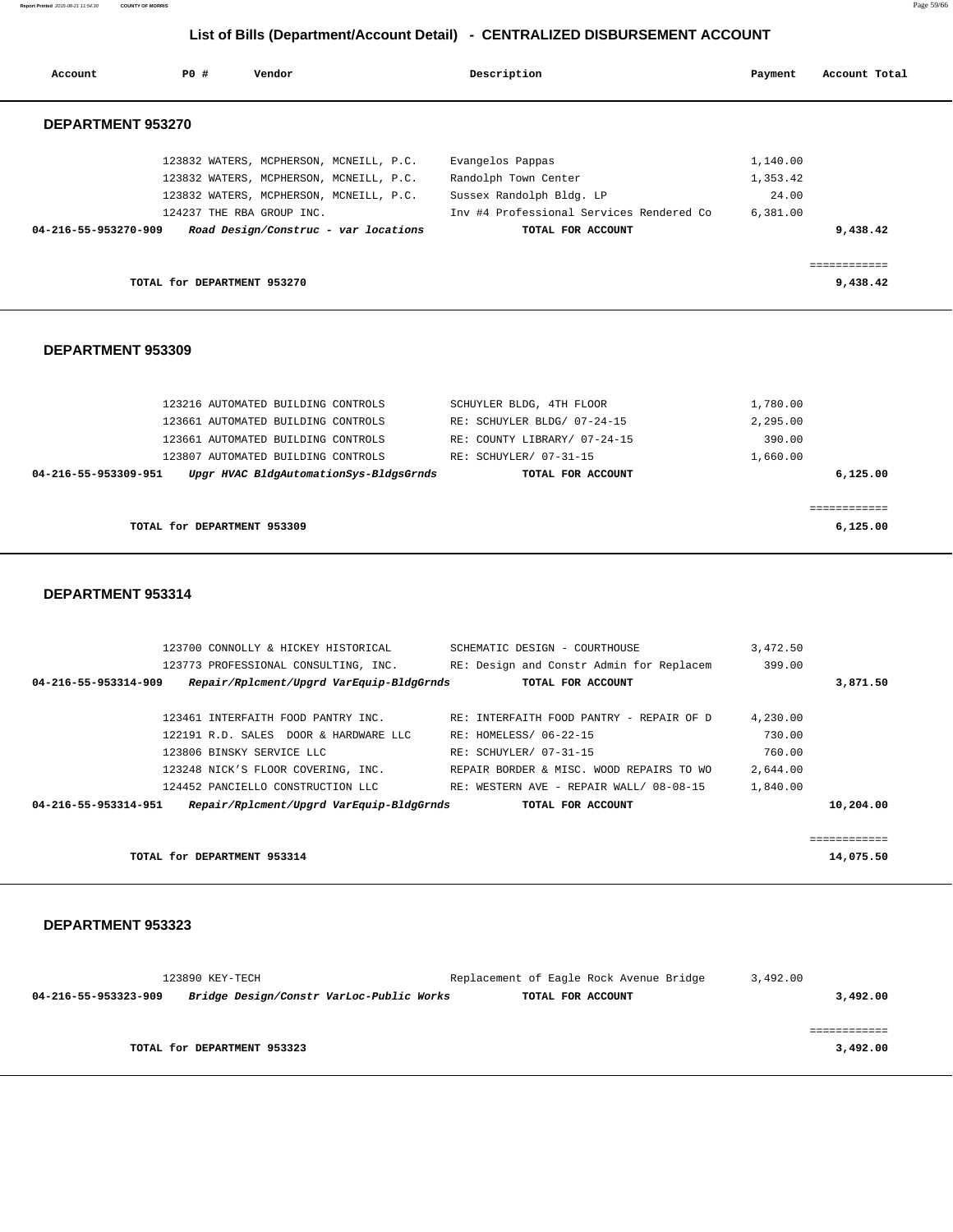**List of Bills (Department/Account Detail) - CENTRALIZED DISBURSEMENT ACCOUNT Account P0 # Vendor Description Payment Account Total DEPARTMENT 953270**  123832 WATERS, MCPHERSON, MCNEILL, P.C. Evangelos Pappas 1,140.00 123832 WATERS, MCPHERSON, MCNEILL, P.C. Randolph Town Center 1,353.42 123832 WATERS, MCPHERSON, MCNEILL, P.C. Sussex Randolph Bldg. LP 24.00 124237 THE RBA GROUP INC. Inv #4 Professional Services Rendered Co 6,381.00  **04-216-55-953270-909 Road Design/Construc - var locations TOTAL FOR ACCOUNT 9,438.42** ============ **TOTAL for DEPARTMENT 953270 9,438.42**

### **DEPARTMENT 953309**

| 123216 AUTOMATED BUILDING CONTROLS                             | SCHUYLER BLDG, 4TH FLOOR     | 1,780.00 |
|----------------------------------------------------------------|------------------------------|----------|
| 123661 AUTOMATED BUILDING CONTROLS                             | RE: SCHUYLER BLDG/ 07-24-15  | 2,295.00 |
| 123661 AUTOMATED BUILDING CONTROLS                             | RE: COUNTY LIBRARY/ 07-24-15 | 390.00   |
| 123807 AUTOMATED BUILDING CONTROLS                             | RE: SCHUYLER/ 07-31-15       | 1,660.00 |
| Upgr HVAC BldgAutomationSys-BldgsGrnds<br>04-216-55-953309-951 | TOTAL FOR ACCOUNT            | 6.125.00 |
|                                                                |                              |          |
|                                                                |                              | .        |
| TOTAL for DEPARTMENT 953309                                    |                              | 6.125.00 |
|                                                                |                              |          |

#### **DEPARTMENT 953314**

| 123700 CONNOLLY & HICKEY HISTORICAL                              | SCHEMATIC DESIGN - COURTHOUSE            | 3,472.50 |              |
|------------------------------------------------------------------|------------------------------------------|----------|--------------|
| 123773 PROFESSIONAL CONSULTING, INC.                             | RE: Design and Constr Admin for Replacem | 399.00   |              |
| Repair/Rplcment/Upgrd VarEquip-BldgGrnds<br>04-216-55-953314-909 | TOTAL FOR ACCOUNT                        |          | 3,871.50     |
|                                                                  |                                          |          |              |
| 123461 INTERFAITH FOOD PANTRY INC.                               | RE: INTERFAITH FOOD PANTRY - REPAIR OF D | 4,230.00 |              |
| 122191 R.D. SALES DOOR & HARDWARE LLC                            | RE: HOMELESS/ 06-22-15                   | 730.00   |              |
| 123806 BINSKY SERVICE LLC                                        | RE: SCHUYLER/ 07-31-15                   | 760.00   |              |
| 123248 NICK'S FLOOR COVERING, INC.                               | REPAIR BORDER & MISC. WOOD REPAIRS TO WO | 2,644.00 |              |
| 124452 PANCIELLO CONSTRUCTION LLC                                | RE: WESTERN AVE - REPAIR WALL/ 08-08-15  | 1,840.00 |              |
| Repair/Rplcment/Upgrd VarEquip-BldgGrnds<br>04-216-55-953314-951 | TOTAL FOR ACCOUNT                        |          | 10,204.00    |
|                                                                  |                                          |          |              |
|                                                                  |                                          |          | ------------ |
| TOTAL for DEPARTMENT 953314                                      |                                          |          | 14,075.50    |

#### **DEPARTMENT 953323**

|                      | 123890 KEY-TECH                          | Replacement of Eagle Rock Avenue Bridge | 3,492.00 |
|----------------------|------------------------------------------|-----------------------------------------|----------|
| 04-216-55-953323-909 | Bridge Design/Constr VarLoc-Public Works | TOTAL FOR ACCOUNT                       | 3,492.00 |
|                      |                                          |                                         |          |
|                      |                                          |                                         |          |
|                      | TOTAL for DEPARTMENT 953323              |                                         | 3,492.00 |

**Report Printed** 2015-08-21 11:54:30 **COUNTY OF MORRIS** Page 59/66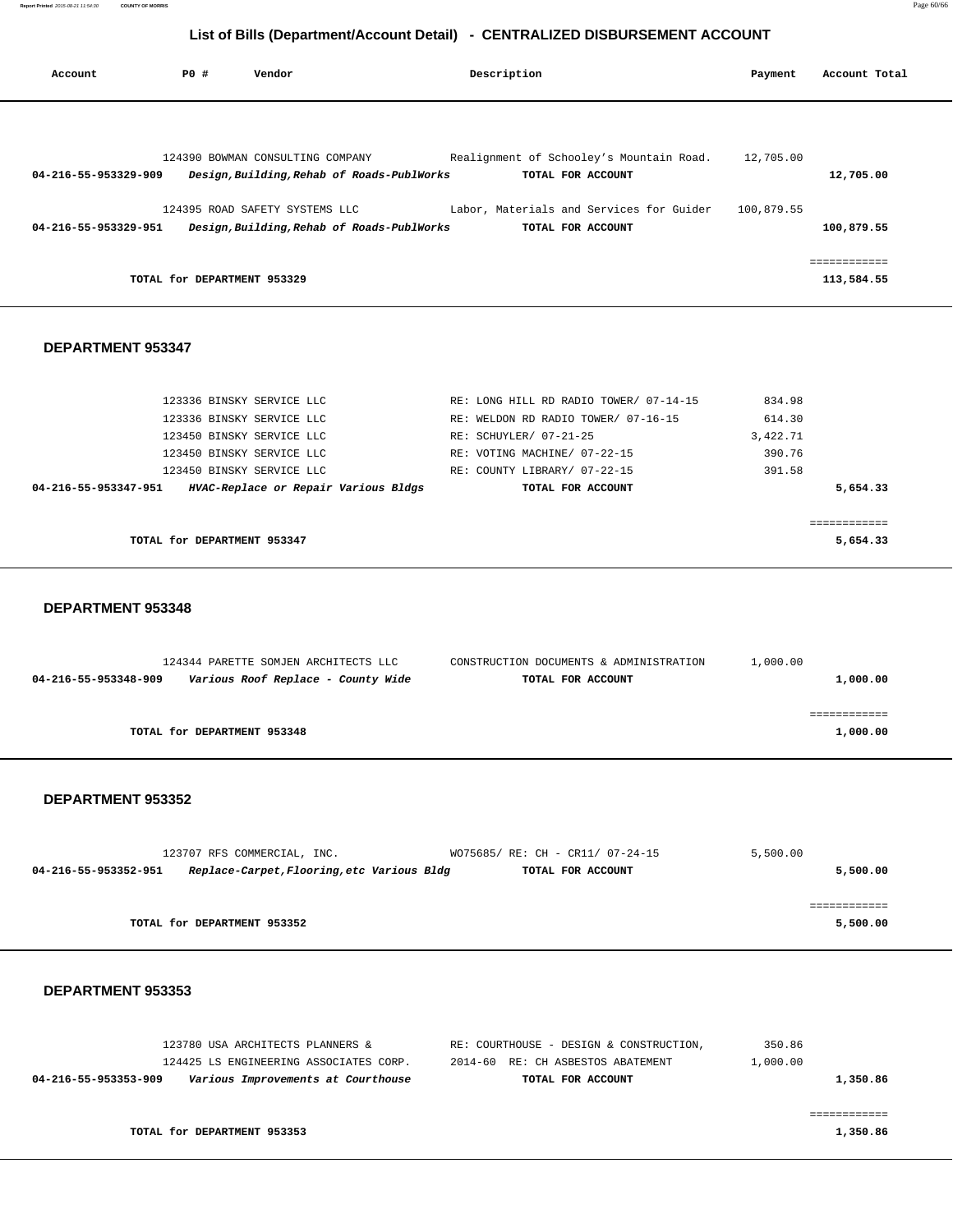| Account              | PO#                         | Vendor                                                                         | Description                                                   | Payment    | Account Total              |  |
|----------------------|-----------------------------|--------------------------------------------------------------------------------|---------------------------------------------------------------|------------|----------------------------|--|
|                      |                             |                                                                                |                                                               |            |                            |  |
| 04-216-55-953329-909 |                             | 124390 BOWMAN CONSULTING COMPANY<br>Design, Building, Rehab of Roads-PublWorks | Realignment of Schooley's Mountain Road.<br>TOTAL FOR ACCOUNT | 12,705.00  | 12,705.00                  |  |
| 04-216-55-953329-951 |                             | 124395 ROAD SAFETY SYSTEMS LLC<br>Design, Building, Rehab of Roads-PublWorks   | Labor, Materials and Services for Guider<br>TOTAL FOR ACCOUNT | 100,879.55 | 100,879.55                 |  |
|                      | TOTAL for DEPARTMENT 953329 |                                                                                |                                                               |            | ============<br>113,584.55 |  |

#### **DEPARTMENT 953347**

| 123336 BINSKY SERVICE LLC                                    | RE: LONG HILL RD RADIO TOWER/ 07-14-15 | 834.98   |
|--------------------------------------------------------------|----------------------------------------|----------|
| 123336 BINSKY SERVICE LLC                                    | RE: WELDON RD RADIO TOWER/ 07-16-15    | 614.30   |
| 123450 BINSKY SERVICE LLC                                    | RE: SCHUYLER/ 07-21-25                 | 3,422.71 |
| 123450 BINSKY SERVICE LLC                                    | RE: VOTING MACHINE/ 07-22-15           | 390.76   |
| 123450 BINSKY SERVICE LLC                                    | RE: COUNTY LIBRARY/ 07-22-15           | 391.58   |
| HVAC-Replace or Repair Various Bldgs<br>04-216-55-953347-951 | TOTAL FOR ACCOUNT                      | 5,654.33 |
|                                                              |                                        |          |
|                                                              |                                        |          |
| TOTAL for DEPARTMENT 953347                                  |                                        | 5,654.33 |

#### **DEPARTMENT 953348**

|                      | 124344 PARETTE SOMJEN ARCHITECTS LLC | CONSTRUCTION DOCUMENTS & ADMINISTRATION | 1,000.00 |
|----------------------|--------------------------------------|-----------------------------------------|----------|
| 04-216-55-953348-909 | Various Roof Replace - County Wide   | TOTAL FOR ACCOUNT                       | 1,000.00 |
|                      |                                      |                                         |          |
|                      |                                      |                                         |          |
|                      | TOTAL for DEPARTMENT 953348          |                                         | 1,000.00 |
|                      |                                      |                                         |          |

#### **DEPARTMENT 953352**

|                      | 123707 RFS COMMERCIAL, INC. |                                            | WO75685/ RE: CH - CR11/ 07-24-15 | 5,500.00 |
|----------------------|-----------------------------|--------------------------------------------|----------------------------------|----------|
| 04-216-55-953352-951 |                             | Replace-Carpet, Flooring, etc Various Bldg | TOTAL FOR ACCOUNT                | 5,500.00 |
|                      |                             |                                            |                                  |          |
|                      |                             |                                            |                                  |          |
|                      | TOTAL for DEPARTMENT 953352 |                                            |                                  | 5,500.00 |

|          | 350.86   | RE: COURTHOUSE - DESIGN & CONSTRUCTION, | 123780 USA ARCHITECTS PLANNERS &       |                      |
|----------|----------|-----------------------------------------|----------------------------------------|----------------------|
|          | 1,000.00 | 2014-60 RE: CH ASBESTOS ABATEMENT       | 124425 LS ENGINEERING ASSOCIATES CORP. |                      |
| 1,350.86 |          | TOTAL FOR ACCOUNT                       | Various Improvements at Courthouse     | 04-216-55-953353-909 |
|          |          |                                         |                                        |                      |
|          |          |                                         |                                        |                      |
| 1,350.86 |          |                                         | TOTAL for DEPARTMENT 953353            |                      |
|          |          |                                         |                                        |                      |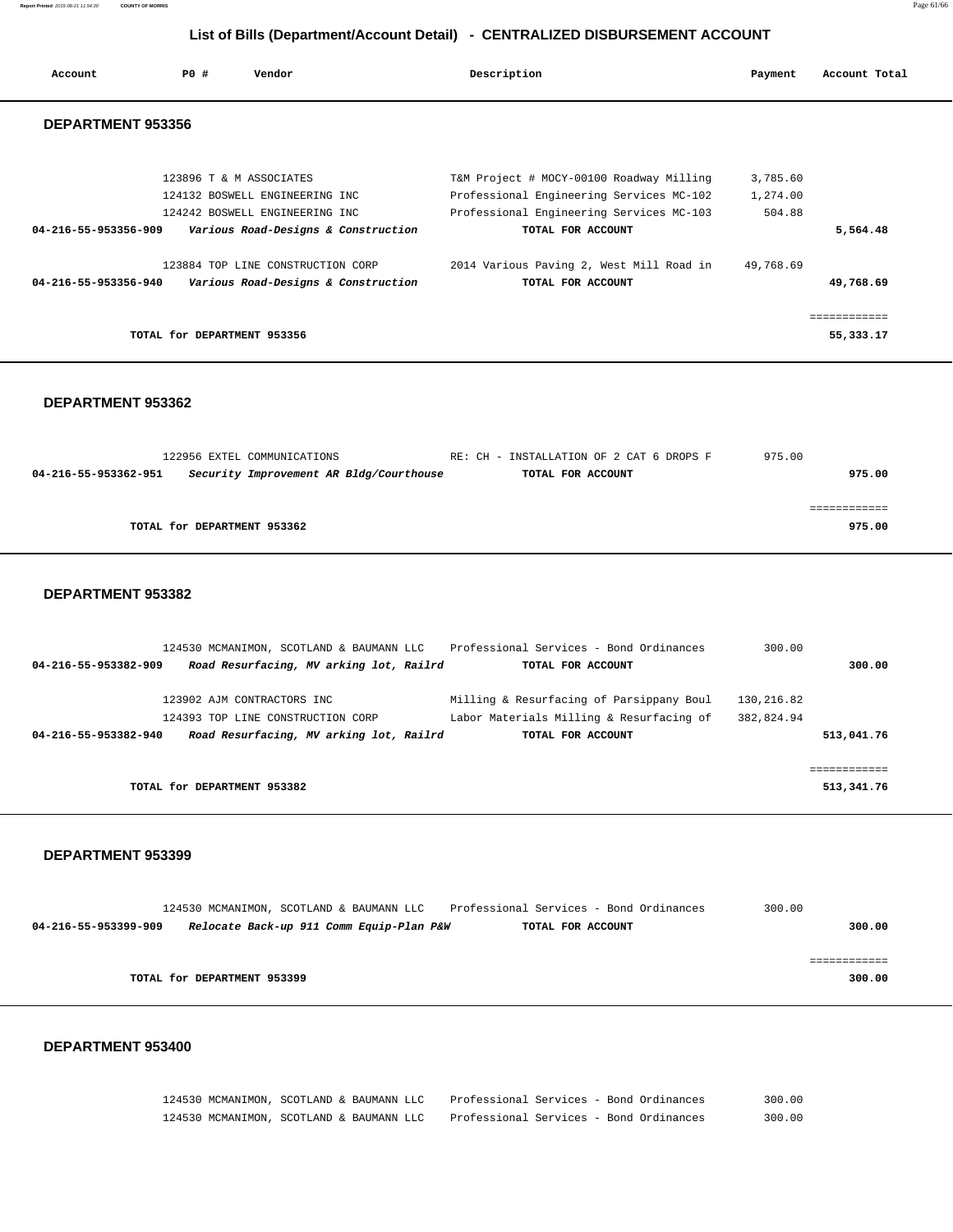**Report Printed** 2015-08-21 11:54:30 **COUNTY OF MORRIS** Page 61/66

### **List of Bills (Department/Account Detail) - CENTRALIZED DISBURSEMENT ACCOUNT**

| Account              | PO#                         | Vendor                              | Description                              | Payment   | Account Total |
|----------------------|-----------------------------|-------------------------------------|------------------------------------------|-----------|---------------|
| DEPARTMENT 953356    |                             |                                     |                                          |           |               |
|                      | 123896 T & M ASSOCIATES     |                                     | T&M Project # MOCY-00100 Roadway Milling | 3,785.60  |               |
|                      |                             | 124132 BOSWELL ENGINEERING INC      | Professional Engineering Services MC-102 | 1,274.00  |               |
|                      |                             | 124242 BOSWELL ENGINEERING INC      | Professional Engineering Services MC-103 | 504.88    |               |
| 04-216-55-953356-909 |                             | Various Road-Designs & Construction | TOTAL FOR ACCOUNT                        |           | 5,564.48      |
|                      |                             | 123884 TOP LINE CONSTRUCTION CORP   | 2014 Various Paving 2, West Mill Road in | 49,768.69 |               |
| 04-216-55-953356-940 |                             | Various Road-Designs & Construction | TOTAL FOR ACCOUNT                        |           | 49,768.69     |
|                      |                             |                                     |                                          |           |               |
|                      | TOTAL for DEPARTMENT 953356 |                                     |                                          |           | 55, 333.17    |

#### **DEPARTMENT 953362**

|                             | 122956 EXTEL COMMUNICATIONS             | RE: CH - INSTALLATION OF 2 CAT 6 DROPS F | 975.00 |
|-----------------------------|-----------------------------------------|------------------------------------------|--------|
| 04-216-55-953362-951        | Security Improvement AR Bldg/Courthouse | TOTAL FOR ACCOUNT                        | 975.00 |
|                             |                                         |                                          |        |
|                             |                                         |                                          |        |
| TOTAL for DEPARTMENT 953362 |                                         |                                          | 975.00 |
|                             |                                         |                                          |        |

#### **DEPARTMENT 953382**

|                      | 124530 MCMANIMON, SCOTLAND & BAUMANN LLC | Professional Services - Bond Ordinances  | 300.00     |            |
|----------------------|------------------------------------------|------------------------------------------|------------|------------|
| 04-216-55-953382-909 | Road Resurfacing, MV arking lot, Railrd  | TOTAL FOR ACCOUNT                        |            | 300.00     |
|                      | 123902 AJM CONTRACTORS INC               | Milling & Resurfacing of Parsippany Boul | 130,216.82 |            |
|                      | 124393 TOP LINE CONSTRUCTION CORP        | Labor Materials Milling & Resurfacing of | 382,824.94 |            |
| 04-216-55-953382-940 | Road Resurfacing, MV arking lot, Railrd  | TOTAL FOR ACCOUNT                        |            | 513,041.76 |
|                      |                                          |                                          |            |            |
|                      | TOTAL for DEPARTMENT 953382              |                                          |            | 513,341.76 |

#### **DEPARTMENT 953399**

|                      | 124530 MCMANIMON, SCOTLAND & BAUMANN LLC | Professional Services - Bond Ordinances | 300.00 |
|----------------------|------------------------------------------|-----------------------------------------|--------|
| 04-216-55-953399-909 | Relocate Back-up 911 Comm Equip-Plan P&W | TOTAL FOR ACCOUNT                       | 300.00 |
|                      |                                          |                                         |        |
|                      |                                          |                                         |        |
|                      | TOTAL for DEPARTMENT 953399              |                                         | 300.00 |
|                      |                                          |                                         |        |

#### **DEPARTMENT 953400**

 124530 MCMANIMON, SCOTLAND & BAUMANN LLC Professional Services - Bond Ordinances 300.00 124530 MCMANIMON, SCOTLAND & BAUMANN LLC Professional Services - Bond Ordinances 300.00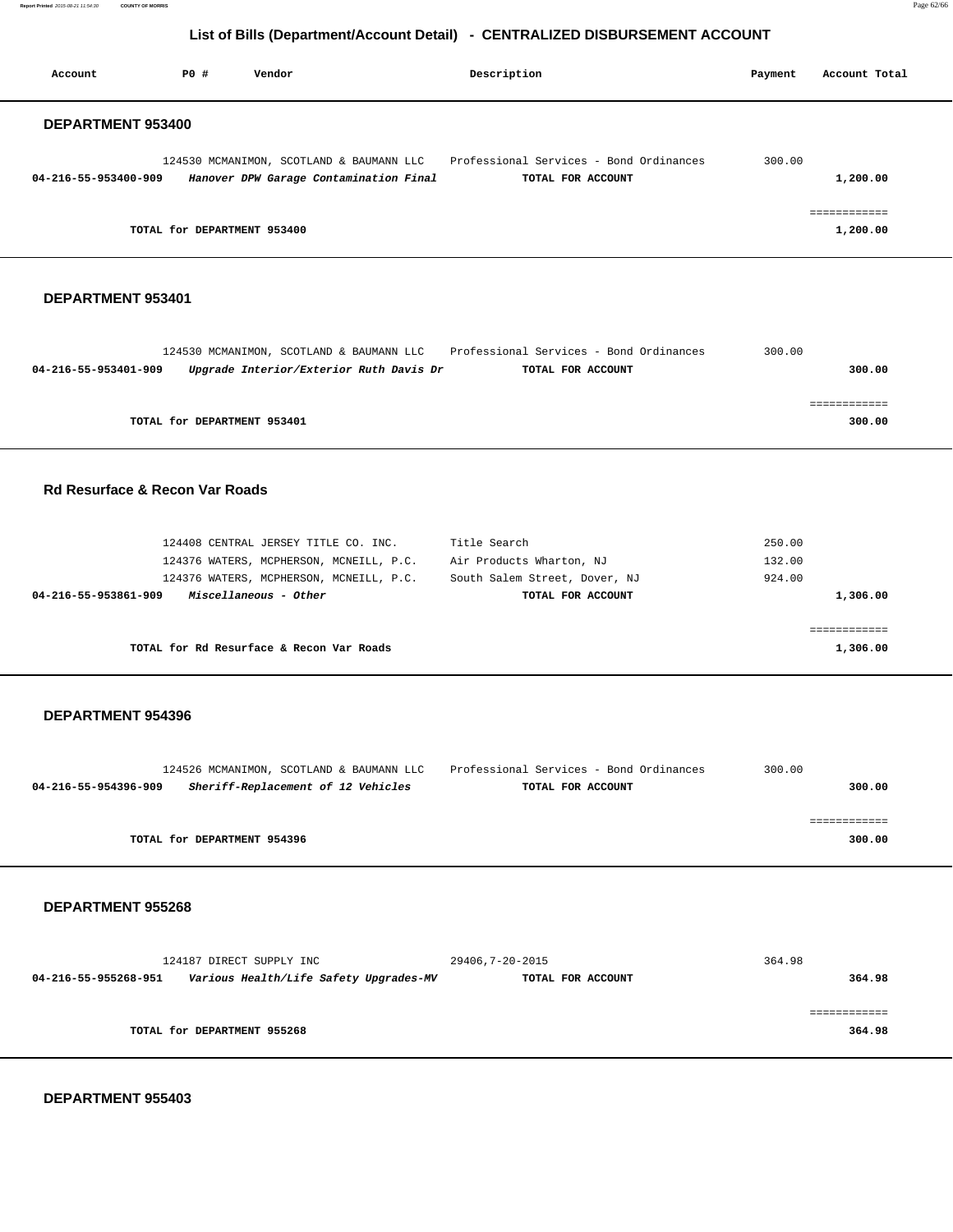**Report Printed** 2015-08-21 11:54:30 **COUNTY OF MORRIS** Page 62/66

# **List of Bills (Department/Account Detail) - CENTRALIZED DISBURSEMENT ACCOUNT**

| Account              | PO#<br>Vendor                                                                       | Description                                                  | Account Total<br>Payment |
|----------------------|-------------------------------------------------------------------------------------|--------------------------------------------------------------|--------------------------|
| DEPARTMENT 953400    |                                                                                     |                                                              |                          |
| 04-216-55-953400-909 | 124530 MCMANIMON, SCOTLAND & BAUMANN LLC<br>Hanover DPW Garage Contamination Final  | Professional Services - Bond Ordinances<br>TOTAL FOR ACCOUNT | 300.00<br>1,200.00       |
|                      | TOTAL for DEPARTMENT 953400                                                         |                                                              | ============<br>1,200.00 |
| DEPARTMENT 953401    |                                                                                     |                                                              |                          |
| 04-216-55-953401-909 | 124530 MCMANIMON, SCOTLAND & BAUMANN LLC<br>Upgrade Interior/Exterior Ruth Davis Dr | Professional Services - Bond Ordinances<br>TOTAL FOR ACCOUNT | 300.00<br>300.00         |
|                      |                                                                                     |                                                              | ============             |

**TOTAL for DEPARTMENT 953401** 300.00

### **Rd Resurface & Recon Var Roads**

| 124408 CENTRAL JERSEY TITLE CO. INC.          | Title Search                  | 250.00   |
|-----------------------------------------------|-------------------------------|----------|
| 124376 WATERS, MCPHERSON, MCNEILL, P.C.       | Air Products Wharton, NJ      | 132.00   |
| 124376 WATERS, MCPHERSON, MCNEILL, P.C.       | South Salem Street, Dover, NJ | 924.00   |
| Miscellaneous - Other<br>04-216-55-953861-909 | TOTAL FOR ACCOUNT             | 1,306.00 |
|                                               |                               |          |
|                                               |                               |          |
| TOTAL for Rd Resurface & Recon Var Roads      |                               | 1,306.00 |

#### **DEPARTMENT 954396**

|                      |                             | 124526 MCMANIMON, SCOTLAND & BAUMANN LLC | Professional Services - Bond Ordinances | 300.00 |        |
|----------------------|-----------------------------|------------------------------------------|-----------------------------------------|--------|--------|
| 04-216-55-954396-909 |                             | Sheriff-Replacement of 12 Vehicles       | TOTAL FOR ACCOUNT                       |        | 300.00 |
|                      |                             |                                          |                                         |        |        |
|                      |                             |                                          |                                         |        |        |
|                      | TOTAL for DEPARTMENT 954396 |                                          |                                         |        | 300.00 |
|                      |                             |                                          |                                         |        |        |

#### **DEPARTMENT 955268**

|                      | 124187 DIRECT SUPPLY INC               | 29406,7-20-2015   | 364.98 |
|----------------------|----------------------------------------|-------------------|--------|
| 04-216-55-955268-951 | Various Health/Life Safety Upgrades-MV | TOTAL FOR ACCOUNT | 364.98 |
|                      |                                        |                   |        |
|                      |                                        |                   |        |
|                      | TOTAL for DEPARTMENT 955268            |                   | 364.98 |
|                      |                                        |                   |        |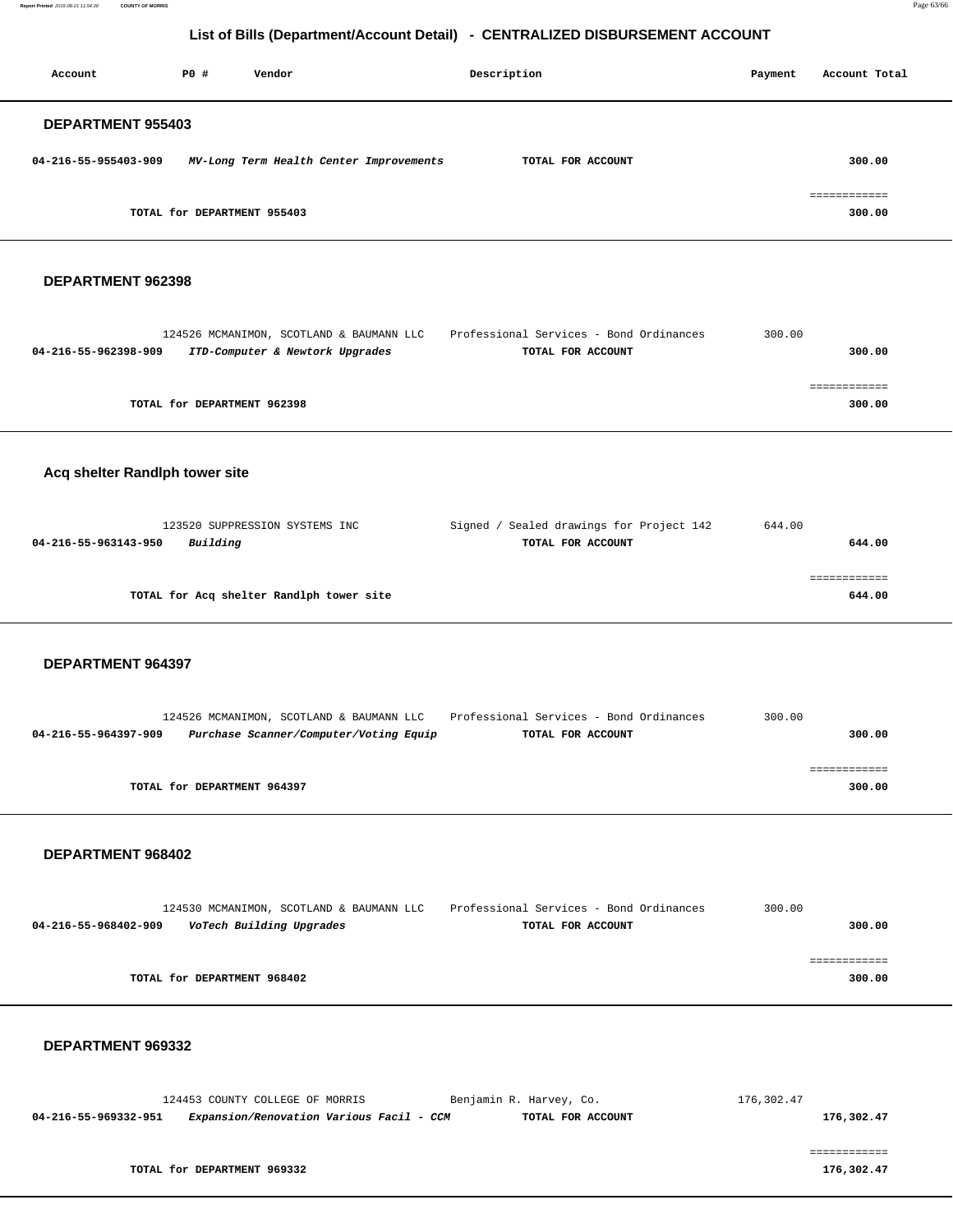**Report Printed** 2015-08-21 11:54:30 **COUNTY OF MORRIS** Page 63/66

# **List of Bills (Department/Account Detail) - CENTRALIZED DISBURSEMENT ACCOUNT**

| Account                  | PO#                         | Vendor                                  | Description       | Payment | Account Total |
|--------------------------|-----------------------------|-----------------------------------------|-------------------|---------|---------------|
| <b>DEPARTMENT 955403</b> |                             |                                         |                   |         |               |
| 04-216-55-955403-909     |                             | MV-Long Term Health Center Improvements | TOTAL FOR ACCOUNT |         | 300.00        |
|                          |                             |                                         |                   |         | .==========   |
|                          | TOTAL for DEPARTMENT 955403 |                                         |                   |         | 300.00        |

#### **DEPARTMENT 962398**

|                      | 124526 MCMANIMON, SCOTLAND & BAUMANN LLC | Professional Services - Bond Ordinances | 300.00 |        |
|----------------------|------------------------------------------|-----------------------------------------|--------|--------|
| 04-216-55-962398-909 | ITD-Computer & Newtork Upgrades          | TOTAL FOR ACCOUNT                       |        | 300.00 |
|                      |                                          |                                         |        |        |
|                      |                                          |                                         |        |        |
|                      | TOTAL for DEPARTMENT 962398              |                                         |        | 300.00 |
|                      |                                          |                                         |        |        |

### **Acq shelter Randlph tower site**

| 123520 SUPPRESSION SYSTEMS INC           | Signed / Sealed drawings for Project 142 | 644.00 |
|------------------------------------------|------------------------------------------|--------|
| Building<br>04-216-55-963143-950         | TOTAL FOR ACCOUNT                        | 644.00 |
|                                          |                                          |        |
|                                          |                                          |        |
| TOTAL for Acq shelter Randlph tower site |                                          | 644.00 |
|                                          |                                          |        |

#### **DEPARTMENT 964397**

|                      | 124526 MCMANIMON, SCOTLAND & BAUMANN LLC | Professional Services - Bond Ordinances | 300.00 |  |
|----------------------|------------------------------------------|-----------------------------------------|--------|--|
| 04-216-55-964397-909 | Purchase Scanner/Computer/Voting Equip   | TOTAL FOR ACCOUNT                       | 300.00 |  |
|                      |                                          |                                         |        |  |
|                      |                                          |                                         |        |  |
|                      | TOTAL for DEPARTMENT 964397              |                                         | 300.00 |  |
|                      |                                          |                                         |        |  |

#### **DEPARTMENT 968402**

|                             | 124530 MCMANIMON, SCOTLAND & BAUMANN LLC | Professional Services - Bond Ordinances | 300.00 |
|-----------------------------|------------------------------------------|-----------------------------------------|--------|
| 04-216-55-968402-909        | VoTech Building Upgrades                 | TOTAL FOR ACCOUNT                       | 300.00 |
|                             |                                          |                                         |        |
|                             |                                          |                                         |        |
| TOTAL for DEPARTMENT 968402 |                                          |                                         | 300.00 |
|                             |                                          |                                         |        |

| 124453 COUNTY COLLEGE OF MORRIS |                                          | Benjamin R. Harvey, Co. | 176,302.47 |
|---------------------------------|------------------------------------------|-------------------------|------------|
| 04-216-55-969332-951            | Expansion/Renovation Various Facil - CCM | TOTAL FOR ACCOUNT       | 176,302.47 |
|                                 |                                          |                         |            |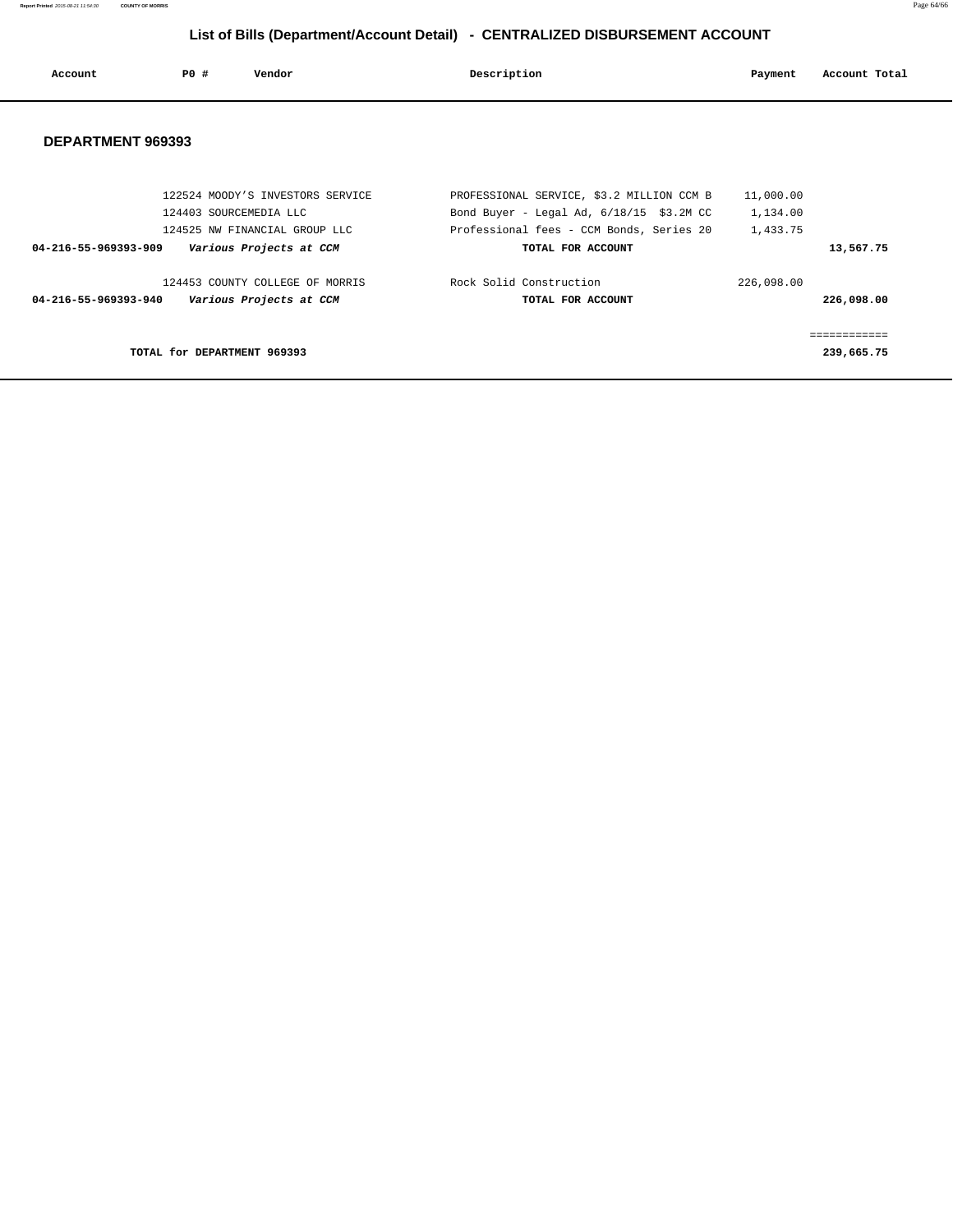**Report Printed** 2015-08-21 11:54:30 **COUNTY OF MORRIS** Page 64/66

# **List of Bills (Department/Account Detail) - CENTRALIZED DISBURSEMENT ACCOUNT**

| Account              | PO#                         | Vendor                           | Description                                | Payment    | Account Total |
|----------------------|-----------------------------|----------------------------------|--------------------------------------------|------------|---------------|
| DEPARTMENT 969393    |                             |                                  |                                            |            |               |
|                      |                             |                                  |                                            |            |               |
|                      |                             | 122524 MOODY'S INVESTORS SERVICE | PROFESSIONAL SERVICE, \$3.2 MILLION CCM B  | 11,000.00  |               |
|                      |                             | 124403 SOURCEMEDIA LLC           | Bond Buyer - Legal Ad, $6/18/15$ \$3.2M CC | 1,134.00   |               |
|                      |                             | 124525 NW FINANCIAL GROUP LLC    | Professional fees - CCM Bonds, Series 20   | 1,433.75   |               |
| 04-216-55-969393-909 |                             | Various Projects at CCM          | TOTAL FOR ACCOUNT                          |            | 13,567.75     |
|                      |                             | 124453 COUNTY COLLEGE OF MORRIS  | Rock Solid Construction                    | 226,098.00 |               |
| 04-216-55-969393-940 |                             | Various Projects at CCM          | TOTAL FOR ACCOUNT                          |            | 226,098.00    |
|                      |                             |                                  |                                            |            | ============  |
|                      | TOTAL for DEPARTMENT 969393 |                                  |                                            |            | 239,665.75    |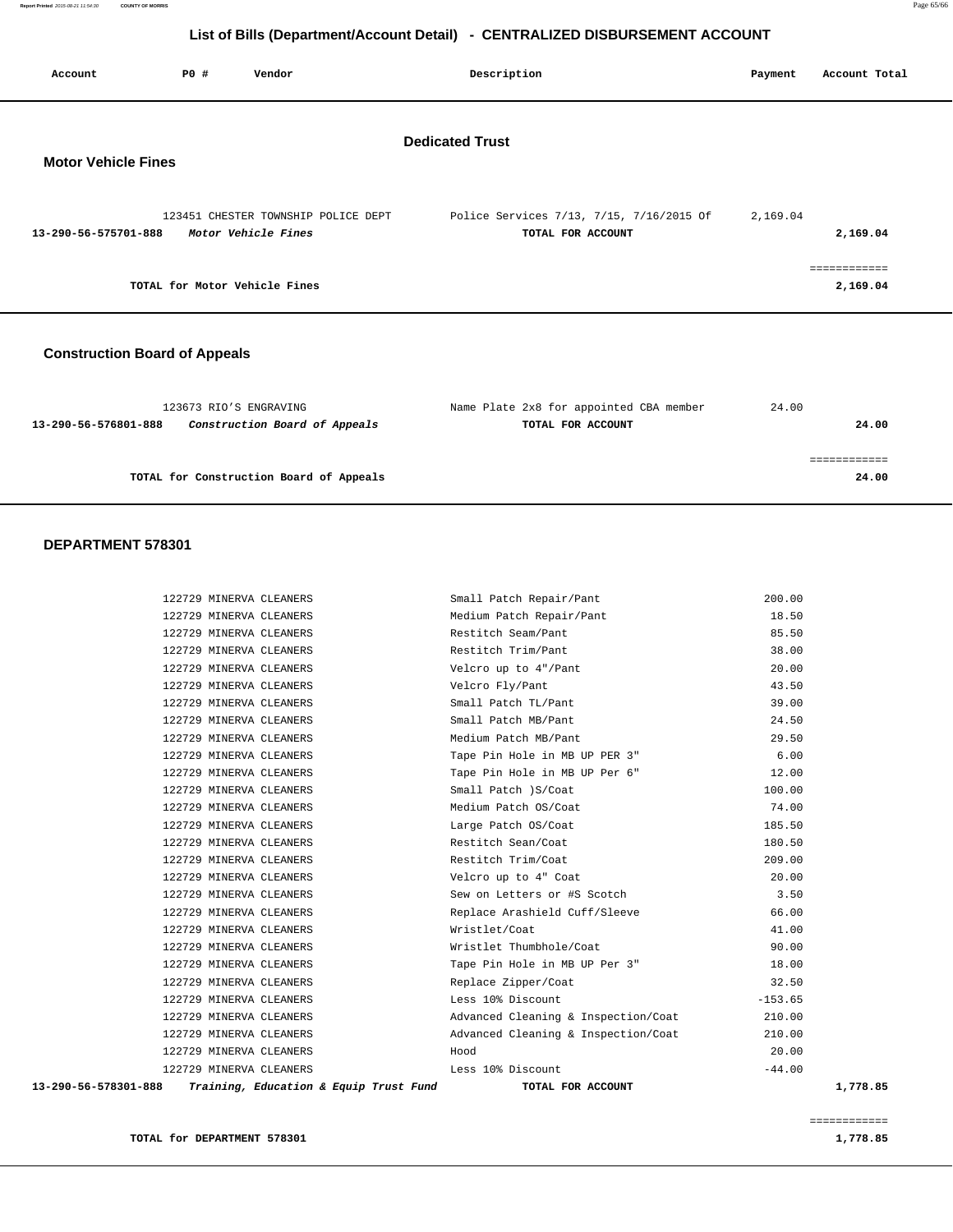| Account                              | P0 # | Vendor                                                     | Description                                                   | Payment  | Account Total            |
|--------------------------------------|------|------------------------------------------------------------|---------------------------------------------------------------|----------|--------------------------|
| <b>Motor Vehicle Fines</b>           |      |                                                            | <b>Dedicated Trust</b>                                        |          |                          |
| 13-290-56-575701-888                 |      | 123451 CHESTER TOWNSHIP POLICE DEPT<br>Motor Vehicle Fines | Police Services 7/13, 7/15, 7/16/2015 Of<br>TOTAL FOR ACCOUNT | 2,169.04 | 2,169.04                 |
|                                      |      | TOTAL for Motor Vehicle Fines                              |                                                               |          | ============<br>2,169.04 |
| <b>Construction Board of Appeals</b> |      |                                                            |                                                               |          |                          |

| 123673 RIO'S ENGRAVING |                                         | Name Plate 2x8 for appointed CBA member | 24.00 |       |
|------------------------|-----------------------------------------|-----------------------------------------|-------|-------|
| 13-290-56-576801-888   | Construction Board of Appeals           | TOTAL FOR ACCOUNT                       |       | 24.00 |
|                        |                                         |                                         |       |       |
|                        |                                         |                                         |       |       |
|                        | TOTAL for Construction Board of Appeals |                                         |       | 24.00 |
|                        |                                         |                                         |       |       |

| 13-290-56-578301-888 | Training, Education & Equip Trust Fund | TOTAL FOR ACCOUNT                   | 1,778.85  |
|----------------------|----------------------------------------|-------------------------------------|-----------|
|                      | 122729 MINERVA CLEANERS                | Less 10% Discount                   | $-44.00$  |
|                      | 122729 MINERVA CLEANERS                | Hood                                | 20.00     |
|                      | 122729 MINERVA CLEANERS                | Advanced Cleaning & Inspection/Coat | 210.00    |
|                      | 122729 MINERVA CLEANERS                | Advanced Cleaning & Inspection/Coat | 210.00    |
|                      | 122729 MINERVA CLEANERS                | Less 10% Discount                   | $-153.65$ |
|                      | 122729 MINERVA CLEANERS                | Replace Zipper/Coat                 | 32.50     |
|                      | 122729 MINERVA CLEANERS                | Tape Pin Hole in MB UP Per 3"       | 18.00     |
|                      | 122729 MINERVA CLEANERS                | Wristlet Thumbhole/Coat             | 90.00     |
|                      | 122729 MINERVA CLEANERS                | Wristlet/Coat                       | 41.00     |
|                      | 122729 MINERVA CLEANERS                | Replace Arashield Cuff/Sleeve       | 66.00     |
|                      | 122729 MINERVA CLEANERS                | Sew on Letters or #S Scotch         | 3.50      |
|                      | 122729 MINERVA CLEANERS                | Velcro up to 4" Coat                | 20.00     |
|                      | 122729 MINERVA CLEANERS                | Restitch Trim/Coat                  | 209.00    |
|                      | 122729 MINERVA CLEANERS                | Restitch Sean/Coat                  | 180.50    |
|                      | 122729 MINERVA CLEANERS                | Large Patch OS/Coat                 | 185.50    |
|                      | 122729 MINERVA CLEANERS                | Medium Patch OS/Coat                | 74.00     |
|                      | 122729 MINERVA CLEANERS                | Small Patch ) S/Coat                | 100.00    |
|                      | 122729 MINERVA CLEANERS                | Tape Pin Hole in MB UP Per 6"       | 12.00     |
|                      | 122729 MINERVA CLEANERS                | Tape Pin Hole in MB UP PER 3"       | 6.00      |
|                      | 122729 MINERVA CLEANERS                | Medium Patch MB/Pant                | 29.50     |
|                      | 122729 MINERVA CLEANERS                | Small Patch MB/Pant                 | 24.50     |
|                      | 122729 MINERVA CLEANERS                | Small Patch TL/Pant                 | 39.00     |
|                      | 122729 MINERVA CLEANERS                | Velcro Fly/Pant                     | 43.50     |
|                      | 122729 MINERVA CLEANERS                | Velcro up to 4"/Pant                | 20.00     |
|                      | 122729 MINERVA CLEANERS                | Restitch Trim/Pant                  | 38.00     |
|                      | 122729 MINERVA CLEANERS                | Restitch Seam/Pant                  | 85.50     |
|                      | 122729 MINERVA CLEANERS                | Medium Patch Repair/Pant            | 18.50     |
|                      | 122729 MINERVA CLEANERS                | Small Patch Repair/Pant             | 200.00    |